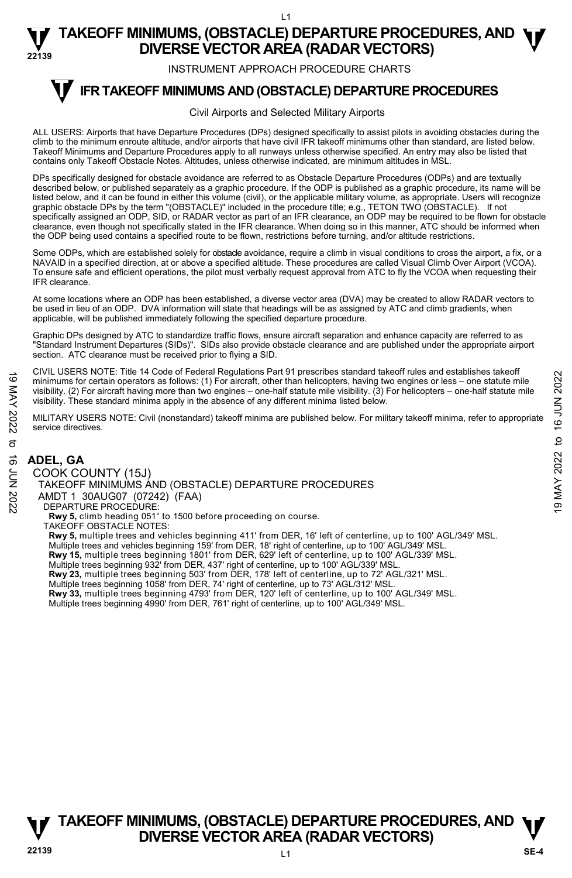INSTRUMENT APPROACH PROCEDURE CHARTS

#### **IFR TAKEOFF MINIMUMS AND (OBSTACLE) DEPARTURE PROCEDURES T**

### Civil Airports and Selected Military Airports

ALL USERS: Airports that have Departure Procedures (DPs) designed specifically to assist pilots in avoiding obstacles during the climb to the minimum enroute altitude, and/or airports that have civil IFR takeoff minimums other than standard, are listed below. Takeoff Minimums and Departure Procedures apply to all runways unless otherwise specified. An entry may also be listed that contains only Takeoff Obstacle Notes. Altitudes, unless otherwise indicated, are minimum altitudes in MSL.

DPs specifically designed for obstacle avoidance are referred to as Obstacle Departure Procedures (ODPs) and are textually described below, or published separately as a graphic procedure. If the ODP is published as a graphic procedure, its name will be listed below, and it can be found in either this volume (civil), or the applicable military volume, as appropriate. Users will recognize graphic obstacle DPs by the term "(OBSTACLE)" included in the procedure title; e.g., TETON TWO (OBSTACLE). If not specifically assigned an ODP, SID, or RADAR vector as part of an IFR clearance, an ODP may be required to be flown for obstacle clearance, even though not specifically stated in the IFR clearance. When doing so in this manner, ATC should be informed when the ODP being used contains a specified route to be flown, restrictions before turning, and/or altitude restrictions.

Some ODPs, which are established solely for obstacle avoidance, require a climb in visual conditions to cross the airport, a fix, or a NAVAID in a specified direction, at or above a specified altitude. These procedures are called Visual Climb Over Airport (VCOA). To ensure safe and efficient operations, the pilot must verbally request approval from ATC to fly the VCOA when requesting their IFR clearance.

At some locations where an ODP has been established, a diverse vector area (DVA) may be created to allow RADAR vectors to be used in lieu of an ODP. DVA information will state that headings will be as assigned by ATC and climb gradients, when applicable, will be published immediately following the specified departure procedure.

Graphic DPs designed by ATC to standardize traffic flows, ensure aircraft separation and enhance capacity are referred to as "Standard Instrument Departures (SIDs)". SIDs also provide obstacle clearance and are published under the appropriate airport section. ATC clearance must be received prior to flying a SID.

CIVIL USERS NOTE: Title 14 Code of Federal Regulations Part 91 prescribes standard takeoff rules and establishes takeoff minimums for certain operators as follows: (1) For aircraft, other than helicopters, having two engines or less – one statute mile visibility. (2) For aircraft having more than two engines – one-half statute mile visibility. (3) For helicopters – one-half statute mile visibility. These standard minima apply in the absence of any different minima listed below. FOR MARTURE PROCEDURES<br>
NO minimums for certain operators as follows: (1) For aircraft, dute than helicopters, having two engines or less – one statute mile<br>
visibility. (2) For aircraft having more than two engines – on

MILITARY USERS NOTE: Civil (nonstandard) takeoff minima are published below. For military takeoff minima, refer to appropriate service directives.

# **ADEL, GA**

COOK COUNTY (15J) TAKEOFF MINIMUMS AND (OBSTACLE) DEPARTURE PROCEDURES AMDT 1 30AUG07 (07242) (FAA) DEPARTURE PROCEDURE: **Rwy 5,** climb heading 051° to 1500 before proceeding on course. TAKEOFF OBSTACLE NOTES: **Rwy 5,** multiple trees and vehicles beginning 411' from DER, 16' left of centerline, up to 100' AGL/349' MSL. Multiple trees and vehicles beginning 159' from DER, 18' right of centerline, up to 100' AGL/349' MSL.

**Rwy 15,** multiple trees beginning 1801' from DER, 629' left of centerline, up to 100' AGL/339' MSL.<br>Multiple trees beginning 932' from DER, 437' right of centerline, up to 100' AGL/339' MSL.

**Rwy 23,** multiple trees beginning 503' from DER, 178' left of centerline, up to 72' AGL/321' MSL.

Multiple trees beginning 1058' from DER, 74' right of centerline, up to 73' AGL/312' MSL.<br>**Rwy 33,** multiple trees beginning 4793' from DER, 120' left of centerline, up to 100' AGL/349' MSL.

Multiple trees beginning 4990' from DER, 761' right of centerline, up to 100' AGL/349' MSL.



 $\overline{11}$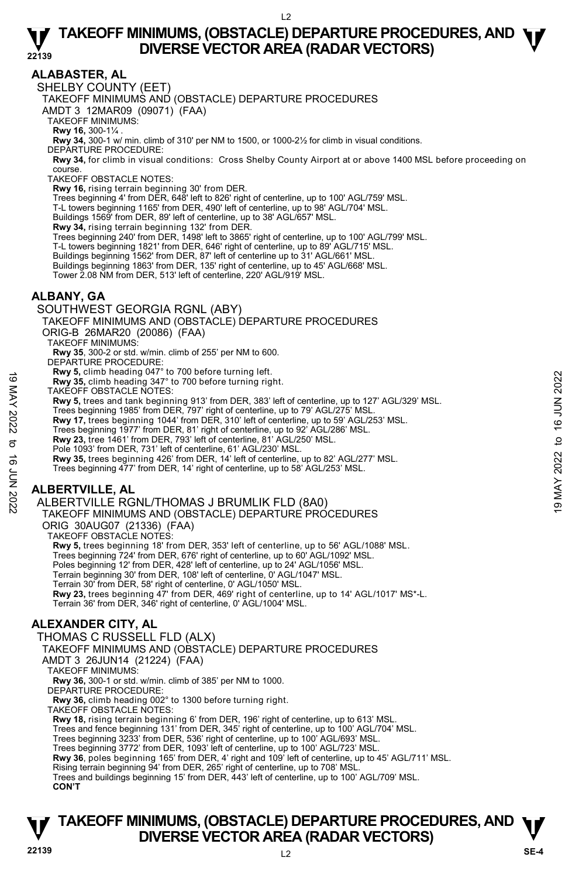# **ALABASTER, AL**

SHELBY COUNTY (EET)

TAKEOFF MINIMUMS AND (OBSTACLE) DEPARTURE PROCEDURES

AMDT 3 12MAR09 (09071) (FAA)

TAKEOFF MINIMUMS:

**Rwy 16,** 300-1¼ .<br>**Rwy 34,** 300-1 w/ min. climb of 310' per NM to 1500, or 1000-2½ for climb in visual conditions.

DEPARTURE PROCEDURE:

**Rwy 34,** for climb in visual conditions: Cross Shelby County Airport at or above 1400 MSL before proceeding on course.

TAKEOFF OBSTACLE NOTES:

**Rwy 16,** rising terrain beginning 30' from DER.

Trees beginning 4' from DER, 648' left to 826' right of centerline, up to 100' AGL/759' MSL.

T-L towers beginning 1165' from DER, 490' left of centerline, up to 98' AGL/704' MSL.

Buildings 1569' from DER, 89' left of centerline, up to 38' AGL/657' MSL.

**Rwy 34,** rising terrain beginning 132' from DER.<br>Trees beginning 240' from DER, 1498' left to 3865' right of centerline, up to 100' AGL/799' MSL.

T-L towers beginning 1821' from DER, 646' right of centerline, up to 89' AGL/715' MSL.

Buildings beginning 1562' from DER, 87' left of centerline up to 31' AGL/661' MSL.

Buildings beginning 1863' from DER, 135' right of centerline, up to 45' AGL/668' MSL. Tower 2.08 NM from DER, 513' left of centerline, 220' AGL/919' MSL.

### **ALBANY, GA**

SOUTHWEST GEORGIA RGNL (ABY)

TAKEOFF MINIMUMS AND (OBSTACLE) DEPARTURE PROCEDURES

ORIG-B 26MAR20 (20086) (FAA)

TAKEOFF MINIMUMS:

**Rwy 35**, 300-2 or std. w/min. climb of 255' per NM to 600.

DEPARTURE PROCEDURE

**Rwy 5,** climb heading 047° to 700 before turning left.

**Rwy 35,** climb heading 347° to 700 before turning right.

TAKEOFF OBSTACLE NOTES:

**Rwy 5,** trees and tank beginning 913' from DER, 383' left of centerline, up to 127' AGL/329' MSL. Rwy 35, climb heading 347° to 700 before turning right.<br>
TAKEOFF OBSTACLE NOTES:<br>
THE TAKEOFF OBSTACLE NOTES:<br>
Ry 5, trees and tank beginning 913' from DER, 383' left of centerline, up to 127' AGL/329' MSL.<br>
Trees beginni

Trees beginning 1985' from DER, 797' right of centerline, up to 79' AGL/275' MSL.

**Rwy 17,** trees beginning 1044' from DER, 310' left of centerline, up to 59' AGL/253' MSL.

Trees beginning 1977' from DER, 81' right of centerline, up to 92' AGL/286' MSL.<br>**Rwy 23,** tree 1461' from DER, 793' left of centerline, 81' AGL/250' MSL.

Pole 1093' from DER, 731' left of centerline, 61' AGL/230' MSL.

**Rwy 35,** trees beginning 426' from DER, 14' left of centerline, up to 82' AGL/277' MSL.

Trees beginning 477' from DER, 14' right of centerline, up to 58' AGL/253' MSL.

# **ALBERTVILLE, AL**

ALBERTVILLE RGNL/THOMAS J BRUMLIK FLD (8A0)

TAKEOFF MINIMUMS AND (OBSTACLE) DEPARTURE PROCEDURES

ORIG 30AUG07 (21336) (FAA)

TAKEOFF OBSTACLE NOTES:

**Rwy 5,** trees beginning 18' from DER, 353' left of centerline, up to 56' AGL/1088' MSL. Trees beginning 724' from DER, 676' right of centerline, up to 60' AGL/1092' MSL. Poles beginning 12' from DER, 428' left of centerline, up to 24' AGL/1056' MSL. Terrain beginning 30' from DER, 108' left of centerline, 0' AGL/1047' MSL. Terrain 30' from DER, 58' right of centerline, 0' AGL/1050' MSL. **Rwy 23,** trees beginning 47' from DER, 469' right of centerline, up to 14' AGL/1017' MS\*-L.<br>Terrain 36' from DER, 346' right of centerline, 0' AGL/1004' MSL.

# **ALEXANDER CITY, AL**

THOMAS C RUSSELL FLD (ALX)

TAKEOFF MINIMUMS AND (OBSTACLE) DEPARTURE PROCEDURES

AMDT 3 26JUN14 (21224) (FAA)

TAKEOFF MINIMUMS:

**Rwy 36,** 300-1 or std. w/min. climb of 385' per NM to 1000.

DEPARTURE PROCEDURE:

**Rwy 36,** climb heading 002° to 1300 before turning right.

TAKEOFF OBSTACLE NOTES:

**Rwy 18,** rising terrain beginning 6' from DER, 196' right of centerline, up to 613' MSL.

Trees and fence beginning 131' from DER, 345' right of centerline, up to 100' AGL/704' MSL.

Trees beginning 3233' from DER, 536' right of centerline, up to 100' AGL/693' MSL.

Trees beginning 3772' from DER, 1093' left of centerline, up to 100' AGL/723' MSL.

**Rwy 36**, poles beginning 165' from DER, 4' right and 109' left of centerline, up to 45' AGL/711' MSL.<br>Rising terrain beginning 94' from DER, 265' right of centerline, up to 708' MSL.

Trees and buildings beginning 15' from DER, 443' left of centerline, up to 100' AGL/709' MSL. **CON'T**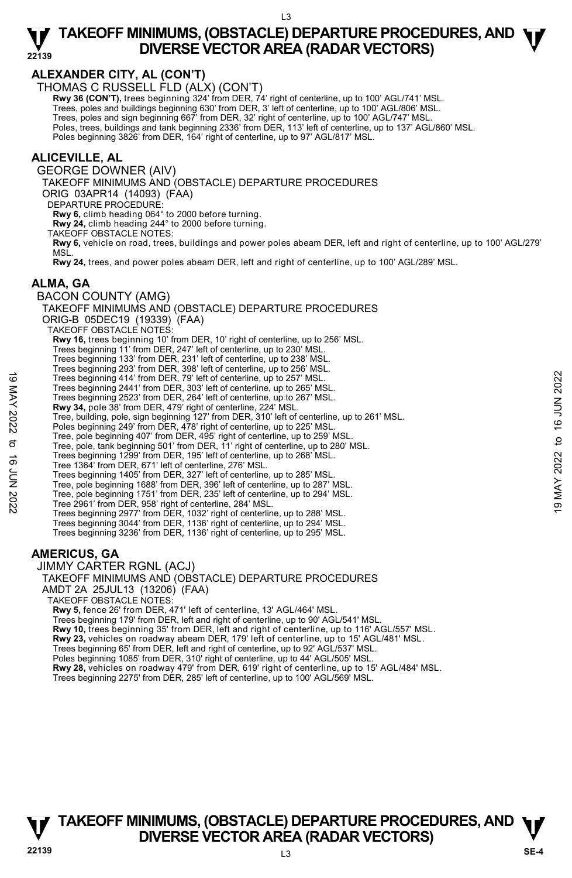# **ALEXANDER CITY, AL (CON'T)**

THOMAS C RUSSELL FLD (ALX) (CON'T)

**Rwy 36 (CON'T),** trees beginning 324' from DER, 74' right of centerline, up to 100' AGL/741' MSL. Trees, poles and buildings beginning 630' from DER, 3' left of centerline, up to 100' AGL/806' MSL.

Trees, poles and sign beginning 667' from DER, 32' right of centerline, up to 100' AGL/747' MSL.

Poles, trees, buildings and tank beginning 2336' from DER, 113' left of centerline, up to 137' AGL/860' MSL.

Poles beginning 3826' from DER, 164' right of centerline, up to 97' AGL/817' MSL.

### **ALICEVILLE, AL**

GEORGE DOWNER (AIV)

TAKEOFF MINIMUMS AND (OBSTACLE) DEPARTURE PROCEDURES

ORIG 03APR14 (14093) (FAA)

DEPARTURE PROCEDURE

**Rwy 6,** climb heading 064° to 2000 before turning.

**Rwy 24,** climb heading 244° to 2000 before turning.

TAKEOFF OBSTACLE NOTES:

**Rwy 6,** vehicle on road, trees, buildings and power poles abeam DER, left and right of centerline, up to 100' AGL/279' MSL.

**Rwy 24,** trees, and power poles abeam DER, left and right of centerline, up to 100' AGL/289' MSL.

# **ALMA, GA**

BACON COUNTY (AMG) TAKEOFF MINIMUMS AND (OBSTACLE) DEPARTURE PROCEDURES ORIG-B 05DEC19 (19339) (FAA) TAKEOFF OBSTACLE NOTES: **Rwy 16,** trees beginning 10' from DER, 10' right of centerline, up to 256' MSL. Trees beginning 11' from DER, 247' left of centerline, up to 230' MSL. Trees beginning 133' from DER, 231' left of centerline, up to 238' MSL. Trees beginning 293' from DER, 398' left of centerline, up to 256' MSL. Trees beginning 414' from DER, 79' left of centerline, up to 257' MSL. Trees beginning 2441' from DER, 303' left of centerline, up to 265' MSL. Trees beginning 2523' from DER, 264' left of centerline, up to 267' MSL.<br>**Rwy 34,** pole 38' from DER, 479' right of centerline, 224' MSL. Tree, building, pole, sign beginning 127' from DER, 310' left of centerline, up to 261' MSL. Poles beginning 249' from DER, 478' right of centerline, up to 225' MSI Tree, pole beginning 407' from DER, 495' right of centerline, up to 259' MSL. Tree, pole, tank beginning 501' from DER, 11' right of centerline, up to 280' MSL. Trees beginning 1299' from DER, 195' left of centerline, up to 268' MSL. Tree 1364' from DER, 671' left of centerline, 276' MSL. Trees beginning 1405' from DER, 327' left of centerline, up to 285' MSL. Tree, pole beginning 1688' from DER, 396' left of centerline, up to 287' MSL. Tree, pole beginning 1751' from DER, 235' left of centerline, up to 294' MSL. Tree 2961' from DER, 958' right of centerline, 284' MSL. Trees beginning 2977' from DER, 1032' right of centerline, up to 288' MSL. Trees beginning 3044' from DER, 1136' right of centerline, up to 294' MSL. Trees beginning 3236' from DER, 1136' right of centerline, up to 295' MSL. 19 Trees beginning 414' from DER, 30° left of centerline, up to 257' MSL.<br>
Trees beginning 2441' from DER, 30° left of centerline, up to 267' MSL.<br>
Trees beginning 2523' from DER, 263' left of centerline, up to 267' MSL.<br>

### **AMERICUS, GA**

JIMMY CARTER RGNL (ACJ)

TAKEOFF MINIMUMS AND (OBSTACLE) DEPARTURE PROCEDURES

AMDT 2A 25JUL13 (13206) (FAA)

TAKEOFF OBSTACLE NOTES:

**Rwy 5,** fence 26' from DER, 471' left of centerline, 13' AGL/464' MSL.

Trees beginning 179' from DER, left and right of centerline, up to 90' AGL/541' MSL.

**Rwy 10,** trees beginning 35' from DER, left and right of centerline, up to 116' AGL/557' MSL. **Rwy 23,** vehicles on roadway abeam DER, 179' left of centerline, up to 15' AGL/481' MSL.

Trees beginning 65' from DER, left and right of centerline, up to 92' AGL/537' MSL.

Poles beginning 1085' from DER, 310' right of centerline, up to 44' AGL/505' MSL.

**Rwy 28,** vehicles on roadway 479' from DER, 619' right of centerline, up to 15' AGL/484' MSL.

Trees beginning 2275' from DER, 285' left of centerline, up to 100' AGL/569' MSL.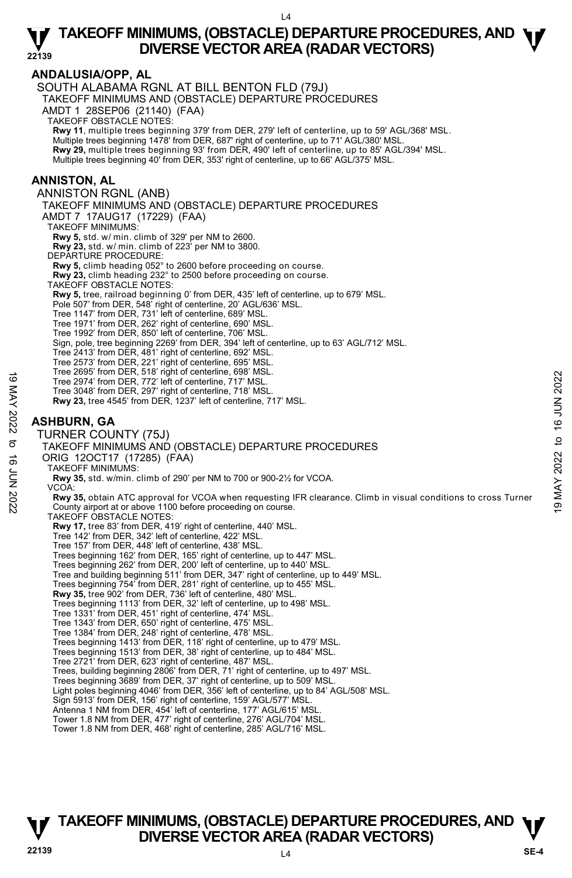**ANDALUSIA/OPP, AL**  SOUTH ALABAMA RGNL AT BILL BENTON FLD (79J) TAKEOFF MINIMUMS AND (OBSTACLE) DEPARTURE PROCEDURES AMDT 1 28SEP06 (21140) (FAA) TAKEOFF OBSTACLE NOTES: **Rwy 11**, multiple trees beginning 379' from DER, 279' left of centerline, up to 59' AGL/368' MSL. Multiple trees beginning 1478' from DER, 687' right of centerline, up to 71' AGL/380' MSL. **Rwy 29,** multiple trees beginning 93' from DER, 490' left of centerline, up to 85' AGL/394' MSL. Multiple trees beginning 40' from DER, 353' right of centerline, up to 66' AGL/375' MSL. **ANNISTON, AL**  ANNISTON RGNL (ANB) TAKEOFF MINIMUMS AND (OBSTACLE) DEPARTURE PROCEDURES AMDT 7 17AUG17 (17229) (FAA) TAKEOFF MINIMUMS: **Rwy 5,** std. w/ min. climb of 329' per NM to 2600. **Rwy 23,** std. w/ min. climb of 223' per NM to 3800. DEPARTURE PROCEDURE: **Rwy 5,** climb heading 052° to 2600 before proceeding on course. **Rwy 23,** climb heading 232° to 2500 before proceeding on course. TAKEOFF OBSTACLE NOTES: **Rwy 5,** tree, railroad beginning 0' from DER, 435' left of centerline, up to 679' MSL. Pole 507' from DER, 548' right of centerline, 20' AGL/636' MSL. Tree 1147' from DER, 731' left of centerline, 689' MSL. Tree 1971' from DER, 262' right of centerline, 690' MSL. Tree 1992' from DER, 850' left of centerline, 706' MSL. Sign, pole, tree beginning 2269' from DER, 394' left of centerline, up to 63' AGL/712' MSL. Tree 2413' from DER, 481' right of centerline, 692' MSL. Tree 2573' from DER, 221' right of centerline, 695' MSL. Tree 2695' from DER, 518' right of centerline, 698' MSL. Tree 2974' from DER, 772' left of centerline, 717' MSL. Tree 3048' from DER, 297' right of centerline, 718' MSL. **Rwy 23,** tree 4545' from DER, 1237' left of centerline, 717' MSL. **ASHBURN, GA**  TURNER COUNTY (75J) TAKEOFF MINIMUMS AND (OBSTACLE) DEPARTURE PROCEDURES ORIG 12OCT17 (17285) (FAA) TAKEOFF MINIMUMS: **Rwy 35,** std. w/min. climb of 290' per NM to 700 or 900-2½ for VCOA. VCOA: **Rwy 35,** obtain ATC approval for VCOA when requesting IFR clearance. Climb in visual conditions to cross Turner County airport at or above 1100 before proceeding on course. TAKEOFF OBSTACLE NOTES: **Rwy 17,** tree 83' from DER, 419' right of centerline, 440' MSL. Tree 142' from DER, 342' left of centerline, 422' MSL. Tree 157' from DER, 448' left of centerline, 438' MSL. Trees beginning 162' from DER, 165' right of centerline, up to 447' MSL. Trees beginning 262' from DER, 200' left of centerline, up to 440' MSL. Tree and building beginning 511' from DER, 347' right of centerline, up to 449' MSL. Trees beginning 754' from DER, 281' right of centerline, up to 455' MSL. **Rwy 35,** tree 902' from DER, 736' left of centerline, 480' MSL. Trees beginning 1113' from DER, 32' left of centerline, up to 498' MSL. Tree 1331' from DER, 451' right of centerline, 474' MSL. Tree 1343' from DER, 650' right of centerline, 475' MSL. Tree 1384' from DER, 248' right of centerline, 478' MSL. Trees beginning 1413' from DER, 118' right of centerline, up to 479' MSL. Trees beginning 1513' from DER, 38' right of centerline, up to 484' MSL. Tree 2721' from DER, 623' right of centerline, 487' MSL. Trees, building beginning 2806' from DER, 71' right of centerline, up to 497' MSL. Trees beginning 3689' from DER, 37' right of centerline, up to 509' MSL. Light poles beginning 4046' from DER, 356' left of centerline, up to 84' AGL/508' MSL. Sign 5913' from DER, 156' right of centerline, 159' AGL/577' MSL. Antenna 1 NM from DER, 454' left of centerline, 177' AGL/615' MSL. Tower 1.8 NM from DER, 477' right of centerline, 276' AGL/704' MSL. Tower 1.8 NM from DER, 468' right of centerline, 285' AGL/716' MSL. Tree 2994 from DER, 772 left of centerline, 70<sup>7</sup> MSL.<br>
Tree 2974 from DER, 772 left of centerline, 717 MSL.<br>
Tree 3048' from DER, 297' right of centerline, 718' MSL.<br> **ASHBURN, GA<br>
TURNER COUNTY (75J)**<br> **ASHBURN, GA**<br>
TU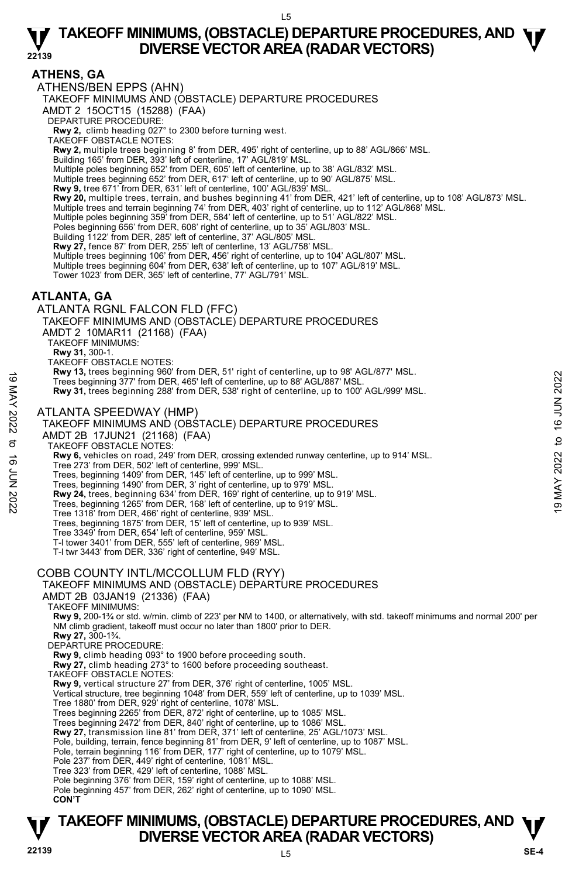# **ATHENS, GA**

ATHENS/BEN EPPS (AHN) TAKEOFF MINIMUMS AND (OBSTACLE) DEPARTURE PROCEDURES AMDT 2 15OCT15 (15288) (FAA) DEPARTURE PROCEDURE: **Rwy 2,** climb heading 027° to 2300 before turning west. TAKEOFF OBSTACLE NOTES: **Rwy 2,** multiple trees beginning 8' from DER, 495' right of centerline, up to 88' AGL/866' MSL. Building 165' from DER, 393' left of centerline, 17' AGL/819' MSL. Multiple poles beginning 652' from DER, 605' left of centerline, up to 38' AGL/832' MSL. Multiple trees beginning 652' from DER, 617' left of centerline, up to 90' AGL/875' MSL. **Rwy 9,** tree 671' from DER, 631' left of centerline, 100' AGL/839' MSL. **Rwy 20,** multiple trees, terrain, and bushes beginning 41' from DER, 421' left of centerline, up to 108' AGL/873' MSL. Multiple trees and terrain beginning 74' from DER, 403' right of centerline, up to 112' AGL/868' MSL. Multiple poles beginning 359' from DER, 584' left of centerline, up to 51' AGL/822' MSL. Poles beginning 656' from DER, 608' right of centerline, up to 35' AGL/803' MSL. Building 1122' from DER, 285' left of centerline, 37' AGL/805' MSL. **Rwy 27,** fence 87' from DER, 255' left of centerline, 13' AGL/758' MSL. Multiple trees beginning 106' from DER, 456' right of centerline, up to 104' AGL/807' MSL. Multiple trees beginning 604' from DER, 638' left of centerline, up to 107' AGL/819' MSL. Tower 1023' from DER, 365' left of centerline, 77' AGL/791' MSL. **ATLANTA, GA**  ATLANTA RGNL FALCON FLD (FFC) TAKEOFF MINIMUMS AND (OBSTACLE) DEPARTURE PROCEDURES AMDT 2 10MAR11 (21168) (FAA) TAKEOFF MINIMUMS: **Rwy 31,** 300-1. TAKEOFF OBSTACLE NOTES: **Rwy 13,** trees beginning 960' from DER, 51' right of centerline, up to 98' AGL/877' MSL. Trees beginning 377' from DER, 465' left of centerline, up to 88' AGL/887' MSL. **Rwy 31,** trees beginning 288' from DER, 538' right of centerline, up to 100' AGL/999' MSL. ATLANTA SPEEDWAY (HMP) TAKEOFF MINIMUMS AND (OBSTACLE) DEPARTURE PROCEDURES AMDT 2B 17JUN21 (21168) (FAA) TAKEOFF OBSTACLE NOTES: **Rwy 6,** vehicles on road, 249' from DER, crossing extended runway centerline, up to 914' MSL. Tree 273' from DER, 502' left of centerline, 999' MSL. Trees, beginning 1409' from DER, 145' left of centerline, up to 999' MSL. Trees, beginning 1490' from DER, 3' right of centerline, up to 979' MSL. **Rwy 24,** trees, beginning 634' from DER, 169' right of centerline, up to 919' MSL. Trees, beginning 1265' from DER, 168' left of centerline, up to 919' MSL. Tree 1318' from DER, 466' right of centerline, 939' MSL. Trees, beginning 1875' from DER, 15' left of centerline, up to 939' MSL. Tree 3349' from DER, 654' left of centerline, 959' MSL. T-l tower 3401' from DER, 555' left of centerline, 969' MSL. T-l twr 3443' from DER, 336' right of centerline, 949' MSL. COBB COUNTY INTL/MCCOLLUM FLD (RYY) TAKEOFF MINIMUMS AND (OBSTACLE) DEPARTURE PROCEDURES AMDT 2B 03JAN19 (21336) (FAA) TAKEOFF MINIMUMS: **Rwy 9,** 200-1¾ or std. w/min. climb of 223' per NM to 1400, or alternatively, with std. takeoff minimums and normal 200' per NM climb gradient, takeoff must occur no later than 1800' prior to DER. **Rwy 27,** 300-1¾. DEPARTURE PROCEDURE: **Rwy 9,** climb heading 093° to 1900 before proceeding south. **Rwy 27,** climb heading 273° to 1600 before proceeding southeast. TAKEOFF OBSTACLE NOTES: **Rwy 9,** vertical structure 27' from DER, 376' right of centerline, 1005' MSL. Vertical structure, tree beginning 1048' from DER, 559' left of centerline, up to 1039' MSL. Tree 1880' from DER, 929' right of centerline, 1078' MSL. Trees beginning 2265' from DER, 872' right of centerline, up to 1085' MSL. Trees beginning 2472' from DER, 840' right of centerline, up to 1086' MSL.<br>**Rwy 27,** transmission line 81' from DER, 371' left of centerline, 25' AGL/1073' MSL.<br>Pole, building, terrain, fence beginning 81' from DER, 9' lef Pole, terrain beginning 116' from DER, 177' right of centerline, up to 1079' MSL. Pole 237' from DER, 449' right of centerline, 1081' MSL. Tree 323' from DER, 429' left of centerline, 1088' MSL. Pole beginning 376' from DER, 159' right of centerline, up to 1088' MSL. Pole beginning 457' from DER, 262' right of centerline, up to 1090' MSL. **CON'T**  Trees beginning 377 from DER, 485 left of centerline, up to 38 AGL/887 MSL.<br>
Trees beginning 377 from DER, 485 left of centerline, up to 88 AGL/887 MSL.<br>
Rwy 31, trees beginning 288 from DER, 538' right of centerline, up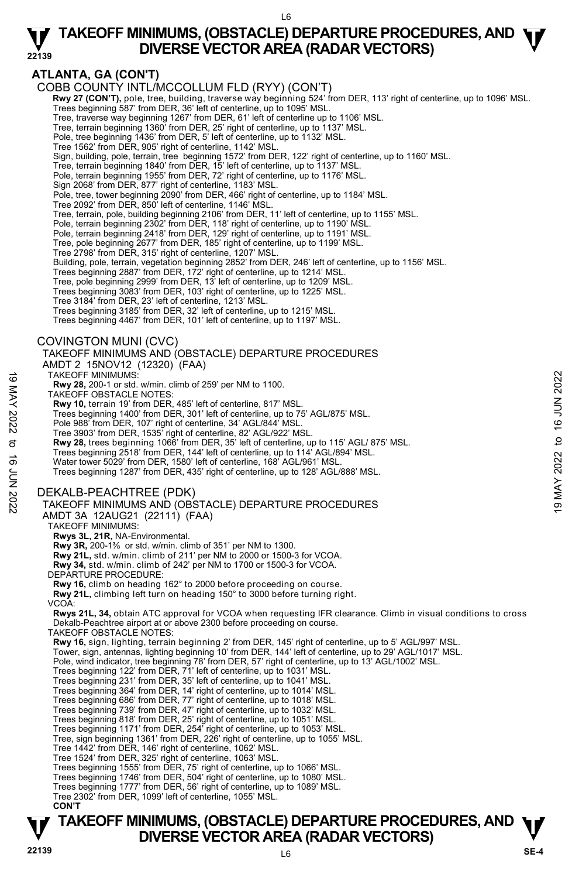#### L6

#### **22139 TAKEOFF MINIMUMS, (OBSTACLE) DEPARTURE PROCEDURES, AND**  $\Psi$ **<br>DIVERSE VECTOR AREA (RADAR VECTORS) DIVERSE VECTOR AREA (RADAR VECTORS)**

# **ATLANTA, GA (CON'T)**

COBB COUNTY INTL/MCCOLLUM FLD (RYY) (CON'T)

**Rwy 27 (CON'T),** pole, tree, building, traverse way beginning 524' from DER, 113' right of centerline, up to 1096' MSL.<br>Trees beginning 587' from DER, 36' left of centerline, up to 1095' MSL.

Tree, traverse way beginning 1267' from DER, 61' left of centerline up to 1106' MSL.

Tree, terrain beginning 1360' from DER, 25' right of centerline, up to 1137' MSL. Pole, tree beginning 1436' from DER, 5' left of centerline, up to 1132' MSL.

- 
- Tree 1562' from DER, 905' right of centerline, 1142' MSL.

Sign, building, pole, terrain, tree beginning 1572' from DER, 122' right of centerline, up to 1160' MSL.

Tree, terrain beginning 1840' from DER, 15' left of centerline, up to 1137' MSL. Pole, terrain beginning 1955' from DER, 72' right of centerline, up to 1176' MSL.

Sign 2068' from DER, 877' right of centerline, 1183' MSL.

Pole, tree, tower beginning 2090' from DER, 466' right of centerline, up to 1184' MSL. Tree 2092' from DER, 850' left of centerline, 1146' MSL.

Tree, terrain, pole, building beginning 2106' from DER, 11' left of centerline, up to 1155' MSL.

Pole, terrain beginning 2302' from DER, 118' right of centerline, up to 1190' MSL.

Pole, terrain beginning 2418' from DER, 129' right of centerline, up to 1191' MSL. Tree, pole beginning 2677' from DER, 185' right of centerline, up to 1199' MSL.

Tree 2798' from DER, 315' right of centerline, 1207' MSL.

Building, pole, terrain, vegetation beginning 2852' from DER, 246' left of centerline, up to 1156' MSL.<br>Trees beginning 2887' from DER, 172' right of centerline, up to 1214' MSL.

Tree, pole beginning 2999' from DER, 13' left of centerline, up to 1209' MSL.

Trees beginning 3083' from DER, 103' right of centerline, up to 1225' MSL.

Tree 3184' from DER, 23' left of centerline, 1213' MSL.

Trees beginning 3185' from DER, 32' left of centerline, up to 1215' MSL.

Trees beginning 4467' from DER, 101' left of centerline, up to 1197' MSL.

### COVINGTON MUNI (CVC)

TAKEOFF MINIMUMS AND (OBSTACLE) DEPARTURE PROCEDURES AMDT 2 15NOV12 (12320) (FAA)

TAKEOFF MINIMUMS:

**Rwy 28,** 200-1 or std. w/min. climb of 259' per NM to 1100.

TAKEOFF OBSTACLE NOTES:

**Rwy 10,** terrain 19' from DER, 485' left of centerline, 817' MSL.

Trees beginning 1400' from DER, 301' left of centerline, up to 75' AGL/875' MSL.

Pole 988' from DER, 107' right of centerline, 34' AGL/844' MSL.

Tree 3903' from DER, 1535' right of centerline, 82' AGL/922' MSL.<br>**Rwy 28,** trees beginning 1066' from DER, 35' left of centerline, up to 115' AGL/ 875' MSL.

Trees beginning 2518' from DER, 144' left of centerline, up to 114' AGL/894' MSL.

Water tower 5029' from DER, 1580' left of centerline, 168' AGL/961' MSI

Trees beginning 1287' from DER, 435' right of centerline, up to 128' AGL/888' MSL.

### DEKALB-PEACHTREE (PDK)

# TAKEOFF MINIMUMS AND (OBSTACLE) DEPARTURE PROCEDURES TAKEOFF MINIMUMS:<br>
TAKEOFF OBSTACLE NOTES:<br>
TAKEOFF OBSTACLE NOTES:<br>
TAKEOFF OBSTACLE NOTES:<br>
Note as eiginning 1400' from DER, 485' left of centerline, up to 75' AGL/875' MSL.<br>
Trees beginning 1400' from DER, 1021' left

AMDT 3A 12AUG21 (22111) (FAA)

TAKEOFF MINIMUMS:

**Rwys 3L, 21R,** NA-Environmental.

**Rwy 3R,** 200-1⅜ or std. w/min. climb of 351' per NM to 1300.

**Rwy 21L,** std. w/min. climb of 211' per NM to 2000 or 1500-3 for VCOA.

 **Rwy 34,** std. w/min. climb of 242' per NM to 1700 or 1500-3 for VCOA.

DEPARTURE PROCEDURE:

**Rwy 16,** climb on heading 162° to 2000 before proceeding on course.

**Rwy 21L,** climbing left turn on heading 150° to 3000 before turning right.

VCOA:

**Rwys 21L, 34,** obtain ATC approval for VCOA when requesting IFR clearance. Climb in visual conditions to cross Dekalb-Peachtree airport at or above 2300 before proceeding on course.

TAKEOFF OBSTACLE NOTES:

**Rwy 16,** sign, lighting, terrain beginning 2' from DER, 145' right of centerline, up to 5' AGL/997' MSL.

Tower, sign, antennas, lighting beginning 10' from DER, 144' left of centerline, up to 29' AGL/1017' MSL.

Pole, wind indicator, tree beginning 78' from DER, 57' right of centerline, up to 13' AGL/1002' MSL.<br>Trees beginning 122' from DER, 71' left of centerline, up to 1031' MSL.

Trees beginning 231' from DER, 35' left of centerline, up to 1041' MSL.

Trees beginning 364' from DER, 14' right of centerline, up to 1014' MSL. Trees beginning 686' from DER, 77' right of centerline, up to 1018' MSL.

Trees beginning 739' from DER, 47' right of centerline, up to 1032' MSL.

Trees beginning 818' from DER, 25' right of centerline, up to 1051' MSL. Trees beginning 1171' from DER, 254' right of centerline, up to 1053' MSL.

Tree, sign beginning 1361' from DER, 226' right of centerline, up to 1055' MSL.

Tree 1442' from DER, 146' right of centerline, 1062' MSL.

Tree 1524' from DER, 325' right of centerline, 1063' MSL.<br>Trees beginning 1555' from DER, 75' right of centerline, up to 1066' MSL.<br>Trees beginning 1746' from DER, 504' right of centerline, up to 1080' MSL.

Trees beginning 1777' from DER, 56' right of centerline, up to 1089' MSL. Tree 2302' from DER, 1099' left of centerline, 1055' MSL.

**CON'T**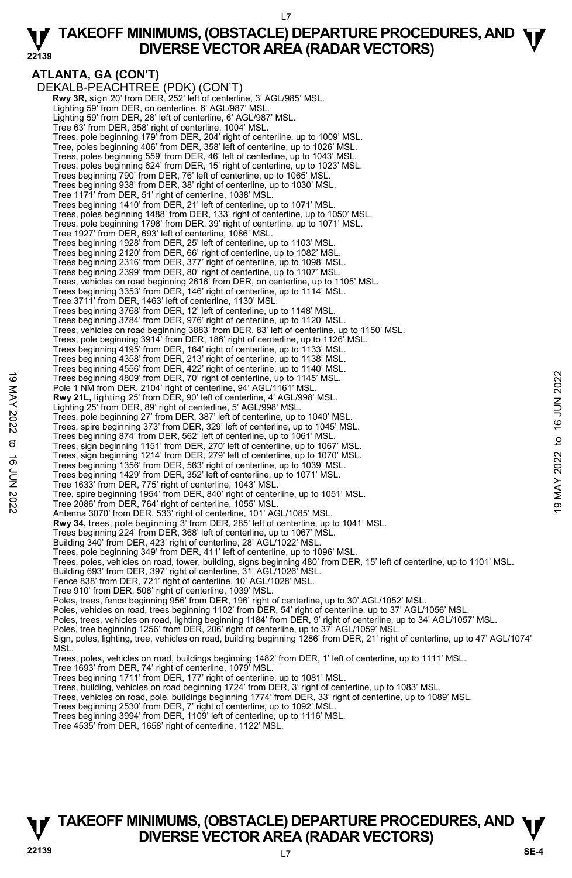#### L7

#### **22139 TAKEOFF MINIMUMS, (OBSTACLE) DEPARTURE PROCEDURES, AND**  $\Psi$ **<br>DIVERSE VECTOR AREA (RADAR VECTORS) DIVERSE VECTOR AREA (RADAR VECTORS)**

**ATLANTA, GA (CON'T)**  DEKALB-PEACHTREE (PDK) (CON'T)  **Rwy 3R,** sign 20' from DER, 252' left of centerline, 3' AGL/985' MSL. Lighting 59' from DER, on centerline, 6' AGL/987' MSL. Lighting 59' from DER, 28' left of centerline, 6' AGL/987' MSL. Tree 63' from DER, 358' right of centerline, 1004' MSL. Trees, pole beginning 179' from DER, 204' right of centerline, up to 1009' MSL. Tree, poles beginning 406' from DER, 358' left of centerline, up to 1026' MSL. Trees, poles beginning 559' from DER, 46' left of centerline, up to 1043' MSL. Trees, poles beginning 624' from DER, 15' right of centerline, up to 1023' MSL.<br>Trees beginning 790' from DER, 76' left of centerline, up to 1065' MSL.<br>Trees beginning 938' from DER, 38' right of centerline, up to 1030' MS Tree 1171' from DER, 51' right of centerline, 1038' MSL. Trees beginning 1410' from DER, 21' left of centerline, up to 1071' MSL. Trees, poles beginning 1488' from DER, 133' right of centerline, up to 1050' MSL. Trees, pole beginning 1798' from DER, 39' right of centerline, up to 1071' MSL. Tree 1927' from DER, 693' left of centerline, 1086' MSL. Trees beginning 1928' from DER, 25' left of centerline, up to 1103' MSL. Trees beginning 2120' from DER, 66' right of centerline, up to 1082' MSL. Trees beginning 2316' from DER, 377' right of centerline, up to 1098' MSL. Trees beginning 2399' from DER, 80' right of centerline, up to 1107' MSL. Trees, vehicles on road beginning 2616' from DER, on centerline, up to 1105' MSL. Trees beginning 3353' from DER, 146' right of centerline, up to 1114' MSL. Tree 3711' from DER, 1463' left of centerline, 1130' MSL. Trees beginning 3768' from DER, 12' left of centerline, up to 1148' MSL. Trees beginning 3784' from DER, 976' right of centerline, up to 1120' MSL. Trees, vehicles on road beginning 3883' from DER, 83' left of centerline, up to 1150' MSL.<br>Trees, pole beginning 3914' from DER, 186' right of centerline, up to 1126' MSL.<br>Trees beginning 4195' from DER, 164' right of cent Trees beginning 4358' from DER, 213' right of centerline, up to 1138' MSL. Trees beginning 4556' from DER, 422' right of centerline, up to 1140' MSL. Trees beginning 4809' from DER, 70' right of centerline, up to 1145' MSL. Pole 1 NM from DER, 2104' right of centerline, 94' AGL/1161' MSL. **Rwy 21L,** lighting 25' from DER, 90' left of centerline, 4' AGL/998' MSL.<br>Lighting 25' from DER, 89' right of centerline, 5' AGL/998' MSL. Trees, pole beginning 27' from DER, 387' left of centerline, up to 1040' MSL. Trees, spire beginning 373' from DER, 329' left of centerline, up to 1045' MSL. Trees beginning 874' from DER, 562' left of centerline, up to 1061' MSL. Trees, sign beginning 1151' from DER, 270' left of centerline, up to 1067' MSL. Trees, sign beginning 1214' from DER, 279' left of centerline, up to 1070' MSL. Trees beginning 1356' from DER, 563' right of centerline, up to 1039' MSL. Trees beginning 1429' from DER, 352' left of centerline, up to 1071' MSL. Tree 1633' from DER, 775' right of centerline, 1043' MSL. Tree, spire beginning 1954' from DER, 840' right of centerline, up to 1051' MSL. Tree 2086' from DER, 764' right of centerline, 1055' MSL. Antenna 3070' from DER, 533' right of centerline, 101' AGL/1085' MSL. **Rwy 34,** trees, pole beginning 3' from DER, 285' left of centerline, up to 1041' MSL.<br>Trees beginning 224' from DER, 368' left of centerline, up to 1067' MSL. Building 340' from DER, 423' right of centerline, 28' AGL/1022' MSL. Trees, pole beginning 349' from DER, 411' left of centerline, up to 1096' MSL. Trees, poles, vehicles on road, tower, building, signs beginning 480' from DER, 15' left of centerline, up to 1101' MSL.<br>Building 693' from DER, 397' right of centerline, 31' AGL/1026' MSL. Fence 838' from DER, 721' right of centerline, 10' AGL/1028' MSL. Tree 910' from DER, 506' right of centerline, 1039' MSL. Poles, trees, fence beginning 956' from DER, 196' right of centerline, up to 30' AGL/1052' MSL. Poles, vehicles on road, trees beginning 1102' from DER, 54' right of centerline, up to 37' AGL/1056' MSL. Poles, trees, vehicles on road, lighting beginning 1184' from DER, 9' right of centerline, up to 34' AGL/1057' MSL. Poles, tree beginning 1256' from DER, 206' right of centerline, up to 37' AGL/1059' MSL. Sign, poles, lighting, tree, vehicles on road, building beginning 1286' from DER, 21' right of centerline, up to 47' AGL/1074' **MSL** Trees, poles, vehicles on road, buildings beginning 1482' from DER, 1' left of centerline, up to 1111' MSL.<br>Tree 1693' from DER, 74' right of centerline, 1079' MSL.<br>Trees beginning 1711' from DER, 177' right of centerline, Trees, building, vehicles on road beginning 1724' from DER, 3' right of centerline, up to 1083' MSL. Trees, vehicles on road, pole, buildings beginning 1774' from DER, 33' right of centerline, up to 1089' MSL.<br>Trees beginning 2530' from DER, 7' right of centerline, up to 1092' MSL. Trees beginning 3994' from DER, 1109' left of centerline, up to 1116' MSL. 19 Trees beginning 4809 'from DER, 70' right of centerline, up to 1145' MSL.<br>
Pole 1 NM from DER, 2104' right of centerline, 4' AGL/998' MSL.<br>
Now 21L, lighting 25' from DER, 90' left of centerline, 4' AGL/998' MSL.<br>
Ligh

Tree 4535' from DER, 1658' right of centerline, 1122' MSL.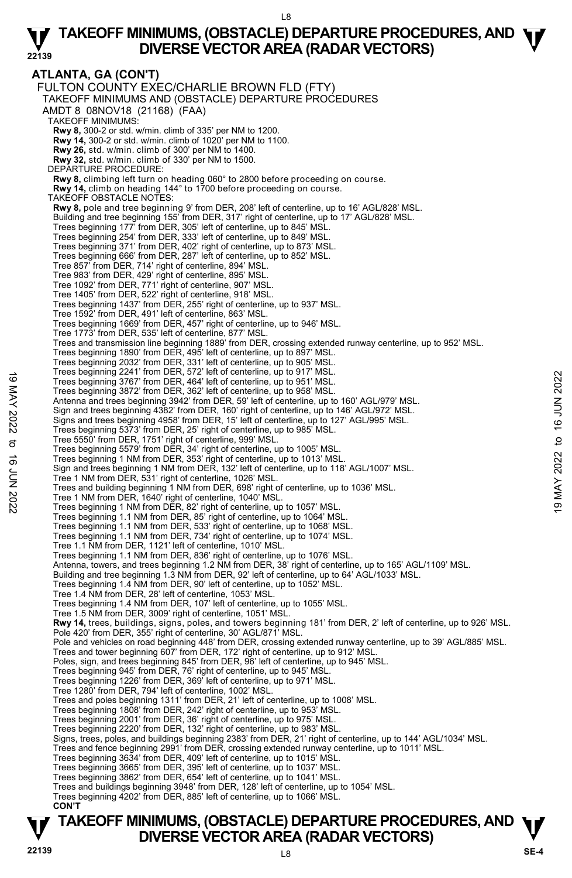**ATLANTA, GA (CON'T)**  FULTON COUNTY EXEC/CHARLIE BROWN FLD (FTY) TAKEOFF MINIMUMS AND (OBSTACLE) DEPARTURE PROCEDURES AMDT 8 08NOV18 (21168) (FAA) TAKEOFF MINIMUMS: **Rwy 8,** 300-2 or std. w/min. climb of 335' per NM to 1200. **Rwy 14,** 300-2 or std. w/min. climb of 1020' per NM to 1100. **Rwy 26,** std. w/min. climb of 300' per NM to 1400. **Rwy 32,** std. w/min. climb of 330' per NM to 1500. DEPARTURE PROCEDURE: **Rwy 8,** climbing left turn on heading 060° to 2800 before proceeding on course. **Rwy 14,** climb on heading 144° to 1700 before proceeding on course. TAKEOFF OBSTACLE NOTES: **Rwy 8,** pole and tree beginning 9' from DER, 208' left of centerline, up to 16' AGL/828' MSL. Building and tree beginning 155' from DER, 317' right of centerline, up to 17' AGL/828' MSL. Trees beginning 177' from DER, 305' left of centerline, up to 845' MSL. Trees beginning 254' from DER, 333' left of centerline, up to 849' MSL. Trees beginning 371' from DER, 402' right of centerline, up to 873' MSL. Trees beginning 666' from DER, 287' left of centerline, up to 852' MSL. Tree 857' from DER, 714' right of centerline, 894' MSL. Tree 983' from DER, 429' right of centerline, 895' MSL. Tree 1092' from DER, 771' right of centerline, 907' MSL. Tree 1405' from DER, 522' right of centerline, 918' MSL. Trees beginning 1437' from DER, 255' right of centerline, up to 937' MSL. Tree 1592' from DER, 491' left of centerline, 863' MSL. Trees beginning 1669' from DER, 457' right of centerline, up to 946' MSL. Tree 1773' from DER, 535' left of centerline, 877' MSL. Trees and transmission line beginning 1889' from DER, crossing extended runway centerline, up to 952' MSL. Trees beginning 1890' from DER, 495' left of centerline, up to 897' MSL. Trees beginning 2032' from DER, 331' left of centerline, up to 905' MSL. Trees beginning 2241' from DER, 572' left of centerline, up to 917' MSL. Trees beginning 3767' from DER, 464' left of centerline, up to 951' MSL. Trees beginning 3872' from DER, 362' left of centerline, up to 958' MSL. Antenna and trees beginning 3942' from DER, 59' left of centerline, up to 160' AGL/979' MSL. Sign and trees beginning 4382' from DER, 160' right of centerline, up to 146' AGL/972' MSL. Signs and trees beginning 4958' from DER, 15' left of centerline, up to 127' AGL/995' MSL. Trees beginning 5373' from DER, 25' right of centerline, up to 985' MSL. Tree 5550' from DER, 1751' right of centerline, 999' MSL. Trees beginning 5579' from DER, 34' right of centerline, up to 1005' MSL. Trees beginning 1 NM from DER, 353' right of centerline, up to 1013' MSL. Sign and trees beginning 1 NM from DER, 132' left of centerline, up to 118' AGL/1007' MSL. Tree 1 NM from DER, 531' right of centerline, 1026' MSL. Trees and building beginning 1 NM from DER, 698' right of centerline, up to 1036' MSL. Tree 1 NM from DER, 1640' right of centerline, 1040' MSL. Trees beginning 1 NM from DER, 82' right of centerline, up to 1057' MSL. Trees beginning 1.1 NM from DER, 85' right of centerline, up to 1064' MSL. Trees beginning 1.1 NM from DER, 533' right of centerline, up to 1068' MSL. Trees beginning 1.1 NM from DER, 734' right of centerline, up to 1074' MSL. Tree 1.1 NM from DER, 1121' left of centerline, 1010' MSL. Trees beginning 1.1 NM from DER, 836' right of centerline, up to 1076' MSL. Antenna, towers, and trees beginning 1.2 NM from DER, 38' right of centerline, up to 165' AGL/1109' MSL. Building and tree beginning 1.3 NM from DER, 92' left of centerline, up to 64' AGL/1033' MSL. Trees beginning 1.4 NM from DER, 90' left of centerline, up to 1052' MSL. Tree 1.4 NM from DER, 28' left of centerline, 1053' MSL. Trees beginning 1.4 NM from DER, 107' left of centerline, up to 1055' MSL. Tree 1.5 NM from DER, 3009' right of centerline, 1051' MSL. **Rwy 14,** trees, buildings, signs, poles, and towers beginning 181' from DER, 2' left of centerline, up to 926' MSL.<br>Pole 420' from DER, 355' right of centerline, 30' AGL/871' MSL. Pole and vehicles on road beginning 448' from DER, crossing extended runway centerline, up to 39' AGL/885' MSL. Trees and tower beginning 607' from DER, 172' right of centerline, up to 912' MSL. Poles, sign, and trees beginning 845' from DER, 96' left of centerline, up to 945' MSL. Trees beginning 945' from DER, 76' right of centerline, up to 945' MSL. Trees beginning 1226' from DER, 369' left of centerline, up to 971' MSL. Tree 1280' from DER, 794' left of centerline, 1002' MSL. Trees and poles beginning 1311' from DER, 21' left of centerline, up to 1008' MSL. Trees beginning 1808' from DER, 242' right of centerline, up to 953' MSL. Trees beginning 2001' from DER, 36' right of centerline, up to 975' MSL. Trees beginning 2220' from DER, 132' right of centerline, up to 983' MSL. Signs, trees, poles, and buildings beginning 2383' from DER, 21' right of centerline, up to 144' AGL/1034' MSL.<br>Trees and fence beginning 2991' from DER, crossing extended runway centerline, up to 1011' MSL. Trees beginning 3634' from DER, 409' left of centerline, up to 1015' MSL. Trees beginning 3665' from DER, 395' left of centerline, up to 1037' MSL. Trees beginning 3862' from DER, 654' left of centerline, up to 1041' MSL. Trees and buildings beginning 3948' from DER, 128' left of centerline, up to 1054' MSL. Trees beginning 4202' from DER, 885' left of centerline, up to 1066' MSL.  **CON'T** Trees beginning 241 Tiom DER, 372 tell of centerline, up to 917 MSL.<br>
Trees beginning 3872' from DER, 362' left of centerline, up to 958' MSL.<br>
Trees beginning 3872' from DER, 362' left of centerline, up to 160' AGL/979' M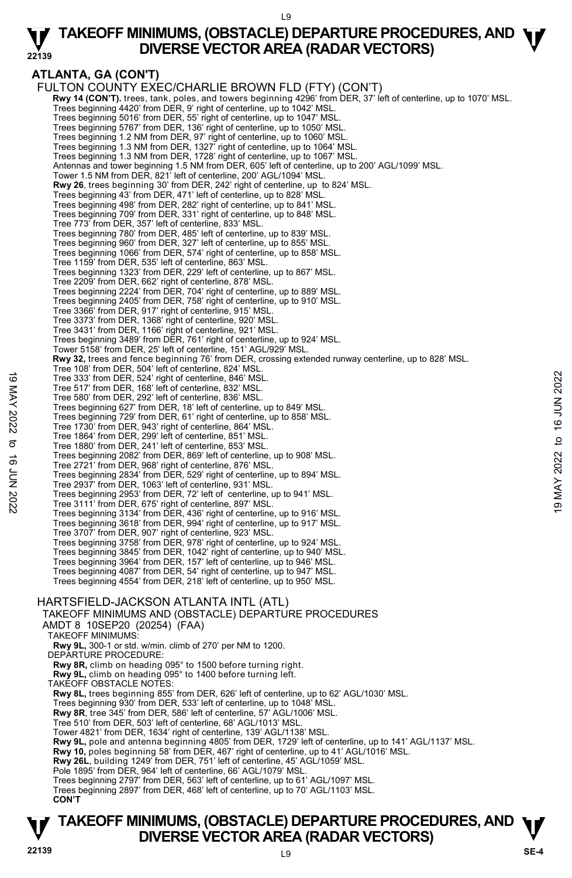#### L9

#### **22139 TAKEOFF MINIMUMS, (OBSTACLE) DEPARTURE PROCEDURES, AND**  $\Psi$ **<br>DIVERSE VECTOR AREA (RADAR VECTORS) DIVERSE VECTOR AREA (RADAR VECTORS)**

# **ATLANTA, GA (CON'T)**

FULTON COUNTY EXEC/CHARLIE BROWN FLD (FTY) (CON'T) **Rwy 14 (CON'T).** trees, tank, poles, and towers beginning 4296' from DER, 37' left of centerline, up to 1070' MSL. Trees beginning 4420' from DER, 9' right of centerline, up to 1042' MSL. Trees beginning 5016' from DER, 55' right of centerline, up to 1047' MSL. Trees beginning 5767' from DER, 136' right of centerline, up to 1050' MSL. Trees beginning 1.2 NM from DER, 97' right of centerline, up to 1060' MSL. Trees beginning 1.3 NM from DER, 1327' right of centerline, up to 1064' MSL. Trees beginning 1.3 NM from DER, 1728' right of centerline, up to 1067' MSL. Antennas and tower beginning 1.5 NM from DER, 605' left of centerline, up to 200' AGL/1099' MSL. Tower 1.5 NM from DER, 821' left of centerline, 200' AGL/1094' MSL. **Rwy 26**, trees beginning 30' from DER, 242' right of centerline, up to 824' MSL. Trees beginning 43' from DER, 471' left of centerline, up to 828' MSL. Trees beginning 498' from DER, 282' right of centerline, up to 841' MSL. Trees beginning 709' from DER, 331' right of centerline, up to 848' MSL. Tree 773' from DER, 357' left of centerline, 833' MSL. Trees beginning 780' from DER, 485' left of centerline, up to 839' MSL. Trees beginning 960' from DER, 327' left of centerline, up to 855' MSL. Trees beginning 1066' from DER, 574' right of centerline, up to 858' MSL. Tree 1159' from DER, 535' left of centerline, 863' MSL. Trees beginning 1323' from DER, 229' left of centerline, up to 867' MSL. Tree 2209' from DER, 662' right of centerline, 878' MSL. Trees beginning 2224' from DER, 704' right of centerline, up to 889' MSL. Trees beginning 2405' from DER, 758' right of centerline, up to 910' MSL. Tree 3366' from DER, 917' right of centerline, 915' MSL. Tree 3373' from DER, 1368' right of centerline, 920' MSL. Tree 3431' from DER, 1166' right of centerline, 921' MSL. Trees beginning 3489' from DER, 761' right of centerline, up to 924' MSL. Tower 5158' from DER, 25' left of centerline, 151' AGL/929' MSL. **Rwy 32,** trees and fence beginning 76' from DER, crossing extended runway centerline, up to 828' MSL. Tree 108' from DER, 504' left of centerline, 824' MSL. Tree 333' from DER, 524' right of centerline, 846' MSL. Tree 517' from DER, 168' left of centerline, 832' MSL. Tree 580' from DER, 292' left of centerline, 836' MSL. Trees beginning 627' from DER, 18' left of centerline, up to 849' MSL. Trees beginning 729' from DER, 61' right of centerline, up to 858' MSL. Tree 1730' from DER, 943' right of centerline, 864' MSL. Tree 1864' from DER, 299' left of centerline, 851' MSL. Tree 1880' from DER, 241' left of centerline, 853' MSL. Trees beginning 2082' from DER, 869' left of centerline, up to 908' MSL. Tree 2721' from DER, 968' right of centerline, 876' MSL. Trees beginning 2834' from DER, 529' right of centerline, up to 894' MSL. Tree 2937' from DER, 1063' left of centerline, 931' MSL. Trees beginning 2953' from DER, 72' left of centerline, up to 941' MSL. Tree 3111' from DER, 675' right of centerline, 897' MSL. Trees beginning 3134' from DER, 436' right of centerline, up to 916' MSL. Trees beginning 3618' from DER, 994' right of centerline, up to 917' MSL. Tree 3707' from DER, 907' right of centerline, 923' MSL. Trees beginning 3758' from DER, 978' right of centerline, up to 924' MSL. Trees beginning 3845' from DER, 1042' right of centerline, up to 940' MSL. Trees beginning 3964' from DER, 157' left of centerline, up to 946' MSL. Trees beginning 4087' from DER, 54' right of centerline, up to 947' MSL. Trees beginning 4554' from DER, 218' left of centerline, up to 950' MSL. HARTSFIELD-JACKSON ATLANTA INTL (ATL) TAKEOFF MINIMUMS AND (OBSTACLE) DEPARTURE PROCEDURES AMDT 8 10SEP20 (20254) (FAA) TAKEOFF MINIMUMS: **Rwy 9L,** 300-1 or std. w/min. climb of 270' per NM to 1200. DEPARTURE PROCEDURE: **Rwy 8R,** climb on heading 095° to 1500 before turning right. **Rwy 9L,** climb on heading 095° to 1400 before turning left. TAKEOFF OBSTACLE NOTES: **Rwy 8L,** trees beginning 855' from DER, 626' left of centerline, up to 62' AGL/1030' MSL. Trees beginning 930' from DER, 533' left of centerline, up to 1048' MSL. **Rwy 8R**, tree 345' from DER, 586' left of centerline, 57' AGL/1006' MSL. Tree 510' from DER, 503' left of centerline, 68' AGL/1013' MSL. Tower 4821' from DER, 1634' right of centerline, 139' AGL/1138' MSL. **Rwy 9L,** pole and antenna beginning 4805' from DER, 1729' left of centerline, up to 141' AGL/1137' MSL. **Rwy 10,** poles beginning 58' from DER, 467' right of centerline, up to 41' AGL/1016' MSL. **Rwy 26L**, building 1249' from DER, 751' left of centerline, 45' AGL/1059' MSL.<br>Pole 1895' from DER, 964' left of centerline, 66' AGL/1079' MSL. Trees beginning 2797' from DER, 563' left of centerline, up to 61' AGL/1097' MSL. Trees beginning 2897' from DER, 468' left of centerline, up to 70' AGL/1103' MSL. **CON'T**  19 Tree 333' from DER, 524' right of centerline, 846' MSL.<br>
Tree 537' from DER, 198' left of centerline, 836' MSL.<br>
Trees beginning 627' from DER, 18' left of centerline, app to 849' MSL.<br>
Trees beginning 627' from DER, 1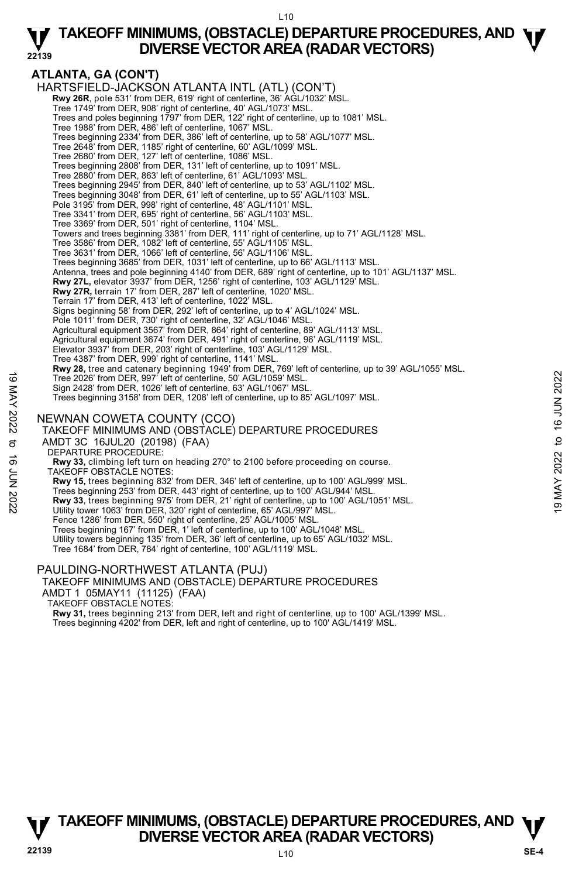#### **ATLANTA, GA (CON'T)**  HARTSFIELD-JACKSON ATLANTA INTL (ATL) (CON'T)  **Rwy 26R**, pole 531' from DER, 619' right of centerline, 36' AGL/1032' MSL. Tree 1749' from DER, 908' right of centerline, 40' AGL/1073' MSL. Trees and poles beginning 1797' from DER, 122' right of centerline, up to 1081' MSL. Tree 1988' from DER, 486' left of centerline, 1067' MSL. Trees beginning 2334' from DER, 386' left of centerline, up to 58' AGL/1077' MSL. Tree 2648' from DER, 1185' right of centerline, 60' AGL/1099' MSL. Tree 2680' from DER, 127' left of centerline, 1086' MSL. Trees beginning 2808' from DER, 131' left of centerline, up to 1091' MSL. Tree 2880' from DER, 863' left of centerline, 61' AGL/1093' MSL. Trees beginning 2945' from DER, 840' left of centerline, up to 53' AGL/1102' MSL. Trees beginning 3048' from DER, 61' left of centerline, up to 55' AGL/1103' MSL. Pole 3195' from DER, 998' right of centerline, 48' AGL/1101' MSL. Tree 3341' from DER, 695' right of centerline, 56' AGL/1103' MSL. Tree 3369' from DER, 501' right of centerline, 1104' MSL. Towers and trees beginning 3381' from DER, 111' right of centerline, up to 71' AGL/1128' MSL.<br>Tree 3586' from DER, 1082' left of centerline, 55' AGL/1105' MSL. Tree 3631' from DER, 1066' left of centerline, 56' AGL/1106' MSL. Trees beginning 3685' from DER, 1031' left of centerline, up to 66' AGL/1113' MSL.<br>Antenna, trees and pole beginning 4140' from DER, 689' right of centerline, up to 101' AGL/1137' MSL. **Rwy 27L,** elevator 3937' from DER, 1256' right of centerline, 103' AGL/1129' MSL. **Rwy 27R,** terrain 17' from DER, 287' left of centerline, 1020' MSL. Terrain 17' from DER, 413' left of centerline, 1022' MSL. Signs beginning 58' from DER, 292' left of centerline, up to 4' AGL/1024' MSL. Pole 1011' from DER, 730' right of centerline, 32' AGL/1046' MSL. Agricultural equipment 3567' from DER, 864' right of centerline, 89' AGL/1113' MSL.<br>Agricultural equipment 3674' from DER, 491' right of centerline, 96' AGL/1119' MSL. Elevator 3937' from DER, 203' right of centerline, 103' AGL/1129' MSL. Tree 4387' from DER, 999' right of centerline, 1141' MSL. **Rwy 28,** tree and catenary beginning 1949' from DER, 769' left of centerline, up to 39' AGL/1055' MSL. Tree 2026' from DER, 997' left of centerline, 50' AGL/1059' MSL. Sign 2428' from DER, 1026' left of centerline, 63' AGL/1067' MSL. Trees beginning 3158' from DER, 1208' left of centerline, up to 85' AGL/1097' MSL. NEWNAN COWETA COUNTY (CCO) TAKEOFF MINIMUMS AND (OBSTACLE) DEPARTURE PROCEDURES AMDT 3C 16JUL20 (20198) (FAA) DEPARTURE PROCEDURE: **Rwy 33,** climbing left turn on heading 270° to 2100 before proceeding on course. TAKEOFF OBSTACLE NOTES: **Rwy 15,** trees beginning 832' from DER, 346' left of centerline, up to 100' AGL/999' MSL. Trees beginning 253' from DER, 443' right of centerline, up to 100' AGL/944' MSL. **Rwy 33**, trees beginning 975' from DER, 21' right of centerline, up to 100' AGL/1051' MSL. Utility tower 1063' from DER, 320' right of centerline, 65' AGL/997' MSL. Fence 1286' from DER, 550' right of centerline, 25' AGL/1005' MSL. Trees beginning 167' from DER, 1' left of centerline, up to 100' AGL/1048' MSL. Utility towers beginning 135' from DER, 36' left of centerline, up to 65' AGL/1032' MSL. Tree 1684' from DER, 784' right of centerline, 100' AGL/1119' MSL. PAULDING-NORTHWEST ATLANTA (PUJ) Tree 2026' from DER, 997' left of centerline, 50' AGL/1059' MSL.<br>
Sign 2428' from DER, 1026' left of centerline, 63' AGL/1067' MSL.<br>
Trees beginning 3158' from DER, 1208' left of centerline, up to 85' AGL/1097' MSL.<br>
The s

TAKEOFF MINIMUMS AND (OBSTACLE) DEPARTURE PROCEDURES

AMDT 1 05MAY11 (11125) (FAA)

TAKEOFF OBSTACLE NOTES:

**Rwy 31,** trees beginning 213' from DER, left and right of centerline, up to 100' AGL/1399' MSL. Trees beginning 4202' from DER, left and right of centerline, up to 100' AGL/1419' MSL.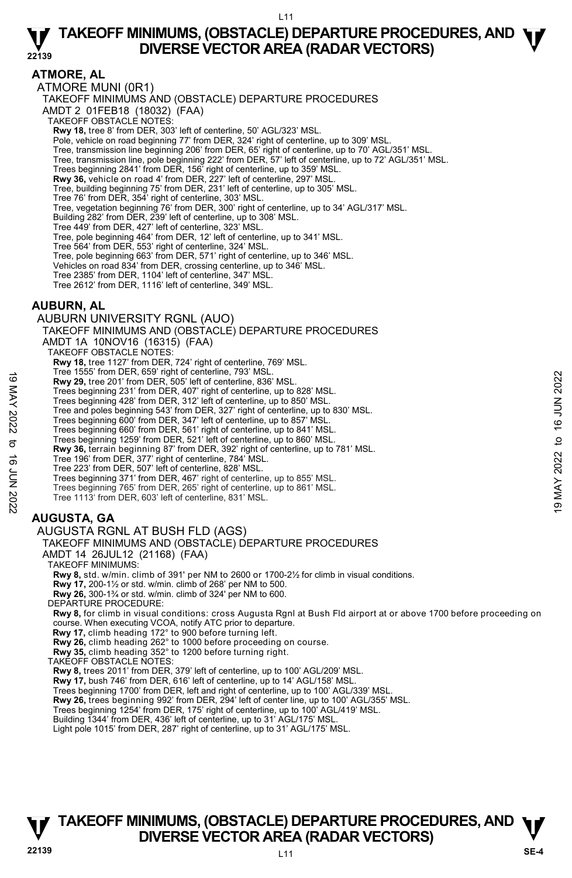**ATMORE, AL** 

ATMORE MUNI (0R1) TAKEOFF MINIMUMS AND (OBSTACLE) DEPARTURE PROCEDURES AMDT 2 01FEB18 (18032) (FAA) TAKEOFF OBSTACLE NOTES: **Rwy 18,** tree 8' from DER, 303' left of centerline, 50' AGL/323' MSL. Pole, vehicle on road beginning 77' from DER, 324' right of centerline, up to 309' MSL. Tree, transmission line beginning 206' from DER, 65' right of centerline, up to 70' AGL/351' MSL. Tree, transmission line, pole beginning 222' from DER, 57' left of centerline, up to 72' AGL/351' MSL. Trees beginning 2841' from DER, 156' right of centerline, up to 359' MSL. **Rwy 36,** vehicle on road 4' from DER, 227' left of centerline, 297' MSL. Tree, building beginning 75' from DER, 231' left of centerline, up to 305' MSL. Tree 76' from DER, 354' right of centerline, 303' MSL. Tree, vegetation beginning 76' from DER, 300' right of centerline, up to 34' AGL/317' MSL. Building 282' from DER, 239' left of centerline, up to 308' MSL.

Tree 449' from DER, 427' left of centerline, 323' MSL. Tree, pole beginning 464' from DER, 12' left of centerline, up to 341' MSL.

Tree 564' from DER, 553' right of centerline, 324' MSL.

Tree, pole beginning 663' from DER, 571' right of centerline, up to 346' MSL.

Vehicles on road 834' from DER, crossing centerline, up to 346' MSL.

Tree 2385' from DER, 1104' left of centerline, 347' MSL.

Tree 2612' from DER, 1116' left of centerline, 349' MSL.

### **AUBURN, AL**

AUBURN UNIVERSITY RGNL (AUO) TAKEOFF MINIMUMS AND (OBSTACLE) DEPARTURE PROCEDURES AMDT 1A 10NOV16 (16315) (FAA) TAKEOFF OBSTACLE NOTES: **Rwy 18,** tree 1127' from DER, 724' right of centerline, 769' MSL. Tree 1555' from DER, 659' right of centerline, 793' MSL. **Rwy 29,** tree 201' from DER, 505' left of centerline, 836' MSL. Trees beginning 231' from DER, 407' right of centerline, up to 828' MSL. Trees beginning 428' from DER, 312' left of centerline, up to 850' MSL. Tree and poles beginning 543' from DER, 327' right of centerline, up to 830' MSL. Trees beginning 600' from DER, 347' left of centerline, up to 857' MSL. Trees beginning 660' from DER, 561' right of centerline, up to 841' MSL. Trees beginning 1259' from DER, 521' left of centerline, up to 860' MSL. **Rwy 36,** terrain beginning 87' from DER, 392' right of centerline, up to 781' MSL. Tree 196' from DER, 377' right of centerline, 784' MSL. Tree 223' from DER, 507' left of centerline, 828' MSL. Trees beginning 371' from DER, 467' right of centerline, up to 855' MSL. Trees beginning 765' from DER, 265' right of centerline, up to 861' MSL. Tree 1113' from DER, 603' left of centerline, 831' MSL. **AUGUSTA, GA**  AUGUSTA RGNL AT BUSH FLD (AGS) 19 Me 19 ob 19 Mer 19 May 20, tree 201' from DER, 505' left of centerline, 836' MSL.<br>
Trees beginning 231' from DER, 407' right of centerline, up to 828' MSL.<br>
Trees beginning 428' from DER, 312' right of centerline, up t

TAKEOFF MINIMUMS AND (OBSTACLE) DEPARTURE PROCEDURES

AMDT 14 26JUL12 (21168) (FAA) TAKEOFF MINIMUMS:

**Rwy 8,** std. w/min. climb of 391' per NM to 2600 or 1700-2½ for climb in visual conditions.

**Rwy 17,** 200-1½ or std. w/min. climb of 268' per NM to 500. **Rwy 26,** 300-1¾ or std. w/min. climb of 324' per NM to 600.

DEPARTURE PROCEDURE:

**Rwy 8,** for climb in visual conditions: cross Augusta Rgnl at Bush Fld airport at or above 1700 before proceeding on course. When executing VCOA, notify ATC prior to departure.

**Rwy 17,** climb heading 172° to 900 before turning left. **Rwy 26,** climb heading 262° to 1000 before proceeding on course.

**Rwy 35,** climb heading 352° to 1200 before turning right.

TAKEOFF OBSTACLE NOTES:

**Rwy 8,** trees 2011' from DER, 379' left of centerline, up to 100' AGL/209' MSL.

**Rwy 17,** bush 746' from DER, 616' left of centerline, up to 14' AGL/158' MSL.

Trees beginning 1700' from DER, left and right of centerline, up to 100' AGL/339' MSL. **Rwy 26,** trees beginning 992' from DER, 294' left of center line, up to 100' AGL/355' MSL.

Trees beginning 1254' from DER, 175' right of centerline, up to 100' AGL/419' MSL.

Building 1344' from DER, 436' left of centerline, up to 31' AGL/175' MSL. Light pole 1015' from DER, 287' right of centerline, up to 31' AGL/175' MSL.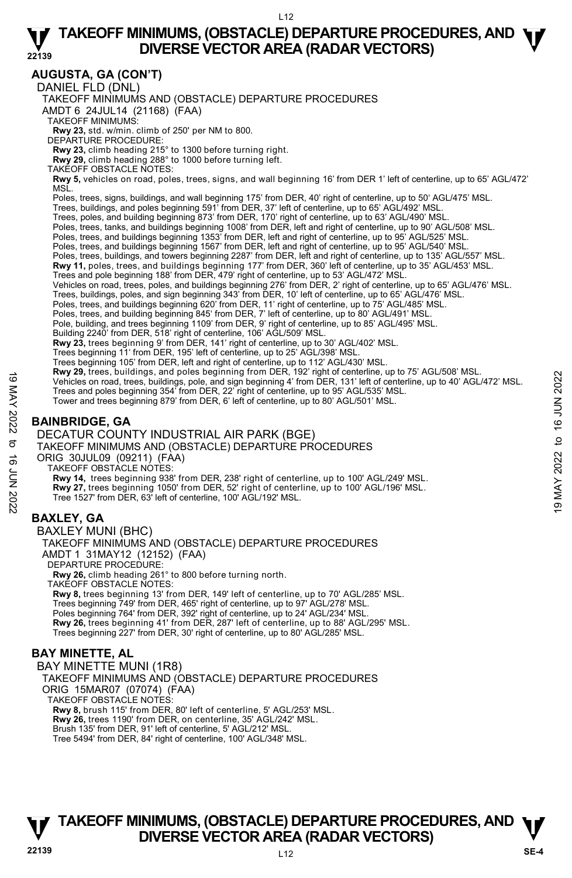# **AUGUSTA, GA (CON'T)**

DANIEL FLD (DNL)

TAKEOFF MINIMUMS AND (OBSTACLE) DEPARTURE PROCEDURES

AMDT 6 24JUL14 (21168) (FAA)

TAKEOFF MINIMUMS:

**Rwy 23,** std. w/min. climb of 250' per NM to 800. DEPARTURE PROCEDURE:

**Rwy 23,** climb heading 215° to 1300 before turning right. **Rwy 29,** climb heading 288° to 1000 before turning left.

TAKEOFF OBSTACLE NOTES:

**Rwy 5,** vehicles on road, poles, trees, signs, and wall beginning 16' from DER 1' left of centerline, up to 65' AGL/472' MSL.

Poles, trees, signs, buildings, and wall beginning 175' from DER, 40' right of centerline, up to 50' AGL/475' MSL.<br>Trees, buildings, and poles beginning 591' from DER, 37' left of centerline, up to 65' AGL/492' MSL.

- 
- Trees, poles, and building beginning 873' from DER, 170' right of centerline, up to 63' AGL/490' MSL.
- Poles, trees, tanks, and buildings beginning 1008' from DER, left and right of centerline, up to 90' AGL/508' MSL.<br>Poles, trees, and buildings beginning 1353' from DER, left and right of centerline, up to 95' AGL/525' MSL.
- 
- Poles, trees, and buildings beginning 1567' from DER, left and right of centerline, up to 95' AGL/540' MSL.
- Poles, trees, buildings, and towers beginning 2287' from DER, left and right of centerline, up to 135' AGL/557' MSL.
- **Rwy 11,** poles, trees, and buildings beginning 177' from DER, 360' left of centerline, up to 35' AGL/453' MSL.<br>Trees and pole beginning 188' from DER, 479' right of centerline, up to 53' AGL/472' MSL.
- 
- Vehicles on road, trees, poles, and buildings beginning 276' from DER, 2' right of centerline, up to 65' AGL/476' MSL.
- Trees, buildings, poles, and sign beginning 343' from DER, 10' left of centerline, up to 65' AGL/476' MSL.<br>Poles, trees, and buildings beginning 620' from DER, 11' right of centerline, up to 75' AGL/485' MSL.
- 

Poles, trees, and building beginning 845' from DER, 7' left of centerline, up to 80' AGL/491' MSL.

Pole, building, and trees beginning 1109' from DER, 9' right of centerline, up to 85' AGL/495' MSL.

 Building 2240' from DER, 518' right of centerline, 106' AGL/509' MSL. **Rwy 23,** trees beginning 9' from DER, 141' right of centerline, up to 30' AGL/402' MSL.

- Trees beginning 11' from DER, 195' left of centerline, up to 25' AGL/398' MSL.
- Trees beginning 105' from DER, left and right of centerline, up to 112' AGL/430' MSL.
- **Rwy 29,** trees, buildings, and poles beginning from DER, 192' right of centerline, up to 75' AGL/508' MSL.
- Vehicles on road, trees, buildings, pole, and sign beginning 4' from DER, 131' left of centerline, up to 40' AGL/472' MSL. Trees and poles beginning 354' from DER, 22' right of centerline, up to 95' AGL/535' MSL. Vehicles on road, trees, buildings, and poise beginning 4' from DER, 192 tight of centerline, up to 10° AGL/30° MSL.<br>
Trees and poles beginning 354' from DER, 22' right of centerline, up to 16' AGL/472' MSL.<br>
Trees and p
	- Tower and trees beginning 879' from DER, 6' left of centerline, up to 80' AGL/501' MSL.
	-

### **BAINBRIDGE, GA**

### DECATUR COUNTY INDUSTRIAL AIR PARK (BGE)

TAKEOFF MINIMUMS AND (OBSTACLE) DEPARTURE PROCEDURES

ORIG 30JUL09 (09211) (FAA) TAKEOFF OBSTACLE NOTES:

**Rwy 14,** trees beginning 938' from DER, 238' right of centerline, up to 100' AGL/249' MSL.

**Rwy 27,** trees beginning 1050' from DER, 52' right of centerline, up to 100' AGL/196' MSL.

Tree 1527' from DER, 63' left of centerline, 100' AGL/192' MSL.

### **BAXLEY, GA**

BAXLEY MUNI (BHC) TAKEOFF MINIMUMS AND (OBSTACLE) DEPARTURE PROCEDURES AMDT 1 31MAY12 (12152) (FAA) DEPARTURE PROCEDURE: **Rwy 26,** climb heading 261° to 800 before turning north. TAKEOFF OBSTACLE NOTES: **Rwy 8,** trees beginning 13' from DER, 149' left of centerline, up to 70' AGL/285' MSL. Trees beginning 749' from DER, 465' right of centerline, up to 97' AGL/278' MSL. Poles beginning 764' from DER, 392' right of centerline, up to 24' AGL/234' MSL. **Rwy 26,** trees beginning 41' from DER, 287' left of centerline, up to 88' AGL/295' MSL. Trees beginning 227' from DER, 30' right of centerline, up to 80' AGL/285' MSL.

# **BAY MINETTE, AL**

BAY MINETTE MUNI (1R8) TAKEOFF MINIMUMS AND (OBSTACLE) DEPARTURE PROCEDURES ORIG 15MAR07 (07074) (FAA) TAKEOFF OBSTACLE NOTES: **Rwy 8,** brush 115' from DER, 80' left of centerline, 5' AGL/253' MSL. **Rwy 26,** trees 1190' from DER, on centerline, 35' AGL/242' MSL. Brush 135' from DER, 91' left of centerline, 5' AGL/212' MSL. Tree 5494' from DER, 84' right of centerline, 100' AGL/348' MSL.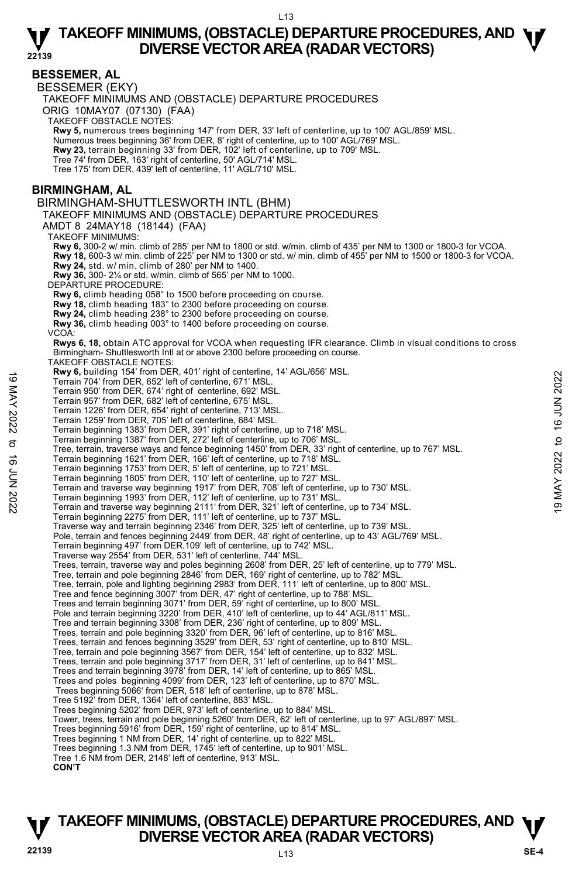**22139** 

# **BESSEMER, AL**

BESSEMER (EKY)

TAKEOFF MINIMUMS AND (OBSTACLE) DEPARTURE PROCEDURES

ORIG 10MAY07 (07130) (FAA)

TAKEOFF OBSTACLE NOTES:

**Rwy 5,** numerous trees beginning 147' from DER, 33' left of centerline, up to 100' AGL/859' MSL.

Numerous trees beginning 36' from DER, 8' right of centerline, up to 100' AGL/769' MSL.

**Rwy 23,** terrain beginning 33' from DER, 102' left of centerline, up to 709' MSL.

Tree 74' from DER, 163' right of centerline, 50' AGL/714' MSL.

Tree 175' from DER, 439' left of centerline, 11' AGL/710' MSL.

### **BIRMINGHAM, AL**

BIRMINGHAM-SHUTTLESWORTH INTL (BHM)

TAKEOFF MINIMUMS AND (OBSTACLE) DEPARTURE PROCEDURES

AMDT 8 24MAY18 (18144) (FAA)

TAKEOFF MINIMUMS:

**Rwy 6,** 300-2 w/ min. climb of 285' per NM to 1800 or std. w/min. climb of 435' per NM to 1300 or 1800-3 for VCOA. **Rwy 18,** 600-3 w/ min. climb of 225' per NM to 1300 or std. w/ min. climb of 455' per NM to 1500 or 1800-3 for VCOA. **Rwy 24,** std. w/ min. climb of 280' per NM to 1400. **Rwy 36,** 300- 2¼ or std. w/min. climb of 565' per NM to 1000.

DEPARTURE PROCEDURE:

**Rwy 6,** climb heading 058° to 1500 before proceeding on course.

**Rwy 18,** climb heading 183° to 2300 before proceeding on course.

**Rwy 24,** climb heading 238° to 2300 before proceeding on course.

**Rwy 36,** climb heading 003° to 1400 before proceeding on course.

VCOA:

**Rwys 6, 18,** obtain ATC approval for VCOA when requesting IFR clearance. Climb in visual conditions to cross Birmingham- Shuttlesworth Intl at or above 2300 before proceeding on course.

TAKEOFF OBSTACLE NOTES:

**Rwy 6,** building 154' from DER, 401' right of centerline, 14' AGL/656' MSL.

Terrain 704' from DER, 652' left of centerline, 671' MSL.

Terrain 950' from DER, 674' right of centerline, 692' MSL. Terrain 957' from DER, 682' left of centerline, 675' MSL.

Terrain 1226' from DER, 654' right of centerline, 713' MSL.

- Terrain 1259' from DER, 705' left of centerline, 684' MSL.
- Terrain beginning 1383' from DER, 391' right of centerline, up to 718' MSL. Terrain beginning 1387' from DER, 272' left of centerline, up to 706' MSL.
- 
- Tree, terrain, traverse ways and fence beginning 1450' from DER, 33' right of centerline, up to 767' MSL. Ferrain 901 1941 in UERT, 401 1910 to Cellemine, 14 AGL/050 MSL.<br>
Terrain 950' from DER, 652' left of centerline, 671' MSL.<br>
Terrain 950' from DER, 674' right of centerline, 692' MSL.<br>
Terrain 1226' from DER, 674' right o

Terrain beginning 1621' from DER, 166' left of centerline, up to 718' MSL.

Terrain beginning 1753' from DER, 5' left of centerline, up to 721' MSL.

Terrain beginning 1805' from DER, 110' left of centerline, up to 727' MSL.

Terrain and traverse way beginning 1917' from DER, 708' left of centerline, up to 730' MSL.

Terrain beginning 1993' from DER, 112' left of centerline, up to 731' MSL. Terrain and traverse way beginning 2111' from DER, 321' left of centerline, up to 734' MSL.

Terrain beginning 2275' from DER, 111' left of centerline, up to 737' MSL.

Traverse way and terrain beginning 2346' from DER, 325' left of centerline, up to 739' MSL. Pole, terrain and fences beginning 2449' from DER, 48' right of centerline, up to 43' AGL/769' MSL.

- Terrain beginning 497' from DER,109' left of centerline, up to 742' MSL.
- Traverse way 2554' from DER, 531' left of centerline, 744' MSL.
- Trees, terrain, traverse way and poles beginning 2608' from DER, 25' left of centerline, up to 779' MSL.
- Tree, terrain and pole beginning 2846' from DER, 169' right of centerline, up to 782' MSL.
- Tree, terrain, pole and lighting beginning 2983' from DER, 111' left of centerline, up to 800' MSL.
- Tree and fence beginning 3007' from DER, 47' right of centerline, up to 788' MSL.

Trees and terrain beginning 3071' from DER, 59' right of centerline, up to 800' MSL.

Pole and terrain beginning 3220' from DER, 410' left of centerline, up to 44' AGL/811' MSL.

Tree and terrain beginning 3308' from DER, 236' right of centerline, up to 809' MSL. Trees, terrain and pole beginning 3320' from DER, 96' left of centerline, up to 816' MSL.

Trees, terrain and fences beginning 3529' from DER, 53' right of centerline, up to 810' MSL.

- Tree, terrain and pole beginning 3567' from DER, 154' left of centerline, up to 832' MSL.
- Trees, terrain and pole beginning 3717' from DER, 31' left of centerline, up to 841' MSL. Trees and terrain beginning 3978' from DER, 14' left of centerline, up to 865' MSL.

Trees and poles beginning 4099' from DER, 123' left of centerline, up to 870' MSL.

Trees beginning 5066' from DER, 518' left of centerline, up to 878' MSL. Tree 5192' from DER, 1364' left of centerline, 883' MSL.

Trees beginning 5202' from DER, 973' left of centerline, up to 884' MSL.

Tower, trees, terrain and pole beginning 5260' from DER, 62' left of centerline, up to 97' AGL/897' MSL.

Trees beginning 5916' from DER, 159' right of centerline, up to 814' MSL.

Trees beginning 1 NM from DER, 14' right of centerline, up to 822' MSL.

Trees beginning 1.3 NM from DER, 1745' left of centerline, up to 901' MSL.

Tree 1.6 NM from DER, 2148' left of centerline, 913' MSL.

**CON'T**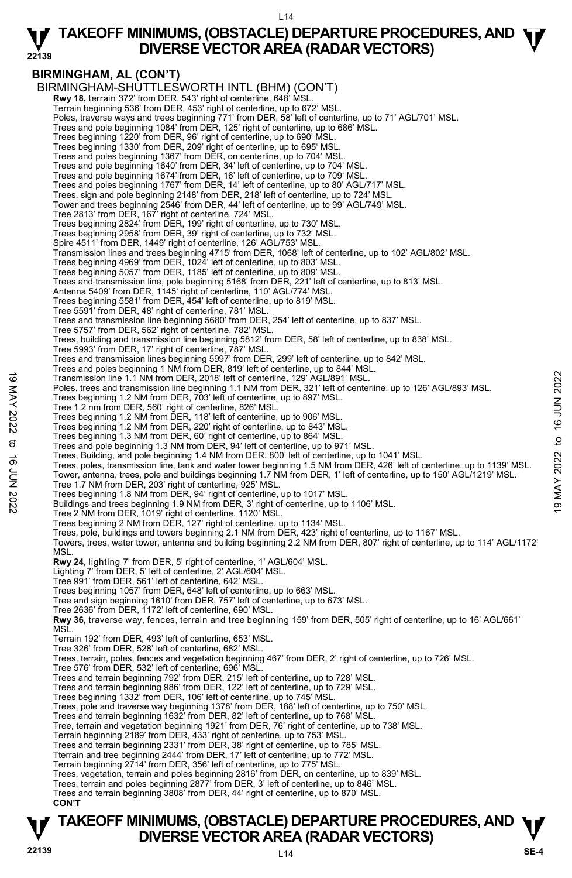L14

# **TAKEOFF MINIMUMS, (OBSTACLE) DEPARTURE PROCEDURES, AND**  $\Psi$ **<br>DIVERSE VECTOR AREA (RADAR VECTORS) DIVERSE VECTOR AREA (RADAR VECTORS)**

#### **22139 BIRMINGHAM, AL (CON'T)**  BIRMINGHAM-SHUTTLESWORTH INTL (BHM) (CON'T)  **Rwy 18,** terrain 372' from DER, 543' right of centerline, 648' MSL. Terrain beginning 536' from DER, 453' right of centerline, up to 672' MSL. Poles, traverse ways and trees beginning 771' from DER, 58' left of centerline, up to 71' AGL/701' MSL. Trees and pole beginning 1084' from DER, 125' right of centerline, up to 686' MSL. Trees beginning 1220' from DER, 96' right of centerline, up to 690' MSL Trees beginning 1330' from DER, 209' right of centerline, up to 695' MSL. Trees and poles beginning 1367' from DER, on centerline, up to 704' MSL. Trees and pole beginning 1640' from DER, 34' left of centerline, up to 704' MSL. Trees and pole beginning 1674' from DER, 16' left of centerline, up to 709' MSL. Trees and poles beginning 1767' from DER, 14' left of centerline, up to 80' AGL/717' MSL. Trees, sign and pole beginning 2148' from DER, 218' left of centerline, up to 724' MSL. Tower and trees beginning 2546' from DER, 44' left of centerline, up to 99' AGL/749' MSL. Tree 2813' from DER, 167' right of centerline, 724' MSL. Trees beginning 2824' from DER, 199' right of centerline, up to 730' MSL. Trees beginning 2958' from DER, 39' right of centerline, up to 732' MSL. Spire 4511' from DER, 1449' right of centerline, 126' AGL/753' MSL. Transmission lines and trees beginning 4715' from DER, 1068' left of centerline, up to 102' AGL/802' MSL. Trees beginning 4969' from DER, 1024' left of centerline, up to 803' MSL. Trees beginning 5057' from DER, 1185' left of centerline, up to 809' MSL. Trees and transmission line, pole beginning 5168' from DER, 221' left of centerline, up to 813' MSL. Antenna 5409' from DER, 1145' right of centerline, 110' AGL/774' MSL. Trees beginning 5581' from DER, 454' left of centerline, up to 819' MSL. Tree 5591' from DER, 48' right of centerline, 781' MSL. Trees and transmission line beginning 5680' from DER, 254' left of centerline, up to 837' MSL. Tree 5757' from DER, 562' right of centerline, 782' MSL. Trees, building and transmission line beginning 5812' from DER, 58' left of centerline, up to 838' MSL. Tree 5993' from DER, 17' right of centerline, 787' MSL. Trees and transmission lines beginning 5997' from DER, 299' left of centerline, up to 842' MSL. Trees and poles beginning 1 NM from DER, 819' left of centerline, up to 844' MSL. Transmission line 1.1 NM from DER, 2018' left of centerline, 129' AGL/891' MSL. Poles, trees and transmission line beginning 1.1 NM from DER, 321' left of centerline, up to 126' AGL/893' MSL. Trees beginning 1.2 NM from DER, 703' left of centerline, up to 897' MSL. Tree 1.2 nm from DER, 560' right of centerline, 826' MSL. Trees beginning 1.2 NM from DER, 118' left of centerline, up to 906' MSL. Trees beginning 1.2 NM from DER, 220' right of centerline, up to 843' MSL. Trees beginning 1.3 NM from DER, 60' right of centerline, up to 864' MSL. Trees and pole beginning 1.3 NM from DER, 94' left of centerline, up to 971' MSL. Trees, Building, and pole beginning 1.4 NM from DER, 800' left of centerline, up to 1041' MSL. Trees, poles, transmission line, tank and water tower beginning 1.5 NM from DER, 426' left of centerline, up to 1139' MSL. Tower, antenna, trees, pole and buildings beginning 1.7 NM from DER, 1' left of centerline, up to 150' AGL/1219' MSL. Tree 1.7 NM from DER, 203' right of centerline, 925' MSL. Trees beginning 1.8 NM from DER, 94' right of centerline, up to 1017' MSL. Buildings and trees beginning 1.9 NM from DER, 3' right of centerline, up to 1106' MSL. Tree 2 NM from DER, 1019' right of centerline, 1120' MSL. Trees beginning 2 NM from DER, 127' right of centerline, up to 1134' MSL. Trees, pole, buildings and towers beginning 2.1 NM from DER, 423' right of centerline, up to 1167' MSL. Towers, trees, water tower, antenna and building beginning 2.2 NM from DER, 807' right of centerline, up to 114' AGL/1172' MSL. **Rwy 24,** lighting 7' from DER, 5' right of centerline, 1' AGL/604' MSL. Lighting 7' from DER, 5' left of centerline, 2' AGL/604' MSL. Tree 991' from DER, 561' left of centerline, 642' MSL. Trees beginning 1057' from DER, 648' left of centerline, up to 663' MSL. Tree and sign beginning 1610' from DER, 757' left of centerline, up to 673' MSL. Tree 2636' from DER, 1172' left of centerline, 690' MSL. **Rwy 36,** traverse way, fences, terrain and tree beginning 159' from DER, 505' right of centerline, up to 16' AGL/661' MSL. Terrain 192' from DER, 493' left of centerline, 653' MSL. Tree 326' from DER, 528' left of centerline, 682' MSL. Trees, terrain, poles, fences and vegetation beginning 467' from DER, 2' right of centerline, up to 726' MSL. Tree 576' from DER, 532' left of centerline, 696' MSL. Trees and terrain beginning 792' from DER, 215' left of centerline, up to 728' MSL. Trees and terrain beginning 986' from DER, 122' left of centerline, up to 729' MSL. Trees beginning 1332' from DER, 106' left of centerline, up to 745' MSL Trees, pole and traverse way beginning 1378' from DER, 188' left of centerline, up to 750' MSL. Trees and terrain beginning 1632' from DER, 82' left of centerline, up to 768' MSL. Tree, terrain and vegetation beginning 1921' from DER, 76' right of centerline, up to 738' MSL. Terrain beginning 2189' from DER, 433' right of centerline, up to 753' MSL. Trees and terrain beginning 2331' from DER, 38' right of centerline, up to 785' MSL. Tterrain and tree beginning 2444' from DER, 17' left of centerline, up to 772' MSL. Terrain beginning 2714' from DER, 356' left of centerline, up to 775' MSL. Trees, vegetation, terrain and poles beginning 2816' from DER, on centerline, up to 839' MSL. Trees, terrain and poles beginning 2877' from DER, 3' left of centerline, up to 846' MSL. Trees and terrain beginning 3808' from DER, 44' right of centerline, up to 870' MSL.  **CON'T**  19 Transmission line 1.1 NM from DER, 2018 left of centerline, 129 AGL/891' MSL.<br>
Poles, trees beginning 1.2 NM from DER, 703' left of centerline, up to 321' left of centerline, up to 126' AGL/893' MSL.<br>
Trees beginning 1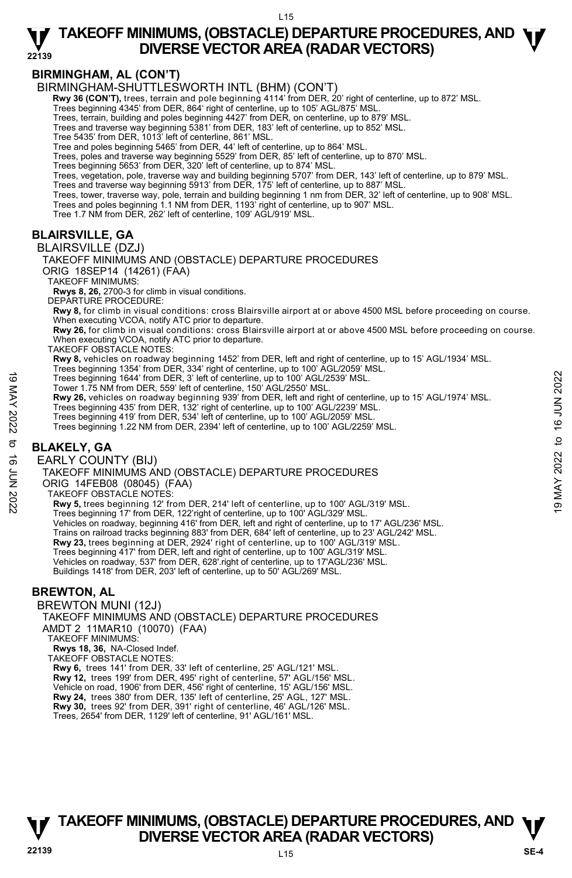L15

### **22139 TAKEOFF MINIMUMS, (OBSTACLE) DEPARTURE PROCEDURES, AND**  $\Psi$ **<br>DIVERSE VECTOR AREA (RADAR VECTORS) DIVERSE VECTOR AREA (RADAR VECTORS)**

# **BIRMINGHAM, AL (CON'T)**

BIRMINGHAM-SHUTTLESWORTH INTL (BHM) (CON'T)

 **Rwy 36 (CON'T),** trees, terrain and pole beginning 4114' from DER, 20' right of centerline, up to 872' MSL.

Trees beginning 4345' from DER, 864' right of centerline, up to 105' AGL/875' MSL.

Trees, terrain, building and poles beginning 4427' from DER, on centerline, up to 879' MSL.

Trees and traverse way beginning 5381' from DER, 183' left of centerline, up to 852' MSL.

Tree 5435' from DER, 1013' left of centerline, 861' MSL.

Tree and poles beginning 5465' from DER, 44' left of centerline, up to 864' MSL.

Trees, poles and traverse way beginning 5529' from DER, 85' left of centerline, up to 870' MSL.

Trees beginning 5653' from DER, 320' left of centerline, up to 874' MSL.

Trees, vegetation, pole, traverse way and building beginning 5707' from DER, 143' left of centerline, up to 879' MSL.

Trees and traverse way beginning 5913' from DER, 175' left of centerline, up to 887' MSL.

Trees, tower, traverse way, pole, terrain and building beginning 1 nm from DER, 32' left of centerline, up to 908' MSL.<br>Trees and poles beginning 1.1 NM from DER, 1193' right of centerline, up to 907' MSL.

Tree 1.7 NM from DER, 262' left of centerline, 109' AGL/919' MSL.

# **BLAIRSVILLE, GA**

BLAIRSVILLE (DZJ)

TAKEOFF MINIMUMS AND (OBSTACLE) DEPARTURE PROCEDURES ORIG 18SEP14 (14261) (FAA)

TAKEOFF MINIMUMS:

**Rwys 8, 26,** 2700-3 for climb in visual conditions.

DEPARTURE PROCEDURE:

**Rwy 8,** for climb in visual conditions: cross Blairsville airport at or above 4500 MSL before proceeding on course. When executing VCOA, notify ATC prior to departure.

**Rwy 26,** for climb in visual conditions: cross Blairsville airport at or above 4500 MSL before proceeding on course. When executing VCOA, notify ATC prior to departure.

TAKEOFF OBSTACLE NOTES:

**Rwy 8,** vehicles on roadway beginning 1452' from DER, left and right of centerline, up to 15' AGL/1934' MSL.<br>Trees beginning 1354' from DER, 334' right of centerline, up to 100' AGL/2059' MSL.

Trees beginning 1644' from DER, 3' left of centerline, up to 100' AGL/2539' MSL.

Tower 1.75 NM from DER, 559' left of centerline, 150' AGL/2550' MSL.

**Rwy 26,** vehicles on roadway beginning 939' from DER, left and right of centerline, up to 15' AGL/1974' MSL.<br>Trees beginning 435' from DER, 132' right of centerline, up to 100' AGL/2239' MSL. Trees beginning 1644' from DER, 3' left of centerline, up to 100' AGL/2539' MSL.<br>
Tower 1.75 NM from DER, 559' left of centerline, up to 100' AGL/2539' MSL.<br>
New 26, vehicles on roadway beginning 939' from DER, left and r

Trees beginning 419' from DER, 534' left of centerline, up to 100' AGL/2059' MSL.

Trees beginning 1.22 NM from DER, 2394' left of centerline, up to 100' AGL/2259' MSL.

# **BLAKELY, GA**

EARLY COUNTY (BIJ)

TAKEOFF MINIMUMS AND (OBSTACLE) DEPARTURE PROCEDURES

ORIG 14FEB08 (08045) (FAA)

TAKEOFF OBSTACLE NOTES:

**Rwy 5,** trees beginning 12' from DER, 214' left of centerline, up to 100' AGL/319' MSL.

Trees beginning 17' from DER, 122'right of centerline, up to 100' AGL/329' MSL.

Vehicles on roadway, beginning 416' from DER, left and right of centerline, up to 17' AGL/236' MSL.

Trains on railroad tracks beginning 883' from DER, 684' left of centerline, up to 23' AGL/242' MSL.

**Rwy 23,** trees beginning at DER, 2924' right of centerline, up to 100' AGL/319' MSL.

Trees beginning 417' from DER, left and right of centerline, up to 100' AGL/319' MSL.

Vehicles on roadway, 537' from DER, 628'.right of centerline, up to 17'AGL/236' MSL. Buildings 1418' from DER, 203' left of centerline, up to 50' AGL/269' MSL.

# **BREWTON, AL**

BREWTON MUNI (12J) TAKEOFF MINIMUMS AND (OBSTACLE) DEPARTURE PROCEDURES AMDT 2 11MAR10 (10070) (FAA)

TAKEOFF MINIMUMS:

**Rwys 18, 36,** NA-Closed Indef.

TAKEOFF OBSTACLE NOTES:

**Rwy 6,** trees 141' from DER, 33' left of centerline, 25' AGL/121' MSL.

**Rwy 12,** trees 199' from DER, 495' right of centerline, 57' AGL/156' MSL. Vehicle on road, 1906' from DER, 456' right of centerline, 15' AGL/156' MSL.

**Rwy 24,** trees 380' from DER, 135' left of centerline, 25' AGL, 127' MSL. **Rwy 30,** trees 92' from DER, 391' right of centerline, 46' AGL/126' MSL.

Trees, 2654' from DER, 1129' left of centerline, 91' AGL/161' MSL.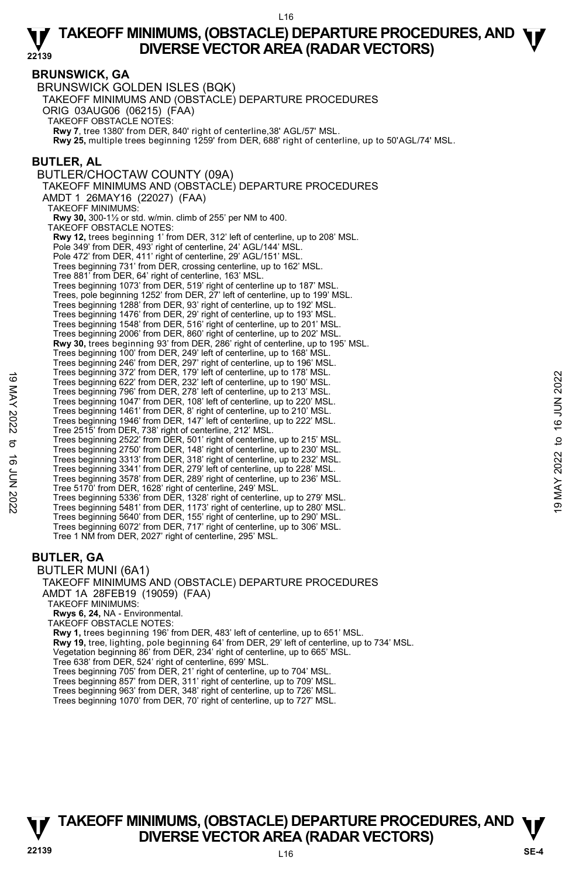### **BRUNSWICK, GA**

BRUNSWICK GOLDEN ISLES (BQK) TAKEOFF MINIMUMS AND (OBSTACLE) DEPARTURE PROCEDURES ORIG 03AUG06 (06215) (FAA) TAKEOFF OBSTACLE NOTES: **Rwy 7**, tree 1380' from DER, 840' right of centerline,38' AGL/57' MSL. **Rwy 25,** multiple trees beginning 1259' from DER, 688' right of centerline, up to 50'AGL/74' MSL. **BUTLER, AL**  BUTLER/CHOCTAW COUNTY (09A) TAKEOFF MINIMUMS AND (OBSTACLE) DEPARTURE PROCEDURES AMDT 1 26MAY16 (22027) (FAA) TAKEOFF MINIMUMS: **Rwy 30,** 300-1½ or std. w/min. climb of 255' per NM to 400. TAKEOFF OBSTACLE NOTES: **Rwy 12,** trees beginning 1' from DER, 312' left of centerline, up to 208' MSL. Pole 349' from DER, 493' right of centerline, 24' AGL/144' MSL. Pole 472' from DER, 411' right of centerline, 29' AGL/151' MSL. Trees beginning 731' from DER, crossing centerline, up to 162' MSL. Tree 881' from DER, 64' right of centerline, 163' MSL. Trees beginning 1073' from DER, 519' right of centerline up to 187' MSL. Trees, pole beginning 1252' from DER, 27' left of centerline, up to 199' MSL. Trees beginning 1288' from DER, 93' right of centerline, up to 192' MSL. Trees beginning 1476' from DER, 29' right of centerline, up to 193' MSL. Trees beginning 1548' from DER, 516' right of centerline, up to 201' MSL. Trees beginning 2006' from DER, 860' right of centerline, up to 202' MSL. **Rwy 30,** trees beginning 93' from DER, 286' right of centerline, up to 195' MSL. Trees beginning 100' from DER, 249' left of centerline, up to 168' MSL. Trees beginning 246' from DER, 297' right of centerline, up to 196' MSL. Trees beginning 372' from DER, 179' left of centerline, up to 178' MSL. Trees beginning 622' from DER, 232' left of centerline, up to 190' MSL. Trees beginning 796' from DER, 278' left of centerline, up to 213' MSL. Trees beginning 1047' from DER, 108' left of centerline, up to 220' MSL. Trees beginning 1461' from DER, 8' right of centerline, up to 210' MSL. Trees beginning 1946' from DER, 147' left of centerline, up to 222' MSL. Tree 2515' from DER, 738' right of centerline, 212' MSL. Trees beginning 2522' from DER, 501' right of centerline, up to 215' MSL. Trees beginning 2750' from DER, 148' right of centerline, up to 230' MSL. Trees beginning 3313' from DER, 318' right of centerline, up to 232' MSL. Trees beginning 3341' from DER, 279' left of centerline, up to 228' MSL. Trees beginning 3578' from DER, 289' right of centerline, up to 236' MSL. Tree 5170' from DER, 1628' right of centerline, 249' MSL. Trees beginning 5336' from DER, 1328' right of centerline, up to 279' MSL. Trees beginning 5481' from DER, 1173' right of centerline, up to 280' MSL. Trees beginning 5640' from DER, 155' right of centerline, up to 290' MSL. Trees beginning 6072' from DER, 717' right of centerline, up to 306' MSL. Tree 1 NM from DER, 2027' right of centerline, 295' MSL. Trees beginning 372 from DER, 19 ein of center the up to 190° MSL.<br>
Trees beginning 622' from DER, 278' left of centerline, up to 190° MSL.<br>
Trees beginning 196° from DER, 108' left of centerline, up to 220' MSL.<br>
Trees b

# **BUTLER, GA**

BUTLER MUNI (6A1) TAKEOFF MINIMUMS AND (OBSTACLE) DEPARTURE PROCEDURES AMDT 1A 28FEB19 (19059) (FAA) TAKEOFF MINIMUMS: **Rwys 6, 24,** NA - Environmental. TAKEOFF OBSTACLE NOTES: **Rwy 1,** trees beginning 196' from DER, 483' left of centerline, up to 651' MSL. **Rwy 19,** tree, lighting, pole beginning 64' from DER, 29' left of centerline, up to 734' MSL.<br>Vegetation beginning 86' from DER, 234' right of centerline, up to 665' MSL. Tree 638' from DER, 524' right of centerline, 699' MSL. Trees beginning 705' from DER, 21' right of centerline, up to 704' MSL. Trees beginning 857' from DER, 311' right of centerline, up to 709' MSL. Trees beginning 963' from DER, 348' right of centerline, up to 726' MSL.

Trees beginning 1070' from DER, 70' right of centerline, up to 727' MSL.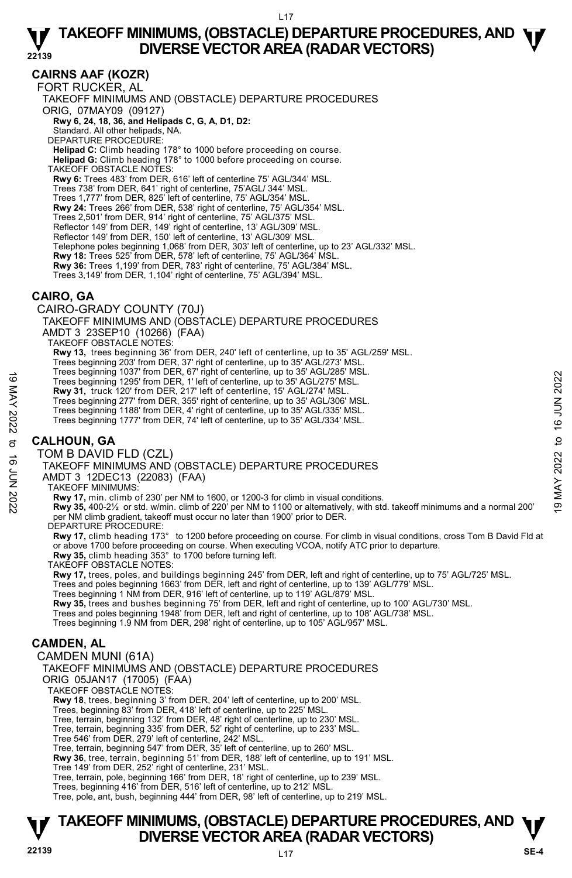# **CAIRNS AAF (KOZR)**

FORT RUCKER, AL TAKEOFF MINIMUMS AND (OBSTACLE) DEPARTURE PROCEDURES ORIG, 07MAY09 (09127)  **Rwy 6, 24, 18, 36, and Helipads C, G, A, D1, D2:** Standard. All other helipads, NA. DEPARTURE PROCEDURE: **Helipad C:** Climb heading 178° to 1000 before proceeding on course. **Helipad G:** Climb heading 178° to 1000 before proceeding on course. TAKEOFF OBSTACLE NOTES: **Rwy 6:** Trees 483' from DER, 616' left of centerline 75' AGL/344' MSL. Trees 738' from DER, 641' right of centerline, 75'AGL/ 344' MSL. Trees 1,777' from DER, 825' left of centerline, 75' AGL/354' MSL. **Rwy 24:** Trees 266' from DER, 538' right of centerline, 75' AGL/354' MSL. Trees 2,501' from DER, 914' right of centerline, 75' AGL/375' MSL. Reflector 149' from DER, 149' right of centerline, 13' AGL/309' MSL. Reflector 149' from DER, 150' left of centerline, 13' AGL/309' MSL. Telephone poles beginning 1,068' from DER, 303' left of centerline, up to 23' AGL/332' MSL. **Rwy 18:** Trees 525' from DER, 578' left of centerline, 75' AGL/364' MSL. **Rwy 36:** Trees 1,199' from DER, 783' right of centerline, 75' AGL/384' MSL. Trees 3,149' from DER, 1,104' right of centerline, 75' AGL/394' MSL.

### **CAIRO, GA**

CAIRO-GRADY COUNTY (70J) TAKEOFF MINIMUMS AND (OBSTACLE) DEPARTURE PROCEDURES AMDT 3 23SEP10 (10266) (FAA) TAKEOFF OBSTACLE NOTES: **Rwy 13,** trees beginning 36' from DER, 240' left of centerline, up to 35' AGL/259' MSL. Trees beginning 203' from DER, 37' right of centerline, up to 35' AGL/273' MSL. Trees beginning 1037' from DER, 67' right of centerline, up to 35' AGL/285' MSL. Trees beginning 1295' from DER, 1' left of centerline, up to 35' AGL/275' MSL. **Rwy 31,** truck 120' from DER, 217' left of centerline, 15' AGL/274' MSL. Trees beginning 277' from DER, 355' right of centerline, up to 35' AGL/306' MSL. Trees beginning 1188' from DER, 4' right of centerline, up to 35' AGL/335' MSL. Trees beginning 1777' from DER, 74' left of centerline, up to 35' AGL/334' MSL. **CALHOUN, GA**  TOM B DAVID FLD (CZL) TAKEOFF MINIMUMS AND (OBSTACLE) DEPARTURE PROCEDURES AMDT 3 12DEC13 (22083) (FAA) TAKEOFF MINIMUMS: Trees beginning 1295' from DER, 1' left of centerline, up to 35' AGL/275' MSL.<br>
Trees beginning 1295' from DER, 31' left of centerline, up to 35' AGL/275' MSL.<br> **Rwy 31**, truck 120' from DER, 35' right of centerline, 15' A per NM climb gradient, takeoff must occur no later than 1900' prior to DER. DEPARTURE PROCEDURE:<br>**Rwy 17,** climb heading 173° to 1200 before proceeding on course. For climb in visual conditions, cross Tom B David Fld at or above 1700 before proceeding on course. When executing VCOA, notify ATC prior to departure. **Rwy 35,** climb heading 353° to 1700 before turning left. TAKEOFF OBSTACLE NOTES: **Rwy 17,** trees, poles, and buildings beginning 245' from DER, left and right of centerline, up to 75' AGL/725' MSL. Trees and poles beginning 1663' from DER, left and right of centerline, up to 139' AGL/779' MSL. Trees beginning 1 NM from DER, 916' left of centerline, up to 119' AGL/879' MSL. **Rwy 35,** trees and bushes beginning 75' from DER, left and right of centerline, up to 100' AGL/730' MSL. Trees and poles beginning 1948' from DER, left and right of centerline, up to 108' AGL/738' MSL. Trees beginning 1.9 NM from DER, 298' right of centerline, up to 105' AGL/957' MSL. **CAMDEN, AL**  CAMDEN MUNI (61A) TAKEOFF MINIMUMS AND (OBSTACLE) DEPARTURE PROCEDURES ORIG 05JAN17 (17005) (FAA) TAKEOFF OBSTACLE NOTES: **Rwy 18**, trees, beginning 3' from DER, 204' left of centerline, up to 200' MSL. Trees, beginning 83' from DER, 418' left of centerline, up to 225' MSL. Tree, terrain, beginning 132' from DER, 48' right of centerline, up to 230' MSL. Tree, terrain, beginning 335' from DER, 52' right of centerline, up to 233' MSL. Tree 546' from DER, 279' left of centerline, 242' MSL. Tree, terrain, beginning 547' from DER, 35' left of centerline, up to 260' MSL.

**Rwy 36**, tree, terrain, beginning 51' from DER, 188' left of centerline, up to 191' MSL.<br>Tree 149' from DER, 252' right of centerline, 231' MSL.

Tree, terrain, pole, beginning 166' from DER, 18' right of centerline, up to 239' MSL.

Trees, beginning 416' from DER, 516' left of centerline, up to 212' MSL.

Tree, pole, ant, bush, beginning 444' from DER, 98' left of centerline, up to 219' MSL.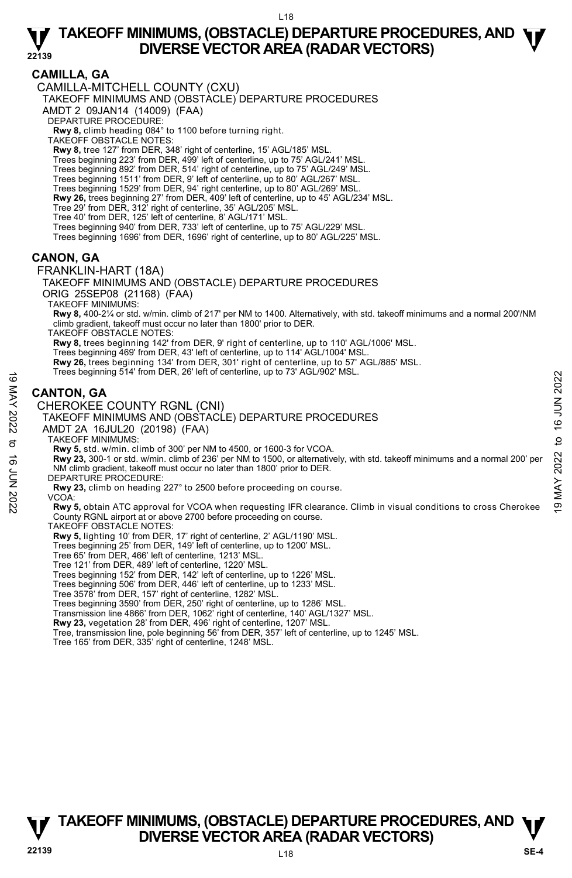# **CAMILLA, GA**

CAMILLA-MITCHELL COUNTY (CXU)

TAKEOFF MINIMUMS AND (OBSTACLE) DEPARTURE PROCEDURES

AMDT 2 09JAN14 (14009) (FAA)

DEPARTURE PROCEDURE:

**Rwy 8,** climb heading 084° to 1100 before turning right. TAKEOFF OBSTACLE NOTES:

**Rwy 8,** tree 127' from DER, 348' right of centerline, 15' AGL/185' MSL.

Trees beginning 223' from DER, 499' left of centerline, up to 75' AGL/241' MSL.

Trees beginning 892' from DER, 514' right of centerline, up to 75' AGL/249' MSL.

Trees beginning 1511' from DER, 9' left of centerline, up to 80' AGL/267' MSL.

Trees beginning 1529' from DER, 94' right centerline, up to 80' AGL/269' MSL.

**Rwy 26,** trees beginning 27' from DER, 409' left of centerline, up to 45' AGL/234' MSL.<br>Tree 29' from DER, 312' right of centerline, 35' AGL/205' MSL.

Tree 40' from DER, 125' left of centerline, 8' AGL/171' MSL.

Trees beginning 940' from DER, 733' left of centerline, up to 75' AGL/229' MSL.

Trees beginning 1696' from DER, 1696' right of centerline, up to 80' AGL/225' MSL.

### **CANON, GA**

FRANKLIN-HART (18A) TAKEOFF MINIMUMS AND (OBSTACLE) DEPARTURE PROCEDURES ORIG 25SEP08 (21168) (FAA) TAKEOFF MINIMUMS: **Rwy 8,** 400-2¼ or std. w/min. climb of 217' per NM to 1400. Alternatively, with std. takeoff minimums and a normal 200'/NM climb gradient, takeoff must occur no later than 1800' prior to DER. TAKEOFF OBSTACLE NOTES: **Rwy 8,** trees beginning 142' from DER, 9' right of centerline, up to 110' AGL/1006' MSL. Trees beginning 469' from DER, 43' left of centerline, up to 114' AGL/1004' MSL. **Rwy 26,** trees beginning 134' from DER, 301' right of centerline, up to 57' AGL/885' MSL. Trees beginning 514' from DER, 26' left of centerline, up to 73' AGL/902' MSL. **CANTON, GA**  CHEROKEE COUNTY RGNL (CNI) TAKEOFF MINIMUMS AND (OBSTACLE) DEPARTURE PROCEDURES AMDT 2A 16JUL20 (20198) (FAA) TAKEOFF MINIMUMS: **Rwy 5,** std. w/min. climb of 300' per NM to 4500, or 1600-3 for VCOA. **Rwy 23,** 300-1 or std. w/min. climb of 236' per NM to 1500, or alternatively, with std. takeoff minimums and a normal 200' per NM climb gradient, takeoff must occur no later than 1800' prior to DER. DEPARTURE PROCEDURE: **Rwy 23,** climb on heading 227° to 2500 before proceeding on course. VCOA: **Rwy 5,** obtain ATC approval for VCOA when requesting IFR clearance. Climb in visual conditions to cross Cherokee County RGNL airport at or above 2700 before proceeding on course. TAKEOFF OBSTACLE NOTES: **Rwy 5,** lighting 10' from DER, 17' right of centerline, 2' AGL/1190' MSL. Trees beginning 25' from DER, 149' left of centerline, up to 1200' MSL. Tree 65' from DER, 466' left of centerline, 1213' MSL. These beginning 5.14 Hom DER, 26 Telt of cententine, up to 73 AGLISOZ WISL.<br>  $\leq$  CANTON, GA<br>
CHEROKEE COUNTY RGNL (CNI)<br>
TAKEOFF MINIMUMS AND (OBSTACLE) DEPARTURE PROCEDURES<br>
AND T2A 16JUL20 (20198) (FAA)<br>
TAKEOFF MINIM

Tree 121' from DER, 489' left of centerline, 1220' MSL.

Trees beginning 152' from DER, 142' left of centerline, up to 1226' MSL.

Trees beginning 506' from DER, 446' left of centerline, up to 1233' MSL.

Tree 3578' from DER, 157' right of centerline, 1282' MSL.

Trees beginning 3590' from DER, 250' right of centerline, up to 1286' MSL.

Transmission line 4866' from DER, 1062' right of centerline, 140' AGL/1327' MSL.

**Rwy 23,** vegetation 28' from DER, 496' right of centerline, 1207' MSL.<br>Tree, transmission line, pole beginning 56' from DER, 357' left of centerline, up to 1245' MSL.

Tree 165' from DER, 335' right of centerline, 1248' MSL.

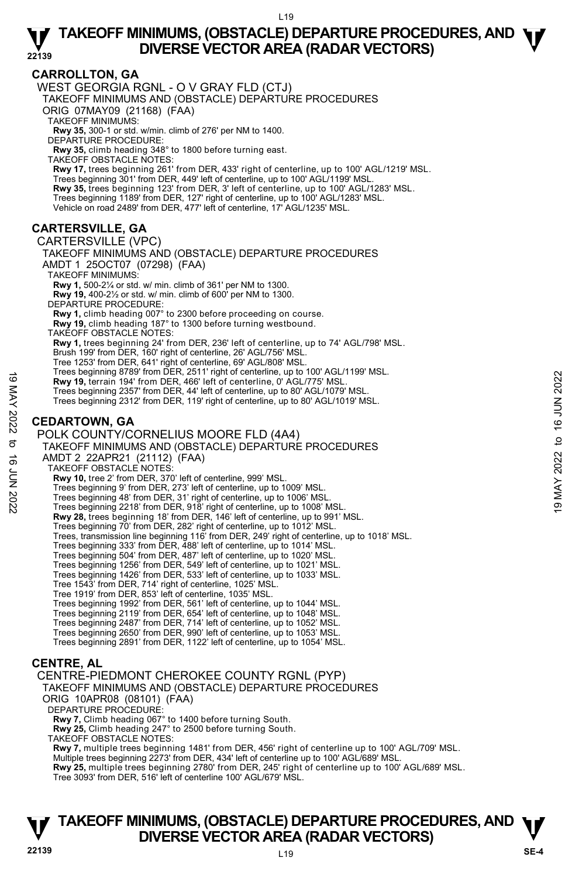# **CARROLLTON, GA**

WEST GEORGIA RGNL - O V GRAY FLD (CTJ)

TAKEOFF MINIMUMS AND (OBSTACLE) DEPARTURE PROCEDURES

ORIG 07MAY09 (21168) (FAA) TAKEOFF MINIMUMS:

**Rwy 35,** 300-1 or std. w/min. climb of 276' per NM to 1400. DEPARTURE PROCEDURE:

**Rwy 35,** climb heading 348° to 1800 before turning east.

TAKEOFF OBSTACLE NOTES:

**Rwy 17,** trees beginning 261' from DER, 433' right of centerline, up to 100' AGL/1219' MSL. Trees beginning 301' from DER, 449' left of centerline, up to 100' AGL/1199' MSL. **Rwy 35,** trees beginning 123' from DER, 3' left of centerline, up to 100' AGL/1283' MSL. Trees beginning 1189' from DER, 127' right of centerline, up to 100' AGL/1283' MSL. Vehicle on road 2489' from DER, 477' left of centerline, 17' AGL/1235' MSL.

# **CARTERSVILLE, GA**

CARTERSVILLE (VPC)

TAKEOFF MINIMUMS AND (OBSTACLE) DEPARTURE PROCEDURES AMDT 1 25OCT07 (07298) (FAA) TAKEOFF MINIMUMS: **Rwy 1,** 500-2¼ or std. w/ min. climb of 361' per NM to 1300. **Rwy 19,** 400-2½ or std. w/ min. climb of 600' per NM to 1300. DEPARTURE PROCEDURE: **Rwy 1,** climb heading 007° to 2300 before proceeding on course. **Rwy 19,** climb heading 187° to 1300 before turning westbound. TAKEOFF OBSTACLE NOTES: **Rwy 1,** trees beginning 24' from DER, 236' left of centerline, up to 74' AGL/798' MSL. Brush 199' from DER, 160' right of centerline, 26' AGL/756' MSL. Tree 1253' from DER, 641' right of centerline, 69' AGL/808' MSL. Trees beginning 8789' from DER, 2511' right of centerline, up to 100' AGL/1199' MSL. **Rwy 19,** terrain 194' from DER, 466' left of centerline, 0' AGL/775' MSL. Trees beginning 2357' from DER, 44' left of centerline, up to 80' AGL/1079' MSL. Trees beginning 2312' from DER, 119' right of centerline, up to 80' AGL/1019' MSL.

# **CEDARTOWN, GA**

POLK COUNTY/CORNELIUS MOORE FLD (4A4) TAKEOFF MINIMUMS AND (OBSTACLE) DEPARTURE PROCEDURES AMDT 2 22APR21 (21112) (FAA) TAKEOFF OBSTACLE NOTES: **Rwy 10,** tree 2' from DER, 370' left of centerline, 999' MSL. Trees beginning 9' from DER, 273' left of centerline, up to 1009' MSL. Trees beginning 48' from DER, 31' right of centerline, up to 1006' MSL. Trees beginning 2218' from DER, 918' right of centerline, up to 1008' MSL.  **Rwy 28,** trees beginning 18' from DER, 146' left of centerline, up to 991' MSL. Trees beginning 70' from DER, 282' right of centerline, up to 1012' MSL. Trees, transmission line beginning 116' from DER, 249' right of centerline, up to 1018' MSL. Trees beginning 333' from DER, 488' left of centerline, up to 1014' MSL. Trees beginning 504' from DER, 487' left of centerline, up to 1020' MSL. Trees beginning 1256' from DER, 549' left of centerline, up to 1021' MSL. Trees beginning 1426' from DER, 533' left of centerline, up to 1033' MSL. Tree 1543' from DER, 714' right of centerline, 1025' MSL. Tree 1919' from DER, 853' left of centerline, 1035' MSL. Trees beginning 1992' from DER, 561' left of centerline, up to 1044' MSL. Trees beginning 2119' from DER, 654' left of centerline, up to 1048' MSL. Trees beginning 2487' from DER, 714' left of centerline, up to 1052' MSL. Trees beginning 2650' from DER, 990' left of centerline, up to 1053' MSL. Trees beginning 2891' from DER, 1122' left of centerline, up to 1054' MSL. 19 May 19, terrain 194' from DER, 486' left of centerline, 0' 0 NGU/175' MSL.<br>
Trees beginning 2357' from DER, 486' left of centerline, 0' 0 80' AGL/1079' MSL.<br>
Trees beginning 2312' from DER, 119' right of centerline, up

# **CENTRE, AL**

CENTRE-PIEDMONT CHEROKEE COUNTY RGNL (PYP) TAKEOFF MINIMUMS AND (OBSTACLE) DEPARTURE PROCEDURES ORIG 10APR08 (08101) (FAA) DEPARTURE PROCEDURE: **Rwy 7,** Climb heading 067° to 1400 before turning South. **Rwy 25,** Climb heading 247° to 2500 before turning South. TAKEOFF OBSTACLE NOTES: **Rwy 7,** multiple trees beginning 1481' from DER, 456' right of centerline up to 100' AGL/709' MSL. Multiple trees beginning 2273' from DER, 434' left of centerline up to 100' AGL/689' MSL.

**Rwy 25,** multiple trees beginning 2780' from DER, 245' right of centerline up to 100' AGL/689' MSL. Tree 3093' from DER, 516' left of centerline 100' AGL/679' MSL.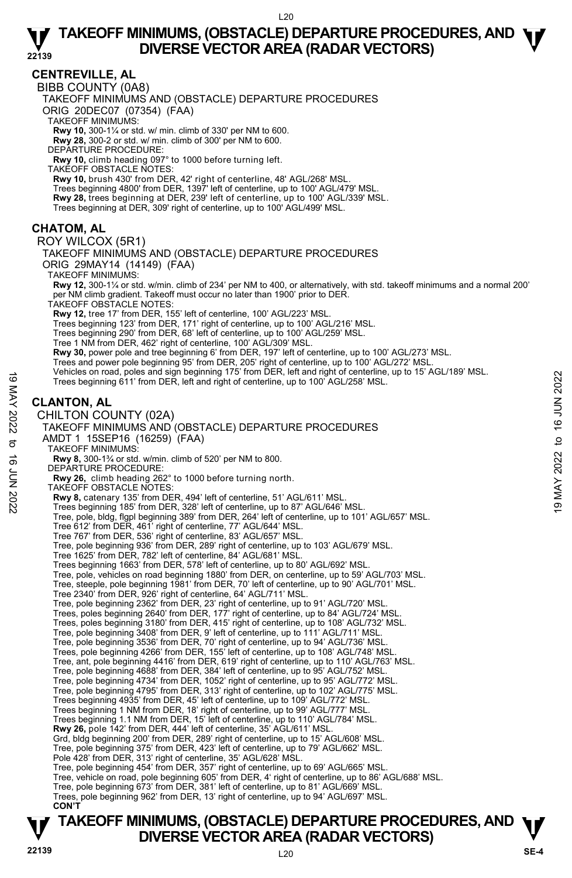### **CENTREVILLE, AL**

BIBB COUNTY (0A8)

TAKEOFF MINIMUMS AND (OBSTACLE) DEPARTURE PROCEDURES

ORIG 20DEC07 (07354) (FAA)

TAKEOFF MINIMUMS:

**Rwy 10,** 300-1¼ or std. w/ min. climb of 330' per NM to 600. **Rwy 28,** 300-2 or std. w/ min. climb of 300' per NM to 600.

DEPARTURE PROCEDURE:

**Rwy 10,** climb heading 097° to 1000 before turning left.

TAKEOFF OBSTACLE NOTES:

**Rwy 10,** brush 430' from DER, 42' right of centerline, 48' AGL/268' MSL. Trees beginning 4800' from DER, 1397' left of centerline, up to 100' AGL/479' MSL. **Rwy 28,** trees beginning at DER, 239' left of centerline, up to 100' AGL/339' MSL.<br>Trees beginning at DER, 309' right of centerline, up to 100' AGL/499' MSL.

### **CHATOM, AL**

ROY WILCOX (5R1)

TAKEOFF MINIMUMS AND (OBSTACLE) DEPARTURE PROCEDURES ORIG 29MAY14 (14149) (FAA)

TAKEOFF MINIMUMS:

**Rwy 12,** 300-1¼ or std. w/min. climb of 234' per NM to 400, or alternatively, with std. takeoff minimums and a normal 200' per NM climb gradient. Takeoff must occur no later than 1900' prior to DER.

TAKEOFF OBSTACLE NOTES:

**Rwy 12,** tree 17' from DER, 155' left of centerline, 100' AGL/223' MSL.

Trees beginning 123' from DER, 171' right of centerline, up to 100' AGL/216' MSL.

Trees beginning 290' from DER, 68' left of centerline, up to 100' AGL/259' MSL.

Tree 1 NM from DER, 462' right of centerline, 100' AGL/309' MSL.

**Rwy 30,** power pole and tree beginning 6' from DER, 197' left of centerline, up to 100' AGL/273' MSL.

Trees and power pole beginning 95' from DER, 205' right of centerline, up to 100' AGL/272' MSL. Vehicles on road, poles and sign beginning 175' from DER, left and right of centerline, up to 15' AGL/189' MSL.

Trees beginning 611' from DER, left and right of centerline, up to 100' AGL/258' MSL.

### **CLANTON, AL**

CHILTON COUNTY (02A)

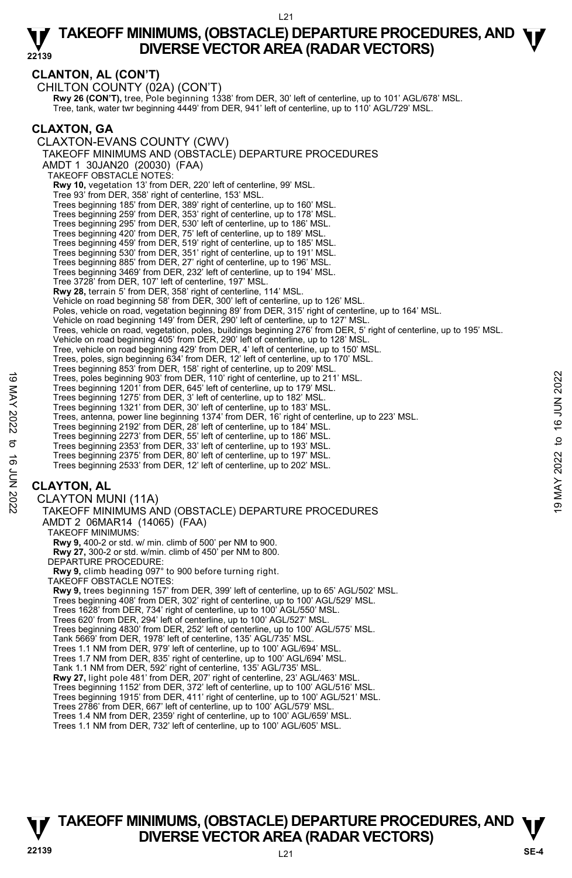# **CLANTON, AL (CON'T)**

CHILTON COUNTY (02A) (CON'T) **Rwy 26 (CON'T),** tree, Pole beginning 1338' from DER, 30' left of centerline, up to 101' AGL/678' MSL.<br>Tree, tank, water twr beginning 4449' from DER, 941' left of centerline, up to 110' AGL/729' MSL. **CLAXTON, GA**  CLAXTON-EVANS COUNTY (CWV) TAKEOFF MINIMUMS AND (OBSTACLE) DEPARTURE PROCEDURES AMDT 1 30JAN20 (20030) (FAA) TAKEOFF OBSTACLE NOTES: **Rwy 10,** vegetation 13' from DER, 220' left of centerline, 99' MSL. Tree 93' from DER, 358' right of centerline, 153' MSL. Trees beginning 185' from DER, 389' right of centerline, up to 160' MSL. Trees beginning 259' from DER, 353' right of centerline, up to 178' MSL. Trees beginning 295' from DER, 530' left of centerline, up to 186' MSL. Trees beginning 420' from DER, 75' left of centerline, up to 189' MSL. Trees beginning 459' from DER, 519' right of centerline, up to 185' MSL. Trees beginning 530' from DER, 351' right of centerline, up to 191' MSL. Trees beginning 885' from DER, 27' right of centerline, up to 196' MSL. Trees beginning 3469' from DER, 232' left of centerline, up to 194' MSL. Tree 3728' from DER, 107' left of centerline, 197' MSL. **Rwy 28,** terrain 5' from DER, 358' right of centerline, 114' MSL. Vehicle on road beginning 58' from DER, 300' left of centerline, up to 126' MSL. Poles, vehicle on road, vegetation beginning 89' from DER, 315' right of centerline, up to 164' MSL. Vehicle on road beginning 149' from DER, 290' left of centerline, up to 127' MSL. Trees, vehicle on road, vegetation, poles, buildings beginning 276' from DER, 5' right of centerline, up to 195' MSL. Vehicle on road beginning 405' from DER, 290' left of centerline, up to 128' MSL. Tree, vehicle on road beginning 429' from DER, 4' left of centerline, up to 150' MSL. Trees, poles, sign beginning 634' from DER, 12' left of centerline, up to 170' MSL. Trees beginning 853' from DER, 158' right of centerline, up to 209' MSL. Trees, poles beginning 903' from DER, 110' right of centerline, up to 211' MSL. Trees beginning 1201' from DER, 645' left of centerline, up to 179' MSL. Trees beginning 1275' from DER, 3' left of centerline, up to 182' MSL. Trees beginning 1321' from DER, 30' left of centerline, up to 183' MSL. Trees, antenna, power line beginning 1374' from DER, 16' right of centerline, up to 223' MSL. Trees beginning 2192' from DER, 28' left of centerline, up to 184' MSL. Trees beginning 2273' from DER, 55' left of centerline, up to 186' MSL. Trees beginning 2353' from DER, 33' left of centerline, up to 193' MSL. Trees beginning 2375' from DER, 80' left of centerline, up to 197' MSL. Trees beginning 2533' from DER, 12' left of centerline, up to 202' MSL. **CLAYTON, AL**  CLAYTON MUNI (11A) TAKEOFF MINIMUMS AND (OBSTACLE) DEPARTURE PROCEDURES AMDT 2 06MAR14 (14065) (FAA) TAKEOFF MINIMUMS: **Rwy 9,** 400-2 or std. w/ min. climb of 500' per NM to 900. **Rwy 27,** 300-2 or std. w/min. climb of 450' per NM to 800. DEPARTURE PROCEDURE: **Rwy 9,** climb heading 097° to 900 before turning right. TAKEOFF OBSTACLE NOTES: **Rwy 9,** trees beginning 157' from DER, 399' left of centerline, up to 65' AGL/502' MSL. Trees beginning 408' from DER, 302' right of centerline, up to 100' AGL/529' MSL. Trees 1628' from DER, 734' right of centerline, up to 100' AGL/550' MSL. Trees 620' from DER, 294' left of centerline, up to 100' AGL/527' MSL. Trees beginning 4830' from DER, 252' left of centerline, up to 100' AGL/575' MSL. Tank 5669' from DER, 1978' left of centerline, 135' AGL/735' MSL. Trees 1.1 NM from DER, 979' left of centerline, up to 100' AGL/694' MSL. Trees, poles beginning 903' from DER, 110' right of centerline, up to 211' MSL.<br>
Trees beginning 1201' from DER, 46' left of centerline, up to 179' MSL.<br>
Trees beginning 1201' from DER, 30' left of centerline, up to 182'

Trees 1.7 NM from DER, 835' right of centerline, up to 100' AGL/694' MSL.

Tank 1.1 NM from DER, 592' right of centerline, 135' AGL/735' MSL.<br>**Rwy 27,** light pole 481' from DER, 207' right of centerline, 23' AGL/463' MSL.

Trees beginning 1152' from DER, 372' left of centerline, up to 100' AGL/516' MSL.

Trees beginning 1915' from DER, 411' right of centerline, up to 100' AGL/521' MSL. Trees 2786' from DER, 667' left of centerline, up to 100' AGL/579' MSL.

Trees 1.4 NM from DER, 2359' right of centerline, up to 100' AGL/659' MSL.

Trees 1.1 NM from DER, 732' left of centerline, up to 100' AGL/605' MSL.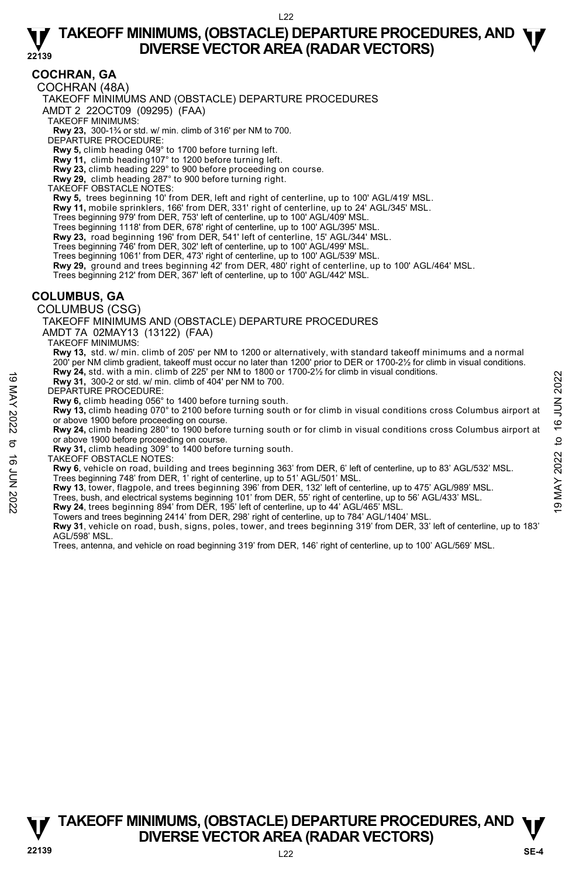### **COCHRAN, GA**

COCHRAN (48A)

TAKEOFF MINIMUMS AND (OBSTACLE) DEPARTURE PROCEDURES

AMDT 2 22OCT09 (09295) (FAA)

TAKEOFF MINIMUMS:

**Rwy 23,** 300-1¾ or std. w/ min. climb of 316' per NM to 700. DEPARTURE PROCEDURE:

**Rwy 5,** climb heading 049° to 1700 before turning left.

**Rwy 11,** climb heading107° to 1200 before turning left.

**Rwy 23,** climb heading 229° to 900 before proceeding on course. **Rwy 29,** climb heading 287° to 900 before turning right.

TAKEOFF OBSTACLE NOTES:

**Rwy 5,** trees beginning 10' from DER, left and right of centerline, up to 100' AGL/419' MSL.

**Rwy 11,** mobile sprinklers, 166' from DER, 331' right of centerline, up to 24' AGL/345' MSL.

Trees beginning 979' from DER, 753' left of centerline, up to 100' AGL/409' MSL.

Trees beginning 1118' from DER, 678' right of centerline, up to 100' AGL/395' MSL.

**Rwy 23,** road beginning 196' from DER, 541' left of centerline, 15' AGL/344' MSL.

Trees beginning 746' from DER, 302' left of centerline, up to 100' AGL/499' MSL.

Trees beginning 1061' from DER, 473' right of centerline, up to 100' AGL/539' MSL.

**Rwy 29,** ground and trees beginning 42' from DER, 480' right of centerline, up to 100' AGL/464' MSL.<br>Trees beginning 212' from DER, 367' left of centerline, up to 100' AGL/442' MSL.

### **COLUMBUS, GA**

COLUMBUS (CSG)

TAKEOFF MINIMUMS AND (OBSTACLE) DEPARTURE PROCEDURES

AMDT 7A 02MAY13 (13122) (FAA)

TAKEOFF MINIMUMS:

**Rwy 13,** std. w/ min. climb of 205' per NM to 1200 or alternatively, with standard takeoff minimums and a normal 200' per NM climb gradient, takeoff must occur no later than 1200' prior to DER or 1700-2½ for climb in visual conditions. **Rwy 24,** std. with a min. climb of 225' per NM to 1800 or 1700-2½ for climb in visual conditions.

**Rwy 31,** 300-2 or std. w/ min. climb of 404' per NM to 700.

DEPARTURE PROCEDURE:

**Rwy 6,** climb heading 056° to 1400 before turning south.

**Rwy 13,** climb heading 070° to 2100 before turning south or for climb in visual conditions cross Columbus airport at or above 1900 before proceeding on course.

**Rwy 24,** climb heading 280° to 1900 before turning south or for climb in visual conditions cross Columbus airport at or above 1900 before proceeding on course. **EVALUATE THEON CONSIDERATIVE PROCEDURE:**<br> **EVALUATE PROCEDURE:**<br> **EVALUATE PROCEDURE:**<br> **EVALUATE PROCEDURE:**<br> **EVALUATE PROCEDURE:**<br> **EVALUATE PROCEDURE:**<br> **EVALUATE PROCEDURE:**<br> **EVALUATE PROCEDURE:**<br> **EVALUATE PROCEDU** 

**Rwy 31,** climb heading 309° to 1400 before turning south.

TAKEOFF OBSTACLE NOTES:

**Rwy 6**, vehicle on road, building and trees beginning 363' from DER, 6' left of centerline, up to 83' AGL/532' MSL. Trees beginning 748' from DER, 1' right of centerline, up to 51' AGL/501' MSL.

**Rwy 13**, tower, flagpole, and trees beginning 396' from DER, 132' left of centerline, up to 475' AGL/989' MSL.

Towers and trees beginning 2414' from DER, 298' right of centerline, up to 784' AGL/1404' MSL.

**Rwy 31**, vehicle on road, bush, signs, poles, tower, and trees beginning 319' from DER, 33' left of centerline, up to 183' AGL/598' MSL.

Trees, antenna, and vehicle on road beginning 319' from DER, 146' right of centerline, up to 100' AGL/569' MSL.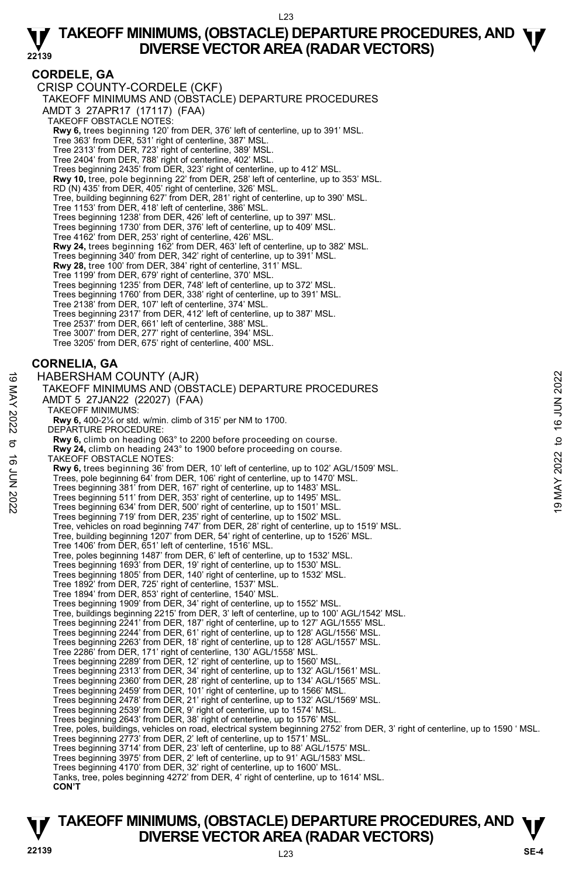### **CORDELE, GA**

CRISP COUNTY-CORDELE (CKF) TAKEOFF MINIMUMS AND (OBSTACLE) DEPARTURE PROCEDURES AMDT 3 27APR17 (17117) (FAA) TAKEOFF OBSTACLE NOTES: **Rwy 6,** trees beginning 120' from DER, 376' left of centerline, up to 391' MSL.<br>Tree 363' from DER, 531' right of centerline, 387' MSL. Tree 2313' from DER, 723' right of centerline, 389' MSL. Tree 2404' from DER, 788' right of centerline, 402' MSL. Trees beginning 2435' from DER, 323' right of centerline, up to 412' MSL.<br>**Rwy 10,** tree, pole beginning 22' from DER, 258' left of centerline, up to 353' MSL. RD (N) 435' from DER, 405' right of centerline, 326' MSL. Tree, building beginning 627' from DER, 281' right of centerline, up to 390' MSL. Tree 1153' from DER, 418' left of centerline, 386' MSL. Trees beginning 1238' from DER, 426' left of centerline, up to 397' MSL. Trees beginning 1730' from DER, 376' left of centerline, up to 409' MSL. Tree 4162' from DER, 253' right of centerline, 426' MSL. **Rwy 24,** trees beginning 162' from DER, 463' left of centerline, up to 382' MSL. Trees beginning 340' from DER, 342' right of centerline, up to 391' MSL. **Rwy 28,** tree 100' from DER, 384' right of centerline, 311' MSL. Tree 1199' from DER, 679' right of centerline, 370' MSL. Trees beginning 1235' from DER, 748' left of centerline, up to 372' MSL. Trees beginning 1760' from DER, 338' right of centerline, up to 391' MSL. Tree 2138' from DER, 107' left of centerline, 374' MSL. Trees beginning 2317' from DER, 412' left of centerline, up to 387' MSL. Tree 2537' from DER, 661' left of centerline, 388' MSL. Tree 3007' from DER, 277' right of centerline, 394' MSL. Tree 3205' from DER, 675' right of centerline, 400' MSL. **CORNELIA, GA**  HABERSHAM COUNTY (AJR) TAKEOFF MINIMUMS AND (OBSTACLE) DEPARTURE PROCEDURES AMDT 5 27JAN22 (22027) (FAA) TAKEOFF MINIMUMS: **Rwy 6,** 400-2¼ or std. w/min. climb of 315' per NM to 1700. DEPARTURE PROCEDURE: **Rwy 6,** climb on heading 063° to 2200 before proceeding on course. **Rwy 24,** climb on heading 243° to 1900 before proceeding on course. TAKEOFF OBSTACLE NOTES: **Rwy 6,** trees beginning 36' from DER, 10' left of centerline, up to 102' AGL/1509' MSL. Trees, pole beginning 64' from DER, 106' right of centerline, up to 1470' MSL. Trees beginning 381' from DER, 167' right of centerline, up to 1483' MSL. Trees beginning 511' from DER, 353' right of centerline, up to 1495' MSL. Trees beginning 634' from DER, 500' right of centerline, up to 1501' MSL. Trees beginning 719' from DER, 235' right of centerline, up to 1502' MSL. Tree, vehicles on road beginning 747' from DER, 28' right of centerline, up to 1519' MSL. Tree, building beginning 1207' from DER, 54' right of centerline, up to 1526' MSL. Tree 1406' from DER, 651' left of centerline, 1516' MSL. Tree, poles beginning 1487' from DER, 6' left of centerline, up to 1532' MSL. Trees beginning 1693' from DER, 19' right of centerline, up to 1530' MSL. Trees beginning 1805' from DER, 140' right of centerline, up to 1532' MSL. Tree 1892' from DER, 725' right of centerline, 1537' MSL. Tree 1894' from DER, 853' right of centerline, 1540' MSL. Trees beginning 1909' from DER, 34' right of centerline, up to 1552' MSL. Tree, buildings beginning 2215' from DER, 3' left of centerline, up to 100' AGL/1542' MSL. Trees beginning 2241' from DER, 187' right of centerline, up to 127' AGL/1555' MSL.<br>Trees beginning 2244' from DER, 61' right of centerline, up to 128' AGL/1556' MSL.<br>Trees beginning 2263' from DER, 18' right of centerline Tree 2286' from DER, 171' right of centerline, 130' AGL/1558' MSL. Trees beginning 2289' from DER, 12' right of centerline, up to 1560' MSL. Trees beginning 2313' from DER, 34' right of centerline, up to 132' AGL/1561' MSL. Trees beginning 2360' from DER, 28' right of centerline, up to 134' AGL/1565' MSL. Trees beginning 2459' from DER, 101' right of centerline, up to 1566' MSL. Trees beginning 2478' from DER, 21' right of centerline, up to 132' AGL/1569' MSL. Trees beginning 2539' from DER, 9' right of centerline, up to 1574' MSL. Trees beginning 2643' from DER, 38' right of centerline, up to 1576' MSI Tree, poles, buildings, vehicles on road, electrical system beginning 2752' from DER, 3' right of centerline, up to 1590 ' MSL. Trees beginning 2773' from DER, 2' left of centerline, up to 1571' MSL. Trees beginning 3714' from DER, 23' left of centerline, up to 88' AGL/1575' MSL. Trees beginning 3975' from DER, 2' left of centerline, up to 91' AGL/1583' MSL. Trees beginning 4170' from DER, 32' right of centerline, up to 1600' MSL. Tanks, tree, poles beginning 4272' from DER, 4' right of centerline, up to 1614' MSL. **CON'T** 19 MABERSHAM COUNTY (AJR)<br>
TAKEOFF MINIMUMS AND (OBSTACLE) DEPARTURE PROCEDURES<br>
ANDT 5 27JAN22 (22027) (FAA)<br>
TAKEOFF MINIMUMS:<br>
TAKEOFF MINIMUMS:<br>
TAKEOFF MINIMUMS:<br>
TAKEOFF MINIMUMS:<br>
TAKEOFF MINIMUMS:<br>
TAKEOFF MINIMUM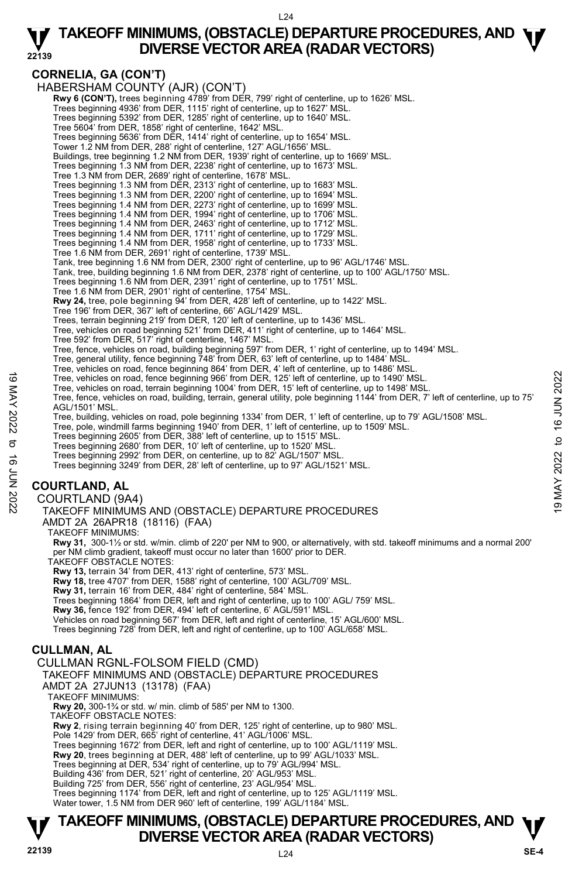#### L24

# **TAKEOFF MINIMUMS, (OBSTACLE) DEPARTURE PROCEDURES, AND**  $\Psi$ **<br>DIVERSE VECTOR AREA (RADAR VECTORS) DIVERSE VECTOR AREA (RADAR VECTORS)**

**22139** 

# **CORNELIA, GA (CON'T)**

HABERSHAM COUNTY (AJR) (CON'T) **Rwy 6 (CON'T),** trees beginning 4789' from DER, 799' right of centerline, up to 1626' MSL. Trees beginning 4936' from DER, 1115' right of centerline, up to 1627' MSL. Trees beginning 5392' from DER, 1285' right of centerline, up to 1640' MSL. Tree 5604' from DER, 1858' right of centerline, 1642' MSL. Trees beginning 5636' from DER, 1414' right of centerline, up to 1654' MSL. Tower 1.2 NM from DER, 288' right of centerline, 127' AGL/1656' MSL. Buildings, tree beginning 1.2 NM from DER, 1939' right of centerline, up to 1669' MSL. Trees beginning 1.3 NM from DER, 2238' right of centerline, up to 1673' MSL. Tree 1.3 NM from DER, 2689' right of centerline, 1678' MSL. Trees beginning 1.3 NM from DER, 2313' right of centerline, up to 1683' MSL. Trees beginning 1.3 NM from DER, 2200' right of centerline, up to 1694' MSL. Trees beginning 1.4 NM from DER, 2273' right of centerline, up to 1699' MSL. Trees beginning 1.4 NM from DER, 1994' right of centerline, up to 1706' MSL. Trees beginning 1.4 NM from DER, 2463' right of centerline, up to 1712' MSL. Trees beginning 1.4 NM from DER, 1711' right of centerline, up to 1729' MSL. Trees beginning 1.4 NM from DER, 1958' right of centerline, up to 1733' MSL. Tree 1.6 NM from DER, 2691' right of centerline, 1739' MSL. Tank, tree beginning 1.6 NM from DER, 2300' right of centerline, up to 96' AGL/1746' MSL.<br>Tank, tree, building beginning 1.6 NM from DER, 2378' right of centerline, up to 100' AGL/1750' MSL. Trees beginning 1.6 NM from DER, 2391' right of centerline, up to 1751' MSL. Tree 1.6 NM from DER, 2901' right of centerline, 1754' MSL. **Rwy 24,** tree, pole beginning 94' from DER, 428' left of centerline, up to 1422' MSL. Tree 196' from DER, 367' left of centerline, 66' AGL/1429' MSL. Trees, terrain beginning 219' from DER, 120' left of centerline, up to 1436' MSL. Tree, vehicles on road beginning 521' from DER, 411' right of centerline, up to 1464' MSL. Tree 592' from DER, 517' right of centerline, 1467' MSL. Tree, fence, vehicles on road, building beginning 597' from DER, 1' right of centerline, up to 1494' MSL. Tree, general utility, fence beginning 748' from DER, 63' left of centerline, up to 1484' MSL. Tree, vehicles on road, fence beginning 864' from DER, 4' left of centerline, up to 1486' MSL. Tree, vehicles on road, fence beginning 966' from DER, 125' left of centerline, up to 1490' MSL. Tree, vehicles on road, terrain beginning 1004' from DER, 15' left of centerline, up to 1498' MSL. Tree, fence, vehicles on road, building, terrain, general utility, pole beginning 1144' from DER, 7' left of centerline, up to 75' AGL/1501' MSL. Tree, building, vehicles on road, pole beginning 1334' from DER, 1' left of centerline, up to 79' AGL/1508' MSL.<br>Tree, pole, windmill farms beginning 1940' from DER, 1' left of centerline, up to 1509' MSL. Trees beginning 2605' from DER, 388' left of centerline, up to 1515' MSL. Trees beginning 2680' from DER, 10' left of centerline, up to 1520' MSL. Trees beginning 2992' from DER, on centerline, up to 82' AGL/1507' MSL. Trees beginning 3249' from DER, 28' left of centerline, up to 97' AGL/1521' MSL. **COURTLAND, AL**  COURTLAND (9A4) TAKEOFF MINIMUMS AND (OBSTACLE) DEPARTURE PROCEDURES AMDT 2A 26APR18 (18116) (FAA) TAKEOFF MINIMUMS: **Rwy 31,** 300-1½ or std. w/min. climb of 220' per NM to 900, or alternatively, with std. takeoff minimums and a normal 200' per NM climb gradient, takeoff must occur no later than 1600' prior to DER. TAKEOFF OBSTACLE NOTES: **Rwy 13,** terrain 34' from DER, 413' right of centerline, 573' MSL. **Rwy 18,** tree 4707' from DER, 1588' right of centerline, 100' AGL/709' MSL. **Rwy 31,** terrain 16' from DER, 484' right of centerline, 584' MSL. Trees beginning 1864' from DER, left and right of centerline, up to 100' AGL/ 759' MSL. **Rwy 36,** fence 192' from DER, 494' left of centerline, 6' AGL/591' MSL. Vehicles on road beginning 567' from DER, left and right of centerline, 15' AGL/600' MSL. Tree, vehicles on road, fence beginning 966' from DER, 125' left of centerline, up to 1490' MSL.<br>
Tree, ence, whiches on road, terrain beginning 1004' from DER, 15' left of centerline, up to 1498' MSL.<br>
Tree, fence, which

Trees beginning 728' from DER, left and right of centerline, up to 100' AGL/658' MSL.

# **CULLMAN, AL**

# CULLMAN RGNL-FOLSOM FIELD (CMD)

TAKEOFF MINIMUMS AND (OBSTACLE) DEPARTURE PROCEDURES

AMDT 2A 27JUN13 (13178) (FAA)

TAKEOFF MINIMUMS:

**Rwy 20,** 300-1¾ or std. w/ min. climb of 585' per NM to 1300.

TAKEOFF OBSTACLE NOTES:

**Rwy 2**, rising terrain beginning 40' from DER, 125' right of centerline, up to 980' MSL. Pole 1429' from DER, 665' right of centerline, 41' AGL/1006' MSL.

Trees beginning 1672' from DER, left and right of centerline, up to 100' AGL/1119' MSL.

**Rwy 20**, trees beginning at DER, 488' left of centerline, up to 99' AGL/1033' MSL. Trees beginning at DER, 534' right of centerline, up to 79' AGL/994' MSL.

Building 436' from DER, 521' right of centerline, 20' AGL/953' MSL.

Building 725' from DER, 556' right of centerline, 23' AGL/954' MSL.

Trees beginning 1174' from DER, left and right of centerline, up to 125' AGL/1119' MSL. Water tower, 1.5 NM from DER 960' left of centerline, 199' AGL/1184' MSL.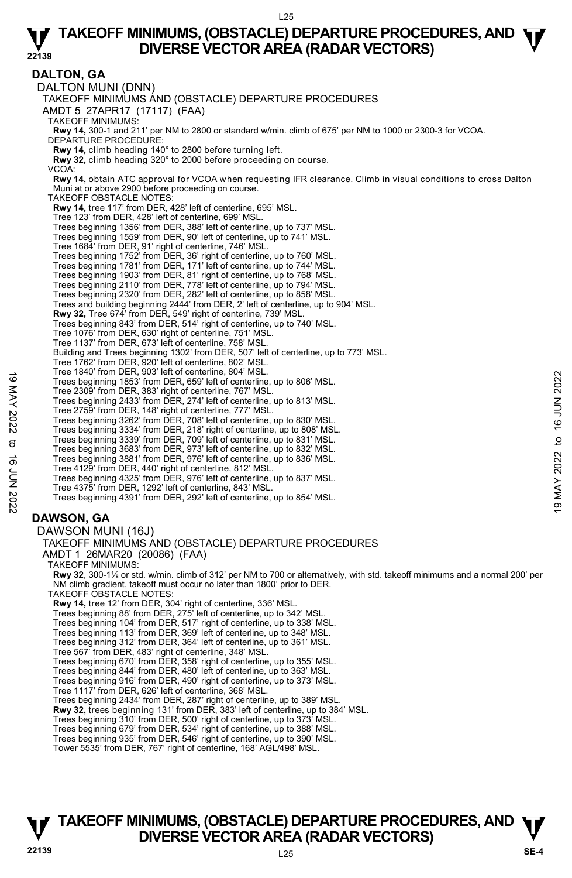#### **DALTON, GA**  DALTON MUNI (DNN) TAKEOFF MINIMUMS AND (OBSTACLE) DEPARTURE PROCEDURES AMDT 5 27APR17 (17117) (FAA) TAKEOFF MINIMUMS: **Rwy 14,** 300-1 and 211' per NM to 2800 or standard w/min. climb of 675' per NM to 1000 or 2300-3 for VCOA. DEPARTURE PROCEDURE: **Rwy 14,** climb heading 140° to 2800 before turning left. **Rwy 32,** climb heading 320° to 2000 before proceeding on course. VCOA: **Rwy 14,** obtain ATC approval for VCOA when requesting IFR clearance. Climb in visual conditions to cross Dalton Muni at or above 2900 before proceeding on course. TAKEOFF OBSTACLE NOTES: **Rwy 14,** tree 117' from DER, 428' left of centerline, 695' MSL. Tree 123' from DER, 428' left of centerline, 699' MSL. Trees beginning 1356' from DER, 388' left of centerline, up to 737' MSL. Trees beginning 1559' from DER, 90' left of centerline, up to 741' MSL. Tree 1684' from DER, 91' right of centerline, 746' MSL. Trees beginning 1752' from DER, 36' right of centerline, up to 760' MSL. Trees beginning 1781' from DER, 171' left of centerline, up to 744' MSL. Trees beginning 1903' from DER, 81' right of centerline, up to 768' MSL. Trees beginning 2110' from DER, 778' left of centerline, up to 794' MSL. Trees beginning 2320' from DER, 282' left of centerline, up to 858' MSL. Trees and building beginning 2444' from DER, 2' left of centerline, up to 904' MSL. **Rwy 32,** Tree 674' from DER, 549' right of centerline, 739' MSL. Trees beginning 843' from DER, 514' right of centerline, up to 740' MSL. Tree 1076' from DER, 630' right of centerline, 751' MSL. Tree 1137' from DER, 673' left of centerline, 758' MSL. Building and Trees beginning 1302' from DER, 507' left of centerline, up to 773' MSL. Tree 1762' from DER, 920' left of centerline, 802' MSL. Tree 1840' from DER, 903' left of centerline, 804' MSL. Trees beginning 1853' from DER, 659' left of centerline, up to 806' MSL. Tree 2309' from DER, 383' right of centerline, 767' MSL. Trees beginning 2433' from DER, 274' left of centerline, up to 813' MSL. Tree 2759' from DER, 148' right of centerline, 777' MSL. Trees beginning 3262' from DER, 708' left of centerline, up to 830' MSL. Trees beginning 3334' from DER, 218' right of centerline, up to 808' MSL. Trees beginning 3339' from DER, 709' left of centerline, up to 831' MSL. Trees beginning 3683' from DER, 973' left of centerline, up to 832' MSL. Trees beginning 3881' from DER, 976' left of centerline, up to 836' MSL. Tree 4129' from DER, 440' right of centerline, 812' MSL. Trees beginning 4325' from DER, 976' left of centerline, up to 837' MSL. Tree 4375' from DER, 1292' left of centerline, 843' MSL. Trees beginning 4391' from DER, 292' left of centerline, up to 854' MSL. **DAWSON, GA**  DAWSON MUNI (16J) TAKEOFF MINIMUMS AND (OBSTACLE) DEPARTURE PROCEDURES AMDT 1 26MAR20 (20086) (FAA) TAKEOFF MINIMUMS: **Rwy 32**, 300-1⅛ or std. w/min. climb of 312' per NM to 700 or alternatively, with std. takeoff minimums and a normal 200' per NM climb gradient, takeoff must occur no later than 1800' prior to DER. TAKEOFF OBSTACLE NOTES: **Rwy 14,** tree 12' from DER, 304' right of centerline, 336' MSL. Trees beginning 88' from DER, 275' left of centerline, up to 342' MSL. Trees beginning 104' from DER, 517' right of centerline, up to 338' MSL. Trees beginning 113' from DER, 369' left of centerline, up to 348' MSL. Trees beginning 312' from DER, 364' left of centerline, up to 361' MSL. Tree 567' from DER, 483' right of centerline, 348' MSL. Trees beginning 670' from DER, 358' right of centerline, up to 355' MSL. Trees beginning 844' from DER, 480' left of centerline, up to 363' MSL. Trees beginning 916' from DER, 490' right of centerline, up to 373' MSL. Tree 1117' from DER, 626' left of centerline, 368' MSL. Trees beginning 2434' from DER, 287' right of centerline, up to 389' MSL. **Rwy 32,** trees beginning 131' from DER, 383' left of centerline, up to 384' MSL. Trees beginning 310' from DER, 500' right of centerline, up to 373' MSL. Trees beginning 679' from DER, 534' right of centerline, up to 388' MSL. Trees beginning 935' from DER, 546' right of centerline, up to 390' MSL. Tower 5535' from DER, 767' right of centerline, 168' AGL/498' MSL. Tree beginning 1853' from DER, 859' left of centerline, up to 806' MSL.<br>Trees beginning 1853' from DER, 859' left of centerline, up to 813' MSL.<br>Trees beginning 2433' from DER, 274' left of centerline, up to 813' MSL.<br>Tree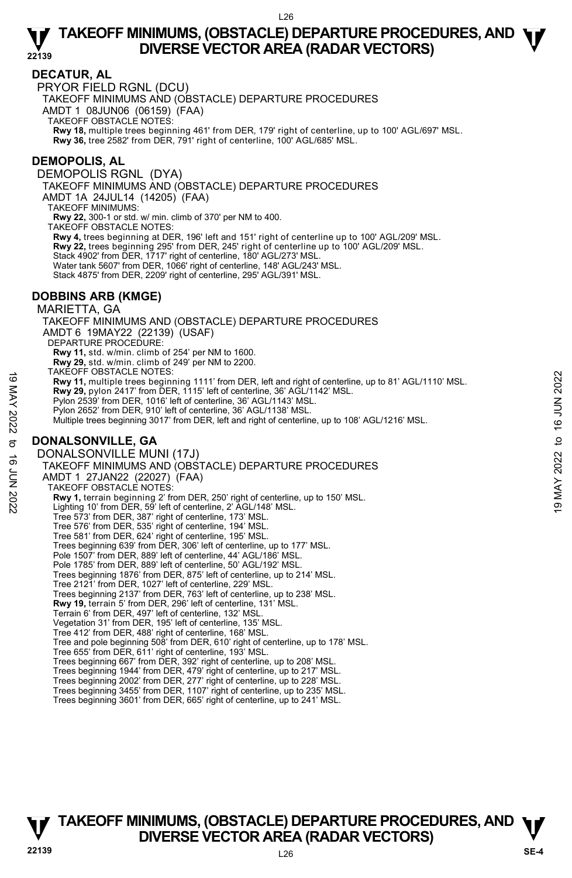### **DECATUR, AL**

PRYOR FIELD RGNL (DCU)

TAKEOFF MINIMUMS AND (OBSTACLE) DEPARTURE PROCEDURES

AMDT 1 08JUN06 (06159) (FAA)

TAKEOFF OBSTACLE NOTES:

**Rwy 18,** multiple trees beginning 461' from DER, 179' right of centerline, up to 100' AGL/697' MSL.<br>**Rwy 36,** tree 2582' from DER, 791' right of centerline, 100' AGL/685' MSL.

### **DEMOPOLIS, AL**

DEMOPOLIS RGNL (DYA) TAKEOFF MINIMUMS AND (OBSTACLE) DEPARTURE PROCEDURES AMDT 1A 24JUL14 (14205) (FAA) TAKEOFF MINIMUMS: **Rwy 22,** 300-1 or std. w/ min. climb of 370' per NM to 400. TAKEOFF OBSTACLE NOTES: **Rwy 4,** trees beginning at DER, 196' left and 151' right of centerline up to 100' AGL/209' MSL. **Rwy 22,** trees beginning 295' from DER, 245' right of centerline up to 100' AGL/209' MSL. Stack 4902' from DER, 1717' right of centerline, 180' AGL/273' MSL. Water tank 5607' from DER, 1066' right of centerline, 148' AGL/243' MSL. Stack 4875' from DER, 2209' right of centerline, 295' AGL/391' MSL.

### **DOBBINS ARB (KMGE)**

### MARIETTA, GA TAKEOFF MINIMUMS AND (OBSTACLE) DEPARTURE PROCEDURES AMDT 6 19MAY22 (22139) (USAF) DEPARTURE PROCEDURE: **Rwy 11,** std. w/min. climb of 254' per NM to 1600. **Rwy 29,** std. w/min. climb of 249' per NM to 2200. TAKEOFF OBSTACLE NOTES: **Rwy 11,** multiple trees beginning 1111' from DER, left and right of centerline, up to 81' AGL/1110' MSL. **Rwy 29,** pylon 2417' from DER, 1115' left of centerline, 36' AGL/1142' MSL. Pylon 2539' from DER, 1016' left of centerline, 36' AGL/1143' MSL. Pylon 2652' from DER, 910' left of centerline, 36' AGL/1138' MSL. Multiple trees beginning 3017' from DER, left and right of centerline, up to 108' AGL/1216' MSL. **DONALSONVILLE, GA**  DONALSONVILLE MUNI (17J) TAKEOFF MINIMUMS AND (OBSTACLE) DEPARTURE PROCEDURES AMDT 1 27JAN22 (22027) (FAA) TAKEOFF OBSTACLE NOTES: **Rwy 1,** terrain beginning 2' from DER, 250' right of centerline, up to 150' MSL.<br>Lighting 10' from DER, 59' left of centerline, 2' AGL/148' MSL. Tree 573' from DER, 387' right of centerline, 173' MSL. Tree 576' from DER, 535' right of centerline, 194' MSL. Tree 581' from DER, 624' right of centerline, 195' MSL. Trees beginning 639' from DER, 306' left of centerline, up to 177' MSL. Pole 1507' from DER, 889' left of centerline, 44' AGL/186' MSL. Pole 1785' from DER, 889' left of centerline, 50' AGL/192' MSL. Trees beginning 1876' from DER, 875' left of centerline, up to 214' MSL. Tree 2121' from DER, 1027' left of centerline, 229' MSL. Trees beginning 2137' from DER, 763' left of centerline, up to 238' MSL.<br>**Rwy 19,** terrain 5' from DER, 296' left of centerline, 131' MSL. Terrain 6' from DER, 497' left of centerline, 132' MSL. Vegetation 31' from DER, 195' left of centerline, 135' MSL. Tree 412' from DER, 488' right of centerline, 168' MSL. Tree and pole beginning 508' from DER, 610' right of centerline, up to 178' MSL. Tree 655' from DER, 611' right of centerline, 193' MSL. Trees beginning 667' from DER, 392' right of centerline, up to 208' MSL. 19 MACOFY OBSTACLE NOTES:<br>
The Contentium of the step in the Seginning 1111' from DER, left and right of centerline, up to 81' AGL/1110' MSL.<br> **EVALUATE AND 2023** from DER, 1016' left of centerline, 36' AGL/1142' MSL.<br>
Py

Trees beginning 1944' from DER, 479' right of centerline, up to 217' MSL.

Trees beginning 2002' from DER, 277' right of centerline, up to 228' MSL.

Trees beginning 3455' from DER, 1107' right of centerline, up to 235' MSL. Trees beginning 3601' from DER, 665' right of centerline, up to 241' MSL.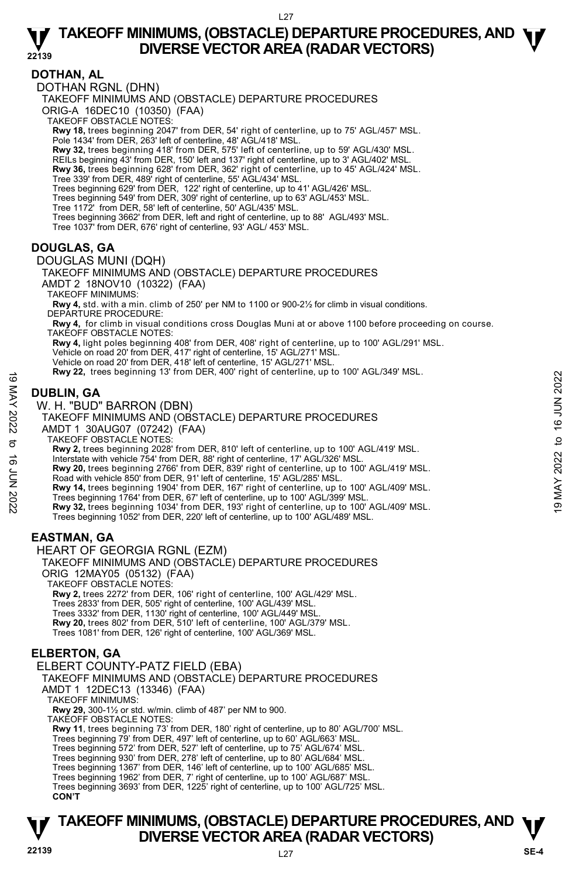### **DOTHAN, AL**

DOTHAN RGNL (DHN)

TAKEOFF MINIMUMS AND (OBSTACLE) DEPARTURE PROCEDURES

ORIG-A 16DEC10 (10350) (FAA)

TAKEOFF OBSTACLE NOTES:

**Rwy 18,** trees beginning 2047' from DER, 54' right of centerline, up to 75' AGL/457' MSL.<br>Pole 1434' from DER, 263' left of centerline, 48' AGL/418' MSL.

**Rwy 32,** trees beginning 418' from DER, 575' left of centerline, up to 59' AGL/430' MSL.

- REILs beginning 43' from DER, 150' left and 137' right of centerline, up to 3' AGL/402' MSL.
- **Rwy 36,** trees beginning 628' from DER, 362' right of centerline, up to 45' AGL/424' MSL.<br>Tree 339' from DER, 489' right of centerline, 55' AGL/434' MSL.

Trees beginning 629' from DER, 122' right of centerline, up to 41' AGL/426' MSL.<br>Trees beginning 549' from DER, 309' right of centerline, up to 63' AGL/453' MSL.<br>Tree 1172' from DER, 58' left of centerline, 50' AGL/435' M

- 
- Trees beginning 3662' from DER, left and right of centerline, up to 88' AGL/493' MSL.
- Tree 1037' from DER, 676' right of centerline, 93' AGL/ 453' MSL.

# **DOUGLAS, GA**

DOUGLAS MUNI (DQH)

TAKEOFF MINIMUMS AND (OBSTACLE) DEPARTURE PROCEDURES AMDT 2 18NOV10 (10322) (FAA)

TAKEOFF MINIMUMS:

**Rwy 4,** std. with a min. climb of 250' per NM to 1100 or 900-2½ for climb in visual conditions. DEPARTURE PROCEDURE:

**Rwy 4,** for climb in visual conditions cross Douglas Muni at or above 1100 before proceeding on course. TAKEOFF OBSTACLE NOTES:

**Rwy 4,** light poles beginning 408' from DER, 408' right of centerline, up to 100' AGL/291' MSL. Vehicle on road 20' from DER, 417' right of centerline, 15' AGL/271' MSL. Vehicle on road 20' from DER, 418' left of centerline, 15' AGL/271' MSL.

**Rwy 22,** trees beginning 13' from DER, 400' right of centerline, up to 100' AGL/349' MSL.

# **DUBLIN, GA**

W. H. "BUD" BARRON (DBN)

TAKEOFF MINIMUMS AND (OBSTACLE) DEPARTURE PROCEDURES

AMDT 1 30AUG07 (07242) (FAA) TAKEOFF OBSTACLE NOTES:

**Rwy 2,** trees beginning 2028' from DER, 810' left of centerline, up to 100' AGL/419' MSL.

Interstate with vehicle 754' from DER, 88' right of centerline, 17' AGL/326' MSL.<br>**Rwy 20,** trees beginning 2766' from DER, 839' right of centerline, up to 100' AGL/419' MSL. Road with vehicle 850' from DER, 91' left of centerline, 15' AGL/285' MSL. **EXECUTE THE SUBDELIN, GA**<br> **EXECUTE AND THE SUBDELIN, GA**<br> **COUBLIN, GA**<br>
W. H. "BUD" BARRON (DBN)<br>
TAKEOFF MINIMUMS AND (OBSTACLE) DEPARTURE PROCEDURES<br>
AND TO 130AUGOT (OT2242) (FAA)<br>
TAKEOFF OBSTACLE NOTES:<br> **TAKEOFF** 

**Rwy 14,** trees beginning 1904' from DER, 167' right of centerline, up to 100' AGL/409' MSL.

Trees beginning 1764' from DER, 67' left of centerline, up to 100' AGL/399' MSL.<br>**Rwy 32,** trees beginning 1034' from DER, 193' right of centerline, up to 100' AGL/409' MSL.

Trees beginning 1052' from DER, 220' left of centerline, up to 100' AGL/489' MSL.

# **EASTMAN, GA**

HEART OF GEORGIA RGNL (EZM)

TAKEOFF MINIMUMS AND (OBSTACLE) DEPARTURE PROCEDURES

ORIG 12MAY05 (05132) (FAA) TAKEOFF OBSTACLE NOTES:

**Rwy 2,** trees 2272' from DER, 106' right of centerline, 100' AGL/429' MSL.

Trees 2833' from DER, 505' right of centerline, 100' AGL/439' MSL.

Trees 3332' from DER, 1130' right of centerline, 100' AGL/449' MSL.

**Rwy 20,** trees 802' from DER, 510' left of centerline, 100' AGL/379' MSL.

Trees 1081' from DER, 126' right of centerline, 100' AGL/369' MSL.

# **ELBERTON, GA**

### ELBERT COUNTY-PATZ FIELD (EBA)

TAKEOFF MINIMUMS AND (OBSTACLE) DEPARTURE PROCEDURES

AMDT 1 12DEC13 (13346) (FAA)

TAKEOFF MINIMUMS:

**Rwy 29,** 300-1½ or std. w/min. climb of 487' per NM to 900.

TAKEOFF OBSTACLE NOTES:

**Rwy 11**, trees beginning 73' from DER, 180' right of centerline, up to 80' AGL/700' MSL.

Trees beginning 79' from DER, 497' left of centerline, up to 60' AGL/663' MSL.

Trees beginning 572' from DER, 527' left of centerline, up to 75' AGL/674' MSL.

Trees beginning 930' from DER, 278' left of centerline, up to 80' AGL/684' MSL.

Trees beginning 1367' from DER, 146' left of centerline, up to 100' AGL/685' MSL. Trees beginning 1962' from DER, 7' right of centerline, up to 100' AGL/687' MSL.

Trees beginning 3693' from DER, 1225' right of centerline, up to 100' AGL/725' MSL. **CON'T**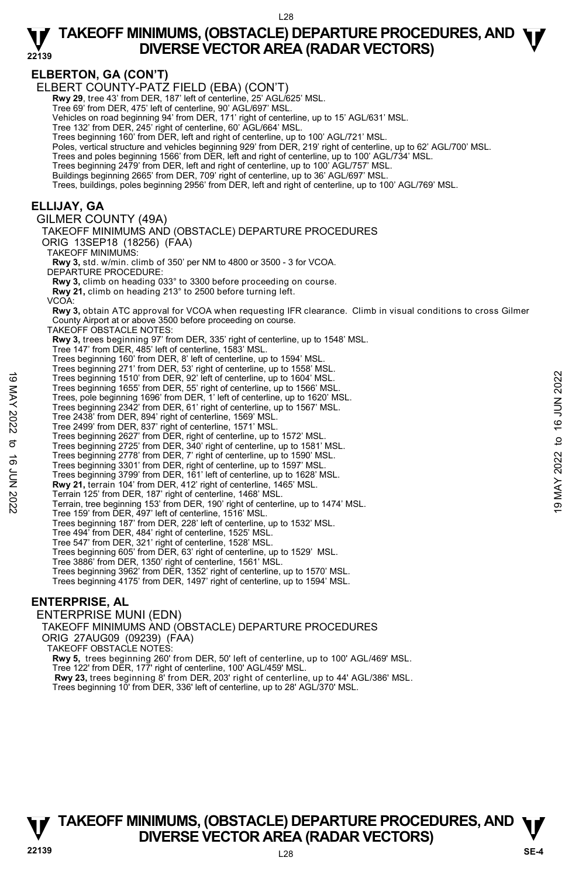**ELBERTON, GA (CON'T)**  ELBERT COUNTY-PATZ FIELD (EBA) (CON'T) **Rwy 29**, tree 43' from DER, 187' left of centerline, 25' AGL/625' MSL. Tree 69' from DER, 475' left of centerline, 90' AGL/697' MSL. Vehicles on road beginning 94' from DER, 171' right of centerline, up to 15' AGL/631' MSL. Tree 132' from DER, 245' right of centerline, 60' AGL/664' MSL. Trees beginning 160' from DER, left and right of centerline, up to 100' AGL/721' MSL. Poles, vertical structure and vehicles beginning 929' from DER, 219' right of centerline, up to 62' AGL/700' MSL. Trees and poles beginning 1566' from DER, left and right of centerline, up to 100' AGL/734' MSL. Trees beginning 2479' from DER, left and right of centerline, up to 100' AGL/757' MSL. Buildings beginning 2665' from DER, 709' right of centerline, up to 36' AGL/697' MSL. Trees, buildings, poles beginning 2956' from DER, left and right of centerline, up to 100' AGL/769' MSL. **ELLIJAY, GA**  GILMER COUNTY (49A) TAKEOFF MINIMUMS AND (OBSTACLE) DEPARTURE PROCEDURES ORIG 13SEP18 (18256) (FAA) TAKEOFF MINIMUMS: **Rwy 3,** std. w/min. climb of 350' per NM to 4800 or 3500 - 3 for VCOA. DEPARTURE PROCEDURE: **Rwy 3,** climb on heading 033° to 3300 before proceeding on course. **Rwy 21,** climb on heading 213° to 2500 before turning left. VCOA: **Rwy 3,** obtain ATC approval for VCOA when requesting IFR clearance. Climb in visual conditions to cross Gilmer County Airport at or above 3500 before proceeding on course. TAKEOFF OBSTACLE NOTES: **Rwy 3,** trees beginning 97' from DER, 335' right of centerline, up to 1548' MSL. Tree 147' from DER, 485' left of centerline, 1583' MSL. Trees beginning 160' from DER, 8' left of centerline, up to 1594' MSL. Trees beginning 271' from DER, 53' right of centerline, up to 1558' MSL. Trees beginning 1510' from DER, 92' left of centerline, up to 1604' MSL. Trees beginning 1655' from DER, 55' right of centerline, up to 1566' MSL. Trees, pole beginning 1696' from DER, 1' left of centerline, up to 1620' MSL. Trees beginning 2342' from DER, 61' right of centerline, up to 1567' MSL. Tree 2438' from DER, 894' right of centerline, 1569' MSL. Tree 2499' from DER, 837' right of centerline, 1571' MSL. Trees beginning 2627' from DER, right of centerline, up to 1572' MSL. Trees beginning 2725' from DER, 340' right of centerline, up to 1581' MSL. Trees beginning 2778' from DER, 7' right of centerline, up to 1590' MSL. Trees beginning 3301' from DER, right of centerline, up to 1597' MSL. Trees beginning 3799' from DER, 161' left of centerline, up to 1628' MSL. **Rwy 21,** terrain 104' from DER, 412' right of centerline, 1465' MSL. Terrain 125' from DER, 187' right of centerline, 1468' MSL. Terrain, tree beginning 153' from DER, 190' right of centerline, up to 1474' MSL. Tree 159' from DER, 497' left of centerline, 1516' MSL. Trees beginning 187' from DER, 228' left of centerline, up to 1532' MSL. Tree 494' from DER, 484' right of centerline, 1525' MSL. Tree 547' from DER, 321' right of centerline, 1528' MSL. Trees beginning 605' from DER, 63' right of centerline, up to 1529' MSL. Tree 3886' from DER, 1350' right of centerline, 1561' MSL. Trees beginning 3962' from DER, 1352' right of centerline, up to 1570' MSL. Trees beginning 4175' from DER, 1497' right of centerline, up to 1594' MSL. **ENTERPRISE, AL**  19 Trees beginning 1510' from DER, 92' left of centerline, up to 1604' MSL.<br>
Trees beginning 1656' from DER, 1' left of centerline, up to 1620' MSL.<br>
Trees, pole beginning 1696' from DER, 1' left of centerline, up to 1620

ENTERPRISE MUNI (EDN) TAKEOFF MINIMUMS AND (OBSTACLE) DEPARTURE PROCEDURES ORIG 27AUG09 (09239) (FAA) TAKEOFF OBSTACLE NOTES: **Rwy 5,** trees beginning 260' from DER, 50' left of centerline, up to 100' AGL/469' MSL. Tree 122' from DER, 177' right of centerline, 100' AGL/459' MSL. **Rwy 23,** trees beginning 8' from DER, 203' right of centerline, up to 44' AGL/386' MSL. Trees beginning 10' from DER, 336' left of centerline, up to 28' AGL/370' MSL.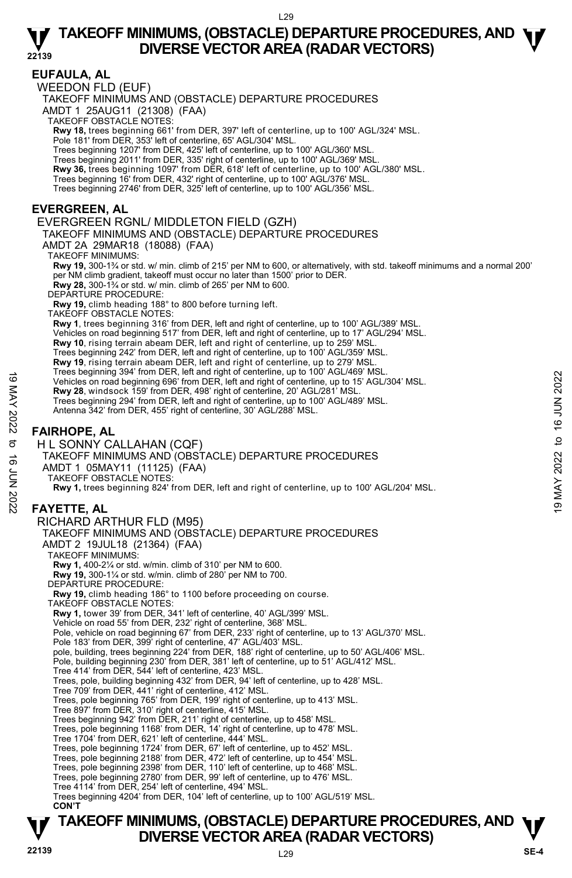### **EUFAULA, AL**

WEEDON FLD (EUF)

TAKEOFF MINIMUMS AND (OBSTACLE) DEPARTURE PROCEDURES

AMDT 1 25AUG11 (21308) (FAA)

TAKEOFF OBSTACLE NOTES:

**Rwy 18,** trees beginning 661' from DER, 397' left of centerline, up to 100' AGL/324' MSL.<br>Pole 181' from DER, 353' left of centerline, 65' AGL/304' MSL.

Trees beginning 1207' from DER, 425' left of centerline, up to 100' AGL/360' MSL.

Trees beginning 2011' from DER, 335' right of centerline, up to 100' AGL/369' MSL.

**Rwy 36,** trees beginning 1097' from DER, 618' left of centerline, up to 100' AGL/380' MSL.<br>Trees beginning 16' from DER, 432' right of centerline, up to 100' AGL/376' MSL.

Trees beginning 2746' from DER, 325' left of centerline, up to 100' AGL/356' MSL.

### **EVERGREEN, AL**

### EVERGREEN RGNL/ MIDDLETON FIELD (GZH)

TAKEOFF MINIMUMS AND (OBSTACLE) DEPARTURE PROCEDURES

AMDT 2A 29MAR18 (18088) (FAA)

TAKEOFF MINIMUMS:

**Rwy 19,** 300-1¾ or std. w/ min. climb of 215' per NM to 600, or alternatively, with std. takeoff minimums and a normal 200' per NM climb gradient, takeoff must occur no later than 1500' prior to DER. **Rwy 28,** 300-1¾ or std. w/ min. climb of 265' per NM to 600. DEPARTURE PROCEDURE: **Rwy 19,** climb heading 188° to 800 before turning left. TAKEOFF OBSTACLE NOTES: **Rwy 1**, trees beginning 316' from DER, left and right of centerline, up to 100' AGL/389' MSL. Vehicles on road beginning 517' from DER, left and right of centerline, up to 17' AGL/294' MSL.<br>**Rwy 10**, rising terrain abeam DER, left and right of centerline, up to 259' MSL.

Trees beginning 242' from DER, left and right of centerline, up to 100' AGL/359' MSL.

**Rwy 19**, rising terrain abeam DER, left and right of centerline, up to 279' MSL.

Trees beginning 394' from DER, left and right of centerline, up to 100' AGL/469' MSL.

- Vehicles on road beginning 696' from DER, left and right of centerline, up to 15' AGL/304' MSL.
- **Rwy 28**, windsock 159' from DER, 498' right of centerline, 20' AGL/281' MSL.
- Trees beginning 294' from DER, left and right of centerline, up to 100' AGL/489' MSL.
- Antenna 342' from DER, 455' right of centerline, 30' AGL/288' MSL.

# **FAIRHOPE, AL**

- H L SONNY CALLAHAN (CQF) TAKEOFF MINIMUMS AND (OBSTACLE) DEPARTURE PROCEDURES AMDT 1 05MAY11 (11125) (FAA) TAKEOFF OBSTACLE NOTES: **Rwy 1,** trees beginning 824' from DER, left and right of centerline, up to 100' AGL/204' MSL. **FAYETTE, AL**  RICHARD ARTHUR FLD (M95) TAKEOFF MINIMUMS AND (OBSTACLE) DEPARTURE PROCEDURES AMDT 2 19JUL18 (21364) (FAA) TAKEOFF MINIMUMS: **Rwy 1,** 400-2¼ or std. w/min. climb of 310' per NM to 600. **Rwy 19,** 300-1¼ or std. w/min. climb of 280' per NM to 700. DEPARTURE PROCEDURE: **Rwy 19,** climb heading 186° to 1100 before proceeding on course. TAKEOFF OBSTACLE NOTES: **Rwy 1,** tower 39' from DER, 341' left of centerline, 40' AGL/399' MSL. Vehicle on road 55' from DER, 232' right of centerline, 368' MSL. Pole, vehicle on road beginning 67' from DER, 233' right of centerline, up to 13' AGL/370' MSL. Pole 183' from DER, 399' right of centerline, 47' AGL/403' MSL. pole, building, trees beginning 224' from DER, 188' right of centerline, up to 50' AGL/406' MSL. Pole, building beginning 230' from DER, 381' left of centerline, up to 51' AGL/412' MSL. Tree 414' from DER, 544' left of centerline, 423' MSL. Trees, pole, building beginning 432' from DER, 94' left of centerline, up to 428' MSL. Tree 709' from DER, 441' right of centerline, 412' MSL. Trees, pole beginning 765' from DER, 199' right of centerline, up to 413' MSL. Tree 897' from DER, 310' right of centerline, 415' MSL. Trees beginning 942' from DER, 211' right of centerline, up to 458' MSL. Trees, pole beginning 1168' from DER, 14' right of centerline, up to 478' MSL. Tree 1704' from DER, 621' left of centerline, 444' MSL. Trees, pole beginning 1724' from DER, 67' left of centerline, up to 452' MSL. Trees, pole beginning 2188' from DER, 472' left of centerline, up to 454' MSL. Trees, pole beginning 2398' from DER, 110' left of centerline, up to 468' MSL. Trees, pole beginning 2780' from DER, 99' left of centerline, up to 476' MSL. Tree 4114' from DER, 254' left of centerline, 494' MSL. 19 Teles organing 394 from DER, left and right of centerline, up to 100 AGL/204' MSL.<br>
These heginning 896' from DER, left and right of centerline, up to 15' AGL/304' MSL.<br>
Trees heginning 294' from DER, left and right of
	- Trees beginning 4204' from DER, 104' left of centerline, up to 100' AGL/519' MSL. **CON'T**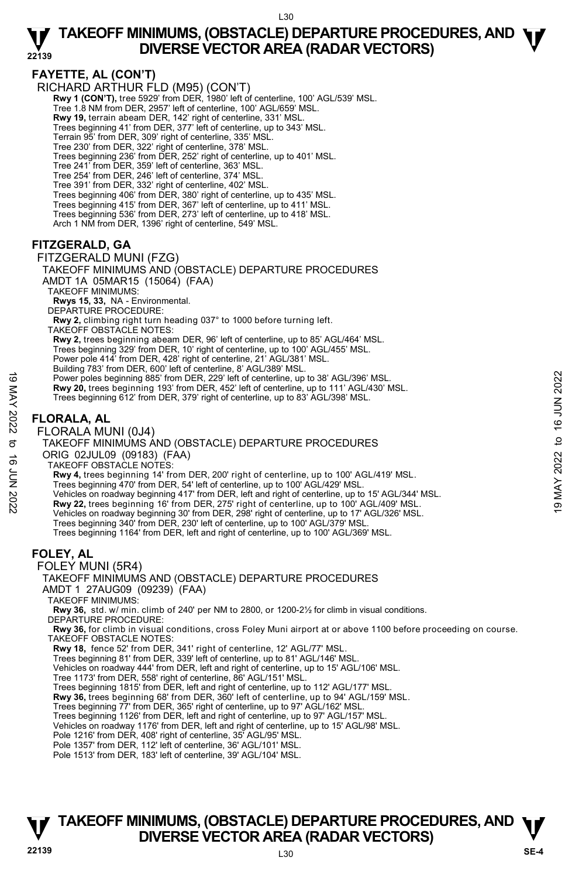# **FAYETTE, AL (CON'T)**

RICHARD ARTHUR FLD (M95) (CON'T)

**Rwy 1 (CON'T),** tree 5929' from DER, 1980' left of centerline, 100' AGL/539' MSL.

Tree 1.8 NM from DER, 2957' left of centerline, 100' AGL/659' MSL.

- **Rwy 19,** terrain abeam DER, 142' right of centerline, 331' MSL.
- Trees beginning 41' from DER, 377' left of centerline, up to 343' MSL.
- Terrain 95' from DER, 309' right of centerline, 335' MSL.
- Tree 230' from DER, 322' right of centerline, 378' MSL.
- Trees beginning 236' from DER, 252' right of centerline, up to 401' MSL.
- Tree 241' from DER, 359' left of centerline, 363' MSL. Tree 254' from DER, 246' left of centerline, 374' MSL.
- 
- Tree 391' from DER, 332' right of centerline, 402' MSL.
- Trees beginning 406' from DER, 380' right of centerline, up to 435' MSL. Trees beginning 415' from DER, 367' left of centerline, up to 411' MSL.
- 
- Trees beginning 536' from DER, 273' left of centerline, up to 418' MSL.
- Arch 1 NM from DER, 1396' right of centerline, 549' MSL.

# **FITZGERALD, GA**

#### FITZGERALD MUNI (FZG)

TAKEOFF MINIMUMS AND (OBSTACLE) DEPARTURE PROCEDURES AMDT 1A 05MAR15 (15064) (FAA) TAKEOFF MINIMUMS:

- **Rwys 15, 33,** NA Environmental.
- DEPARTURE PROCEDURE:
- **Rwy 2,** climbing right turn heading 037° to 1000 before turning left.
- TAKEOFF OBSTACLE NOTES:
- **Rwy 2,** trees beginning abeam DER, 96' left of centerline, up to 85' AGL/464' MSL.
- Trees beginning 329' from DER, 10' right of centerline, up to 100' AGL/455' MSL.
- Power pole 414' from DER, 428' right of centerline, 21' AGL/381' MSL.
- Building 783' from DER, 600' left of centerline, 8' AGL/389' MSL.
- Power poles beginning 885' from DER, 229' left of centerline, up to 38' AGL/396' MSL. Fower poles beginning 885 from DER, 229 left of centerline, up to 38' AGL/396' MSL.<br>
Rwy 20, trees beginning 193' from DER, 452' left of centerline, up to 38' AGL/396' MSL.<br>
Trees beginning 612' from DER, 379' right of ce
	- **Rwy 20,** trees beginning 193' from DER, 452' left of centerline, up to 111' AGL/430' MSL. Trees beginning 612' from DER, 379' right of centerline, up to 83' AGL/398' MSL.

# **FLORALA, AL**

FLORALA MUNI (0J4)

# TAKEOFF MINIMUMS AND (OBSTACLE) DEPARTURE PROCEDURES

- ORIG 02JUL09 (09183) (FAA)
- TAKEOFF OBSTACLE NOTES:
- **Rwy 4,** trees beginning 14' from DER, 200' right of centerline, up to 100' AGL/419' MSL.
- Trees beginning 470' from DER, 54' left of centerline, up to 100' AGL/429' MSL.
- 
- 
- Vehicles on roadway beginning 30' from DER, 298' right of centerline, up to 17' AGL/326' MSL.
- Trees beginning 340' from DER, 230' left of centerline, up to 100' AGL/379' MSI
- Trees beginning 1164' from DER, left and right of centerline, up to 100' AGL/369' MSL.

### **FOLEY, AL**

- FOLEY MUNI (5R4)
- TAKEOFF MINIMUMS AND (OBSTACLE) DEPARTURE PROCEDURES AMDT 1 27AUG09 (09239) (FAA)
- TAKEOFF MINIMUMS:

**Rwy 36,** std. w/ min. climb of 240' per NM to 2800, or 1200-2½ for climb in visual conditions. DEPARTURE PROCEDURE:

**Rwy 36,** for climb in visual conditions, cross Foley Muni airport at or above 1100 before proceeding on course. TAKEOFF OBSTACLE NOTES:

- **Rwy 18,** fence 52' from DER, 341' right of centerline, 12' AGL/77' MSL.
- Trees beginning 81' from DER, 339' left of centerline, up to 81' AGL/146' MSL.
- Vehicles on roadway 444' from DER, left and right of centerline, up to 15' AGL/106' MSL.
- Tree 1173' from DER, 558' right of centerline, 86' AGL/151' MSL.
- Trees beginning 1815' from DER, left and right of centerline, up to 112' AGL/177' MSL.
- **Rwy 36,** trees beginning 68' from DER, 360' left of centerline, up to 94' AGL/159' MSL.<br>Trees beginning 77' from DER, 365' right of centerline, up to 97' AGL/162' MSL.
- 
- Trees beginning 1126' from DER, left and right of centerline, up to 97' AGL/157' MSL.
- Vehicles on roadway 1176' from DER, left and right of centerline, up to 15' AGL/98' MSL. Pole 1216' from DER, 408' right of centerline, 35' AGL/95' MSL.
- 
- Pole 1357' from DER, 112' left of centerline, 36' AGL/101' MSL.
- Pole 1513' from DER, 183' left of centerline, 39' AGL/104' MSL.

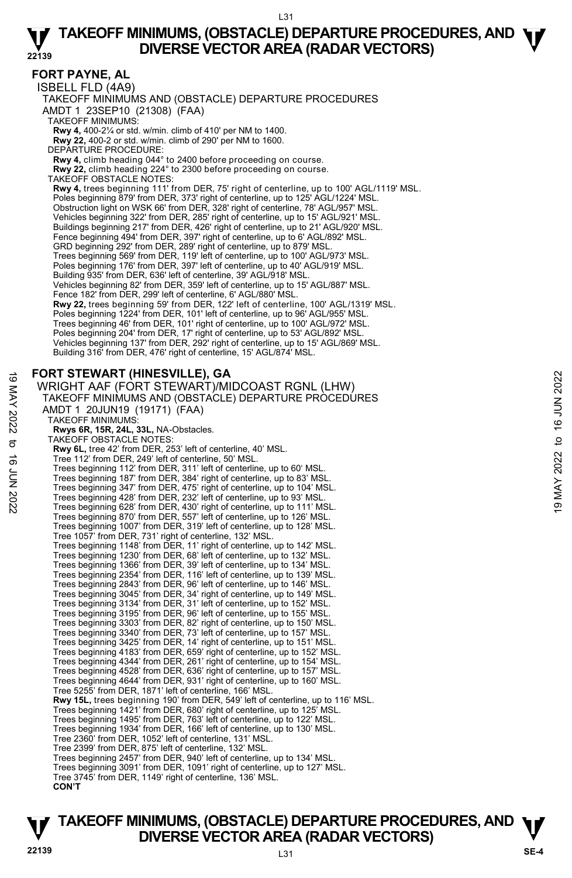### **FORT PAYNE, AL**

ISBELL FLD (4A9)

TAKEOFF MINIMUMS AND (OBSTACLE) DEPARTURE PROCEDURES

AMDT 1 23SEP10 (21308) (FAA)

TAKEOFF MINIMUMS:

**Rwy 4,** 400-2¼ or std. w/min. climb of 410' per NM to 1400. **Rwy 22,** 400-2 or std. w/min. climb of 290' per NM to 1600.

DEPARTURE PROCEDURE:

**Rwy 4,** climb heading 044° to 2400 before proceeding on course.

**Rwy 22,** climb heading 224° to 2300 before proceeding on course. TAKEOFF OBSTACLE NOTES:

**Rwy 4,** trees beginning 111' from DER, 75' right of centerline, up to 100' AGL/1119' MSL. Poles beginning 879' from DER, 373' right of centerline, up to 125' AGL/1224' MSL. Obstruction light on WSK 66' from DER, 328' right of centerline, 78' AGL/957' MSL. Vehicles beginning 322' from DER, 285' right of centerline, up to 15' AGL/921' MSL. Buildings beginning 217' from DER, 426' right of centerline, up to 21' AGL/920' MSL. Fence beginning 494' from DER, 397' right of centerline, up to 6' AGL/892' MSL. GRD beginning 292' from DER, 289' right of centerline, up to 879' MSL. Trees beginning 569' from DER, 119' left of centerline, up to 100' AGL/973' MSL. Poles beginning 176' from DER, 397' left of centerline, up to 40' AGL/919' MSL. Building 935' from DER, 636' left of centerline, 39' AGL/918' MSL. Vehicles beginning 82' from DER, 359' left of centerline, up to 15' AGL/887' MSL. Fence 182' from DER, 299' left of centerline, 6' AGL/880' MSL. **Rwy 22,** trees beginning 59' from DER, 122' left of centerline, 100' AGL/1319' MSL. Poles beginning 1224' from DER, 101' left of centerline, up to 96' AGL/955' MSL. Trees beginning 46' from DER, 101' right of centerline, up to 100' AGL/972' MSL. Poles beginning 204' from DER, 17' right of centerline, up to 53' AGL/892' MSL. Vehicles beginning 137' from DER, 292' right of centerline, up to 15' AGL/869' MSL. Building 316' from DER, 476' right of centerline, 15' AGL/874' MSL.

### **FORT STEWART (HINESVILLE), GA**

```
WRIGHT AAF (FORT STEWART)/MIDCOAST RGNL (LHW) 
         TAKEOFF MINIMUMS AND (OBSTACLE) DEPARTURE PROCEDURES 
         AMDT 1 20JUN19 (19171) (FAA) 
           TAKEOFF MINIMUMS: 
             Rwys 6R, 15R, 24L, 33L, NA-Obstacles. 
           TAKEOFF OBSTACLE NOTES: 
             Rwy 6L, tree 42' from DER, 253' left of centerline, 40' MSL. 
             Tree 112' from DER, 249' left of centerline, 50' MSL. 
             Trees beginning 112' from DER, 311' left of centerline, up to 60' MSL. 
Trees beginning 187' from DER, 384' right of centerline, up to 83' MSL. 
             Trees beginning 347' from DER, 475' right of centerline, up to 104' MSL. 
             Trees beginning 428' from DER, 232' left of centerline, up to 93' MSL. 
             Trees beginning 628' from DER, 430' right of centerline, up to 111' MSL. 
             Trees beginning 870' from DER, 557' left of centerline, up to 126' MSL. 
             Trees beginning 1007' from DER, 319' left of centerline, up to 128' MSL. 
Tree 1057' from DER, 731' right of centerline, 132' MSL. 
             Trees beginning 1148' from DER, 11' right of centerline, up to 142' MSL. 
             Trees beginning 1230' from DER, 68' left of centerline, up to 132' MSL. 
             Trees beginning 1366' from DER, 39' left of centerline, up to 134' MSL. 
             Trees beginning 2354' from DER, 116' left of centerline, up to 139' MSL. 
             Trees beginning 2843' from DER, 96' left of centerline, up to 146' MSL. 
             Trees beginning 3045' from DER, 34' right of centerline, up to 149' MSL. 
Trees beginning 3134' from DER, 31' left of centerline, up to 152' MSL. 
             Trees beginning 3195' from DER, 96' left of centerline, up to 155' MSL. 
             Trees beginning 3303' from DER, 82' right of centerline, up to 150' MSL. 
Trees beginning 3340' from DER, 73' left of centerline, up to 157' MSL. 
             Trees beginning 3425' from DER, 14' right of centerline, up to 151' MSL. 
             Trees beginning 4183' from DER, 659' right of centerline, up to 152' MSL. 
             Trees beginning 4344' from DER, 261' right of centerline, up to 154' MSL. 
Trees beginning 4528' from DER, 636' right of centerline, up to 157' MSL. 
             Trees beginning 4644' from DER, 931' right of centerline, up to 160' MSL. 
             Tree 5255' from DER, 1871' left of centerline, 166' MSL. 
             Rwy 15L, trees beginning 190' from DER, 549' left of centerline, up to 116' MSL. 
             Trees beginning 1421' from DER, 680' right of centerline, up to 125' MSL. 
             Trees beginning 1495' from DER, 763' left of centerline, up to 122' MSL. 
Trees beginning 1934' from DER, 166' left of centerline, up to 130' MSL. 
             Tree 2360' from DER, 1052' left of centerline, 131' MSL. 
             Tree 2399' from DER, 875' left of centerline, 132' MSL. 
             Trees beginning 2457' from DER, 940' left of centerline, up to 134' MSL. 
Trees beginning 3091' from DER, 1091' right of centerline, up to 127' MSL. 
             Tree 3745' from DER, 1149' right of centerline, 136' MSL. 
             CON'T
FORT STEWART (HINESVILLE), GA<br>
WRIGHT AAF (FORT STEWART)/MIDCOAST RGNL (LHW)<br>
TAKEOFF MINIMUMS AND (OBSTACLE) DEPARTURE PROCEDURES<br>
AMDT 1 20JUN19 (19171) (FAA)<br>
TAKEOFF MINIMUMS:<br>
TAKEOFF MINIMUMS:<br>
TAKEOFF MINIMUMS:<br>
```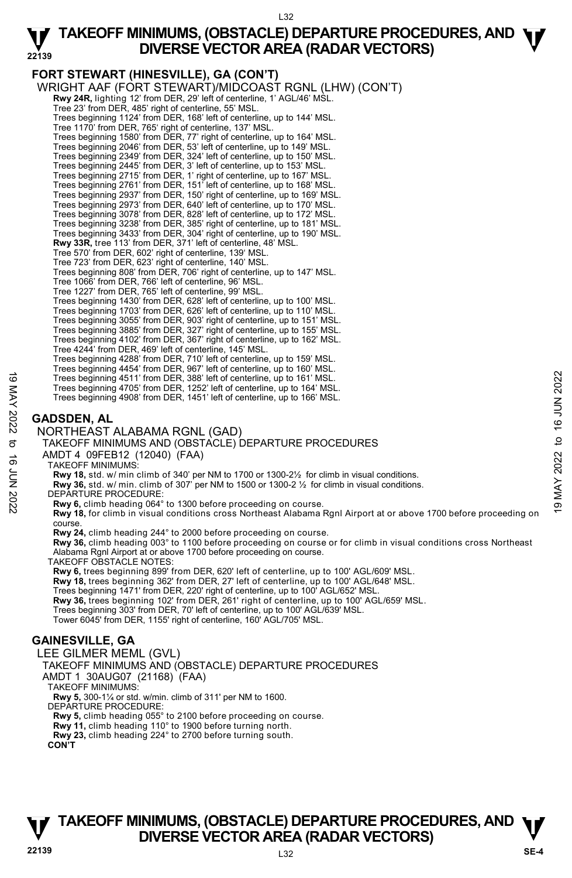L32

# **TAKEOFF MINIMUMS, (OBSTACLE) DEPARTURE PROCEDURES, AND**  $\Psi$ **<br>DIVERSE VECTOR AREA (RADAR VECTORS) DIVERSE VECTOR AREA (RADAR VECTORS)**

**22139 FORT STEWART (HINESVILLE), GA (CON'T)**  WRIGHT AAF (FORT STEWART)/MIDCOAST RGNL (LHW) (CON'T) **Rwy 24R,** lighting 12' from DER, 29' left of centerline, 1' AGL/46' MSL. Tree 23' from DER, 485' right of centerline, 55' MSL. Trees beginning 1124' from DER, 168' left of centerline, up to 144' MSL. Tree 1170' from DER, 765' right of centerline, 137' MSL. Trees beginning 1580' from DER, 77' right of centerline, up to 164' MSL. Trees beginning 2046' from DER, 53' left of centerline, up to 149' MSL. Trees beginning 2349' from DER, 324' left of centerline, up to 150' MSL. Trees beginning 2445' from DER, 3' left of centerline, up to 153' MSL. Trees beginning 2715' from DER, 1' right of centerline, up to 167' MSL. Trees beginning 2761' from DER, 151' left of centerline, up to 168' MSL.<br>Trees beginning 2937' from DER, 150' right of centerline, up to 169' MSL.<br>Trees beginning 2973' from DER, 640' left of centerline, up to 170' MSL. Trees beginning 3078' from DER, 828' left of centerline, up to 172' MSL. Trees beginning 3238' from DER, 385' right of centerline, up to 181' MSL. Trees beginning 3433' from DER, 304' right of centerline, up to 190' MSL.<br>**Rwy 33R,** tree 113' from DER, 371' left of centerline, 48' MSL. Tree 570' from DER, 602' right of centerline, 139' MSL. Tree 723' from DER, 623' right of centerline, 140' MSL. Trees beginning 808' from DER, 706' right of centerline, up to 147' MSL. Tree 1066' from DER, 766' left of centerline, 96' MSL. Tree 1227' from DER, 765' left of centerline, 99' MSL. Trees beginning 1430' from DER, 628' left of centerline, up to 100' MSL. Trees beginning 1703' from DER, 626' left of centerline, up to 110' MSL. Trees beginning 3055' from DER, 903' right of centerline, up to 151' MSL. Trees beginning 3885' from DER, 327' right of centerline, up to 155' MSL. Trees beginning 4102' from DER, 367' right of centerline, up to 162' MSL. Tree 4244' from DER, 469' left of centerline, 145' MSL. Trees beginning 4288' from DER, 710' left of centerline, up to 159' MSL. Trees beginning 4454' from DER, 967' left of centerline, up to 160' MSL. Trees beginning 4511' from DER, 388' left of centerline, up to 161' MSL. Trees beginning 4705' from DER, 1252' left of centerline, up to 164' MSL. Trees beginning 4908' from DER, 1451' left of centerline, up to 166' MSL. **GADSDEN, AL**  NORTHEAST ALABAMA RGNL (GAD) TAKEOFF MINIMUMS AND (OBSTACLE) DEPARTURE PROCEDURES AMDT 4 09FEB12 (12040) (FAA) TAKEOFF MINIMUMS: **Rwy 18,** std. w/ min climb of 340' per NM to 1700 or 1300-2½ for climb in visual conditions. **Rwy 36,** std. w/ min. climb of 307' per NM to 1500 or 1300-2 ½ for climb in visual conditions. DEPARTURE PROCEDURE: **Rwy 6,** climb heading 064° to 1300 before proceeding on course. **Rwy 18,** for climb in visual conditions cross Northeast Alabama Rgnl Airport at or above 1700 before proceeding on course. **Rwy 24,** climb heading 244° to 2000 before proceeding on course. **Rwy 36,** climb heading 003° to 1100 before proceeding on course or for climb in visual conditions cross Northeast Alabama Rgnl Airport at or above 1700 before proceeding on course. TAKEOFF OBSTACLE NOTES: **Rwy 6,** trees beginning 899' from DER, 620' left of centerline, up to 100' AGL/609' MSL. **Rwy 18,** trees beginning 362' from DER, 27' left of centerline, up to 100' AGL/648' MSL. Trees beginning 1471' from DER, 220' right of centerline, up to 100' AGL/652' MSL.<br>**Rwy 36,** trees beginning 102' from DER, 261' right of centerline, up to 100' AGL/659' MSL. Trees beginning 303' from DER, 70' left of centerline, up to 100' AGL/639' MSL. Tower 6045' from DER, 1155' right of centerline, 160' AGL/705' MSL. **GAINESVILLE, GA**  LEE GILMER MEML (GVL) TAKEOFF MINIMUMS AND (OBSTACLE) DEPARTURE PROCEDURES AMDT 1 30AUG07 (21168) (FAA) TAKEOFF MINIMUMS: **Rwy 5,** 300-1¼ or std. w/min. climb of 311' per NM to 1600. DEPARTURE PROCEDURE: **Rwy 5,** climb heading 055° to 2100 before proceeding on course. **Rwy 11,** climb heading 110° to 1900 before turning north. **Rwy 23,** climb heading 224° to 2700 before turning south. **CON'T**  Trees beginning 4511 from DER, 388' left of centerline, up to 161' MSL.<br>
Trees beginning 4705' from DER, 1252' left of centerline, up to 164' MSL.<br>
Trees beginning 4705' from DER, 1252' left of centerline, up to 166' MSL.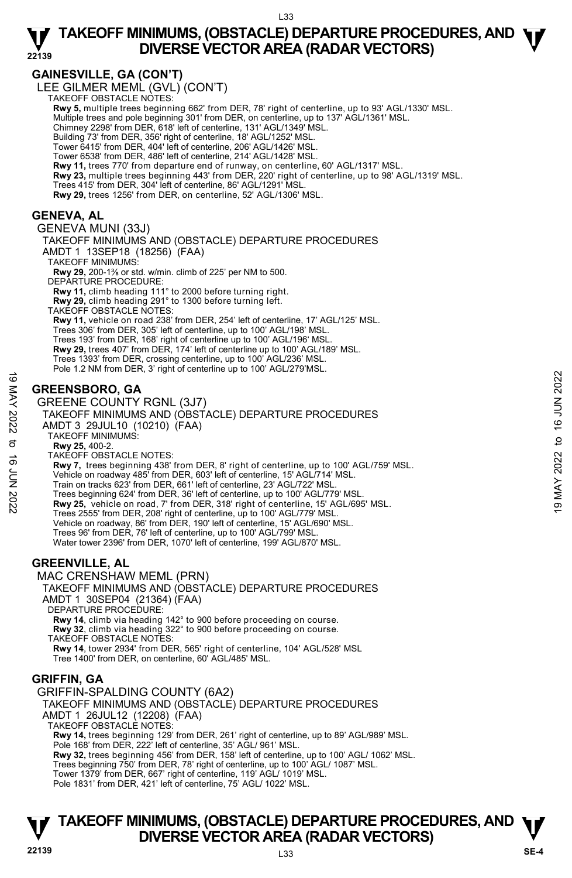# **GAINESVILLE, GA (CON'T)**

LEE GILMER MEML (GVL) (CON'T) TAKEOFF OBSTACLE NOTES:

**Rwy 5,** multiple trees beginning 662' from DER, 78' right of centerline, up to 93' AGL/1330' MSL. Multiple trees and pole beginning 301' from DER, on centerline, up to 137' AGL/1361' MSL. Chimney 2298' from DER, 618' left of centerline, 131' AGL/1349' MSL.

Building 73' from DER, 356' right of centerline, 18' AGL/1252' MSL.

Tower 6415' from DER, 404' left of centerline, 206' AGL/1426' MSL.

Tower 6538' from DER, 486' left of centerline, 214' AGL/1428' MSL.

**Rwy 11,** trees 770' from departure end of runway, on centerline, 60' AGL/1317' MSL.<br>**Rwy 23,** multiple trees beginning 443' from DER, 220' right of centerline, up to 98' AGL/1319' MSL.

Trees 415' from DER, 304' left of centerline, 86' AGL/1291' MSL.

**Rwy 29,** trees 1256' from DER, on centerline, 52' AGL/1306' MSL.

# **GENEVA, AL**

GENEVA MUNI (33J) TAKEOFF MINIMUMS AND (OBSTACLE) DEPARTURE PROCEDURES AMDT 1 13SEP18 (18256) (FAA) TAKEOFF MINIMUMS: **Rwy 29,** 200-1⅜ or std. w/min. climb of 225' per NM to 500. DEPARTURE PROCEDURE: **Rwy 11,** climb heading 111° to 2000 before turning right. **Rwy 29,** climb heading 291° to 1300 before turning left. TAKEOFF OBSTACLE NOTES: **Rwy 11,** vehicle on road 238' from DER, 254' left of centerline, 17' AGL/125' MSL. Trees 306' from DER, 305' left of centerline, up to 100' AGL/198' MSL. Trees 193' from DER, 168' right of centerline up to 100' AGL/196' MSL. **Rwy 29,** trees 407' from DER, 174' left of centerline up to 100' AGL/189' MSL. Trees 1393' from DER, crossing centerline, up to 100' AGL/236' MSL. Pole 1.2 NM from DER, 3' right of centerline up to 100' AGL/279'MSL. **GREENSBORO, GA**  GREENE COUNTY RGNL (3J7) TAKEOFF MINIMUMS AND (OBSTACLE) DEPARTURE PROCEDURES AMDT 3 29JUL10 (10210) (FAA) TAKEOFF MINIMUMS: **Rwy 25,** 400-2. TAKEOFF OBSTACLE NOTES: **Rwy 7,** trees beginning 438' from DER, 8' right of centerline, up to 100' AGL/759' MSL. Vehicle on roadway 485' from DER, 603' left of centerline, 15' AGL/714' MSL. Train on tracks 623' from DER, 661' left of centerline, 23' AGL/722' MSL. Trees beginning 624' from DER, 36' left of centerline, up to 100' AGL/779' MSL. **Rwy 25,** vehicle on road, 7' from DER, 318' right of centerline, 15' AGL/695' MSL. Trees 2555' from DER, 208' right of centerline, up to 100' AGL/779' MSL. Vehicle on roadway, 86' from DER, 190' left of centerline, 15' AGL/690' MSL. Trees 96' from DER, 76' left of centerline, up to 100' AGL/799' MSL. Water tower 2396' from DER, 1070' left of centerline, 199' AGL/870' MSL. **GREENSBORO, GA**<br>
GREENE COUNTY RGNL (3J7)<br>
TAKEOFF MINIMUMS AND (OBSTACLE) DEPARTURE PROCEDURES<br>
AMDT 3 29JUL10 (10210) (FAA)<br>
MAY 25, 400-2<br>
TAKEOFF MINIMUMS:<br>
TAKEOFF MINIMUMS:<br>
TAKEOFF MINIMUMS:<br>
TAKEOFF MINIMUMS:<br>
T

# **GREENVILLE, AL**

MAC CRENSHAW MEML (PRN) TAKEOFF MINIMUMS AND (OBSTACLE) DEPARTURE PROCEDURES AMDT 1 30SEP04 (21364) (FAA) DEPARTURE PROCEDURE: **Rwy 14**, climb via heading 142° to 900 before proceeding on course. **Rwy 32**, climb via heading 322° to 900 before proceeding on course. TAKEOFF OBSTACLE NOTES: **Rwy 14**, tower 2934' from DER, 565' right of centerline, 104' AGL/528' MSL Tree 1400' from DER, on centerline, 60' AGL/485' MSL.

# **GRIFFIN, GA**

GRIFFIN-SPALDING COUNTY (6A2) TAKEOFF MINIMUMS AND (OBSTACLE) DEPARTURE PROCEDURES AMDT 1 26JUL12 (12208) (FAA) TAKEOFF OBSTACLE NOTES: **Rwy 14,** trees beginning 129' from DER, 261' right of centerline, up to 89' AGL/989' MSL. Pole 168' from DER, 222' left of centerline, 35' AGL/ 961' MSL. **Rwy 32,** trees beginning 456' from DER, 158' left of centerline, up to 100' AGL/ 1062' MSL. Trees beginning 750' from DER, 78' right of centerline, up to 100' AGL/ 1087' MSL. Tower 1379' from DER, 667' right of centerline, 119' AGL/ 1019' MSL.

Pole 1831' from DER, 421' left of centerline, 75' AGL/ 1022' MSL.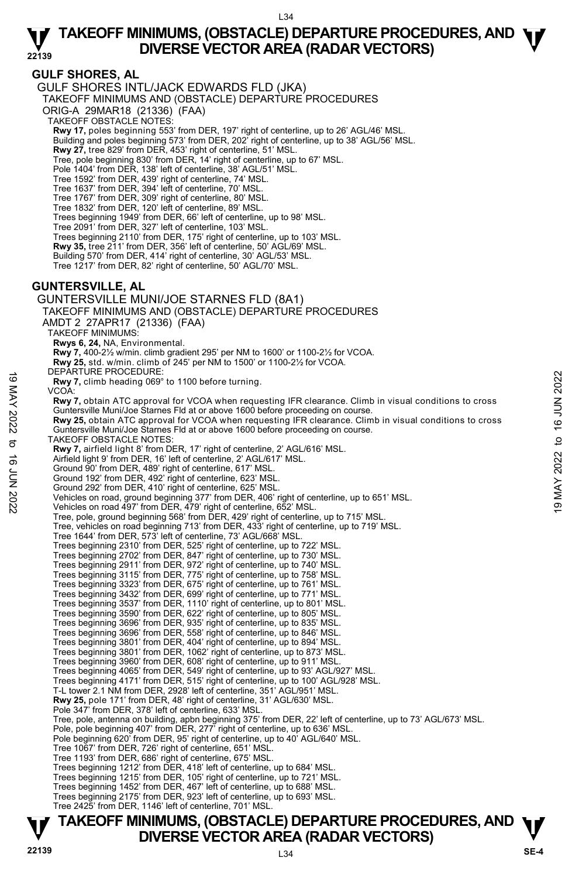# **GULF SHORES, AL**

GULF SHORES INTL/JACK EDWARDS FLD (JKA)

TAKEOFF MINIMUMS AND (OBSTACLE) DEPARTURE PROCEDURES

ORIG-A 29MAR18 (21336) (FAA)

TAKEOFF OBSTACLE NOTES:

**Rwy 17,** poles beginning 553' from DER, 197' right of centerline, up to 26' AGL/46' MSL.<br>Building and poles beginning 573' from DER, 202' right of centerline, up to 38' AGL/56' MSL.

**Rwy 27,** tree 829' from DER, 453' right of centerline, 51' MSL.

Tree, pole beginning 830' from DER, 14' right of centerline, up to 67' MSL.

Pole 1404' from DER, 138' left of centerline, 38' AGL/51' MSL. Tree 1592' from DER, 439' right of centerline, 74' MSL.

Tree 1637' from DER, 394' left of centerline, 70' MSL.

Tree 1767' from DER, 309' right of centerline, 80' MSL. Tree 1832' from DER, 120' left of centerline, 89' MSL.

Trees beginning 1949' from DER, 66' left of centerline, up to 98' MSL.

Tree 2091' from DER, 327' left of centerline, 103' MSL.

Trees beginning 2110' from DER, 175' right of centerline, up to 103' MSL.

**Rwy 35,** tree 211' from DER, 356' left of centerline, 50' AGL/69' MSL.

Building 570' from DER, 414' right of centerline, 30' AGL/53' MSL.

Tree 1217' from DER, 82' right of centerline, 50' AGL/70' MSL.

### **GUNTERSVILLE, AL**

GUNTERSVILLE MUNI/JOE STARNES FLD (8A1) TAKEOFF MINIMUMS AND (OBSTACLE) DEPARTURE PROCEDURES AMDT 2 27APR17 (21336) (FAA) TAKEOFF MINIMUMS: **Rwys 6, 24,** NA, Environmental. **Rwy 7,** 400-2½ w/min. climb gradient 295' per NM to 1600' or 1100-2½ for VCOA. **Rwy 25,** std. w/min. climb of 245' per NM to 1500' or 1100-2½ for VCOA. DEPARTURE PROCEDURE **Rwy 7,** climb heading 069° to 1100 before turning. VCOA: **Rwy 7,** obtain ATC approval for VCOA when requesting IFR clearance. Climb in visual conditions to cross Guntersville Muni/Joe Starnes Fld at or above 1600 before proceeding on course. **Rwy 25,** obtain ATC approval for VCOA when requesting IFR clearance. Climb in visual conditions to cross Guntersville Muni/Joe Starnes Fld at or above 1600 before proceeding on course. TAKEOFF OBSTACLE NOTES: **Rwy 7,** airfield light 8' from DER, 17' right of centerline, 2' AGL/616' MSL. Airfield light 9' from DER, 16' left of centerline, 2' AGL/617' MSL. Ground 90' from DER, 489' right of centerline, 617' MSL. Ground 192' from DER, 492' right of centerline, 623' MSL. Ground 292' from DER, 410' right of centerline, 625' MSL. Vehicles on road, ground beginning 377' from DER, 406' right of centerline, up to 651' MSL. Vehicles on road 497' from DER, 479' right of centerline, 652' MSL. Tree, pole, ground beginning 568' from DER, 429' right of centerline, up to 715' MSL. Tree, vehicles on road beginning 713' from DER, 433' right of centerline, up to 719' MSL. Tree 1644' from DER, 573' left of centerline, 73' AGL/668' MSL. Trees beginning 2310' from DER, 525' right of centerline, up to 722' MSL. Trees beginning 2702' from DER, 847' right of centerline, up to 730' MSL. Trees beginning 2911' from DER, 972' right of centerline, up to 740' MSL. Trees beginning 3115' from DER, 775' right of centerline, up to 758' MSL. Trees beginning 3323' from DER, 675' right of centerline, up to 761' MSL. Trees beginning 3432' from DER, 699' right of centerline, up to 771' MSL.<br>Trees beginning 3537' from DER, 1110' right of centerline, up to 801' MSL.<br>Trees beginning 3590' from DER, 622' right of centerline, up to 805' MSL. Trees beginning 3696' from DER, 935' right of centerline, up to 835' MSL. Trees beginning 3696' from DER, 558' right of centerline, up to 846' MSL. Trees beginning 3801' from DER, 404' right of centerline, up to 894' MSL. Trees beginning 3801' from DER, 1062' right of centerline, up to 873' MSL. Trees beginning 3960' from DER, 608' right of centerline, up to 911' MSL. Trees beginning 4065' from DER, 549' right of centerline, up to 93' AGL/927' MSL. Trees beginning 4171' from DER, 515' right of centerline, up to 100' AGL/928' MSL. T-L tower 2.1 NM from DER, 2928' left of centerline, 351' AGL/951' MSL. **Rwy 25,** pole 171' from DER, 48' right of centerline, 31' AGL/630' MSL. Pole 347' from DER, 378' left of centerline, 633' MSL. Tree, pole, antenna on building, apbn beginning 375' from DER, 22' left of centerline, up to 73' AGL/673' MSL.<br>Pole, pole beginning 407' from DER, 277' right of centerline, up to 636' MSL. Pole beginning 620' from DER, 95' right of centerline, up to 40' AGL/640' MSL. Tree 1067' from DER, 726' right of centerline, 651' MSL. Tree 1193' from DER, 686' right of centerline, 675' MSL.<br>Trees beginning 1212' from DER, 418' left of centerline, up to 684' MSL.<br>Trees beginning 1215' from DER, 105' right of centerline, up to 721' MSL. Trees beginning 1452' from DER, 467' left of centerline, up to 688' MSL. Trees beginning 2175' from DER, 923' left of centerline, up to 693' MSL. Tree 2425' from DER, 1146' left of centerline, 701' MSL. Exercive Proposition of the control of the section of the section of the section of the section of the section of the section of the section of the section of the section of the section of the section of the section of th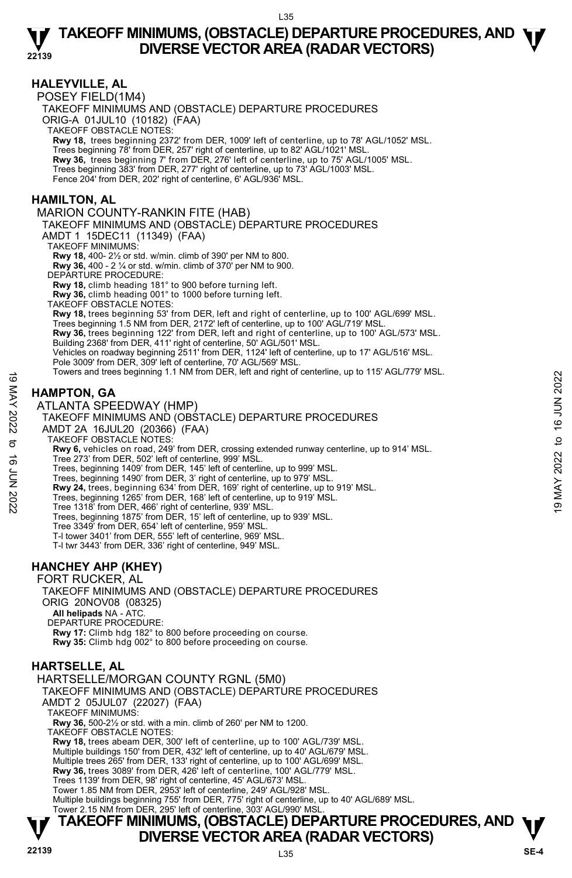### **HALEYVILLE, AL**

POSEY FIELD(1M4) TAKEOFF MINIMUMS AND (OBSTACLE) DEPARTURE PROCEDURES ORIG-A 01JUL10 (10182) (FAA) TAKEOFF OBSTACLE NOTES: **Rwy 18,** trees beginning 2372' from DER, 1009' left of centerline, up to 78' AGL/1052' MSL. Trees beginning 78' from DER, 257' right of centerline, up to 82' AGL/1021' MSL. **Rwy 36,** trees beginning 7' from DER, 276' left of centerline, up to 75' AGL/1005' MSL. Trees beginning 383' from DER, 277' right of centerline, up to 73' AGL/1003' MSL. Fence 204' from DER, 202' right of centerline, 6' AGL/936' MSL. **HAMILTON, AL**  MARION COUNTY-RANKIN FITE (HAB) TAKEOFF MINIMUMS AND (OBSTACLE) DEPARTURE PROCEDURES AMDT 1 15DEC11 (11349) (FAA) TAKEOFF MINIMUMS: **Rwy 18,** 400- 2½ or std. w/min. climb of 390' per NM to 800. **Rwy 36,** 400 - 2 ¼ or std. w/min. climb of 370' per NM to 900. DEPARTURE PROCEDURE: **Rwy 18,** climb heading 181° to 900 before turning left. **Rwy 36,** climb heading 001° to 1000 before turning left. TAKEOFF OBSTACLE NOTES: **Rwy 18,** trees beginning 53' from DER, left and right of centerline, up to 100' AGL/699' MSL. Trees beginning 1.5 NM from DER, 2172' left of centerline, up to 100' AGL/719' MSL.

**Rwy 36,** trees beginning 122' from DER, left and right of centerline, up to 100' AGL/573' MSL.<br>Building 2368' from DER, 411' right of centerline, 50' AGL/501' MSL. Vehicles on roadway beginning 2511' from DER, 1124' left of centerline, up to 17' AGL/516' MSL. Pole 3009' from DER, 309' left of centerline, 70' AGL/569' MSL

Towers and trees beginning 1.1 NM from DER, left and right of centerline, up to 115' AGL/779' MSL.

# **HAMPTON, GA**

ATLANTA SPEEDWAY (HMP)

### TAKEOFF MINIMUMS AND (OBSTACLE) DEPARTURE PROCEDURES

AMDT 2A 16JUL20 (20366) (FAA)

TAKEOFF OBSTACLE NOTES:

**Rwy 6,** vehicles on road, 249' from DER, crossing extended runway centerline, up to 914' MSL. Tree 273' from DER, 502' left of centerline, 999' MSL. Towers and trees beginning 1.1 NM from DER, felt and right of centerline, up to 113 AGL/179 MSL.<br>  $\frac{25}{24}$ <br>  $\frac{25}{24}$ <br>  $\frac{25}{24}$ <br>
ATLANTA SPEEDWAY (HMP)<br>
TAKEOFF MINIMUMS AND (OBSTACLE) DEPARTURE PROCEDURES<br>  $\frac{25$ 

Trees, beginning 1409' from DER, 145' left of centerline, up to 999' MSL. Trees, beginning 1490' from DER, 3' right of centerline, up to 979' MSL.

**Rwy 24,** trees, beginning 634' from DER, 169' right of centerline, up to 919' MSL.

Trees, beginning 1265' from DER, 168' left of centerline, up to 919' MSL. Tree 1318' from DER, 466' right of centerline, 939' MSL.

Trees, beginning 1875' from DER, 15' left of centerline, up to 939' MSL.

Tree 3349' from DER, 654' left of centerline, 959' MSL.

T-l tower 3401' from DER, 555' left of centerline, 969' MSL.

T-l twr 3443' from DER, 336' right of centerline, 949' MSL.

### **HANCHEY AHP (KHEY)**

FORT RUCKER, AL

TAKEOFF MINIMUMS AND (OBSTACLE) DEPARTURE PROCEDURES ORIG 20NOV08 (08325)

 **All helipads** NA - ATC.

DEPARTURE PROCEDURE:

**Rwy 17:** Climb hdg 182° to 800 before proceeding on course. **Rwy 35:** Climb hdg 002° to 800 before proceeding on course.

# **HARTSELLE, AL**

HARTSELLE/MORGAN COUNTY RGNL (5M0) TAKEOFF MINIMUMS AND (OBSTACLE) DEPARTURE PROCEDURES AMDT 2 05JUL07 (22027) (FAA) TAKEOFF MINIMUMS: **Rwy 36,** 500-2½ or std. with a min. climb of 260' per NM to 1200. TAKEOFF OBSTACLE NOTES: **Rwy 18,** trees abeam DER, 300' left of centerline, up to 100' AGL/739' MSL. Multiple buildings 150' from DER, 432' left of centerline, up to 40' AGL/679' MSL. Multiple trees 265' from DER, 133' right of centerline, up to 100' AGL/699' MSL. **Rwy 36,** trees 3089' from DER, 426' left of centerline, 100' AGL/779' MSL. Trees 1139' from DER, 98' right of centerline, 45' AGL/673' MSL. Tower 1.85 NM from DER, 2953' left of centerline, 249' AGL/928' MSL. Multiple buildings beginning 755' from DER, 775' right of centerline, up to 40' AGL/689' MSL. Tower 2.15 NM from DER, 295' left of centerline, 303' AGL/990' MSL.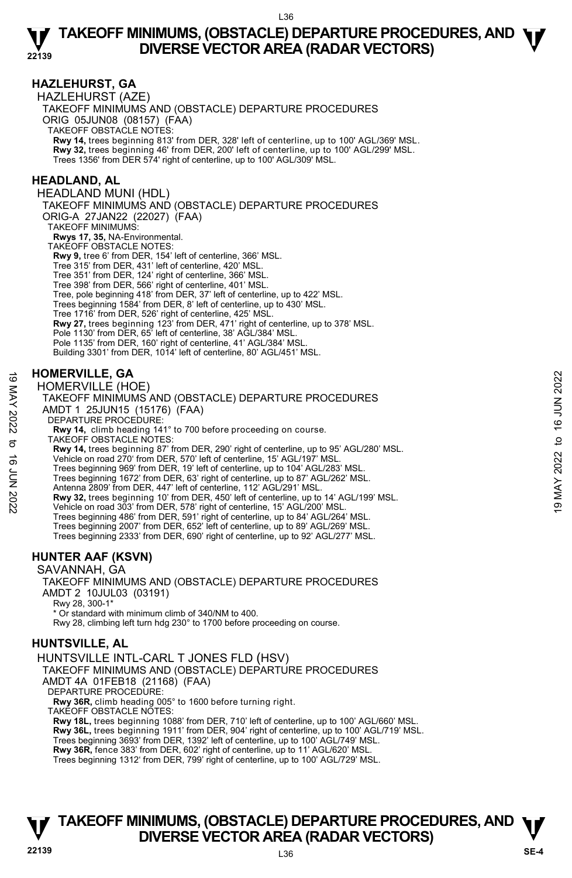### **HAZLEHURST, GA**

HAZLEHURST (AZE) TAKEOFF MINIMUMS AND (OBSTACLE) DEPARTURE PROCEDURES ORIG 05JUN08 (08157) (FAA) TAKEOFF OBSTACLE NOTES: **Rwy 14,** trees beginning 813' from DER, 328' left of centerline, up to 100' AGL/369' MSL. **Rwy 32,** trees beginning 46' from DER, 200' left of centerline, up to 100' AGL/299' MSL. Trees 1356' from DER 574' right of centerline, up to 100' AGL/309' MSL.

### **HEADLAND, AL**

HEADLAND MUNI (HDL) TAKEOFF MINIMUMS AND (OBSTACLE) DEPARTURE PROCEDURES ORIG-A 27JAN22 (22027) (FAA) TAKEOFF MINIMUMS:  **Rwys 17, 35,** NA-Environmental. TAKEOFF OBSTACLE NOTES: **Rwy 9,** tree 6' from DER, 154' left of centerline, 366' MSL. Tree 315' from DER, 431' left of centerline, 420' MSL. Tree 351' from DER, 124' right of centerline, 366' MSL. Tree 398' from DER, 566' right of centerline, 401' MSL. Tree, pole beginning 418' from DER, 37' left of centerline, up to 422' MSL. Trees beginning 1584' from DER, 8' left of centerline, up to 430' MSL. Tree 1716' from DER, 526' right of centerline, 425' MSL. **Rwy 27,** trees beginning 123' from DER, 471' right of centerline, up to 378' MSL. Pole 1130' from DER, 65' left of centerline, 38' AGL/384' MSL. Pole 1135' from DER, 160' right of centerline, 41' AGL/384' MSL. Building 3301' from DER, 1014' left of centerline, 80' AGL/451' MSL.

### **HOMERVILLE, GA**

HOMERVILLE (HOE)

TAKEOFF MINIMUMS AND (OBSTACLE) DEPARTURE PROCEDURES AMDT 1 25JUN15 (15176) (FAA) **HOMERVILLE, GA**<br>  $\frac{20}{20}$ <br>  $\frac{10 \text{ MER} \text{VILLE (HOE)}}{1000 \text{ K} \text{V}}$ <br>  $\frac{100 \text{ NER}}{1000 \text{ K}}$ <br>  $\frac{100 \text{ NSE}}{1000 \text{ K}}$ <br>  $\frac{100 \text{ NSE}}{1000 \text{ K}}$ <br>  $\frac{100 \text{ NSE}}{1000 \text{ K}}$ <br>  $\frac{100 \text{ NSE}}{1000 \text{ K}}$ <br>  $\frac{100 \text{ NSE}}{1000 \text$ 

DEPARTURE PROCEDURE:

**Rwy 14,** climb heading 141° to 700 before proceeding on course. TAKEOFF OBSTACLE NOTES:

**Rwy 14,** trees beginning 87' from DER, 290' right of centerline, up to 95' AGL/280' MSL. Vehicle on road 270' from DER, 570' left of centerline, 15' AGL/197' MSL.

Trees beginning 969' from DER, 19' left of centerline, up to 104' AGL/283' MSL.

Trees beginning 1672' from DER, 63' right of centerline, up to 87' AGL/262' MSL.

Antenna 2809' from DER, 447' left of centerline, 112' AGL/291' MSL.

**Rwy 32,** trees beginning 10' from DER, 450' left of centerline, up to 14' AGL/199' MSL.<br>Vehicle on road 303' from DER, 578' right of centerline, 15' AGL/200' MSL.

Trees beginning 486' from DER, 591' right of centerline, up to 84' AGL/264' MSL. Trees beginning 2007' from DER, 652' left of centerline, up to 89' AGL/269' MSL. Trees beginning 2333' from DER, 690' right of centerline, up to 92' AGL/277' MSL.

### **HUNTER AAF (KSVN)**

SAVANNAH, GA TAKEOFF MINIMUMS AND (OBSTACLE) DEPARTURE PROCEDURES AMDT 2 10JUL03 (03191) Rwy 28, 300-1\* \* Or standard with minimum climb of 340/NM to 400. Rwy 28, climbing left turn hdg 230° to 1700 before proceeding on course.

## **HUNTSVILLE, AL**

HUNTSVILLE INTL-CARL T JONES FLD (HSV) TAKEOFF MINIMUMS AND (OBSTACLE) DEPARTURE PROCEDURES AMDT 4A 01FEB18 (21168) (FAA) DEPARTURE PROCEDURE: **Rwy 36R,** climb heading 005° to 1600 before turning right. TAKEOFF OBSTACLE NOTES: **Rwy 18L,** trees beginning 1088' from DER, 710' left of centerline, up to 100' AGL/660' MSL.

**Rwy 36L,** trees beginning 1911' from DER, 904' right of centerline, up to 100' AGL/719' MSL. Trees beginning 3693' from DER, 1392' left of centerline, up to 100' AGL/749' MSL. **Rwy 36R,** fence 383' from DER, 602' right of centerline, up to 11' AGL/620' MSL. Trees beginning 1312' from DER, 799' right of centerline, up to 100' AGL/729' MSL.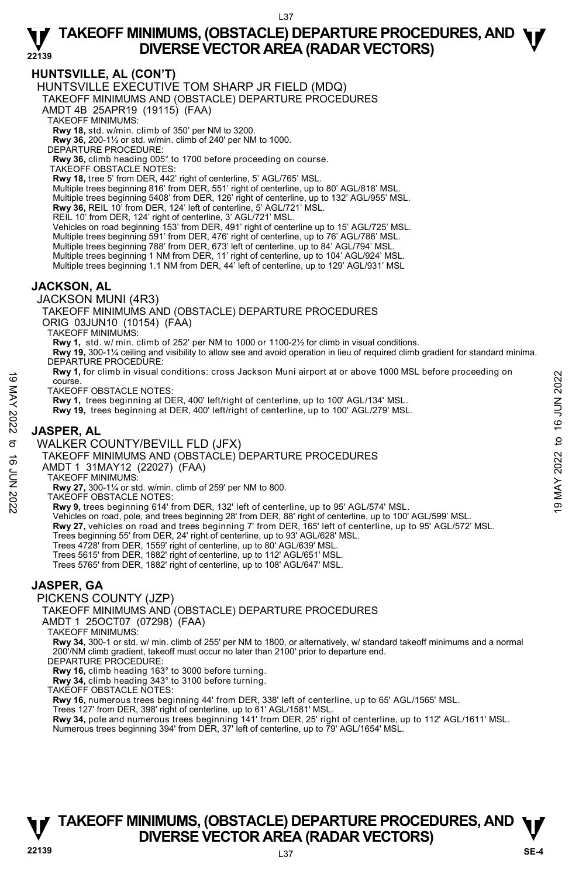# **HUNTSVILLE, AL (CON'T)**

HUNTSVILLE EXECUTIVE TOM SHARP JR FIELD (MDQ)

TAKEOFF MINIMUMS AND (OBSTACLE) DEPARTURE PROCEDURES

AMDT 4B 25APR19 (19115) (FAA)

TAKEOFF MINIMUMS:

**Rwy 18,** std. w/min. climb of 350' per NM to 3200.

**Rwy 36,** 200-1½ or std. w/min. climb of 240' per NM to 1000.

DEPARTURE PROCEDURE:

**Rwy 36,** climb heading 005° to 1700 before proceeding on course. TAKEOFF OBSTACLE NOTES:

**Rwy 18,** tree 5' from DER, 442' right of centerline, 5' AGL/765' MSL.

Multiple trees beginning 816' from DER, 551' right of centerline, up to 80' AGL/818' MSL.

Multiple trees beginning 5408' from DER, 126' right of centerline, up to 132' AGL/955' MSL.

**Rwy 36,** REIL 10' from DER, 124' left of centerline, 5' AGL/721' MSL.

REIL 10' from DER, 124' right of centerline, 3' AGL/721' MSL.

Vehicles on road beginning 153' from DER, 491' right of centerline up to 15' AGL/725' MSL.<br>Multiple trees beginning 591' from DER, 476' right of centerline, up to 76' AGL/786' MSL.

Multiple trees beginning 788' from DER, 673' left of centerline, up to 84' AGL/794' MSL.

Multiple trees beginning 1 NM from DER, 11' right of centerline, up to 104' AGL/924' MSL.<br>Multiple trees beginning 1.1 NM from DER, 44' left of centerline, up to 129' AGL/931' MSL

### **JACKSON, AL**

JACKSON MUNI (4R3)

TAKEOFF MINIMUMS AND (OBSTACLE) DEPARTURE PROCEDURES ORIG 03JUN10 (10154) (FAA)

TAKEOFF MINIMUMS:

**Rwy 1,** std. w/ min. climb of 252' per NM to 1000 or 1100-2½ for climb in visual conditions.

**Rwy 19,** 300-1¼ ceiling and visibility to allow see and avoid operation in lieu of required climb gradient for standard minima. DEPARTURE PROCEDURE:

**Rwy 1,** for climb in visual conditions: cross Jackson Muni airport at or above 1000 MSL before proceeding on course. NOTES:<br>
TAKEOFF OBSTACLE NOTES:<br>
TAKEOFF OBSTACLE NOTES:<br>
TAKEOFF OBSTACLE NOTES:<br>
RW 1, trees beginning at DER, 400' left/right of centerline, up to 100' AGL/134' MSL.<br>
NOTER, AL<br>
MOTER, AL<br>
MOTER OOUNTY/BEVILL FLD (JFX

TAKEOFF OBSTACLE NOTES:

**Rwy 1,** trees beginning at DER, 400' left/right of centerline, up to 100' AGL/134' MSL.

**Rwy 19,** trees beginning at DER, 400' left/right of centerline, up to 100' AGL/279' MSL.

# **JASPER, AL**

WALKER COUNTY/BEVILL FLD (JFX)

TAKEOFF MINIMUMS AND (OBSTACLE) DEPARTURE PROCEDURES

AMDT 1 31MAY12 (22027) (FAA)

TAKEOFF MINIMUMS:

**Rwy 27,** 300-1¼ or std. w/min. climb of 259' per NM to 800. TAKEOFF OBSTACLE NOTES:

**Rwy 9,** trees beginning 614' from DER, 132' left of centerline, up to 95' AGL/574' MSL.

- Vehicles on road, pole, and trees beginning 28' from DER, 88' right of centerline, up to 100' AGL/599' MSL.<br>**Rwy 27,** vehicles on road and trees beginning 7' from DER, 165' left of centerline, up to 95' AGL/572' MSL.
- Trees beginning 55' from DER, 24' right of centerline, up to 93' AGL/628' MSL.

Trees 4728' from DER, 1559' right of centerline, up to 80' AGL/639' MSL.

Trees 5615' from DER, 1882' right of centerline, up to 112' AGL/651' MSL.

Trees 5765' from DER, 1882' right of centerline, up to 108' AGL/647' MSL.

### **JASPER, GA**

PICKENS COUNTY (JZP)

TAKEOFF MINIMUMS AND (OBSTACLE) DEPARTURE PROCEDURES

AMDT 1 25OCT07 (07298) (FAA)

TAKEOFF MINIMUMS:

**Rwy 34,** 300-1 or std. w/ min. climb of 255' per NM to 1800, or alternatively, w/ standard takeoff minimums and a normal 200'/NM climb gradient, takeoff must occur no later than 2100' prior to departure end. DEPARTURE PROCEDURE:

**Rwy 16,** climb heading 163° to 3000 before turning.

**Rwy 34,** climb heading 343° to 3100 before turning. TAKEOFF OBSTACLE NOTES:

**Rwy 16,** numerous trees beginning 44' from DER, 338' left of centerline, up to 65' AGL/1565' MSL.

Trees 127' from DER, 398' right of centerline, up to 61' AGL/1581' MSL.

**Rwy 34,** pole and numerous trees beginning 141' from DER, 25' right of centerline, up to 112' AGL/1611' MSL.<br>Numerous trees beginning 394' from DER, 37' left of centerline, up to 79' AGL/1654' MSL.

# **TAKEOFF MINIMUMS, (OBSTACLE) DEPARTURE PROCEDURES, AND**  $\Psi$ **<br>DIVERSE VECTOR AREA (RADAR VECTORS) DIVERSE VECTOR AREA (RADAR VECTORS) 22139 SE-4**

L37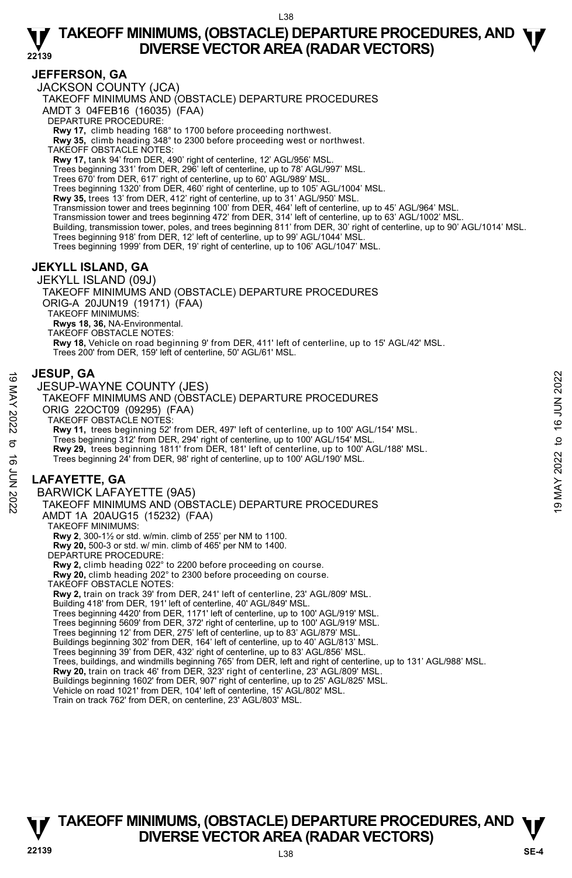### **JEFFERSON, GA**

JACKSON COUNTY (JCA)

TAKEOFF MINIMUMS AND (OBSTACLE) DEPARTURE PROCEDURES

AMDT 3 04FEB16 (16035) (FAA)

DEPARTURE PROCEDURE:

**Rwy 17,** climb heading 168° to 1700 before proceeding northwest. **Rwy 35,** climb heading 348° to 2300 before proceeding west or northwest.

TAKEOFF OBSTACLE NOTES:

**Rwy 17,** tank 94' from DER, 490' right of centerline, 12' AGL/956' MSL.

Trees beginning 331' from DER, 296' left of centerline, up to 78' AGL/997' MSL. Trees 670' from DER, 617' right of centerline, up to 60' AGL/989' MSL.

Trees beginning 1320' from DER, 460' right of centerline, up to 105' AGL/1004' MSL.

**Rwy 35,** trees 13' from DER, 412' right of centerline, up to 31' AGL/950' MSL.

Transmission tower and trees beginning 100' from DER, 464' left of centerline, up to 45' AGL/964' MSL.

Transmission tower and trees beginning 472' from DER, 314' left of centerline, up to 63' AGL/1002' MSL.

Building, transmission tower, poles, and trees beginning 811' from DER, 30' right of centerline, up to 90' AGL/1014' MSL.

Trees beginning 918' from DER, 12' left of centerline, up to 99' AGL/1044' MSI

Trees beginning 1999' from DER, 19' right of centerline, up to 106' AGL/1047' MSL.

# **JEKYLL ISLAND, GA**

JEKYLL ISLAND (09J) TAKEOFF MINIMUMS AND (OBSTACLE) DEPARTURE PROCEDURES ORIG-A 20JUN19 (19171) (FAA) TAKEOFF MINIMUMS: **Rwys 18, 36,** NA-Environmental. TAKEOFF OBSTACLE NOTES: **Rwy 18,** Vehicle on road beginning 9' from DER, 411' left of centerline, up to 15' AGL/42' MSL. Trees 200' from DER, 159' left of centerline, 50' AGL/61' MSL.

### **JESUP, GA**

JESUP-WAYNE COUNTY (JES) TAKEOFF MINIMUMS AND (OBSTACLE) DEPARTURE PROCEDURES ORIG 22OCT09 (09295) (FAA) TAKEOFF OBSTACLE NOTES: **Rwy 11,** trees beginning 52' from DER, 497' left of centerline, up to 100' AGL/154' MSL. Trees beginning 312' from DER, 294' right of centerline, up to 100' AGL/154' MSL. **Rwy 29,** trees beginning 1811' from DER, 181' left of centerline, up to 100' AGL/188' MSL. Trees beginning 24' from DER, 98' right of centerline, up to 100' AGL/190' MSL. **LAFAYETTE, GA**  BARWICK LAFAYETTE (9A5) TAKEOFF MINIMUMS AND (OBSTACLE) DEPARTURE PROCEDURES AMDT 1A 20AUG15 (15232) (FAA) TAKEOFF MINIMUMS: **Rwy 2**, 300-1½ or std. w/min. climb of 255' per NM to 1100. **Rwy 20,** 500-3 or std. w/ min. climb of 465' per NM to 1400. DEPARTURE PROCEDURE: **Rwy 2,** climb heading 022° to 2200 before proceeding on course. **Rwy 20,** climb heading 202° to 2300 before proceeding on course. TAKEOFF OBSTACLE NOTES: **Rwy 2,** train on track 39' from DER, 241' left of centerline, 23' AGL/809' MSL. Building 418' from DER, 191' left of centerline, 40' AGL/849' MSL. Trees beginning 4420' from DER, 1171' left of centerline, up to 100' AGL/919' MSL. Trees beginning 5609' from DER, 372' right of centerline, up to 100' AGL/919' MSL. Trees beginning 12' from DER, 275' left of centerline, up to 83' AGL/879' MSL. Buildings beginning 302' from DER, 164' left of centerline, up to 40' AGL/813' MSL. Trees beginning 39' from DER, 432' right of centerline, up to 83' AGL/856' MSL. **JESUP, GA**<br>
JESUP-WAYNE COUNTY (JES)<br>
TAKEOFF MINIMUMS AND (OBSTACLE) DEPARTURE PROCEDURES<br>
ORIG 22OCT09 (09295) (FAA)<br>
TAKEOFF OBSTACLE NOTES:<br>
RW 11, trees beginning 32<sup>2</sup> from DER, 294' right of centerline, up to 100'

Trees, buildings, and windmills beginning 765' from DER, left and right of centerline, up to 131' AGL/988' MSL.<br>**Rwy 20,** train on track 46' from DER, 323' right of centerline, 23' AGL/809' MSL.

Buildings beginning 1602' from DER, 907' right of centerline, up to 25' AGL/825' MSL.

Vehicle on road 1021' from DER, 104' left of centerline, 15' AGL/802' MSL. Train on track 762' from DER, on centerline, 23' AGL/803' MSL.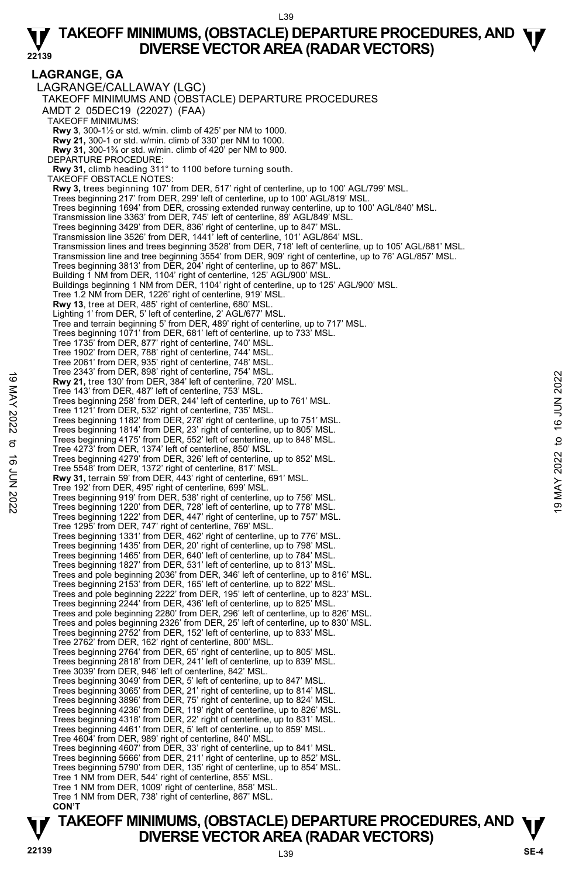#### **LAGRANGE, GA**  LAGRANGE/CALLAWAY (LGC) TAKEOFF MINIMUMS AND (OBSTACLE) DEPARTURE PROCEDURES AMDT 2 05DEC19 (22027) (FAA) TAKEOFF MINIMUMS: **Rwy 3**, 300-1½ or std. w/min. climb of 425' per NM to 1000. **Rwy 21,** 300-1 or std. w/min. climb of 330' per NM to 1000. **Rwy 31,** 300-1⅜ or std. w/min. climb of 420' per NM to 900. DEPARTURE PROCEDURE: **Rwy 31,** climb heading 311° to 1100 before turning south. TAKEOFF OBSTACLE NOTES: **Rwy 3,** trees beginning 107' from DER, 517' right of centerline, up to 100' AGL/799' MSL. Trees beginning 217' from DER, 299' left of centerline, up to 100' AGL/819' MSL. Trees beginning 1694' from DER, crossing extended runway centerline, up to 100' AGL/840' MSL. Transmission line 3363' from DER, 745' left of centerline, 89' AGL/849' MSL. Trees beginning 3429' from DER, 836' right of centerline, up to 847' MSL. Transmission line 3526' from DER, 1441' left of centerline, 101' AGL/864' MSL. Transmission lines and trees beginning 3528' from DER, 718' left of centerline, up to 105' AGL/881' MSL. Transmission line and tree beginning 3554' from DER, 909' right of centerline, up to 76' AGL/857' MSL. Trees beginning 3813' from DER, 204' right of centerline, up to 867' MSL. Building 1 NM from DER, 1104' right of centerline, 125' AGL/900' MSL. Buildings beginning 1 NM from DER, 1104' right of centerline, up to 125' AGL/900' MSL. Tree 1.2 NM from DER, 1226' right of centerline, 919' MSL. **Rwy 13**, tree at DER, 485' right of centerline, 680' MSL. Lighting 1' from DER, 5' left of centerline, 2' AGL/677' MSL. Tree and terrain beginning 5' from DER, 489' right of centerline, up to 717' MSL. Trees beginning 1071' from DER, 681' left of centerline, up to 733' MSL. Tree 1735' from DER, 877' right of centerline, 740' MSL. Tree 1902' from DER, 788' right of centerline, 744' MSL. Tree 2061' from DER, 935' right of centerline, 748' MSL. Tree 2343' from DER, 898' right of centerline, 754' MSL. **Rwy 21,** tree 130' from DER, 384' left of centerline, 720' MSL. Tree 143' from DER, 487' left of centerline, 753' MSL. Trees beginning 258' from DER, 244' left of centerline, up to 761' MSL. Tree 1121' from DER, 532' right of centerline, 735' MSL. Trees beginning 1182' from DER, 278' right of centerline, up to 751' MSL. Trees beginning 1814' from DER, 23' right of centerline, up to 805' MSL. Trees beginning 4175' from DER, 552' left of centerline, up to 848' MSL. Tree 4273' from DER, 1374' left of centerline, 850' MSL. Trees beginning 4279' from DER, 326' left of centerline, up to 852' MSL. Tree 5548' from DER, 1372' right of centerline, 817' MSL. **Rwy 31,** terrain 59' from DER, 443' right of centerline, 691' MSL. Tree 192' from DER, 495' right of centerline, 699' MSL. Trees beginning 919' from DER, 538' right of centerline, up to 756' MSL. Trees beginning 1220' from DER, 728' left of centerline, up to 778' MSL. Trees beginning 1222' from DER, 447' right of centerline, up to 757' MSL. Tree 1295' from DER, 747' right of centerline, 769' MSL. Trees beginning 1331' from DER, 462' right of centerline, up to 776' MSL. Trees beginning 1435' from DER, 20' right of centerline, up to 798' MSL. Trees beginning 1465' from DER, 640' left of centerline, up to 784' MSL. Trees beginning 1827' from DER, 531' left of centerline, up to 813' MSL. Trees and pole beginning 2036' from DER, 346' left of centerline, up to 816' MSL. Trees beginning 2153' from DER, 165' left of centerline, up to 822' MSL. Trees and pole beginning 2222' from DER, 195' left of centerline, up to 823' MSL. Trees beginning 2244' from DER, 436' left of centerline, up to 825' MSL. Trees and pole beginning 2280' from DER, 296' left of centerline, up to 826' MSL. Trees and poles beginning 2326' from DER, 25' left of centerline, up to 830' MSL. Trees beginning 2752' from DER, 152' left of centerline, up to 833' MSL. Tree 2762' from DER, 162' right of centerline, 800' MSL. Trees beginning 2764' from DER, 65' right of centerline, up to 805' MSL. Trees beginning 2818' from DER, 241' left of centerline, up to 839' MSL. Tree 3039' from DER, 946' left of centerline, 842' MSL. Trees beginning 3049' from DER, 5' left of centerline, up to 847' MSL. Trees beginning 3065' from DER, 21' right of centerline, up to 814' MSL. Trees beginning 3896' from DER, 75' right of centerline, up to 824' MSL. Trees beginning 4236' from DER, 119' right of centerline, up to 826' MSL. Trees beginning 4318' from DER, 22' right of centerline, up to 831' MSL. Trees beginning 4461' from DER, 5' left of centerline, up to 859' MSL. Tree 4604' from DER, 989' right of centerline, 840' MSL. Trees beginning 4607' from DER, 33' right of centerline, up to 841' MSL. Trees beginning 5666' from DER, 211' right of centerline, up to 852' MSL. Trees beginning 5790' from DER, 135' right of centerline, up to 854' MSL. Tree 1 NM from DER, 544' right of centerline, 855' MSL. Tree 1 NM from DER, 1009' right of centerline, 858' MSL. Tree 1 NM from DER, 738' right of centerline, 867' MSL.  **CON'T**  19 Me 2343 Ioni DER, 398 Igit of centerline, 73<sup>3</sup> MSL.<br>
The 130 from DER, 384 left of centerline, 753' MSL.<br>
Tree 143' from DER, 487' left of centerline, 753' MSL.<br>
Trees beginning 268' from DER, 278' right of centerline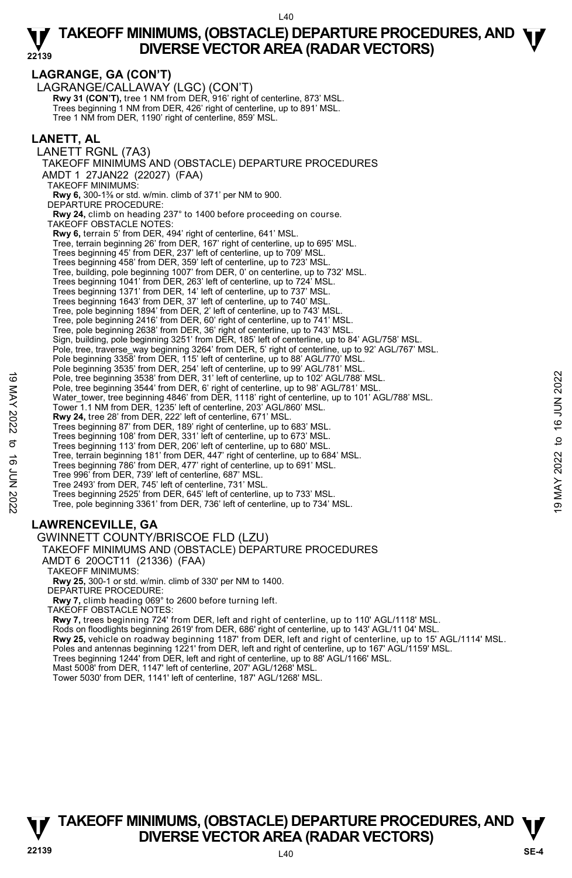**LAGRANGE, GA (CON'T)**  LAGRANGE/CALLAWAY (LGC) (CON'T) **Rwy 31 (CON'T), tree 1 NM from DER, 916' right of centerline, 873' MSL.** Trees beginning 1 NM from DER, 426' right of centerline, up to 891' MSL. Tree 1 NM from DER, 1190' right of centerline, 859' MSL. **LANETT, AL**  LANETT RGNL (7A3) TAKEOFF MINIMUMS AND (OBSTACLE) DEPARTURE PROCEDURES AMDT 1 27JAN22 (22027) (FAA) TAKEOFF MINIMUMS: **Rwy 6,** 300-1⅜ or std. w/min. climb of 371' per NM to 900. DEPARTURE PROCEDURE:  **Rwy 24,** climb on heading 237° to 1400 before proceeding on course. TAKEOFF OBSTACLE NOTES: **Rwy 6,** terrain 5' from DER, 494' right of centerline, 641' MSL.<br>Tree, terrain beginning 26' from DER, 167' right of centerline, up to 695' MSL. Trees beginning 45' from DER, 237' left of centerline, up to 709' MSL. Trees beginning 458' from DER, 359' left of centerline, up to 723' MSL. Tree, building, pole beginning 1007' from DER, 0' on centerline, up to 732' MSL. Trees beginning 1041' from DER, 263' left of centerline, up to 724' MSL. Trees beginning 1371' from DER, 14' left of centerline, up to 737' MSL. Trees beginning 1643' from DER, 37' left of centerline, up to 740' MSL. Tree, pole beginning 1894' from DER, 2' left of centerline, up to 743' MSL. Tree, pole beginning 2416' from DER, 60' right of centerline, up to 741' MSL. Tree, pole beginning 2638' from DER, 36' right of centerline, up to 743' MSL. Sign, building, pole beginning 3251' from DER, 185' left of centerline, up to 84' AGL/758' MSL. Pole, tree, traverse\_way beginning 3264' from DER, 5' right of centerline, up to 92' AGL/767' MSL. Pole beginning 3358' from DER, 115' left of centerline, up to 88' AGL/770' MSL. Pole beginning 3535' from DER, 254' left of centerline, up to 99' AGL/781' MSL. Pole, tree beginning 3538' from DER, 31' left of centerline, up to 102' AGL/788' MSL. Pole, tree beginning 3544' from DER, 6' right of centerline, up to 98' AGL/781' MSL. Water\_tower, tree beginning 4846' from DER, 1118' right of centerline, up to 101' AGL/788' MSL.<br>Tower 1.1 NM from DER, 1235' left of centerline, 203' AGL/860' MSL. **Rwy 24,** tree 28' from DER, 222' left of centerline, 671' MSL. Trees beginning 87' from DER, 189' right of centerline, up to 683' MSL. Trees beginning 108' from DER, 331' left of centerline, up to 673' MSL. Trees beginning 113' from DER, 206' left of centerline, up to 680' MSL. Tree, terrain beginning 181' from DER, 447' right of centerline, up to 684' MSL. Trees beginning 786' from DER, 477' right of centerline, up to 691' MSL. Tree 996' from DER, 739' left of centerline, 687' MSL. Tree 2493' from DER, 745' left of centerline, 731' MSL. Trees beginning 2525' from DER, 645' left of centerline, up to 733' MSL. Tree, pole beginning 3361' from DER, 736' left of centerline, up to 734' MSL. **LAWRENCEVILLE, GA**  GWINNETT COUNTY/BRISCOE FLD (LZU) TAKEOFF MINIMUMS AND (OBSTACLE) DEPARTURE PROCEDURES AMDT 6 20OCT11 (21336) (FAA) 19 May 2022 to 16 June 19 3538 from DER, 31' left of centerline, up to 102' AGL/788' MSL.<br>
Pole, tree beginning 3538' from DER, 6' right of centerline, up to 18' AGL/781' MSL.<br>
Water\_tower, tree beginning 4846' from DER,

TAKEOFF MINIMUMS:

**Rwy 25,** 300-1 or std. w/min. climb of 330' per NM to 1400.

DEPARTURE PROCEDURE

**Rwy 7,** climb heading 069° to 2600 before turning left.

TAKEOFF OBSTACLE NOTES:

**Rwy 7,** trees beginning 724' from DER, left and right of centerline, up to 110' AGL/1118' MSL. Rods on floodlights beginning 2619' from DER, 686' right of centerline, up to 143' AGL/11 04' MSL.<br>**Rwy 25,** vehicle on roadway beginning 1187' from DER, left and right of centerline, up to 15' AGL/1114' MSL. Poles and antennas beginning 1221' from DER, left and right of centerline, up to 167' AGL/1159' MSL. Trees beginning 1244' from DER, left and right of centerline, up to 88' AGL/1166' MSL. Mast 5008' from DER, 1147' left of centerline, 207' AGL/1268' MSL. Tower 5030' from DER, 1141' left of centerline, 187' AGL/1268' MSL.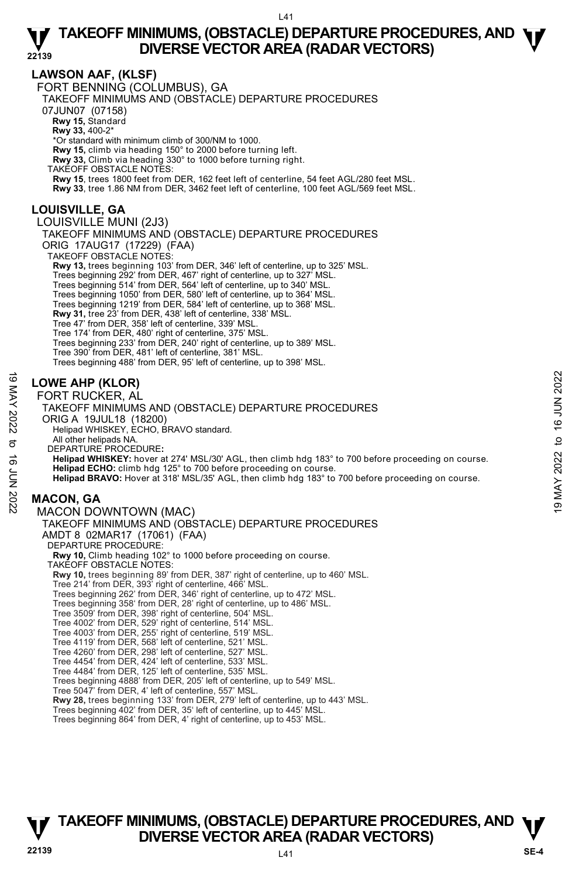# **LAWSON AAF, (KLSF)**

FORT BENNING (COLUMBUS), GA

TAKEOFF MINIMUMS AND (OBSTACLE) DEPARTURE PROCEDURES

07JUN07 (07158)

**Rwy 15,** Standard

**Rwy 33,** 400-2\*

\*Or standard with minimum climb of 300/NM to 1000.

**Rwy 15,** climb via heading 150° to 2000 before turning left.

**Rwy 33,** Climb via heading 330° to 1000 before turning right.

TAKEOFF OBSTACLE NOTES:

**Rwy 15**, trees 1800 feet from DER, 162 feet left of centerline, 54 feet AGL/280 feet MSL.

**Rwy 33**, tree 1.86 NM from DER, 3462 feet left of centerline, 100 feet AGL/569 feet MSL.

# **LOUISVILLE, GA**

### LOUISVILLE MUNI (2J3)

TAKEOFF MINIMUMS AND (OBSTACLE) DEPARTURE PROCEDURES ORIG 17AUG17 (17229) (FAA)

TAKEOFF OBSTACLE NOTES

**Rwy 13,** trees beginning 103' from DER, 346' left of centerline, up to 325' MSL.<br>Trees beginning 292' from DER, 467' right of centerline, up to 327' MSL.<br>Trees beginning 514' from DER, 564' left of centerline, up to 340' Trees beginning 1050' from DER, 580' left of centerline, up to 364' MSL. Trees beginning 1219' from DER, 584' left of centerline, up to 368' MSL. **Rwy 31,** tree 23' from DER, 438' left of centerline, 338' MSL. Tree 47' from DER, 358' left of centerline, 339' MSL. Tree 174' from DER, 480' right of centerline, 375' MSL. Trees beginning 233' from DER, 240' right of centerline, up to 389' MSL. Tree 390' from DER, 481' left of centerline, 381' MSL. Trees beginning 488' from DER, 95' left of centerline, up to 398' MSL.

### **LOWE AHP (KLOR)**

FORT RUCKER, AL

### TAKEOFF MINIMUMS AND (OBSTACLE) DEPARTURE PROCEDURES ORIG A 19JUL18 (18200) Helipad WHISKEY, ECHO, BRAVO standard. All other helipads NA. DEPARTURE PROCEDURE**: Helipad WHISKEY:** hover at 274' MSL/30' AGL, then climb hdg 183° to 700 before proceeding on course. **Helipad ECHO:** climb hdg 125° to 700 before proceeding on course. **Helipad BRAVO:** Hover at 318' MSL/35' AGL, then climb hdg 183° to 700 before proceeding on course. **MACON, GA**  MACON DOWNTOWN (MAC) TAKEOFF MINIMUMS AND (OBSTACLE) DEPARTURE PROCEDURES AMDT 8 02MAR17 (17061) (FAA) **19**<br>  $\frac{1}{2}$ <br> **IOWE AHP (KLOR)**<br>
FORT RUCKER, AL<br>
TAKEOFF MINIMUMS AND (OBSTACLE) DEPARTURE PROCEDURES<br>
ORIG A 19JUL18 (18200)<br>  $\frac{1}{2}$ <br>
ORIG A 19JUL18 (18200)<br>  $\frac{1}{2}$ <br>  $\frac{1}{2}$ <br>  $\frac{1}{2}$ <br>  $\frac{1}{2}$ <br>  $\frac{1}{2}$ <br>

DEPARTURE PROCEDURE **Rwy 10,** Climb heading 102° to 1000 before proceeding on course. TAKEOFF OBSTACLE NOTES: **Rwy 10,** trees beginning 89' from DER, 387' right of centerline, up to 460' MSL. Tree 214' from DER, 393' right of centerline, 466' MSL. Trees beginning 262' from DER, 346' right of centerline, up to 472' MSL. Trees beginning 358' from DER, 28' right of centerline, up to 486' MSL. Tree 3509' from DER, 398' right of centerline, 504' MSL. Tree 4002' from DER, 529' right of centerline, 514' MSL. Tree 4003' from DER, 255' right of centerline, 519' MSL. Tree 4119' from DER, 568' left of centerline, 521' MSL. Tree 4260' from DER, 298' left of centerline, 527' MSL. Tree 4454' from DER, 424' left of centerline, 533' MSL. Tree 4484' from DER, 125' left of centerline, 535' MSL. Trees beginning 4888' from DER, 205' left of centerline, up to 549' MSL. Tree 5047' from DER, 4' left of centerline, 557' MSL. **Rwy 28,** trees beginning 133' from DER, 279' left of centerline, up to 443' MSL. Trees beginning 402' from DER, 35' left of centerline, up to 445' MSL. Trees beginning 864' from DER, 4' right of centerline, up to 453' MSL.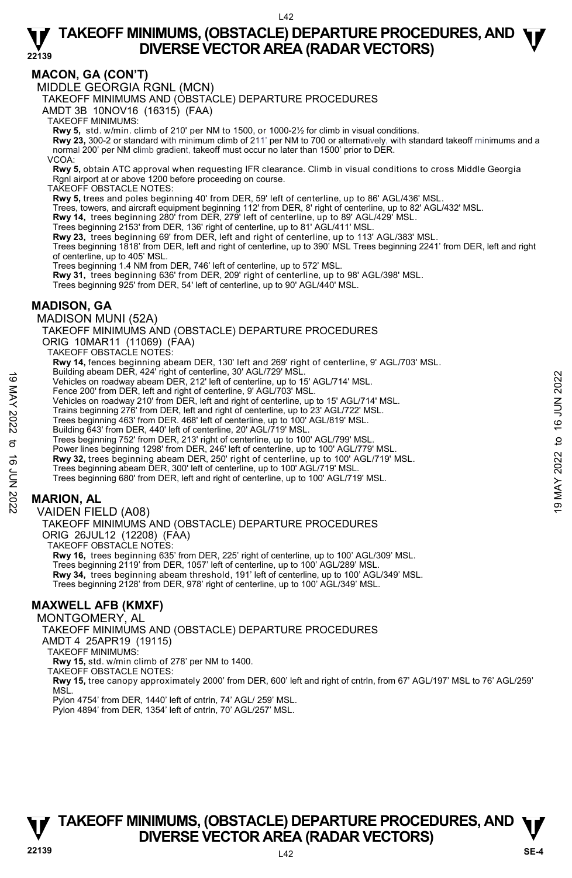# **MACON, GA (CON'T)**

MIDDLE GEORGIA RGNL (MCN)

TAKEOFF MINIMUMS AND (OBSTACLE) DEPARTURE PROCEDURES

AMDT 3B 10NOV16 (16315) (FAA)

TAKEOFF MINIMUMS:

**Rwy 5,** std. w/min. climb of 210' per NM to 1500, or 1000-2½ for climb in visual conditions.

**Rwy 23,** 300-2 or standard with minimum climb of 211' per NM to 700 or alternatively, with standard takeoff minimums and a normal 200' per NM climb gradient, takeoff must occur no later than 1500' prior to DER.

VCOA:

**Rwy 5,** obtain ATC approval when requesting IFR clearance. Climb in visual conditions to cross Middle Georgia Rgnl airport at or above 1200 before proceeding on course.

TAKEOFF OBSTACLE NOTES:

**Rwy 5,** trees and poles beginning 40' from DER, 59' left of centerline, up to 86' AGL/436' MSL.

Trees, towers, and aircraft equipment beginning 112' from DER, 8' right of centerline, up to 82' AGL/432' MSL.

**Rwy 14,** trees beginning 280' from DER, 279' left of centerline, up to 89' AGL/429' MSL.

Trees beginning 2153' from DER, 136' right of centerline, up to 81' AGL/411' MSL.<br>**Rwy 23,** trees beginning 69' from DER, left and right of centerline, up to 113' AGL/383' MSL.

Trees beginning 1818' from DER, left and right of centerline, up to 390' MSL Trees beginning 2241' from DER, left and right of centerline, up to 405' MSL.

Trees beginning 1.4 NM from DER, 746' left of centerline, up to 572' MSL.

**Rwy 31,** trees beginning 636' from DER, 209' right of centerline, up to 98' AGL/398' MSL. Trees beginning 925' from DER, 54' left of centerline, up to 90' AGL/440' MSL.

### **MADISON, GA**

MADISON MUNI (52A)

TAKEOFF MINIMUMS AND (OBSTACLE) DEPARTURE PROCEDURES ORIG 10MAR11 (11069) (FAA) TAKEOFF OBSTACLE NOTES:

**Rwy 14,** fences beginning abeam DER, 130' left and 269' right of centerline, 9' AGL/703' MSL.<br>Building abeam DER, 424' right of centerline, 30' AGL/729' MSL. Vehicles on roadway abeam DER, 212' left of centerline, up to 15' AGL/714' MSL. Fence 200' from DER, left and right of centerline, 9' AGL/703' MSL. Vehicles on roadway 210' from DER, left and right of centerline, up to 15' AGL/714' MSL. Trains beginning 276' from DER, left and right of centerline, up to 23' AGL/722' MSL. Trees beginning 463' from DER. 468' left of centerline, up to 100' AGL/819' MSL. Building 643' from DER, 440' left of centerline, 20' AGL/719' MSL. Trees beginning 752' from DER, 213' right of centerline, up to 100' AGL/799' MSL. Power lines beginning 1298' from DER, 246' left of centerline, up to 100' AGL/779' MSL. **Rwy 32,** trees beginning abeam DER, 250' right of centerline, up to 100' AGL/719' MSL.<br>Trees beginning abeam DER, 300' left of centerline, up to 100' AGL/719' MSL. Trees beginning 680' from DER, left and right of centerline, up to 100' AGL/719' MSL. VAIDEN FIELD (A08) Whicles on roadway abeam DER, 212' left of centerline, up to 15' AGL/714' MSL.<br>
Vehicles on roadway 2010' from DER, left and right of centerline, up to 15' AGL/714' MSL.<br>
Vehicles on roadway 2010' from DER, left and righ

# **MARION, AL**

TAKEOFF MINIMUMS AND (OBSTACLE) DEPARTURE PROCEDURES ORIG 26JUL12 (12208) (FAA) TAKEOFF OBSTACLE NOTES: **Rwy 16,** trees beginning 635' from DER, 225' right of centerline, up to 100' AGL/309' MSL.

Trees beginning 2119' from DER, 1057' left of centerline, up to 100' AGL/289' MSL. **Rwy 34,** trees beginning abeam threshold, 191' left of centerline, up to 100' AGL/349' MSL. Trees beginning 2128' from DER, 978' right of centerline, up to 100' AGL/349' MSL.

# **MAXWELL AFB (KMXF)**

MONTGOMERY, AL

TAKEOFF MINIMUMS AND (OBSTACLE) DEPARTURE PROCEDURES

AMDT 4 25APR19 (19115)

TAKEOFF MINIMUMS:

**Rwy 15,** std. w/min climb of 278' per NM to 1400. TAKEOFF OBSTACLE NOTES:

**Rwy 15,** tree canopy approximately 2000' from DER, 600' left and right of cntrln, from 67' AGL/197' MSL to 76' AGL/259' MSL.

Pylon 4754' from DER, 1440' left of cntrln, 74' AGL/ 259' MSL.

Pylon 4894' from DER, 1354' left of cntrln, 70' AGL/257' MSL.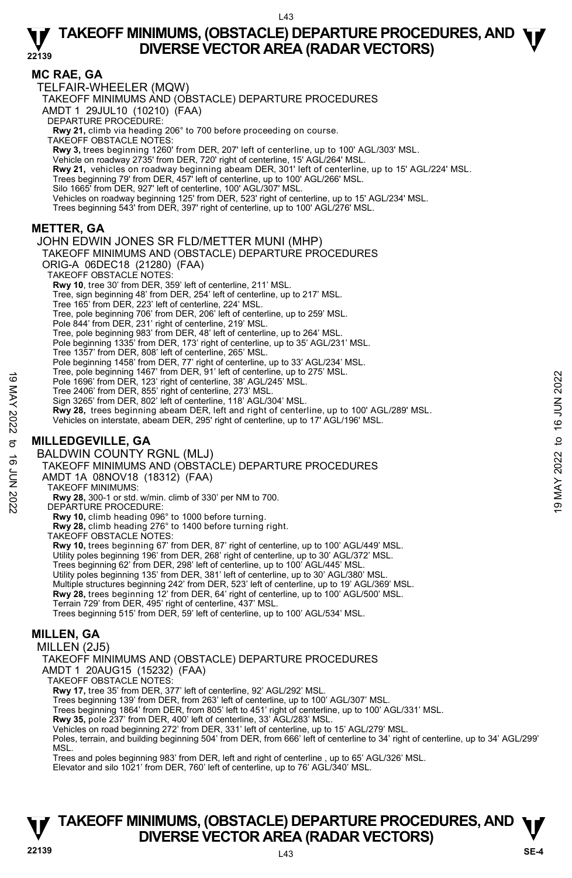### **MC RAE, GA**

TELFAIR-WHEELER (MQW)

TAKEOFF MINIMUMS AND (OBSTACLE) DEPARTURE PROCEDURES

AMDT 1 29JUL10 (10210) (FAA)

DEPARTURE PROCEDURE:

**Rwy 21,** climb via heading 206° to 700 before proceeding on course. TAKEOFF OBSTACLE NOTES:

**Rwy 3,** trees beginning 1260' from DER, 207' left of centerline, up to 100' AGL/303' MSL.

Vehicle on roadway 2735' from DER, 720' right of centerline, 15' AGL/264' MSL.

**Rwy 21,** vehicles on roadway beginning abeam DER, 301' left of centerline, up to 15' AGL/224' MSL.<br>Trees beginning 79' from DER, 457' left of centerline, up to 100' AGL/266' MSL.

Silo 1665' from DER, 927' left of centerline, 100' AGL/307' MSL.

Vehicles on roadway beginning 125' from DER, 523' right of centerline, up to 15' AGL/234' MSL.<br>Trees beginning 543' from DER, 397' right of centerline, up to 100' AGL/276' MSL.

### **METTER, GA**

JOHN EDWIN JONES SR FLD/METTER MUNI (MHP)

TAKEOFF MINIMUMS AND (OBSTACLE) DEPARTURE PROCEDURES ORIG-A 06DEC18 (21280) (FAA) TAKEOFF OBSTACLE NOTES: **Rwy 10**, tree 30' from DER, 359' left of centerline, 211' MSL.

Tree, sign beginning 48' from DER, 254' left of centerline, up to 217' MSL. Tree 165' from DER, 223' left of centerline, 224' MSL.

Tree, pole beginning 706' from DER, 206' left of centerline, up to 259' MSL.

Pole 844' from DER, 231' right of centerline, 219' MSL.

Tree, pole beginning 983' from DER, 48' left of centerline, up to 264' MSL. Pole beginning 1335' from DER, 173' right of centerline, up to 35' AGL/231' MSL.

Tree 1357' from DER, 808' left of centerline, 265' MSL.

Pole beginning 1458' from DER, 77' right of centerline, up to 33' AGL/234' MSL.

Tree, pole beginning 1467' from DER, 91' left of centerline, up to 275' MSL.

Pole 1696' from DER, 123' right of centerline, 38' AGL/245' MSL.

Tree 2406' from DER, 855' right of centerline, 273' MSL.

Sign 3265' from DER, 802' left of centerline, 118' AGL/304' MSL.

**Rwy 28,** trees beginning abeam DER, left and right of centerline, up to 100' AGL/289' MSL.

Vehicles on interstate, abeam DER, 295' right of centerline, up to 17' AGL/196' MSL.

# **MILLEDGEVILLE, GA**

BALDWIN COUNTY RGNL (MLJ) TAKEOFF MINIMUMS AND (OBSTACLE) DEPARTURE PROCEDURES The to be usegnming 1497 More Than DER, 191 elici oceaniemine, up to 275 MSL.<br>
The 2406' from DER, 855' right of centerline, 38' AGL/245' MSL.<br>
Tree 2406' from DER, 852' left of centerline, 173' MSL.<br>
Sign 3265 from DER,

AMDT 1A 08NOV18 (18312) (FAA)

TAKEOFF MINIMUMS:

**Rwy 28,** 300-1 or std. w/min. climb of 330' per NM to 700. DEPARTURE PROCEDURE:

**Rwy 10,** climb heading 096° to 1000 before turning.

**Rwy 28,** climb heading 276° to 1400 before turning right. TAKEOFF OBSTACLE NOTES:

**Rwy 10,** trees beginning 67' from DER, 87' right of centerline, up to 100' AGL/449' MSL. Utility poles beginning 196' from DER, 268' right of centerline, up to 30' AGL/372' MSL. Trees beginning 62' from DER, 298' left of centerline, up to 100' AGL/445' MSL. Utility poles beginning 135' from DER, 381' left of centerline, up to 30' AGL/380' MSL. Multiple structures beginning 242' from DER, 523' left of centerline, up to 19' AGL/369' MSL. **Rwy 28,** trees beginning 12' from DER, 64' right of centerline, up to 100' AGL/500' MSL.<br>Terrain 729' from DER, 495' right of centerline, 437' MSL. Trees beginning 515' from DER, 59' left of centerline, up to 100' AGL/534' MSL.

# **MILLEN, GA**

MILLEN (2J5)

TAKEOFF MINIMUMS AND (OBSTACLE) DEPARTURE PROCEDURES

AMDT 1 20AUG15 (15232) (FAA)

TAKEOFF OBSTACLE NOTES:

**Rwy 17,** tree 35' from DER, 377' left of centerline, 92' AGL/292' MSL.

Trees beginning 139' from DER, from 263' left of centerline, up to 100' AGL/307' MSL.

Trees beginning 1864' from DER, from 805' left to 451' right of centerline, up to 100' AGL/331' MSL.

**Rwy 35,** pole 237' from DER, 400' left of centerline, 33' AGL/283' MSL.

Vehicles on road beginning 272' from DER, 331' left of centerline, up to 15' AGL/279' MSL.

Poles, terrain, and building beginning 504' from DER, from 666' left of centerline to 34' right of centerline, up to 34' AGL/299' **MSL** 

Trees and poles beginning 983' from DER, left and right of centerline , up to 65' AGL/326' MSL.

Elevator and silo 1021' from DER, 760' left of centerline, up to 76' AGL/340' MSL.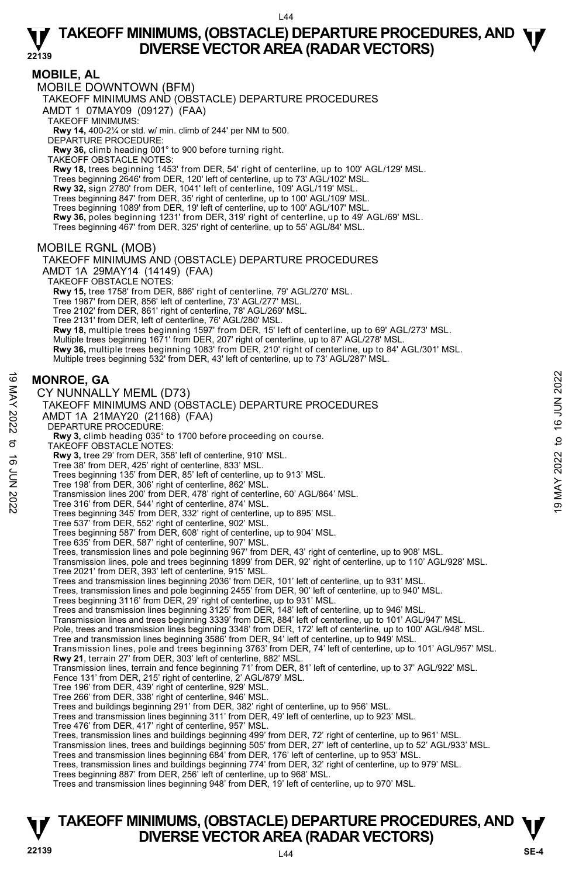### **MOBILE, AL**

MOBILE DOWNTOWN (BFM)

TAKEOFF MINIMUMS AND (OBSTACLE) DEPARTURE PROCEDURES

AMDT 1 07MAY09 (09127) (FAA)

TAKEOFF MINIMUMS:

**Rwy 14,** 400-2¼ or std. w/ min. climb of 244' per NM to 500. DEPARTURE PROCEDURE:

**Rwy 36,** climb heading 001° to 900 before turning right.

TAKEOFF OBSTACLE NOTES:

**Rwy 18,** trees beginning 1453' from DER, 54' right of centerline, up to 100' AGL/129' MSL.

Trees beginning 2646' from DER, 120' left of centerline, up to 73' AGL/102' MSL.

**Rwy 32,** sign 2780' from DER, 1041' left of centerline, 109' AGL/119' MSL.

Trees beginning 847' from DER, 35' right of centerline, up to 100' AGL/109' MSL. Trees beginning 1089' from DER, 19' left of centerline, up to 100' AGL/107' MSL.

**Rwy 36,** poles beginning 1231' from DER, 319' right of centerline, up to 49' AGL/69' MSL.

Trees beginning 467' from DER, 325' right of centerline, up to 55' AGL/84' MSL.

### MOBILE RGNL (MOB)

TAKEOFF MINIMUMS AND (OBSTACLE) DEPARTURE PROCEDURES AMDT 1A 29MAY14 (14149) (FAA) TAKEOFF OBSTACLE NOTES:

**Rwy 15,** tree 1758' from DER, 886' right of centerline, 79' AGL/270' MSL.

Tree 1987' from DER, 856' left of centerline, 73' AGL/277' MSL.

Tree 2102' from DER, 861' right of centerline, 78' AGL/269' MSL.

Tree 2131' from DER, left of centerline, 76' AGL/280' MSL.

**Rwy 18,** multiple trees beginning 1597' from DER, 15' left of centerline, up to 69' AGL/273' MSL.<br>Multiple trees beginning 1671' from DER, 207' right of centerline, up to 87' AGL/278' MSL.

**Rwy 36,** multiple trees beginning 1083' from DER, 210' right of centerline, up to 84' AGL/301' MSL.

Multiple trees beginning 532' from DER, 43' left of centerline, up to 73' AGL/287' MSL.

### **MONROE, GA**

CY NUNNALLY MEML (D73)

TAKEOFF MINIMUMS AND (OBSTACLE) DEPARTURE PROCEDURES AMDT 1A 21MAY20 (21168) (FAA) DEPARTURE PROCEDURE: **Rwy 3,** climb heading 035° to 1700 before proceeding on course. TAKEOFF OBSTACLE NOTES: **Rwy 3,** tree 29' from DER, 358' left of centerline, 910' MSL. Tree 38' from DER, 425' right of centerline, 833' MSL. Trees beginning 135' from DER, 85' left of centerline, up to 913' MSL. Tree 198' from DER, 306' right of centerline, 862' MSL. Transmission lines 200' from DER, 478' right of centerline, 60' AGL/864' MSL. Tree 316' from DER, 544' right of centerline, 874' MSL. Trees beginning 345' from DER, 332' right of centerline, up to 895' MSL. Tree 537' from DER, 552' right of centerline, 902' MSL. Trees beginning 587' from DER, 608' right of centerline, up to 904' MSL. Tree 635' from DER, 587' right of centerline, 907' MSL. Trees, transmission lines and pole beginning 967' from DER, 43' right of centerline, up to 908' MSL. Transmission lines, pole and trees beginning 1899' from DER, 92' right of centerline, up to 110' AGL/928' MSL.<br>Tree 2021' from DER, 393' left of centerline, 915' MSL. Trees and transmission lines beginning 2036' from DER, 101' left of centerline, up to 931' MSL. Trees, transmission lines and pole beginning 2455' from DER, 90' left of centerline, up to 940' MSL. Trees beginning 3116' from DER, 29' right of centerline, up to 931' MSL. Trees and transmission lines beginning 3125' from DER, 148' left of centerline, up to 946' MSL. Transmission lines and trees beginning 3339' from DER, 884' left of centerline, up to 101' AGL/947' MSL. Pole, trees and transmission lines beginning 3348' from DER, 172' left of centerline, up to 100' AGL/948' MSL.<br>Tree and transmission lines beginning 3586' from DER, 94' left of centerline, up to 949' MSL. **T**ransmission lines, pole and trees beginning 3763' from DER, 74' left of centerline, up to 101' AGL/957' MSL. **Rwy 21**, terrain 27' from DER, 303' left of centerline, 882' MSL. Transmission lines, terrain and fence beginning 71' from DER, 81' left of centerline, up to 37' AGL/922' MSL. Fence 131' from DER, 215' right of centerline, 2' AGL/879' MSL. Tree 196' from DER, 439' right of centerline, 929' MSL. Tree 266' from DER, 338' right of centerline, 946' MSL. Trees and buildings beginning 291' from DER, 382' right of centerline, up to 956' MSL. Trees and transmission lines beginning 311' from DER, 49' left of centerline, up to 923' MSL. Tree 476' from DER, 417' right of centerline, 957' MSL. MONROE, GA<br>
CY NUNNALLY MEML (D73)<br>
TAKEOFF MINIMUMS AND (OBSTACLE) DEPARTURE PROCEDURES<br>
AMDT 1A 21MAY20 (21168) (FAA)<br>
DEPARTURE PROCEDURE:<br>
NOT 1A 21MAY20 (21168) (FAA)<br>
DEPARTURE PROCEDURE:<br>
TWO 3, the 29' from DER, 3

Trees, transmission lines and buildings beginning 499' from DER, 72' right of centerline, up to 961' MSL.

Transmission lines, trees and buildings beginning 505' from DER, 27' left of centerline, up to 52' AGL/933' MSL.

Trees and transmission lines beginning 684' from DER, 176' left of centerline, up to 953' MSL. Trees, transmission lines and buildings beginning 774' from DER, 32' right of centerline, up to 979' MSL.

Trees beginning 887' from DER, 256' left of centerline, up to 968' MSL.

Trees and transmission lines beginning 948' from DER, 19' left of centerline, up to 970' MSL.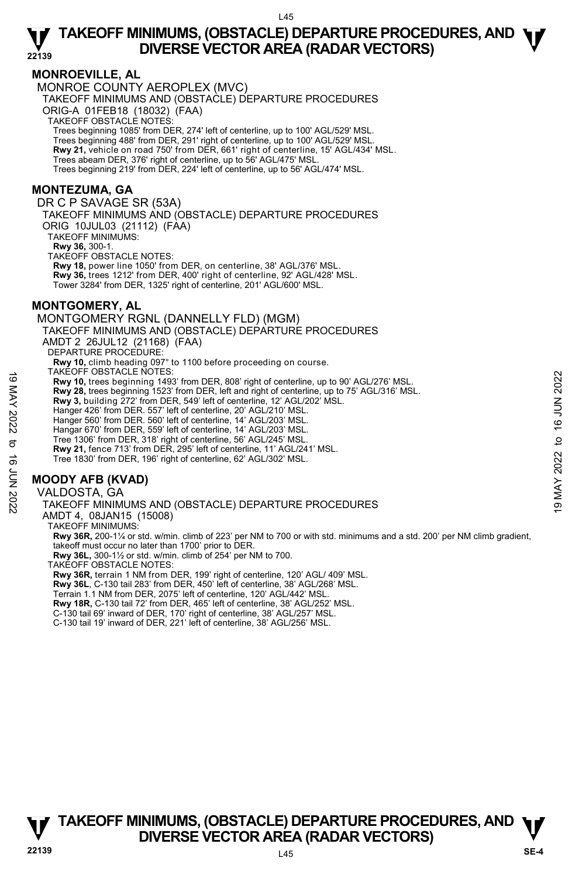### **MONROEVILLE, AL**

MONROE COUNTY AEROPLEX (MVC)

TAKEOFF MINIMUMS AND (OBSTACLE) DEPARTURE PROCEDURES

ORIG-A 01FEB18 (18032) (FAA)

TAKEOFF OBSTACLE NOTES:

Trees beginning 1085' from DER, 274' left of centerline, up to 100' AGL/529' MSL.

Trees beginning 488' from DER, 291' right of centerline, up to 100' AGL/529' MSL. **Rwy 21,** vehicle on road 750' from DER, 661' right of centerline, 15' AGL/434' MSL.

Trees abeam DER, 376' right of centerline, up to 56' AGL/475' MSL.

Trees beginning 219' from DER, 224' left of centerline, up to 56' AGL/474' MSL.

# **MONTEZUMA, GA**

DR C P SAVAGE SR (53A)

TAKEOFF MINIMUMS AND (OBSTACLE) DEPARTURE PROCEDURES ORIG 10JUL03 (21112) (FAA)

TAKEOFF MINIMUMS:

**Rwy 36,** 300-1.

TAKEOFF OBSTACLE NOTES:

**Rwy 18,** power line 1050' from DER, on centerline, 38' AGL/376' MSL. **Rwy 36,** trees 1212' from DER, 400' right of centerline, 92' AGL/428' MSL. Tower 3284' from DER, 1325' right of centerline, 201' AGL/600' MSL.

# **MONTGOMERY, AL**

MONTGOMERY RGNL (DANNELLY FLD) (MGM) TAKEOFF MINIMUMS AND (OBSTACLE) DEPARTURE PROCEDURES AMDT 2 26JUL12 (21168) (FAA) DEPARTURE PROCEDURE: **Rwy 10,** climb heading 097° to 1100 before proceeding on course. TAKEOFF OBSTACLE NOTES: **Rwy 10,** trees beginning 1493' from DER, 808' right of centerline, up to 90' AGL/276' MSL. **Rwy 28,** trees beginning 1523' from DER, left and right of centerline, up to 75' AGL/316' MSL. **Rwy 3,** building 272' from DER, 549' left of centerline, 12' AGL/202' MSL. Hanger 426' from DER. 557' left of centerline, 20' AGL/210' MSL. Hanger 560' from DER. 560' left of centerline, 14' AGL/203' MSL. Hangar 670' from DER, 559' left of centerline, 14' AGL/203' MSL. Tree 1306' from DER, 318' right of centerline, 56' AGL/245' MSL. **Rwy 21,** fence 713' from DER, 295' left of centerline, 11' AGL/241' MSL. Tree 1830' from DER, 196' right of centerline, 62' AGL/302' MSL. TANCUTY USSIAULT NOT THE REVITS.<br>
THAT AND 10, these beginning 1493' from DER, 808' right of centerline, up to 90' AGL/276' MSL.<br>
Rwy 28, trees beginning 1523' from DER, 808' right of centerline, up to 75' AGL/316' MSL.<br>

# **MOODY AFB (KVAD)**

VALDOSTA, GA TAKEOFF MINIMUMS AND (OBSTACLE) DEPARTURE PROCEDURES AMDT 4, 08JAN15 (15008) TAKEOFF MINIMUMS: **Rwy 36R,** 200-1¼ or std. w/min. climb of 223' per NM to 700 or with std. minimums and a std. 200' per NM climb gradient, takeoff must occur no later than 1700' prior to DER. **Rwy 36L,** 300-1½ or std. w/min. climb of 254' per NM to 700. TAKEOFF OBSTACLE NOTES: **Rwy 36R,** terrain 1 NM from DER, 199' right of centerline, 120' AGL/ 409' MSL.

**Rwy 36L**, C-130 tail 283' from DER, 450' left of centerline, 38' AGL/268' MSL. Terrain 1.1 NM from DER, 2075' left of centerline, 120' AGL/442' MSL. **Rwy 18R,** C-130 tail 72' from DER, 465' left of centerline, 38' AGL/252' MSL. C-130 tail 69' inward of DER, 170' right of centerline, 38' AGL/257' MSL. C-130 tail 19' inward of DER, 221' left of centerline, 38' AGL/256' MSL.

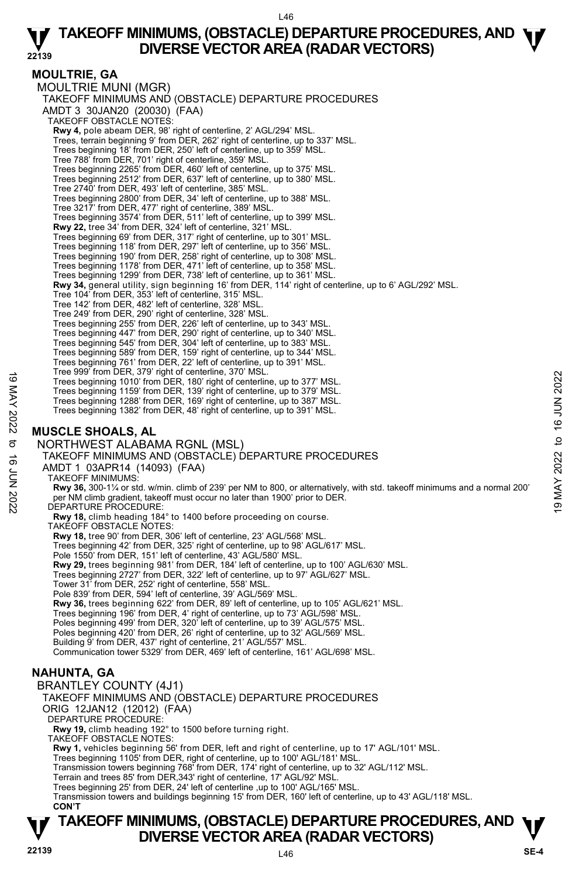### **MOULTRIE, GA**

MOULTRIE MUNI (MGR) TAKEOFF MINIMUMS AND (OBSTACLE) DEPARTURE PROCEDURES AMDT 3 30JAN20 (20030) (FAA) TAKEOFF OBSTACLE NOTES: **Rwy 4,** pole abeam DER, 98' right of centerline, 2' AGL/294' MSL.<br>Trees, terrain beginning 9' from DER, 262' right of centerline, up to 337' MSL. Trees beginning 18' from DER, 250' left of centerline, up to 359' MSL. Tree 788' from DER, 701' right of centerline, 359' MSL. Trees beginning 2265' from DER, 460' left of centerline, up to 375' MSL. Trees beginning 2512' from DER, 637' left of centerline, up to 380' MSL. Tree 2740' from DER, 493' left of centerline, 385' MSL. Trees beginning 2800' from DER, 34' left of centerline, up to 388' MSL. Tree 3217' from DER, 477' right of centerline, 389' MSL. Trees beginning 3574' from DER, 511' left of centerline, up to 399' MSL. **Rwy 22,** tree 34' from DER, 324' left of centerline, 321' MSL. Trees beginning 69' from DER, 317' right of centerline, up to 301' MSL. Trees beginning 118' from DER, 297' left of centerline, up to 356' MSL. Trees beginning 190' from DER, 258' right of centerline, up to 308' MSL. Trees beginning 1178' from DER, 471' left of centerline, up to 358' MSL. Trees beginning 1299' from DER, 738' left of centerline, up to 361' MSL. **Rwy 34,** general utility, sign beginning 16' from DER, 114' right of centerline, up to 6' AGL/292' MSL. Tree 104' from DER, 353' left of centerline, 315' MSL. Tree 142' from DER, 482' left of centerline, 328' MSL. Tree 249' from DER, 290' right of centerline, 328' MSL. Trees beginning 255' from DER, 226' left of centerline, up to 343' MSL. Trees beginning 447' from DER, 290' right of centerline, up to 340' MSL. Trees beginning 545' from DER, 304' left of centerline, up to 383' MSL. Trees beginning 589' from DER, 159' right of centerline, up to 344' MSL. Trees beginning 761' from DER, 22' left of centerline, up to 391' MSL. Tree 999' from DER, 379' right of centerline, 370' MSL. Trees beginning 1010' from DER, 180' right of centerline, up to 377' MSL. Trees beginning 1159' from DER, 139' right of centerline, up to 379' MSL. Trees beginning 1288' from DER, 169' right of centerline, up to 387' MSL. Trees beginning 1382' from DER, 48' right of centerline, up to 391' MSL. **MUSCLE SHOALS, AL**  NORTHWEST ALABAMA RGNL (MSL) TAKEOFF MINIMUMS AND (OBSTACLE) DEPARTURE PROCEDURES AMDT 1 03APR14 (14093) (FAA) TAKEOFF MINIMUMS: **Rwy 36,** 300-1¼ or std. w/min. climb of 239' per NM to 800, or alternatively, with std. takeoff minimums and a normal 200' per NM climb gradient, takeoff must occur no later than 1900' prior to DER. DEPARTURE PROCEDURE: **Rwy 18,** climb heading 184° to 1400 before proceeding on course. TAKEOFF OBSTACLE NOTES: **Rwy 18,** tree 90' from DER, 306' left of centerline, 23' AGL/568' MSL. Trees beginning 42' from DER, 325' right of centerline, up to 98' AGL/617' MSL. Pole 1550' from DER, 151' left of centerline, 43' AGL/580' MSL. **Rwy 29,** trees beginning 981' from DER, 184' left of centerline, up to 100' AGL/630' MSL. Trees beginning 2727' from DER, 322' left of centerline, up to 97' AGL/627' MSL. Tower 31' from DER, 252' right of centerline, 558' MSL. Pole 839' from DER, 594' left of centerline, 39' AGL/569' MSL. **Rwy 36,** trees beginning 622' from DER, 89' left of centerline, up to 105' AGL/621' MSL. Trees beginning 196' from DER, 4' right of centerline, up to 73' AGL/598' MSL. Poles beginning 499' from DER, 320' left of centerline, up to 39' AGL/575' MSL. Poles beginning 420' from DER, 26' right of centerline, up to 32' AGL/569' MSL. Building 9' from DER, 437' right of centerline, 21' AGL/557' MSL. Communication tower 5329' from DER, 469' left of centerline, 161' AGL/698' MSL. **NAHUNTA, GA**  BRANTLEY COUNTY (4J1) TAKEOFF MINIMUMS AND (OBSTACLE) DEPARTURE PROCEDURES ORIG 12JAN12 (12012) (FAA) DEPARTURE PROCEDURE: **Rwy 19,** climb heading 192° to 1500 before turning right. TAKEOFF OBSTACLE NOTES: **Rwy 1,** vehicles beginning 56' from DER, left and right of centerline, up to 17' AGL/101' MSL. Trees beginning 1105' from DER, right of centerline, up to 100' AGL/181' MSL.<br>Transmission towers beginning 768' from DER, 174' right of centerline, up to 32' AGL/112' MSL. Terrain and trees 85' from DER,343' right of centerline, 17' AGL/92' MSL. Trees beginning 25' from DER, 24' left of centerline ,up to 100' AGL/165' MSL. Tree sy lioni DER, 180 inglining to center the, up to 377 MSL.<br>
Trees beginning 1010 from DER, 180 right of centerline, up to 379 MSL.<br>
Trees beginning 1159 from DER, 189 right of centerline, up to 379 MSL.<br>
Trees beginnin

Transmission towers and buildings beginning 15' from DER, 160' left of centerline, up to 43' AGL/118' MSL. **CON'T**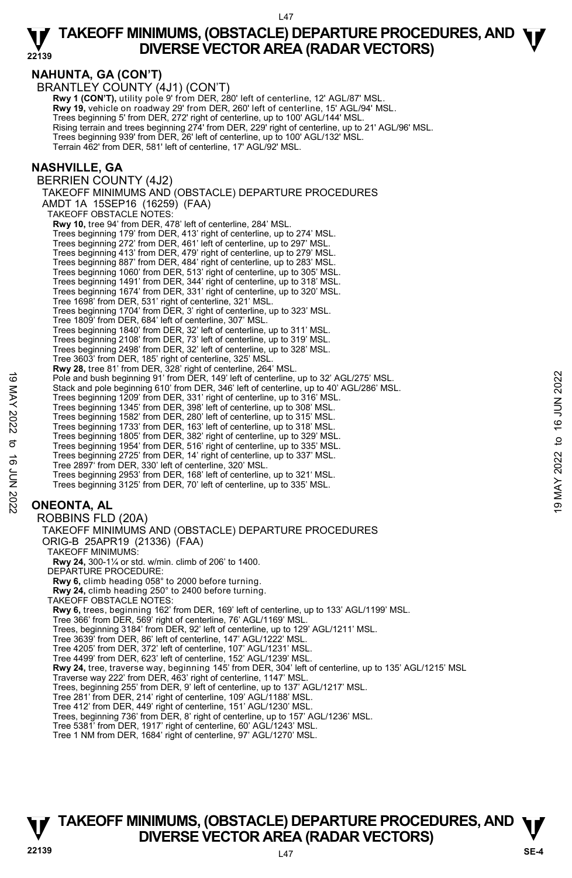**NAHUNTA, GA (CON'T)** 

BRANTLEY COUNTY (4J1) (CON'T) **Rwy 1 (CON'T),** utility pole 9' from DER, 280' left of centerline, 12' AGL/87' MSL.

 **Rwy 19,** vehicle on roadway 29' from DER, 260' left of centerline, 15' AGL/94' MSL. Trees beginning 5' from DER, 272' right of centerline, up to 100' AGL/144' MSL. Rising terrain and trees beginning 274' from DER, 229' right of centerline, up to 21' AGL/96' MSL.<br>Trees beginning 939' from DER, 26' left of centerline, up to 100' AGL/132' MSL. Terrain 462' from DER, 581' left of centerline, 17' AGL/92' MSL.

### **NASHVILLE, GA**

BERRIEN COUNTY (4J2) TAKEOFF MINIMUMS AND (OBSTACLE) DEPARTURE PROCEDURES AMDT 1A 15SEP16 (16259) (FAA) TAKEOFF OBSTACLE NOTES: **Rwy 10,** tree 94' from DER, 478' left of centerline, 284' MSL. Trees beginning 179' from DER, 413' right of centerline, up to 274' MSL. Trees beginning 272' from DER, 461' left of centerline, up to 297' MSL. Trees beginning 413' from DER, 479' right of centerline, up to 279' MSL. Trees beginning 887' from DER, 484' right of centerline, up to 283' MSL. Trees beginning 1060' from DER, 513' right of centerline, up to 305' MSL. Trees beginning 1491' from DER, 344' right of centerline, up to 318' MSL. Trees beginning 1674' from DER, 331' right of centerline, up to 320' MSL. Tree 1698' from DER, 531' right of centerline, 321' MSL. Trees beginning 1704' from DER, 3' right of centerline, up to 323' MSL. Tree 1809' from DER, 684' left of centerline, 307' MSL. Trees beginning 1840' from DER, 32' left of centerline, up to 311' MSL. Trees beginning 2108' from DER, 73' left of centerline, up to 319' MSL. Trees beginning 2498' from DER, 32' left of centerline, up to 328' MSL. Tree 3603' from DER, 185' right of centerline, 325' MSL. **Rwy 28,** tree 81' from DER, 328' right of centerline, 264' MSL.<br>Pole and bush beginning 91' from DER, 149' left of centerline, up to 32' AGL/275' MSL. Stack and pole beginning 610' from DER, 346' left of centerline, up to 40' AGL/286' MSL. Trees beginning 1209' from DER, 331' right of centerline, up to 316' MSL. Trees beginning 1345' from DER, 398' left of centerline, up to 308' MSL. Trees beginning 1582' from DER, 280' left of centerline, up to 315' MSL. Trees beginning 1733' from DER, 163' left of centerline, up to 318' MSL. Trees beginning 1805' from DER, 382' right of centerline, up to 329' MSL. Trees beginning 1954' from DER, 516' right of centerline, up to 335' MSL. Trees beginning 2725' from DER, 14' right of centerline, up to 337' MSL. Tree 2897' from DER, 330' left of centerline, 320' MSL. Trees beginning 2953' from DER, 168' left of centerline, up to 321' MSL. Trees beginning 3125' from DER, 70' left of centerline, up to 335' MSL. **ONEONTA, AL**  ROBBINS FLD (20A) TAKEOFF MINIMUMS AND (OBSTACLE) DEPARTURE PROCEDURES ORIG-B 25APR19 (21336) (FAA) TAKEOFF MINIMUMS: **Rwy 24,** 300-1¼ or std. w/min. climb of 206' to 1400. DEPARTURE PROCEDURE: 19 May 2022 to 16 June 1914 The DER, 149 left of centerline, up to 32' AGL/275' MSL.<br>
Stack and plots beginning 610' from DER, 346' left of centerline, up to 32' AGL/286' MSL.<br>
Trees beginning 1209' from DER, 348' left of

**Rwy 6,** climb heading 058° to 2000 before turning.

**Rwy 24,** climb heading 250° to 2400 before turning. TAKEOFF OBSTACLE NOTES:

**Rwy 6,** trees, beginning 162' from DER, 169' left of centerline, up to 133' AGL/1199' MSL.

Tree 366' from DER, 569' right of centerline, 76' AGL/1169' MSL. Trees, beginning 3184' from DER, 92' left of centerline, up to 129' AGL/1211' MSL.

Tree 3639' from DER, 86' left of centerline, 147' AGL/1222' MSL.

Tree 4205' from DER, 372' left of centerline, 107' AGL/1231' MSL.

Tree 4499' from DER, 623' left of centerline, 152' AGL/1239' MSL.

**Rwy 24,** tree, traverse way, beginning 145' from DER, 304' left of centerline, up to 135' AGL/1215' MSL.<br>Traverse way 222' from DER, 463' right of centerline, 1147' MSL.

Trees, beginning 255' from DER, 9' left of centerline, up to 137' AGL/1217' MSL.

Tree 281' from DER, 214' right of centerline, 109' AGL/1188' MSL. Tree 412' from DER, 449' right of centerline, 151' AGL/1230' MSL.

Trees, beginning 736' from DER, 8' right of centerline, up to 157' AGL/1236' MSL.

Tree 5381' from DER, 1917' right of centerline, 60' AGL/1243' MSL. Tree 1 NM from DER, 1684' right of centerline, 97' AGL/1270' MSL.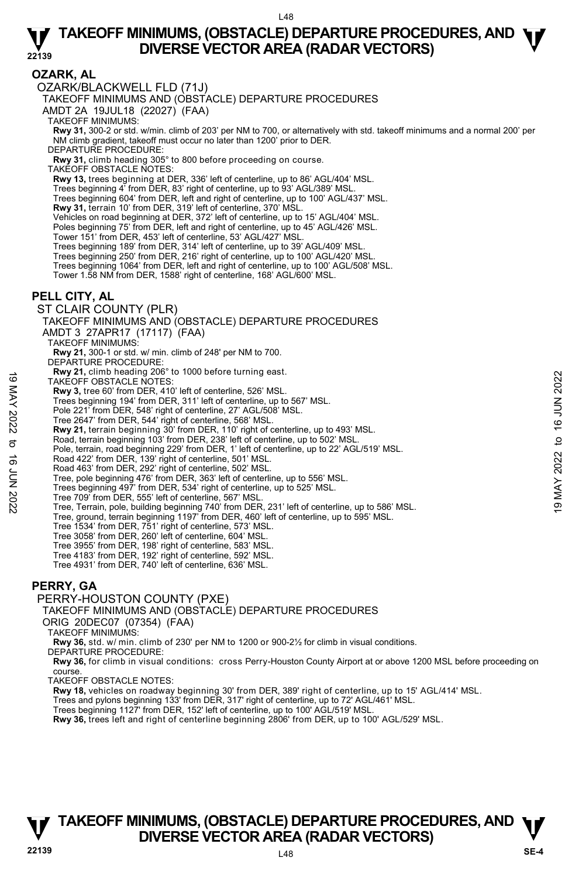**22139** 

### **OZARK, AL**

OZARK/BLACKWELL FLD (71J)

TAKEOFF MINIMUMS AND (OBSTACLE) DEPARTURE PROCEDURES

AMDT 2A 19JUL18 (22027) (FAA)

TAKEOFF MINIMUMS:

**Rwy 31,** 300-2 or std. w/min. climb of 203' per NM to 700, or alternatively with std. takeoff minimums and a normal 200' per NM climb gradient, takeoff must occur no later than 1200' prior to DER.

DEPARTURE PROCEDURE:

**Rwy 31,** climb heading 305° to 800 before proceeding on course.

TAKEOFF OBSTACLE NOTES:

**Rwy 13,** trees beginning at DER, 336' left of centerline, up to 86' AGL/404' MSL.

Trees beginning 4' from DER, 83' right of centerline, up to 93' AGL/389' MSL.

Trees beginning 604' from DER, left and right of centerline, up to 100' AGL/437' MSL.

**Rwy 31,** terrain 10' from DER, 319' left of centerline, 370' MSL.

Vehicles on road beginning at DER, 372' left of centerline, up to 15' AGL/404' MSL.

Poles beginning 75' from DER, left and right of centerline, up to 45' AGL/426' MSL.

Tower 151' from DER, 453' left of centerline, 53' AGL/427' MSL.

Trees beginning 189' from DER, 314' left of centerline, up to 39' AGL/409' MSL.

Trees beginning 250' from DER, 216' right of centerline, up to 100' AGL/420' MSL.

Trees beginning 1064' from DER, left and right of centerline, up to 100' AGL/508' MSL.

Tower 1.58 NM from DER, 1588' right of centerline, 168' AGL/600' MSL.

### **PELL CITY, AL**

ST CLAIR COUNTY (PLR) TAKEOFF MINIMUMS AND (OBSTACLE) DEPARTURE PROCEDURES AMDT 3 27APR17 (17117) (FAA) TAKEOFF MINIMUMS:

**Rwy 21,** 300-1 or std. w/ min. climb of 248' per NM to 700.

- DEPARTURE PROCEDURE: **Rwy 21,** climb heading 206° to 1000 before turning east.
- TAKEOFF OBSTACLE NOTES:
- **Rwy 3,** tree 60' from DER, 410' left of centerline, 526' MSL.
- Trees beginning 194' from DER, 311' left of centerline, up to 567' MSL.
- Pole 221' from DER, 548' right of centerline, 27' AGL/508' MSL.
- Tree 2647' from DER, 544' right of centerline, 568' MSL.
- 
- **Rwy 21,** terrain beginning 30' from DER, 110' right of centerline, up to 493' MSL. Road, terrain beginning 103' from DER, 238' left of centerline, up to 502' MSL.
- Pole, terrain, road beginning 229' from DER, 1' left of centerline, up to 22' AGL/519' MSL.
- Road 422' from DER, 139' right of centerline, 501' MSL. Road 463' from DER, 292' right of centerline, 502' MSL.
- 
- Tree, pole beginning 476' from DER, 363' left of centerline, up to 556' MSL.
- Trees beginning 497' from DER, 534' right of centerline, up to 525' MSL.
- 
- Tree 709' from DER, 555' left of centerline, 567' MSL. Tree, Terrain, pole, building beginning 740' from DER, 231' left of centerline, up to 586' MSL. TAKE OFF OBSTACLE NOTES:<br>
TAKE OFF OBSTACLE NOTES:<br>
TRAVE OFF OBSTACLE NOTES:<br>
Trees beginning 194' from DER, 31'l left of centerline, 526' MSL.<br>
Trees beginning 194' from DER, 11'left of centerline, to 16 057' MSL.<br>
The
	- Tree, ground, terrain beginning 1197' from DER, 460' left of centerline, up to 595' MSL.
		-
		- Tree 1534' from DER, 751' right of centerline, 573' MSL. Tree 3058' from DER, 260' left of centerline, 604' MSL.
		- Tree 3955' from DER, 198' right of centerline, 583' MSL.
		- Tree 4183' from DER, 192' right of centerline, 592' MSL.
		- Tree 4931' from DER, 740' left of centerline, 636' MSL.

#### **PERRY, GA**

#### PERRY-HOUSTON COUNTY (PXE)

TAKEOFF MINIMUMS AND (OBSTACLE) DEPARTURE PROCEDURES

ORIG 20DEC07 (07354) (FAA)

TAKEOFF MINIMUMS:

**Rwy 36,** std. w/ min. climb of 230' per NM to 1200 or 900-2½ for climb in visual conditions.

DEPARTURE PROCEDURE:

**Rwy 36,** for climb in visual conditions: cross Perry-Houston County Airport at or above 1200 MSL before proceeding on course.

TAKEOFF OBSTACLE NOTES:

**Rwy 18,** vehicles on roadway beginning 30' from DER, 389' right of centerline, up to 15' AGL/414' MSL.<br>Trees and pylons beginning 133' from DER, 317' right of centerline, up to 72' AGL/461' MSL.

Trees beginning 1127' from DER, 152' left of centerline, up to 100' AGL/519' MSL.

**Rwy 36,** trees left and right of centerline beginning 2806' from DER, up to 100' AGL/529' MSL.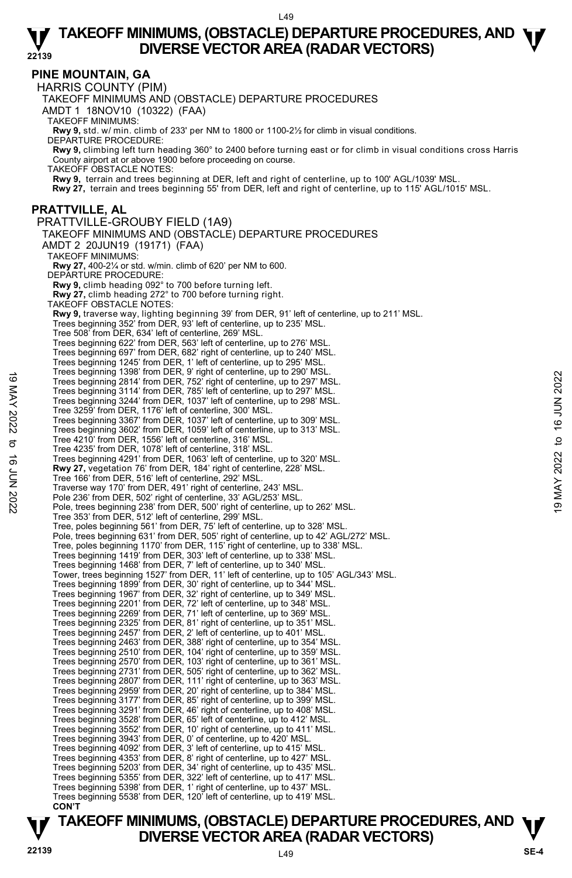### **PINE MOUNTAIN, GA**

HARRIS COUNTY (PIM) TAKEOFF MINIMUMS AND (OBSTACLE) DEPARTURE PROCEDURES AMDT 1 18NOV10 (10322) (FAA) TAKEOFF MINIMUMS: **Rwy 9,** std. w/ min. climb of 233' per NM to 1800 or 1100-2½ for climb in visual conditions. DEPARTURE PROCEDURE: **Rwy 9,** climbing left turn heading 360° to 2400 before turning east or for climb in visual conditions cross Harris County airport at or above 1900 before proceeding on course. TAKEOFF OBSTACLE NOTES: **Rwy 9,** terrain and trees beginning at DER, left and right of centerline, up to 100' AGL/1039' MSL. **Rwy 27,** terrain and trees beginning 55' from DER, left and right of centerline, up to 115' AGL/1015' MSL. **PRATTVILLE, AL**  PRATTVILLE-GROUBY FIELD (1A9) TAKEOFF MINIMUMS AND (OBSTACLE) DEPARTURE PROCEDURES AMDT 2 20JUN19 (19171) (FAA) TAKEOFF MINIMUMS: **Rwy 27,** 400-2¼ or std. w/min. climb of 620' per NM to 600. DEPARTURE PROCEDURE: **Rwy 9,** climb heading 092° to 700 before turning left. **Rwy 27,** climb heading 272° to 700 before turning right. TAKEOFF OBSTACLE NOTES: **Rwy 9,** traverse way, lighting beginning 39' from DER, 91' left of centerline, up to 211' MSL. Trees beginning 352' from DER, 93' left of centerline, up to 235' MSL. Tree 508' from DER, 634' left of centerline, 269' MSL. Trees beginning 622' from DER, 563' left of centerline, up to 276' MSL. Trees beginning 697' from DER, 682' right of centerline, up to 240' MSL. Trees beginning 1245' from DER, 1' left of centerline, up to 295' MSL. Trees beginning 1398' from DER, 9' right of centerline, up to 290' MSL. Trees beginning 2814' from DER, 752' right of centerline, up to 297' MSL. Trees beginning 3114' from DER, 785' left of centerline, up to 297' MSL. Trees beginning 3244' from DER, 1037' left of centerline, up to 298' MSL. Tree 3259' from DER, 1176' left of centerline, 300' MSL. Trees beginning 3367' from DER, 1037' left of centerline, up to 309' MSL. Trees beginning 3602' from DER, 1059' left of centerline, up to 313' MSL. Tree 4210' from DER, 1556' left of centerline, 316' MSL. Tree 4235' from DER, 1078' left of centerline, 318' MSL. Trees beginning 4291' from DER, 1063' left of centerline, up to 320' MSL. **Rwy 27,** vegetation 76' from DER, 184' right of centerline, 228' MSL. Tree 166' from DER, 516' left of centerline, 292' MSL. Traverse way 170' from DER, 491' right of centerline, 243' MSL. Pole 236' from DER, 502' right of centerline, 33' AGL/253' MSL. Pole, trees beginning 238' from DER, 500' right of centerline, up to 262' MSL. Tree 353' from DER, 512' left of centerline, 299' MSL. Tree, poles beginning 561' from DER, 75' left of centerline, up to 328' MSL. Pole, trees beginning 631' from DER, 505' right of centerline, up to 42' AGL/272' MSL. Tree, poles beginning 1170' from DER, 115' right of centerline, up to 338' MSL. Trees beginning 1419' from DER, 303' left of centerline, up to 338' MSL. Trees beginning 1468' from DER, 7' left of centerline, up to 340' MSL. Tower, trees beginning 1527' from DER, 11' left of centerline, up to 105' AGL/343' MSL. Trees beginning 1899' from DER, 30' right of centerline, up to 344' MSL.<br>Trees beginning 1967' from DER, 32' right of centerline, up to 349' MSL.<br>Trees beginning 2201' from DER, 72' left of centerline, up to 349' MSL.<br>Tree Trees beginning 2325' from DER, 81' right of centerline, up to 351' MSL.<br>Trees beginning 2457' from DER, 2' left of centerline, up to 401' MSL.<br>Trees beginning 2463' from DER, 388' right of centerline, up to 354' MSL. Trees beginning 2510' from DER, 104' right of centerline, up to 359' MSL. Trees beginning 2570' from DER, 103' right of centerline, up to 361' MSL. Trees beginning 2731' from DER, 505' right of centerline, up to 362' MSL. Trees beginning 2807' from DER, 111' right of centerline, up to 363' MSL. Trees beginning 2959' from DER, 20' right of centerline, up to 384' MSL. Trees beginning 3177' from DER, 85' right of centerline, up to 399' MSL. Trees beginning 3291' from DER, 46' right of centerline, up to 408' MSL. Trees beginning 3528' from DER, 65' left of centerline, up to 412' MSL. Trees beginning 3552' from DER, 10' right of centerline, up to 411' MSL. Trees beginning 3943' from DER, 0' of centerline, up to 420' MSL. Trees beginning 4092' from DER, 3' left of centerline, up to 415' MSL. Trees beginning 4353' from DER, 8' right of centerline, up to 427' MSL. Trees beginning 5203' from DER, 34' right of centerline, up to 435' MSL. Trees beginning 5355' from DER, 322' left of centerline, up to 417' MSL. Trees beginning 5398' from DER, 1' right of centerline, up to 437' MSL. Trees beginning 5538' from DER, 120' left of centerline, up to 419' MSL. **CON'T**  Trees beginning 1396 Tom DER, 19 Tignt of centerline, up to 297 MSL.<br>
Trees beginning 3144' from DER, 752' right of centerline, up to 297' MSL.<br>
Trees beginning 3244' from DER, 752' right of centerline, up to 297' MSL.<br>
Tr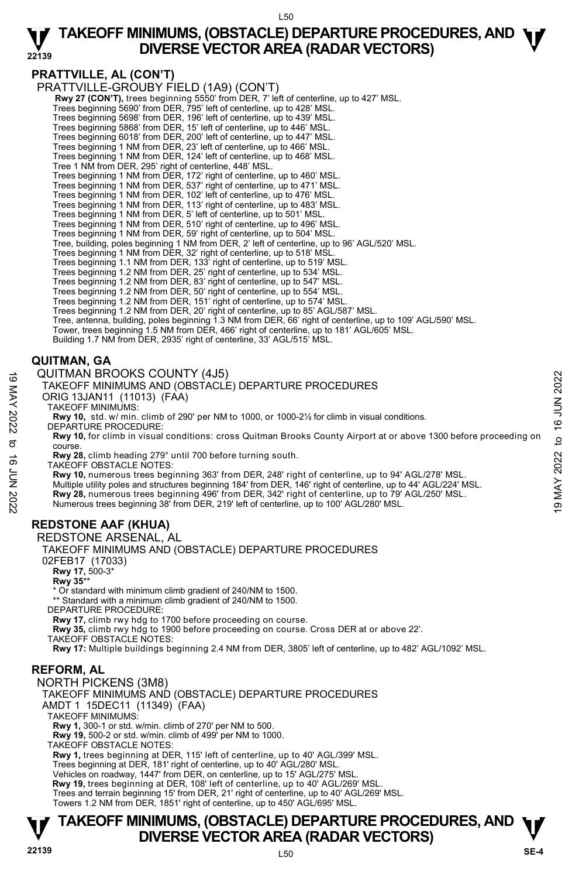#### L50

#### **22139 TAKEOFF MINIMUMS, (OBSTACLE) DEPARTURE PROCEDURES, AND**  $\Psi$ **<br>DIVERSE VECTOR AREA (RADAR VECTORS) DIVERSE VECTOR AREA (RADAR VECTORS)**

# **PRATTVILLE, AL (CON'T)**

PRATTVILLE-GROUBY FIELD (1A9) (CON'T)

**Rwy 27 (CON'T),** trees beginning 5550' from DER, 7' left of centerline, up to 427' MSL. Trees beginning 5690' from DER, 795' left of centerline, up to 428' MSL.

Trees beginning 5698' from DER, 196' left of centerline, up to 439' MSL.

Trees beginning 5868' from DER, 15' left of centerline, up to 446' MSL. Trees beginning 6018' from DER, 200' left of centerline, up to 447' MSL.

Trees beginning 1 NM from DER, 23' left of centerline, up to 466' MSL.

Trees beginning 1 NM from DER, 124' left of centerline, up to 468' MSL.

Tree 1 NM from DER, 295' right of centerline, 448' MSL.

Trees beginning 1 NM from DER, 172' right of centerline, up to 460' MSL.

Trees beginning 1 NM from DER, 537' right of centerline, up to 471' MSL.

Trees beginning 1 NM from DER, 102' left of centerline, up to 476' MSL.

Trees beginning 1 NM from DER, 113' right of centerline, up to 483' MSL.

Trees beginning 1 NM from DER, 5' left of centerline, up to 501' MSL.

Trees beginning 1 NM from DER, 510' right of centerline, up to 496' MSL.

Trees beginning 1 NM from DER, 59' right of centerline, up to 504' MSL.

Tree, building, poles beginning 1 NM from DER, 2' left of centerline, up to 96' AGL/520' MSL.

Trees beginning 1 NM from DER, 32' right of centerline, up to 518' MSL.

Trees beginning 1.1 NM from DER, 133' right of centerline, up to 519' MSL. Trees beginning 1.2 NM from DER, 25' right of centerline, up to 534' MSL.

Trees beginning 1.2 NM from DER, 83' right of centerline, up to 547' MSL.

Trees beginning 1.2 NM from DER, 50' right of centerline, up to 554' MSL.

Trees beginning 1.2 NM from DER, 151' right of centerline, up to 574' MSL.

Trees beginning 1.2 NM from DER, 20' right of centerline, up to 85' AGL/587' MSL.

Tree, antenna, building, poles beginning 1.3 NM from DER, 66' right of centerline, up to 109' AGL/590' MSL.

Tower, trees beginning 1.5 NM from DER, 466' right of centerline, up to 181' AGL/605' MSL.<br>Building 1.7 NM from DER, 2935' right of centerline, 33' AGL/515' MSL.

### **QUITMAN, GA**

QUITMAN BROOKS COUNTY (4J5)

TAKEOFF MINIMUMS AND (OBSTACLE) DEPARTURE PROCEDURES

ORIG 13JAN11 (11013) (FAA)

TAKEOFF MINIMUMS:

**Rwy 10,** std. w/ min. climb of 290' per NM to 1000, or 1000-2½ for climb in visual conditions. DEPARTURE PROCEDURE:

**Rwy 10,** for climb in visual conditions: cross Quitman Brooks County Airport at or above 1300 before proceeding on course.

**Rwy 28,** climb heading 279° until 700 before turning south.

TAKEOFF OBSTACLE NOTES:

**Rwy 10,** numerous trees beginning 363' from DER, 248' right of centerline, up to 94' AGL/278' MSL. Multiple utility poles and structures beginning 184' from DER, 146' right of centerline, up to 44' AGL/224' MSL. WEIGOFF MINIMUMS AND (OBSTACLE) DEPARTURE PROCEDURES<br>
TAKEOFF MINIMUMS AND (OBSTACLE) DEPARTURE PROCEDURES<br>
TAKEOFF MINIMUMS:<br>
TAKEOFF MINIMUMS:<br>
RWY 10, std. w/min. climb of 290' per NM to 1000, or 1000-2½ for climb in vi

# **REDSTONE AAF (KHUA)**

REDSTONE ARSENAL, AL

TAKEOFF MINIMUMS AND (OBSTACLE) DEPARTURE PROCEDURES 02FEB17 (17033)  **Rwy 17,** 500-3\*  **Rwy 35**\*\* Or standard with minimum climb gradient of 240/NM to 1500. \*\* Standard with a minimum climb gradient of 240/NM to 1500. DEPARTURE PROCEDURE: **Rwy 17,** climb rwy hdg to 1700 before proceeding on course. **Rwy 35,** climb rwy hdg to 1900 before proceeding on course. Cross DER at or above 22'. TAKEOFF OBSTACLE NOTES:

**Rwy 17:** Multiple buildings beginning 2.4 NM from DER, 3805' left of centerline, up to 482' AGL/1092' MSL.

# **REFORM, AL**

NORTH PICKENS (3M8)

TAKEOFF MINIMUMS AND (OBSTACLE) DEPARTURE PROCEDURES

AMDT 1 15DEC11 (11349) (FAA)

TAKEOFF MINIMUMS:

**Rwy 1,** 300-1 or std. w/min. climb of 270' per NM to 500. **Rwy 19,** 500-2 or std. w/min. climb of 499' per NM to 1000.

TAKEOFF OBSTACLE NOTES:

**Rwy 1,** trees beginning at DER, 115' left of centerline, up to 40' AGL/399' MSL.<br>Trees beginning at DER, 181' right of centerline, up to 40' AGL/280' MSL.

Vehicles on roadway, 1447' from DER, on centerline, up to 15' AGL/275' MSL.

**Rwy 19,** trees beginning at DER, 108' left of centerline, up to 40' AGL/269' MSL.

Trees and terrain beginning 15' from DER, 21' right of centerline, up to 40' AGL/269' MSL. Towers 1.2 NM from DER, 1851' right of centerline, up to 450' AGL/695' MSL.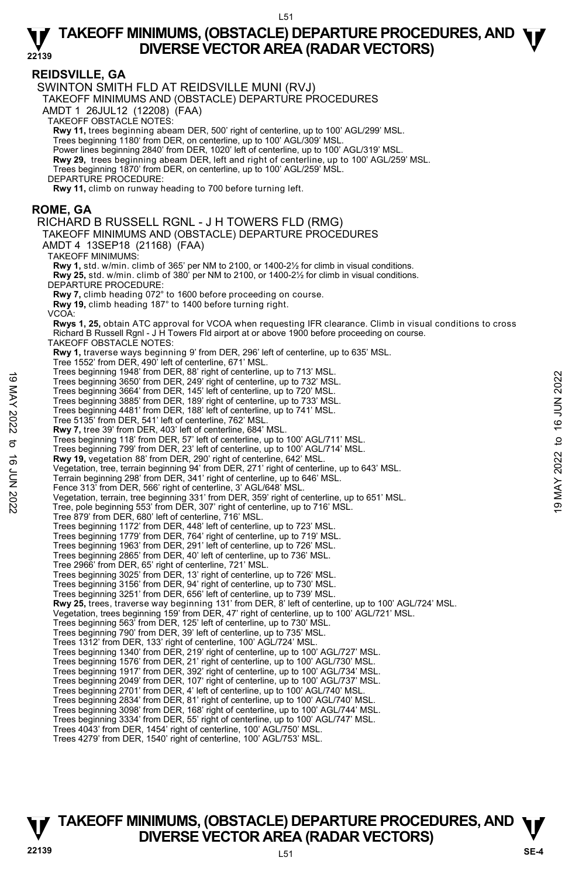#### **REIDSVILLE, GA**  SWINTON SMITH FLD AT REIDSVILLE MUNI (RVJ) TAKEOFF MINIMUMS AND (OBSTACLE) DEPARTURE PROCEDURES AMDT 1 26JUL12 (12208) (FAA) TAKEOFF OBSTACLE NOTES: **Rwy 11,** trees beginning abeam DER, 500' right of centerline, up to 100' AGL/299' MSL. Trees beginning 1180' from DER, on centerline, up to 100' AGL/309' MSL. Power lines beginning 2840' from DER, 1020' left of centerline, up to 100' AGL/319' MSL. **Rwy 29,** trees beginning abeam DER, left and right of centerline, up to 100' AGL/259' MSL. Trees beginning 1870' from DER, on centerline, up to 100' AGL/259' MSL. DEPARTURE PROCEDURE: **Rwy 11,** climb on runway heading to 700 before turning left. **ROME, GA**  RICHARD B RUSSELL RGNL - J H TOWERS FLD (RMG) TAKEOFF MINIMUMS AND (OBSTACLE) DEPARTURE PROCEDURES AMDT 4 13SEP18 (21168) (FAA) TAKEOFF MINIMUMS: **Rwy 1,** std. w/min. climb of 365' per NM to 2100, or 1400-2½ for climb in visual conditions. **Rwy 25,** std. w/min. climb of 380' per NM to 2100, or 1400-2½ for climb in visual conditions. DEPARTURE PROCEDURE: **Rwy 7,** climb heading 072° to 1600 before proceeding on course. **Rwy 19,** climb heading 187° to 1400 before turning right. VCOA: **Rwys 1, 25,** obtain ATC approval for VCOA when requesting IFR clearance. Climb in visual conditions to cross Richard B Russell Rgnl - J H Towers Fld airport at or above 1900 before proceeding on course. TAKEOFF OBSTACLE NOTES: **Rwy 1,** traverse ways beginning 9' from DER, 296' left of centerline, up to 635' MSL. Tree 1552' from DER, 490' left of centerline, 671' MSL. Trees beginning 1948' from DER, 88' right of centerline, up to 713' MSL. Trees beginning 3650' from DER, 249' right of centerline, up to 732' MSL. Trees beginning 3664' from DER, 145' left of centerline, up to 720' MSL. Trees beginning 3885' from DER, 189' right of centerline, up to 733' MSL. Trees beginning 4481' from DER, 188' left of centerline, up to 741' MSL. Tree 5135' from DER, 541' left of centerline, 762' MSL. **Rwy 7,** tree 39' from DER, 403' left of centerline, 684' MSL. Trees beginning 118' from DER, 57' left of centerline, up to 100' AGL/711' MSL. Trees beginning 799' from DER, 23' left of centerline, up to 100' AGL/714' MSL. **Rwy 19,** vegetation 88' from DER, 290' right of centerline, 642' MSL. Vegetation, tree, terrain beginning 94' from DER, 271' right of centerline, up to 643' MSL. Terrain beginning 298' from DER, 341' right of centerline, up to 646' MSL. Fence 313' from DER, 566' right of centerline, 3' AGL/648' MSL. Vegetation, terrain, tree beginning 331' from DER, 359' right of centerline, up to 651' MSL. Tree, pole beginning 553' from DER, 307' right of centerline, up to 716' MSL. Tree 879' from DER, 680' left of centerline, 716' MSL. Trees beginning 1172' from DER, 448' left of centerline, up to 723' MSL. Trees beginning 1779' from DER, 764' right of centerline, up to 719' MSL. Trees beginning 1963' from DER, 291' left of centerline, up to 726' MSL. Trees beginning 2865' from DER, 40' left of centerline, up to 736' MSL. Tree 2966' from DER, 65' right of centerline, 721' MSL. Trees beginning 3025' from DER, 13' right of centerline, up to 726' MSL. Trees beginning 3156' from DER, 94' right of centerline, up to 730' MSL. Trees beginning 3251' from DER, 656' left of centerline, up to 739' MSL. **Rwy 25,** trees, traverse way beginning 131' from DER, 8' left of centerline, up to 100' AGL/724' MSL. Vegetation, trees beginning 159' from DER, 47' right of centerline, up to 100' AGL/721' MSL. Trees beginning 563' from DER, 125' left of centerline, up to 730' MSL. Trees beginning 790' from DER, 39' left of centerline, up to 735' MSL. Trees 1312' from DER, 133' right of centerline, 100' AGL/724' MSL. Trees beginning 1340' from DER, 219' right of centerline, up to 100' AGL/727' MSL. Trees beginning 1576' from DER, 21' right of centerline, up to 100' AGL/730' MSL. Trees beginning 1917' from DER, 392' right of centerline, up to 100' AGL/734' MSL. Trees beginning 2049' from DER, 107' right of centerline, up to 100' AGL/737' MSL. Trees beginning 2701' from DER, 4' left of centerline, up to 100' AGL/740' MSL. Trees beginning 2834' from DER, 81' right of centerline, up to 100' AGL/740' MSL. Trees beginning 3098' from DER, 168' right of centerline, up to 100' AGL/744' MSL. Trees beginning 3334' from DER, 55' right of centerline, up to 100' AGL/747' MSL. Trees 4043' from DER, 1454' right of centerline, 100' AGL/750' MSL. Trees 4279' from DER, 1540' right of centerline, 100' AGL/753' MSL. Trees beginning 1946<br>
Trees beginning 3660' from DER, 249 right of centerline, up to 732' MSL.<br>
Trees beginning 3664' from DER, 145' left of centerline, up to 732' MSL.<br>
Trees beginning 3865' from DER, 145' left of centerl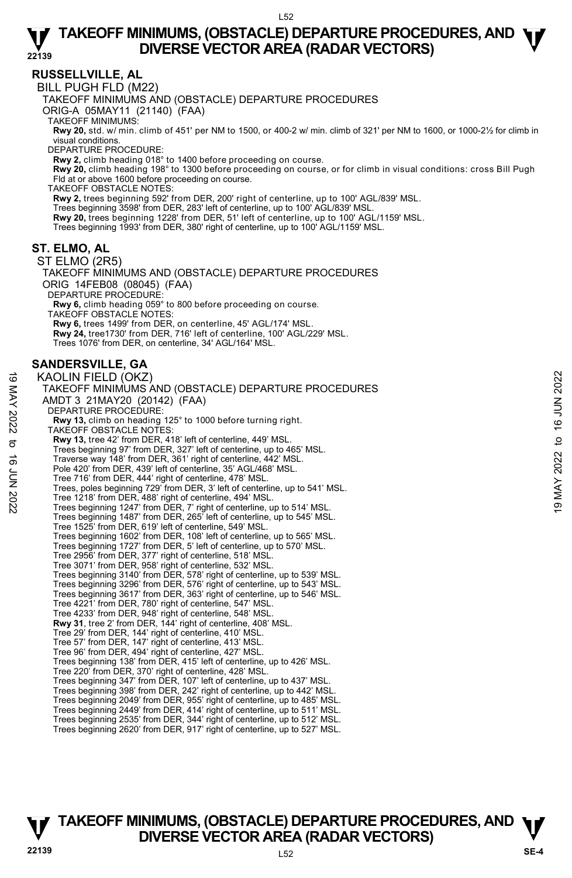# **RUSSELLVILLE, AL**

BILL PUGH FLD (M22)

TAKEOFF MINIMUMS AND (OBSTACLE) DEPARTURE PROCEDURES

ORIG-A 05MAY11 (21140) (FAA)

TAKEOFF MINIMUMS:

**Rwy 20,** std. w/ min. climb of 451' per NM to 1500, or 400-2 w/ min. climb of 321' per NM to 1600, or 1000-2½ for climb in visual conditions.

DEPARTURE PROCEDURE:

**Rwy 2,** climb heading 018° to 1400 before proceeding on course.

**Rwy 20,** climb heading 198° to 1300 before proceeding on course, or for climb in visual conditions: cross Bill Pugh<br>Fld at or above 1600 before proceeding on course.

TAKEOFF OBSTACLE NOTES:

**Rwy 2,** trees beginning 592' from DER, 200' right of centerline, up to 100' AGL/839' MSL.

Trees beginning 3598' from DER, 283' left of centerline, up to 100' AGL/839' MSL.<br>**Rwy 20,** trees beginning 1228' from DER, 51' left of centerline, up to 100' AGL/1159' MSL.

- 
- Trees beginning 1993' from DER, 380' right of centerline, up to 100' AGL/1159' MSL.

### **ST. ELMO, AL**

ST ELMO (2R5) TAKEOFF MINIMUMS AND (OBSTACLE) DEPARTURE PROCEDURES ORIG 14FEB08 (08045) (FAA) DEPARTURE PROCEDURE: **Rwy 6,** climb heading 059° to 800 before proceeding on course. TAKEOFF OBSTACLE NOTES: **Rwy 6,** trees 1499' from DER, on centerline, 45' AGL/174' MSL. **Rwy 24,** tree1730' from DER, 716' left of centerline, 100' AGL/229' MSL. Trees 1076' from DER, on centerline, 34' AGL/164' MSL.

# **SANDERSVILLE, GA**

KAOLIN FIELD (OKZ) TAKEOFF MINIMUMS AND (OBSTACLE) DEPARTURE PROCEDURES AMDT 3 21MAY20 (20142) (FAA) DEPARTURE PROCEDURE: **Rwy 13,** climb on heading 125° to 1000 before turning right. TAKEOFF OBSTACLE NOTES: **Rwy 13,** tree 42' from DER, 418' left of centerline, 449' MSL.<br>Trees beginning 97' from DER, 327' left of centerline, up to 465' MSL. Traverse way 148' from DER, 361' right of centerline, 442' MSL. Pole 420' from DER, 439' left of centerline, 35' AGL/468' MSL. Tree 716' from DER, 444' right of centerline, 478' MSL. Trees, poles beginning 729' from DER, 3' left of centerline, up to 541' MSL. Tree 1218' from DER, 488' right of centerline, 494' MSL. Trees beginning 1247' from DER, 7' right of centerline, up to 514' MSL. Trees beginning 1487' from DER, 265' left of centerline, up to 545' MSL. Tree 1525' from DER, 619' left of centerline, 549' MSL. Trees beginning 1602' from DER, 108' left of centerline, up to 565' MSL. Trees beginning 1727' from DER, 5' left of centerline, up to 570' MSL. Tree 2956' from DER, 377' right of centerline, 518' MSL. Tree 3071' from DER, 958' right of centerline, 532' MSL. Trees beginning 3140' from DER, 578' right of centerline, up to 539' MSL. Trees beginning 3296' from DER, 576' right of centerline, up to 543' MSL. Trees beginning 3617' from DER, 363' right of centerline, up to 546' MSL. Tree 4221' from DER, 780' right of centerline, 547' MSL. Tree 4233' from DER, 948' right of centerline, 548' MSL. **Rwy 31**, tree 2' from DER, 144' right of centerline, 408' MSL. Tree 29' from DER, 144' right of centerline, 410' MSL. Tree 57' from DER, 147' right of centerline, 413' MSL. Tree 96' from DER, 494' right of centerline, 427' MSL. Trees beginning 138' from DER, 415' left of centerline, up to 426' MSL. Tree 220' from DER, 370' right of centerline, 428' MSL. Trees beginning 347' from DER, 107' left of centerline, up to 437' MSL. Trees beginning 398' from DER, 242' right of centerline, up to 442' MSL. Trees beginning 2049' from DER, 955' right of centerline, up to 485' MSL. Trees beginning 2449' from DER, 414' right of centerline, up to 511' MSL. Trees beginning 2535' from DER, 344' right of centerline, up to 512' MSL. Trees beginning 2620' from DER, 917' right of centerline, up to 527' MSL.  $\overrightarrow{A}$  MOLIN FIELD (OKZ)<br>
TAKEOFF MINIMUMS AND (OBSTACLE) DEPARTURE PROCEDURES<br>
AMDT 3 21MAY20 (20142) (FAA)<br>
DEPARTURE PROCEDURE:<br>
RW 13, climb on heading 125° to 1000 before turning right.<br>
TAKEOFF OBSTACLE NOTES:<br>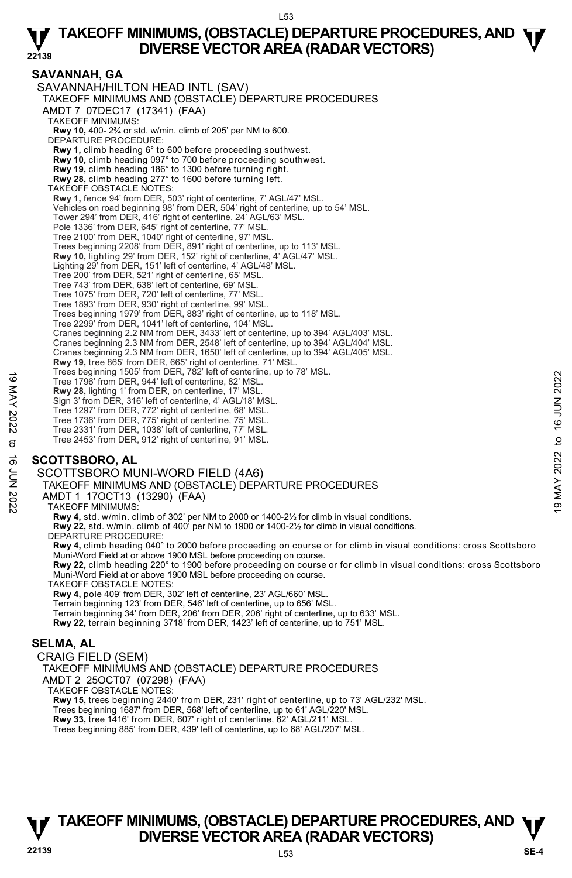# **SAVANNAH, GA**

SAVANNAH/HILTON HEAD INTL (SAV) TAKEOFF MINIMUMS AND (OBSTACLE) DEPARTURE PROCEDURES AMDT 7 07DEC17 (17341) (FAA) TAKEOFF MINIMUMS: **Rwy 10,** 400- 2¾ or std. w/min. climb of 205' per NM to 600. DEPARTURE PROCEDURE: **Rwy 1,** climb heading 6° to 600 before proceeding southwest. **Rwy 10,** climb heading 097° to 700 before proceeding southwest. **Rwy 19,** climb heading 186° to 1300 before turning right. **Rwy 28,** climb heading 277° to 1600 before turning left. TAKEOFF OBSTACLE NOTES: **Rwy 1,** fence 94' from DER, 503' right of centerline, 7' AGL/47' MSL. Vehicles on road beginning 98' from DER, 504' right of centerline, up to 54' MSL. Tower 294' from DER, 416' right of centerline, 24' AGL/63' MSL. Pole 1336' from DER, 645' right of centerline, 77' MSL Tree 2100' from DER, 1040' right of centerline, 97' MSL. Trees beginning 2208' from DER, 891' right of centerline, up to 113' MSL. **Rwy 10,** lighting 29' from DER, 152' right of centerline, 4' AGL/47' MSL. Lighting 29' from DER, 151' left of centerline, 4' AGL/48' MSL. Tree 200' from DER, 521' right of centerline, 65' MSL. Tree 743' from DER, 638' left of centerline, 69' MSL. Tree 1075' from DER, 720' left of centerline, 77' MSI Tree 1893' from DER, 930' right of centerline, 99' MSL. Trees beginning 1979' from DER, 883' right of centerline, up to 118' MSL. Tree 2299' from DER, 1041' left of centerline, 104' MSL. Cranes beginning 2.2 NM from DER, 3433' left of centerline, up to 394' AGL/403' MSL. Cranes beginning 2.3 NM from DER, 2548' left of centerline, up to 394' AGL/404' MSL. Cranes beginning 2.3 NM from DER, 1650' left of centerline, up to 394' AGL/405' MSL. **Rwy 19,** tree 865' from DER, 665' right of centerline, 71' MSL. Trees beginning 1505' from DER, 782' left of centerline, up to 78' MSL. Tree 1796' from DER, 944' left of centerline, 82' MSL. **Rwy 28,** lighting 1' from DER, on centerline, 17' MSL. Sign 3' from DER, 316' left of centerline, 4' AGL/18' MSL. Tree 1297' from DER, 772' right of centerline, 68' MSL. Tree 1736' from DER, 775' right of centerline, 75' MSL. Tree 2331' from DER, 1038' left of centerline, 77' MSL. Tree 2453' from DER, 912' right of centerline, 91' MSL. Tree 1796' from DER, 944' left of centerine, 82' MSL.<br>
Tree 1796' from DER, 944' left of centerine, 42' MSL.<br>
Sign 3' from DER, 316' left of centerine, 42' MSL.<br>
Sign 3' from DER, 316' left of centerine, 42' MSL.<br>
Tree 129

# **SCOTTSBORO, AL**

SCOTTSBORO MUNI-WORD FIELD (4A6)

TAKEOFF MINIMUMS AND (OBSTACLE) DEPARTURE PROCEDURES

AMDT 1 17OCT13 (13290) (FAA)

TAKEOFF MINIMUMS:

**Rwy 4,** std. w/min. climb of 302' per NM to 2000 or 1400-2½ for climb in visual conditions.

**Rwy 22,** std. w/min. climb of 400' per NM to 1900 or 1400-2½ for climb in visual conditions.

DEPARTURE PROCEDURE

**Rwy 4,** climb heading 040° to 2000 before proceeding on course or for climb in visual conditions: cross Scottsboro Muni-Word Field at or above 1900 MSL before proceeding on course.

**Rwy 22,** climb heading 220° to 1900 before proceeding on course or for climb in visual conditions: cross Scottsboro Muni-Word Field at or above 1900 MSL before proceeding on course.

TAKEOFF OBSTACLE NOTES:

**Rwy 4,** pole 409' from DER, 302' left of centerline, 23' AGL/660' MSL. Terrain beginning 123' from DER, 546' left of centerline, up to 656' MSL. Terrain beginning 34' from DER, 206' from DER, 206' right of centerline, up to 633' MSL. **Rwy 22,** terrain beginning 3718' from DER, 1423' left of centerline, up to 751' MSL.

### **SELMA, AL**

CRAIG FIELD (SEM)

TAKEOFF MINIMUMS AND (OBSTACLE) DEPARTURE PROCEDURES AMDT 2 25OCT07 (07298) (FAA)

TAKEOFF OBSTACLE NOTES:

**Rwy 15,** trees beginning 2440' from DER, 231' right of centerline, up to 73' AGL/232' MSL.

Trees beginning 1687' from DER, 568' left of centerline, up to 61' AGL/220' MSL.

**Rwy 33,** tree 1416' from DER, 607' right of centerline, 62' AGL/211' MSL.

Trees beginning 885' from DER, 439' left of centerline, up to 68' AGL/207' MSL.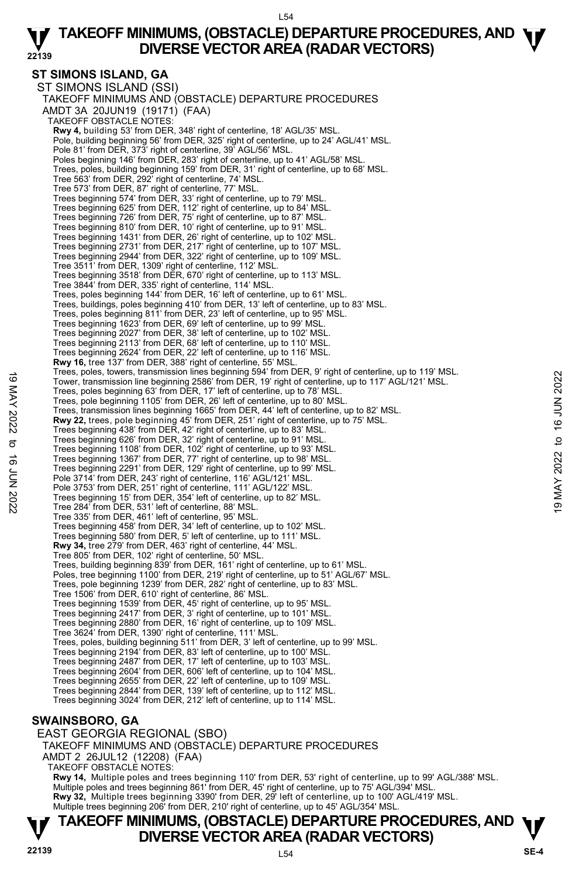# **ST SIMONS ISLAND, GA**

ST SIMONS ISLAND (SSI) TAKEOFF MINIMUMS AND (OBSTACLE) DEPARTURE PROCEDURES AMDT 3A 20JUN19 (19171) (FAA) TAKEOFF OBSTACLE NOTES: **Rwy 4,** building 53' from DER, 348' right of centerline, 18' AGL/35' MSL.<br>Pole, building beginning 56' from DER, 325' right of centerline, up to 24' AGL/41' MSL. Pole 81' from DER, 373' right of centerline, 39' AGL/56' MSL. Poles beginning 146' from DER, 283' right of centerline, up to 41' AGL/58' MSL. Trees, poles, building beginning 159' from DER, 31' right of centerline, up to 68' MSL. Tree 563' from DER, 292' right of centerline, 74' MSL. Tree 573' from DER, 87' right of centerline, 77' MSL. Trees beginning 574' from DER, 33' right of centerline, up to 79' MSL. Trees beginning 625' from DER, 112' right of centerline, up to 84' MSL. Trees beginning 726' from DER, 75' right of centerline, up to 87' MSL. Trees beginning 810' from DER, 10' right of centerline, up to 91' MSL. Trees beginning 1431' from DER, 26' right of centerline, up to 102' MSL. Trees beginning 2731' from DER, 217' right of centerline, up to 107' MSL. Trees beginning 2944' from DER, 322' right of centerline, up to 109' MSL. Tree 3511' from DER, 1309' right of centerline, 112' MSL. Trees beginning 3518' from DER, 670' right of centerline, up to 113' MSL. Tree 3844' from DER, 335' right of centerline, 114' MSL. Trees, poles beginning 144' from DER, 16' left of centerline, up to 61' MSL. Trees, buildings, poles beginning 410' from DER, 13' left of centerline, up to 83' MSL. Trees, poles beginning 811' from DER, 23' left of centerline, up to 95' MSL. Trees beginning 1623' from DER, 69' left of centerline, up to 99' MSL. Trees beginning 2027' from DER, 38' left of centerline, up to 102' MSL. Trees beginning 2113' from DER, 68' left of centerline, up to 110' MSL. Trees beginning 2624' from DER, 22' left of centerline, up to 116' MSL. **Rwy 16,** tree 137' from DER, 388' right of centerline, 55' MSL. Trees, poles, towers, transmission lines beginning 594' from DER, 9' right of centerline, up to 119' MSL. Tower, transmission line beginning 2586' from DER, 19' right of centerline, up to 117' AGL/121' MSL. Trees, poles beginning 63' from DER, 17' left of centerline, up to 78' MSL. Trees, pole beginning 1105' from DER, 26' left of centerline, up to 80' MSL. Trees, transmission lines beginning 1665' from DER, 44' left of centerline, up to 82' MSL.<br>**Rwy 22,** trees, pole beginning 45' from DER, 251' right of centerline, up to 75' MSL. Trees beginning 438' from DER, 42' right of centerline, up to 83' MSL. Trees beginning 626' from DER, 32' right of centerline, up to 91' MSL. Trees beginning 1108' from DER, 102' right of centerline, up to 93' MSL. Trees beginning 1367' from DER, 77' right of centerline, up to 98' MSL. Trees beginning 2291' from DER, 129' right of centerline, up to 99' MSL. Pole 3714' from DER, 243' right of centerline, 116' AGL/121' MSL. Pole 3753' from DER, 251' right of centerline, 111' AGL/122' MSL. Trees beginning 15' from DER, 354' left of centerline, up to 82' MSL. Tree 284' from DER, 531' left of centerline, 88' MSL. Tree 335' from DER, 461' left of centerline, 95' MSL. Trees beginning 458' from DER, 34' left of centerline, up to 102' MSL. Trees beginning 580' from DER, 5' left of centerline, up to 111' MSL. **Rwy 34,** tree 279' from DER, 463' right of centerline, 44' MSL. Tree 805' from DER, 102' right of centerline, 50' MSL. Trees, building beginning 839' from DER, 161' right of centerline, up to 61' MSL. Poles, tree beginning 1100' from DER, 219' right of centerline, up to 51' AGL/67' MSL. Trees, pole beginning 1239' from DER, 282' right of centerline, up to 83' MSL. Tree 1506' from DER, 610' right of centerline, 86' MSL.<br>Trees beginning 1539' from DER, 45' right of centerline, up to 95' MSL.<br>Trees beginning 2417' from DER, 3' right of centerline, up to 101' MSL. Trees beginning 2880' from DER, 16' right of centerline, up to 109' MSL. Tree 3624' from DER, 1390' right of centerline, 111' MSL. Trees, poles, building beginning 511' from DER, 3' left of centerline, up to 99' MSL. Trees beginning 2194' from DER, 83' left of centerline, up to 100' MSL. Trees beginning 2487' from DER, 17' left of centerline, up to 103' MSL. Trees beginning 2604' from DER, 606' left of centerline, up to 104' MSL. Trees beginning 2655' from DER, 22' left of centerline, up to 109' MSL. Trees beginning 2844' from DER, 139' left of centerline, up to 112' MSL. Trees beginning 3024' from DER, 212' left of centerline, up to 114' MSL. 19 May 200 11 May 200 11 May 1100 11 May 110 1 May 110 1 May 110 11 May 110 119 May 110 119 May 110 119 May 110 119 May 110 119 May 110 119 May 119 May 119 May 119 May 119 May 119 May 119 May 119 May 119 May 119 May 119 M

# **SWAINSBORO, GA**

EAST GEORGIA REGIONAL (SBO) TAKEOFF MINIMUMS AND (OBSTACLE) DEPARTURE PROCEDURES AMDT 2 26JUL12 (12208) (FAA) TAKEOFF OBSTACLE NOTES: **Rwy 14,** Multiple poles and trees beginning 110' from DER, 53' right of centerline, up to 99' AGL/388' MSL. Multiple poles and trees beginning 861' from DER, 45' right of centerline, up to 75' AGL/394' MSL. **Rwy 32,** Multiple trees beginning 3390' from DER, 29' left of centerline, up to 100' AGL/419' MSL.<br>Multiple trees beginning 206' from DER, 210' right of centerline, up to 45' AGL/354' MSL.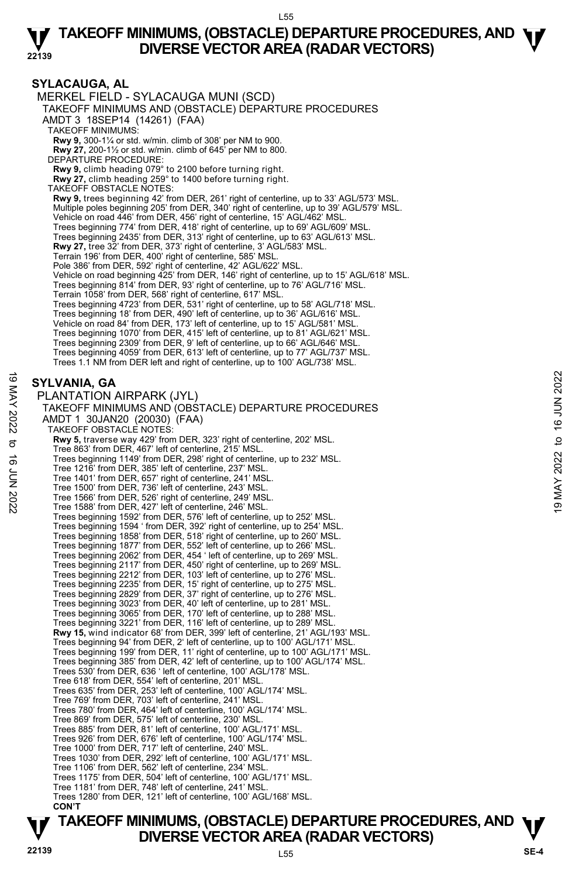#### **SYLACAUGA, AL**  MERKEL FIELD - SYLACAUGA MUNI (SCD) TAKEOFF MINIMUMS AND (OBSTACLE) DEPARTURE PROCEDURES AMDT 3 18SEP14 (14261) (FAA) TAKEOFF MINIMUMS: **Rwy 9,** 300-1¼ or std. w/min. climb of 308' per NM to 900. **Rwy 27,** 200-1½ or std. w/min. climb of 645' per NM to 800. DEPARTURE PROCEDURE: **Rwy 9,** climb heading 079° to 2100 before turning right. **Rwy 27,** climb heading 259° to 1400 before turning right. TAKEOFF OBSTACLE NOTES: **Rwy 9,** trees beginning 42' from DER, 261' right of centerline, up to 33' AGL/573' MSL. Multiple poles beginning 205' from DER, 340' right of centerline, up to 39' AGL/579' MSL. Vehicle on road 446' from DER, 456' right of centerline, 15' AGL/462' MSL. Trees beginning 774' from DER, 418' right of centerline, up to 69' AGL/609' MSL. Trees beginning 2435' from DER, 313' right of centerline, up to 63' AGL/613' MSL. **Rwy 27,** tree 32' from DER, 373' right of centerline, 3' AGL/583' MSL. Terrain 196' from DER, 400' right of centerline, 585' MSL. Pole 386' from DER, 592' right of centerline, 42' AGL/622' MSL. Vehicle on road beginning 425' from DER, 146' right of centerline, up to 15' AGL/618' MSL. Trees beginning 814' from DER, 93' right of centerline, up to 76' AGL/716' MSL. Terrain 1058' from DER, 568' right of centerline, 617' MSL. Trees beginning 4723' from DER, 531' right of centerline, up to 58' AGL/718' MSL. Trees beginning 18' from DER, 490' left of centerline, up to 36' AGL/616' MSL. Vehicle on road 84' from DER, 173' left of centerline, up to 15' AGL/581' MSL. Trees beginning 1070' from DER, 415' left of centerline, up to 81' AGL/621' MSL. Trees beginning 2309' from DER, 9' left of centerline, up to 66' AGL/646' MSL. Trees beginning 4059' from DER, 613' left of centerline, up to 77' AGL/737' MSL. Trees 1.1 NM from DER left and right of centerline, up to 100' AGL/738' MSL. **SYLVANIA, GA**  PLANTATION AIRPARK (JYL) TAKEOFF MINIMUMS AND (OBSTACLE) DEPARTURE PROCEDURES AMDT 1 30JAN20 (20030) (FAA) TAKEOFF OBSTACLE NOTES: **Rwy 5,** traverse way 429' from DER, 323' right of centerline, 202' MSL. Tree 863' from DER, 467' left of centerline, 215' MSL. Trees beginning 1149' from DER, 298' right of centerline, up to 232' MSL. Tree 1216' from DER, 385' left of centerline, 237' MSL. Tree 1401' from DER, 657' right of centerline, 241' MSL. Tree 1500' from DER, 736' left of centerline, 243' MSL. Tree 1566' from DER, 526' right of centerline, 249' MSL. Tree 1588' from DER, 427' left of centerline, 246' MSL. Trees beginning 1592' from DER, 576' left of centerline, up to 252' MSL. Trees beginning 1594 ' from DER, 392' right of centerline, up to 254' MSL. Trees beginning 1858' from DER, 518' right of centerline, up to 260' MSL. Trees beginning 1877' from DER, 552' left of centerline, up to 266' MSL. Trees beginning 2062' from DER, 454 ' left of centerline, up to 269' MSL. Trees beginning 2117' from DER, 450' right of centerline, up to 269' MSL. Trees beginning 2212' from DER, 103' left of centerline, up to 276' MSL. Trees beginning 2235' from DER, 15' right of centerline, up to 275' MSL. Trees beginning 2829' from DER, 37' right of centerline, up to 276' MSL.<br>Trees beginning 3023' from DER, 40' left of centerline, up to 281' MSL.<br>Trees beginning 3065' from DER, 170' left of centerline, up to 288' MSL. Trees beginning 3221' from DER, 116' left of centerline, up to 289' MSL.  **Rwy 15,** wind indicator 68' from DER, 399' left of centerline, 21' AGL/193' MSL. Trees beginning 94' from DER, 2' left of centerline, up to 100' AGL/171' MSL. Trees beginning 199' from DER, 11' right of centerline, up to 100' AGL/171' MSL. Trees beginning 385' from DER, 42' left of centerline, up to 100' AGL/174' MSL. Trees 530' from DER, 636 ' left of centerline, 100' AGL/178' MSL. Tree 618' from DER, 554' left of centerline, 201' MSL. Trees 635' from DER, 253' left of centerline, 100' AGL/174' MSL. Tree 769' from DER, 703' left of centerline, 241' MSL. Trees 780' from DER, 464' left of centerline, 100' AGL/174' MSL. Tree 869' from DER, 575' left of centerline, 230' MSL. Trees 885' from DER, 81' left of centerline, 100' AGL/171' MSL. Trees 926' from DER, 676' left of centerline, 100' AGL/174' MSL. Tree 1000' from DER, 717' left of centerline, 240' MSL. Trees 1030' from DER, 292' left of centerline, 100' AGL/171' MSL. Tree 1106' from DER, 562' left of centerline, 234' MSL. Trees 1175' from DER, 504' left of centerline, 100' AGL/171' MSL. Tree 1181' from DER, 748' left of centerline, 241' MSL. Trees 1280' from DER, 121' left of centerline, 100' AGL/168' MSL. **SYLVANIA, GA**<br>
PLANTATION AIRPARK (JYL)<br>
TAKEOFF MINIMUMS AND (OBSTACLE) DEPARTURE PROCEDURES<br>
AMDT 1 30JAN20 (20030) (FAA)<br>
TAKEOFF MINIMUMS AND (OBSTACLE) DEPARTURE PROCEDURES<br>
AMDT 1 30JAN20 (20030) (FAA)<br>
TAKEOFF OB

 **CON'T**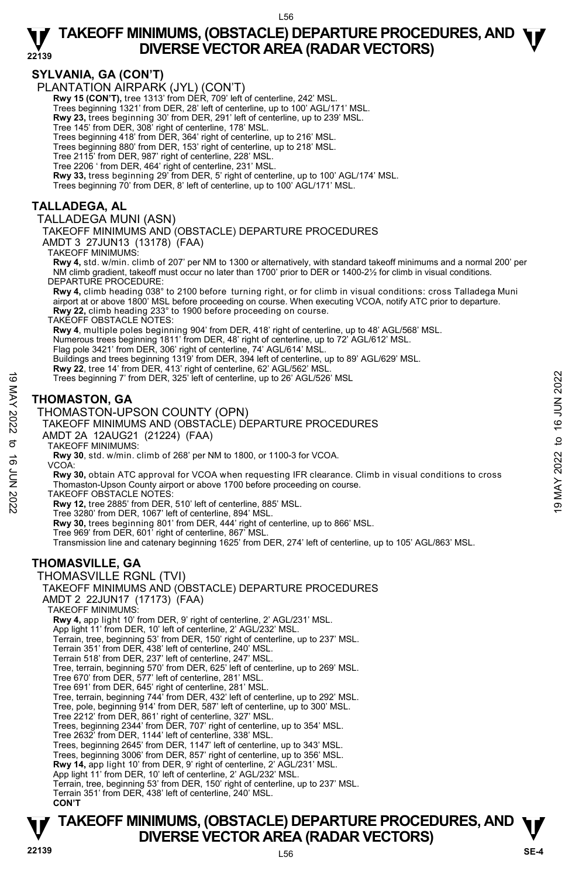# **SYLVANIA, GA (CON'T)**

PLANTATION AIRPARK (JYL) (CON'T)

**Rwy 15 (CON'T),** tree 1313' from DÉR, 709' left of centerline, 242' MSL

Trees beginning 1321' from DER, 28' left of centerline, up to 100' AGL/171' MSL.

**Rwy 23,** trees beginning 30' from DER, 291' left of centerline, up to 239' MSL.

Tree 145' from DER, 308' right of centerline, 178' MSL.

Trees beginning 418' from DER, 364' right of centerline, up to 216' MSL.

Trees beginning 880' from DER, 153' right of centerline, up to 218' MSL.

Tree 2115' from DER, 987' right of centerline, 228' MSL.

Tree 2206 ' from DER, 464' right of centerline, 231' MSL. **Rwy 33,** tress beginning 29' from DER, 5' right of centerline, up to 100' AGL/174' MSL.

Trees beginning 70' from DER, 8' left of centerline, up to 100' AGL/171' MSL.

# **TALLADEGA, AL**

TALLADEGA MUNI (ASN)

TAKEOFF MINIMUMS AND (OBSTACLE) DEPARTURE PROCEDURES

AMDT 3 27JUN13 (13178) (FAA)

TAKEOFF MINIMUMS:

**Rwy 4,** std. w/min. climb of 207' per NM to 1300 or alternatively, with standard takeoff minimums and a normal 200' per NM climb gradient, takeoff must occur no later than 1700' prior to DER or 1400-2½ for climb in visual conditions. DEPARTURE PROCEDURE:

**Rwy 4,** climb heading 038° to 2100 before turning right, or for climb in visual conditions: cross Talladega Muni airport at or above 1800' MSL before proceeding on course. When executing VCOA, notify ATC prior to departure.<br>**Rwy 22,** climb heading 233° to 1900 before proceeding on course.

TAKEOFF OBSTACLE NOTES:

**Rwy 4**, multiple poles beginning 904' from DER, 418' right of centerline, up to 48' AGL/568' MSL.<br>Numerous trees beginning 1811' from DER, 48' right of centerline, up to 72' AGL/612' MSL.<br>Flag pole 3421' from DER, 306' ri

Buildings and trees beginning 1319' from DER, 394 left of centerline, up to 89' AGL/629' MSL.

**Rwy 22**, tree 14' from DER, 413' right of centerline, 62' AGL/562' MSL.<br>Trees beginning 7' from DER, 325' left of centerline, up to 26' AGL/526' MSL

# **THOMASTON, GA**

THOMASTON-UPSON COUNTY (OPN)

#### TAKEOFF MINIMUMS AND (OBSTACLE) DEPARTURE PROCEDURES AMDT 2A 12AUG21 (21224) (FAA)

TAKEOFF MINIMUMS:

**Rwy 30**, std. w/min. climb of 268' per NM to 1800, or 1100-3 for VCOA.

VCOA:

**Rwy 30,** obtain ATC approval for VCOA when requesting IFR clearance. Climb in visual conditions to cross Thomaston-Upson County airport or above 1700 before proceeding on course. Trees beginning 7 from DER, 325'left of centerline, up to 26' AGL/526' MSL<br>
THOMASTON, GA<br>
THOMASTON-UPSON COUNTY (OPN)<br>
TAKEOFF MINIMUMS AND (OBSTACLE) DEPARTURE PROCEDURES<br>
AMDT 2A 12AUG21 (21224) (FAA)<br>
TAKEOFF MINIMUM

TAKEOFF OBSTACLE NOTES:

**Rwy 12,** tree 2885' from DER, 510' left of centerline, 885' MSL.

Tree 3280' from DER, 1067' left of centerline, 894' MSL.

**Rwy 30,** trees beginning 801' from DER, 444' right of centerline, up to 866' MSL.

Tree 969' from DER, 601' right of centerline, 867' MSL. Transmission line and catenary beginning 1625' from DER, 274' left of centerline, up to 105' AGL/863' MSL.

# **THOMASVILLE, GA**

THOMASVILLE RGNL (TVI) TAKEOFF MINIMUMS AND (OBSTACLE) DEPARTURE PROCEDURES AMDT 2 22JUN17 (17173) (FAA) TAKEOFF MINIMUMS: **Rwy 4,** app light 10' from DER, 9' right of centerline, 2' AGL/231' MSL.

App light 11' from DER, 10' left of centerline, 2' AGL/232' MSL.

Terrain, tree, beginning 53' from DER, 150' right of centerline, up to 237' MSL.

Terrain 351' from DER, 438' left of centerline, 240' MSL.

Terrain 518' from DER, 237' left of centerline, 247' MSL.

Tree, terrain, beginning 570' from DER, 625' left of centerline, up to 269' MSL.

Tree 670' from DER, 577' left of centerline, 281' MSL.

Tree 691' from DER, 645' right of centerline, 281' MSL.

Tree, terrain, beginning 744' from DER, 432' left of centerline, up to 292' MSL. Tree, pole, beginning 914' from DER, 587' left of centerline, up to 300' MSL.

Tree 2212' from DER, 861' right of centerline, 327' MSL.

Trees, beginning 2344' from DER, 707' right of centerline, up to 354' MSL. Tree 2632' from DER, 1144' left of centerline, 338' MSL.

Trees, beginning 2645' from DER, 1147' left of centerline, up to 343' MSL.

Trees, beginning 3006' from DER, 857' right of centerline, up to 356' MSL.

**Rwy 14,** app light 10' from DER, 9' right of centerline, 2' AGL/231' MSL.

App light 11' from DER, 10' left of centerline, 2' AGL/232' MSL.

Terrain, tree, beginning 53' from DER, 150' right of centerline, up to 237' MSL.

Terrain 351' from DER, 438' left of centerline, 240' MSL.

 **CON'T**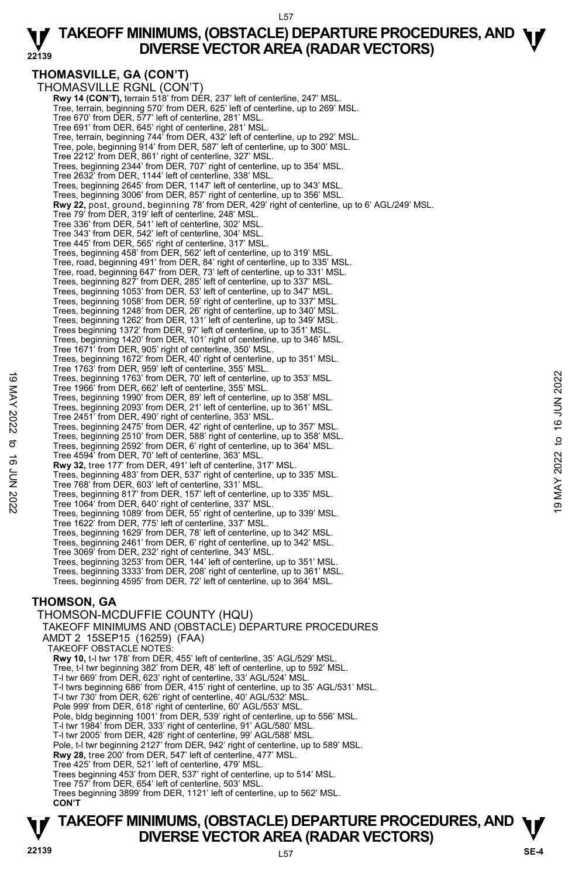#### L57

#### **22139 TAKEOFF MINIMUMS, (OBSTACLE) DEPARTURE PROCEDURES, AND**  $\Psi$ **<br>DIVERSE VECTOR AREA (RADAR VECTORS) DIVERSE VECTOR AREA (RADAR VECTORS)**

# **THOMASVILLE, GA (CON'T)**

THOMASVILLE RGNL (CON'T) **Rwy 14 (CON'T), terrain 518' from DÉR, 237' left of centerline, 247' MSL** Tree, terrain, beginning 570' from DER, 625' left of centerline, up to 269' MSL. Tree 670' from DER, 577' left of centerline, 281' MSL. Tree 691' from DER, 645' right of centerline, 281' MSL. Tree, terrain, beginning 744' from DER, 432' left of centerline, up to 292' MSL. Tree, pole, beginning 914' from DER, 587' left of centerline, up to 300' MSL. Tree 2212' from DER, 861' right of centerline, 327' MSL. Trees, beginning 2344' from DER, 707' right of centerline, up to 354' MSL. Tree 2632' from DER, 1144' left of centerline, 338' MSL. Trees, beginning 2645' from DER, 1147' left of centerline, up to 343' MSL. Trees, beginning 3006' from DER, 857' right of centerline, up to 356' MSL. **Rwy 22,** post, ground, beginning 78' from DER, 429' right of centerline, up to 6' AGL/249' MSL. Tree 79' from DER, 319' left of centerline, 248' MSL. Tree 336' from DER, 541' left of centerline, 302' MSL. Tree 343' from DER, 542' left of centerline, 304' MSL. Tree 445' from DER, 565' right of centerline, 317' MSL. Trees, beginning 458' from DER, 562' left of centerline, up to 319' MSL. Tree, road, beginning 491' from DER, 84' right of centerline, up to 335' MSL. Tree, road, beginning 647' from DER, 73' left of centerline, up to 331' MSL. Trees, beginning 827' from DER, 285' left of centerline, up to 337' MSL. Trees, beginning 1053' from DER, 53' left of centerline, up to 347' MSL. Trees, beginning 1058' from DER, 59' right of centerline, up to 337' MSL. Trees, beginning 1248' from DER, 26' right of centerline, up to 340' MSL. Trees, beginning 1262' from DER, 131' left of centerline, up to 349' MSL. Trees beginning 1372' from DER, 97' left of centerline, up to 351' MSL. Trees, beginning 1420' from DER, 101' right of centerline, up to 346' MSL. Tree 1671' from DER, 905' right of centerline, 350' MSL. Trees, beginning 1672' from DER, 40' right of centerline, up to 351' MSL. Tree 1763' from DER, 959' left of centerline, 355' MSL. Trees, beginning 1763' from DER, 70' left of centerline, up to 353' MSL. Tree 1966' from DER, 662' left of centerline, 355' MSL. Trees, beginning 1990' from DER, 89' left of centerline, up to 358' MSL. Trees, beginning 2093' from DER, 21' left of centerline, up to 361' MSL. Tree 2451' from DER, 490' right of centerline, 353' MSL. Trees, beginning 2475' from DER, 42' right of centerline, up to 357' MSL. Trees, beginning 2510' from DER, 588' right of centerline, up to 358' MSL. Trees, beginning 2592' from DER, 6' right of centerline, up to 364' MSL. Tree 4594' from DER, 70' left of centerline, 363' MSL. **Rwy 32,** tree 177' from DER, 491' left of centerline, 317' MSL. Trees, beginning 483' from DER, 537' right of centerline, up to 335' MSL. Tree 768' from DER, 603' left of centerline, 331' MSL. Trees, beginning 817' from DER, 157' left of centerline, up to 335' MSL. Tree 1064' from DER, 640' right of centerline, 337' MSL. Trees, beginning 1089' from DER, 55' right of centerline, up to 339' MSL. Tree 1622' from DER, 775' left of centerline, 337' MSL. Trees, beginning 1629' from DER, 78' left of centerline, up to 342' MSL. Trees, beginning 2461' from DER, 6' right of centerline, up to 342' MSL. Tree 3069' from DER, 232' right of centerline, 343' MSL. Trees, beginning 3253' from DER, 144' left of centerline, up to 351' MSL. Trees, beginning 3333' from DER, 208' right of centerline, up to 361' MSL. Trees, beginning 4595' from DER, 72' left of centerline, up to 364' MSL. **THOMSON, GA**  THOMSON-MCDUFFIE COUNTY (HQU) TAKEOFF MINIMUMS AND (OBSTACLE) DEPARTURE PROCEDURES AMDT 2 15SEP15 (16259) (FAA) TAKEOFF OBSTACLE NOTES: **Rwy 10,** t-l twr 178' from DER, 455' left of centerline, 35' AGL/529' MSL. Tree, t-l twr beginning 382' from DER, 48' left of centerline, up to 592' MSL. T-l twr 669' from DER, 623' right of centerline, 33' AGL/524' MSL. T-l twrs beginning 686' from DER, 415' right of centerline, up to 35' AGL/531' MSL. T-l twr 730' from DER, 626' right of centerline, 40' AGL/532' MSL. 19 Trees, beginning 1763' from DER, 70' left of centerline, up to 353' MSL.<br>
Tree 1966' from DER, 662' left of centerline, 355' MSL.<br>
Trees, beginning 1990' from DER, 29' left of centerline, up to 358' MSL.<br>
Trees, beginn

Pole 999' from DER, 618' right of centerline, 60' AGL/553' MSL.

Pole, bldg beginning 1001' from DER, 539' right of centerline, up to 556' MSL.

- 
- T-l twr 1984' from DER, 333' right of centerline, 91' AGL/580' MSL. T-l twr 2005' from DER, 428' right of centerline, 99' AGL/588' MSL.

Pole, t-l twr beginning 2127' from DER, 942' right of centerline, up to 589' MSL.

- **Rwy 28,** tree 200' from DER, 547' left of centerline, 477' MSL.
- Tree 425' from DER, 521' left of centerline, 479' MSL.

Trees beginning 453' from DER, 537' right of centerline, up to 514' MSL.

Tree 757' from DER, 654' left of centerline, 503' MSL.

Trees beginning 3899' from DER, 1121' left of centerline, up to 562' MSL. **CON'T**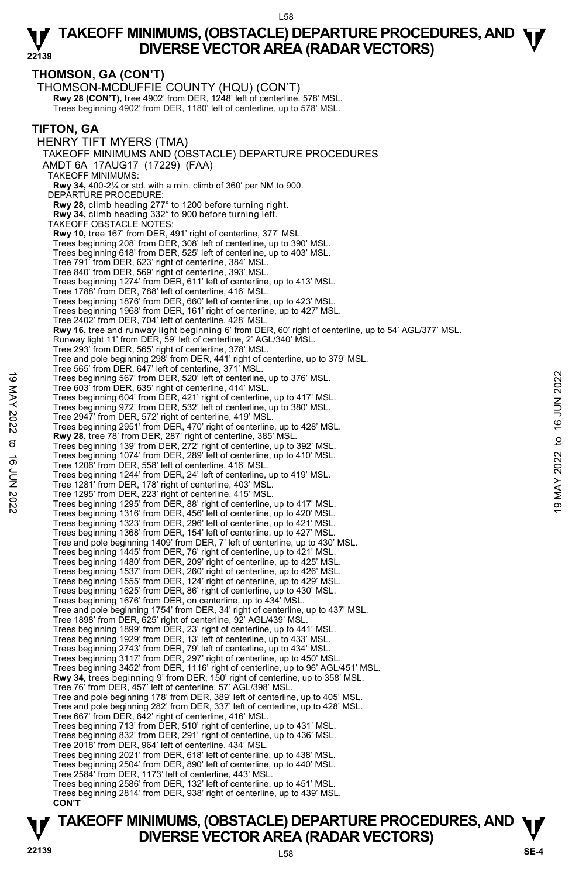**THOMSON, GA (CON'T)**  THOMSON-MCDUFFIE COUNTY (HQU) (CON'T) **Rwy 28 (CON'T),** tree 4902' from DER, 1248' left of centerline, 578' MSL.<br>Trees beginning 4902' from DER, 1180' left of centerline, up to 578' MSL. **TIFTON, GA**  HENRY TIFT MYERS (TMA) TAKEOFF MINIMUMS AND (OBSTACLE) DEPARTURE PROCEDURES AMDT 6A 17AUG17 (17229) (FAA) TAKEOFF MINIMUMS: **Rwy 34,** 400-2¼ or std. with a min. climb of 360' per NM to 900. DEPARTURE PROCEDURE: **Rwy 28,** climb heading 277° to 1200 before turning right. **Rwy 34,** climb heading 332° to 900 before turning left. TAKEOFF OBSTACLE NOTES: **Rwy 10,** tree 167' from DER, 491' right of centerline, 377' MSL. Trees beginning 208' from DER, 308' left of centerline, up to 390' MSL. Trees beginning 618' from DER, 525' left of centerline, up to 403' MSL. Tree 791' from DER, 623' right of centerline, 384' MSL. Tree 840' from DER, 569' right of centerline, 393' MSL. Trees beginning 1274' from DER, 611' left of centerline, up to 413' MSL. Tree 1788' from DER, 788' left of centerline, 416' MSL. Trees beginning 1876' from DER, 660' left of centerline, up to 423' MSL. Trees beginning 1968' from DER, 161' right of centerline, up to 427' MSL. Tree 2402' from DER, 704' left of centerline, 428' MSL. **Rwy 16,** tree and runway light beginning 6' from DER, 60' right of centerline, up to 54' AGL/377' MSL.<br>Runway light 11' from DER, 59' left of centerline, 2' AGL/340' MSL. Tree 293' from DER, 565' right of centerline, 378' MSL. Tree and pole beginning 298' from DER, 441' right of centerline, up to 379' MSL. Tree 565' from DER, 647' left of centerline, 371' MSL. Trees beginning 567' from DER, 520' left of centerline, up to 376' MSL. Tree 603' from DER, 635' right of centerline, 414' MSL. Trees beginning 604' from DER, 421' right of centerline, up to 417' MSL. Trees beginning 972' from DER, 532' left of centerline, up to 380' MSL. Tree 2947' from DER, 572' right of centerline, 419' MSL. Trees beginning 2951' from DER, 470' right of centerline, up to 428' MSL. **Rwy 28,** tree 78' from DER, 287' right of centerline, 385' MSL. Trees beginning 139' from DER, 272' right of centerline, up to 392' MSL. Trees beginning 1074' from DER, 289' left of centerline, up to 410' MSL. Tree 1206' from DER, 558' left of centerline, 416' MSL. Trees beginning 1244' from DER, 24' left of centerline, up to 419' MSL. Tree 1281' from DER, 178' right of centerline, 403' MSL. Tree 1295' from DER, 223' right of centerline, 415' MSL. Trees beginning 1295' from DER, 88' right of centerline, up to 417' MSL. Trees beginning 1316' from DER, 456' left of centerline, up to 420' MSL. Trees beginning 1323' from DER, 296' left of centerline, up to 421' MSL. Trees beginning 1368' from DER, 154' left of centerline, up to 427' MSL. Tree and pole beginning 1409' from DER, 7' left of centerline, up to 430' MSL. Trees beginning 1445' from DER, 76' right of centerline, up to 421' MSL. Trees beginning 1480' from DER, 209' right of centerline, up to 425' MSL. Trees beginning 1537' from DER, 260' right of centerline, up to 426' MSL. Trees beginning 1555' from DER, 124' right of centerline, up to 429' MSL. Trees beginning 1625' from DER, 86' right of centerline, up to 430' MSL. Trees beginning 1676' from DER, on centerline, up to 434' MSL. Tree and pole beginning 1754' from DER, 34' right of centerline, up to 437' MSL. Tree 1898' from DER, 625' right of centerline, 92' AGL/439' MSL. Trees beginning 1899' from DER, 23' right of centerline, up to 441' MSL. Trees beginning 1929' from DER, 13' left of centerline, up to 433' MSL. Trees beginning 2743' from DER, 79' left of centerline, up to 434' MSL. Trees beginning 3117' from DER, 297' right of centerline, up to 450' MSL. Trees beginning 3452' from DER, 1116' right of centerline, up to 96' AGL/451' MSL. **Rwy 34,** trees beginning 9' from DER, 150' right of centerline, up to 358' MSL. Tree 76' from DER, 457' left of centerline, 57' AGL/398' MSL. Tree and pole beginning 178' from DER, 389' left of centerline, up to 405' MSL. Tree and pole beginning 282' from DER, 337' left of centerline, up to 428' MSL. Tree 667' from DER, 642' right of centerline, 416' MSL. Trees beginning 713' from DER, 510' right of centerline, up to 431' MSL. Trees beginning 832' from DER, 291' right of centerline, up to 436' MSL. Tree 2018' from DER, 964' left of centerline, 434' MSL. Trees beginning 2021' from DER, 618' left of centerline, up to 438' MSL. Trees beginning 2504' from DER, 890' left of centerline, up to 440' MSL. Tree 2584' from DER, 1173' left of centerline, 443' MSL. Trees beginning 2586' from DER, 132' left of centerline, up to 451' MSL. Trees beginning 2814' from DER, 938' right of centerline, up to 439' MSL. **CON'T** Trees beginning 567' from DER, 520' left of centerline, up to 376' MSL.<br>
Tree 603' from DER, 635' right of centerline, at 4' MSL.<br>
Trees beginning 604' from DER, 421' right of centerline, up to 417' MSL.<br>
Trees beginning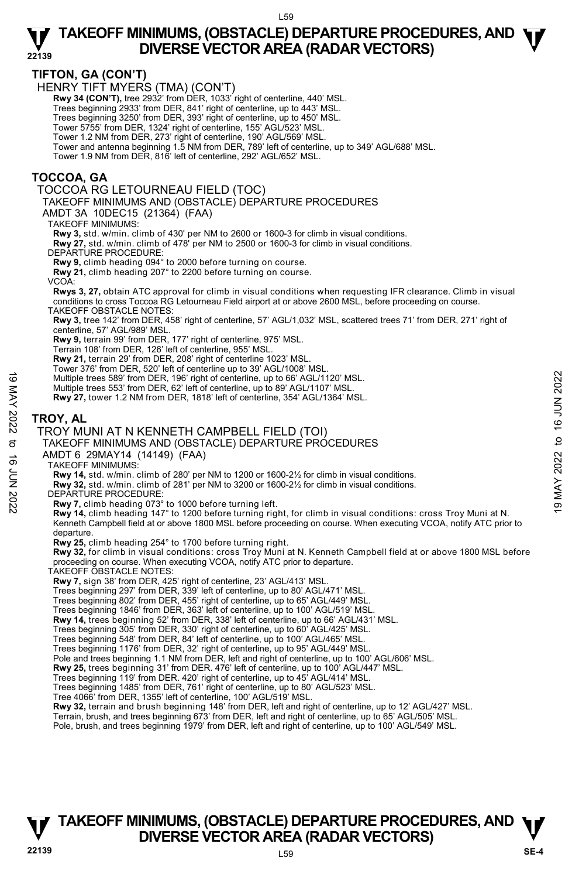### **TIFTON, GA (CON'T)**

HENRY TIFT MYERS (TMA) (CON'T)

 **Rwy 34 (CON'T),** tree 2932' from DER, 1033' right of centerline, 440' MSL.

Trees beginning 2933' from DER, 841' right of centerline, up to 443' MSL.

Trees beginning 3250' from DER, 393' right of centerline, up to 450' MSL.

Tower 5755' from DER, 1324' right of centerline, 155' AGL/523' MSL.

 Tower 1.2 NM from DER, 273' right of centerline, 190' AGL/569' MSL. Tower and antenna beginning 1.5 NM from DER, 789' left of centerline, up to 349' AGL/688' MSL.

Tower 1.9 NM from DER, 816' left of centerline, 292' AGL/652' MSL.

### **TOCCOA, GA**

TOCCOA RG LETOURNEAU FIELD (TOC)

TAKEOFF MINIMUMS AND (OBSTACLE) DEPARTURE PROCEDURES

AMDT 3A 10DEC15 (21364) (FAA)

TAKEOFF MINIMUMS:

**Rwy 3,** std. w/min. climb of 430' per NM to 2600 or 1600-3 for climb in visual conditions. **Rwy 27,** std. w/min. climb of 478' per NM to 2500 or 1600-3 for climb in visual conditions.

DEPARTURE PROCEDURE:

**Rwy 9,** climb heading 094° to 2000 before turning on course.

**Rwy 21,** climb heading 207° to 2200 before turning on course.

VCOA:

**Rwys 3, 27,** obtain ATC approval for climb in visual conditions when requesting IFR clearance. Climb in visual conditions to cross Toccoa RG Letourneau Field airport at or above 2600 MSL, before proceeding on course. TAKEOFF OBSTACLE NOTES:

**Rwy 3,** tree 142' from DER, 458' right of centerline, 57' AGL/1,032' MSL, scattered trees 71' from DER, 271' right of centerline, 57' AGL/989' MSL.

**Rwy 9,** terrain 99' from DER, 177' right of centerline, 975' MSL.

Terrain 108' from DER, 126' left of centerline, 955' MSL.

**Rwy 21,** terrain 29' from DER, 208' right of centerline 1023' MSL.

Tower 376' from DER, 520' left of centerline up to 39' AGL/1008' MSL.

Multiple trees 589' from DER, 196' right of centerline, up to 66' AGL/1120' MSL.

Multiple trees 553' from DER, 62' left of centerline, up to 89' AGL/1107' MSL.

**Rwy 27,** tower 1.2 NM from DER, 1818' left of centerline, 354' AGL/1364' MSL.

### **TROY, AL**

#### TROY MUNI AT N KENNETH CAMPBELL FIELD (TOI)

# TAKEOFF MINIMUMS AND (OBSTACLE) DEPARTURE PROCEDURES Multiple trees 589 from DER, 196 right of centerline, up to 66' AGL/1120' MSL.<br>
Multiple trees 589' from DER, 196' right of centerline, up to 89' AGL/1107' MSL.<br>
Multiple trees 553' from DER, 1818' left of centerline, 354

AMDT 6 29MAY14 (14149) (FAA)

TAKEOFF MINIMUMS:

**Rwy 14,** std. w/min. climb of 280' per NM to 1200 or 1600-2½ for climb in visual conditions.

**Rwy 32,** std. w/min. climb of 281' per NM to 3200 or 1600-2½ for climb in visual conditions.

DEPARTURE PROCEDURE:

**Rwy 7,** climb heading 073° to 1000 before turning left.

**Rwy 14,** climb heading 147° to 1200 before turning right, for climb in visual conditions: cross Troy Muni at N. Kenneth Campbell field at or above 1800 MSL before proceeding on course. When executing VCOA, notify ATC prior to departure.

**Rwy 25,** climb heading 254° to 1700 before turning right.

**Rwy 32,** for climb in visual conditions: cross Troy Muni at N. Kenneth Campbell field at or above 1800 MSL before proceeding on course. When executing VCOA, notify ATC prior to departure. TAKEOFF OBSTACLE NOTES:

**Rwy 7,** sign 38' from DER, 425' right of centerline, 23' AGL/413' MSL.

Trees beginning 297' from DER, 339' left of centerline, up to 80' AGL/471' MSL. Trees beginning 802' from DER, 455' right of centerline, up to 65' AGL/449' MSL.

Trees beginning 1846' from DER, 363' left of centerline, up to 100' AGL/519' MSL.

**Rwy 14,** trees beginning 52' from DER, 338' left of centerline, up to 66' AGL/431' MSL.

Trees beginning 305' from DER, 330' right of centerline, up to 60' AGL/425' MSL. Trees beginning 548' from DER, 84' left of centerline, up to 100' AGL/465' MSL.

Trees beginning 1176' from DER, 32' right of centerline, up to 95' AGL/449' MSL.

Pole and trees beginning 1.1 NM from DER, left and right of centerline, up to 100' AGL/606' MSL.<br>**Rwy 25,** trees beginning 31' from DER. 476' left of centerline, up to 100' AGL/447' MSL.

Trees beginning 119' from DER. 420' right of centerline, up to 45' AGL/414' MSL.

Trees beginning 1485' from DER, 761' right of centerline, up to 80' AGL/523' MSL.

Tree 4066' from DER, 1355' left of centerline, 100' AGL/519' MSL.

**Rwy 32,** terrain and brush beginning 148' from DER, left and right of centerline, up to 12' AGL/427' MSL.

Terrain, brush, and trees beginning 673' from DER, left and right of centerline, up to 65' AGL/505' MSL.

Pole, brush, and trees beginning 1979' from DER, left and right of centerline, up to 100' AGL/549' MSL.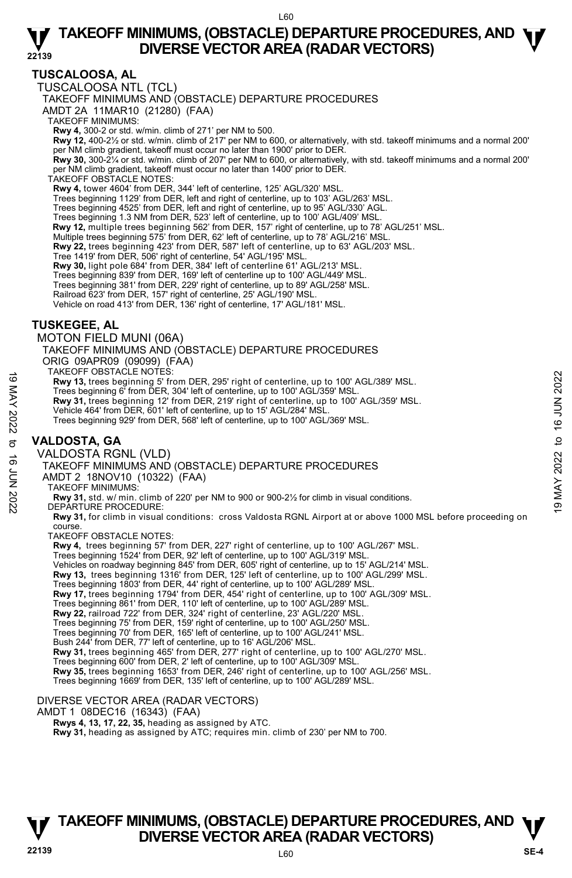# **TUSCALOOSA, AL**

TUSCALOOSA NTL (TCL)

TAKEOFF MINIMUMS AND (OBSTACLE) DEPARTURE PROCEDURES

AMDT 2A 11MAR10 (21280) (FAA)

TAKEOFF MINIMUMS:

**Rwy 4,** 300-2 or std. w/min. climb of 271' per NM to 500. **Rwy 12,** 400-2½ or std. w/min. climb of 217' per NM to 600, or alternatively, with std. takeoff minimums and a normal 200' per NM climb gradient, takeoff must occur no later than 1900' prior to DER.

**Rwy 30,** 300-2¼ or std. w/min. climb of 207' per NM to 600, or alternatively, with std. takeoff minimums and a normal 200' per NM climb gradient, takeoff must occur no later than 1400' prior to DER. TAKEOFF OBSTACLE NOTES:

**Rwy 4,** tower 4604' from DER, 344' left of centerline, 125' AGL/320' MSL.

Trees beginning 1129' from DER, left and right of centerline, up to 103' AGL/263' MSL. Trees beginning 4525' from DER, left and right of centerline, up to 95' AGL/330' AGL.

Trees beginning 1.3 NM from DER, 523' left of centerline, up to 100' AGL/409' MSL.

**Rwy 12,** multiple trees beginning 562' from DER, 157' right of centerline, up to 78' AGL/251' MSL.<br>Multiple trees beginning 575' from DER, 62' left of centerline, up to 78' AGL/216' MSL.

**Rwy 22,** trees beginning 423' from DER, 587' left of centerline, up to 63' AGL/203' MSL.

Tree 1419' from DER, 506' right of centerline, 54' AGL/195' MSL.

**Rwy 30,** light pole 684' from DER, 384' left of centerline 61' AGL/213' MSL.

Trees beginning 839' from DER, 169' left of centerline up to 100' AGL/449' MSL. Trees beginning 381' from DER, 229' right of centerline, up to 89' AGL/258' MSL.

Railroad 623' from DER, 157' right of centerline, 25' AGL/190' MSL. Vehicle on road 413' from DER, 136' right of centerline, 17' AGL/181' MSL.

# **TUSKEGEE, AL**

MOTON FIELD MUNI (06A)

TAKEOFF MINIMUMS AND (OBSTACLE) DEPARTURE PROCEDURES ORIG 09APR09 (09099) (FAA)

TAKEOFF OBSTACLE NOTES:

**Rwy 13,** trees beginning 5' from DER, 295' right of centerline, up to 100' AGL/389' MSL.

Trees beginning 6' from DER, 304' left of centerline, up to 100' AGL/359' MSL.<br>**Rwy 31,** trees beginning 12' from DER, 219' right of centerline, up to 100' AGL/359' MSL.

Vehicle 464' from DER, 601' left of centerline, up to 15' AGL/284' MSL.

Trees beginning 929' from DER, 568' left of centerline, up to 100' AGL/369' MSL.

# **VALDOSTA, GA**

VALDOSTA RGNL (VLD)

TAKEOFF MINIMUMS AND (OBSTACLE) DEPARTURE PROCEDURES TAKEOFF MINIMUMS (WELL NOT UPSTACLE) DEPARTURE PROCEDURES<br>
Not the sheginning of from DER, 304' left of centerline, up to 100' AGL/359' MSL.<br>
Trees beginning of from DER, 304' left of centerline, up to 100' AGL/359' MSL.<br>

AMDT 2 18NOV10 (10322) (FAA)

TAKEOFF MINIMUMS:

**Rwy 31,** std. w/ min. climb of 220' per NM to 900 or 900-2½ for climb in visual conditions. DEPARTURE PROCEDURE:

**Rwy 31,** for climb in visual conditions: cross Valdosta RGNL Airport at or above 1000 MSL before proceeding on course.

TAKEOFF OBSTACLE NOTES:

**Rwy 4,** trees beginning 57' from DER, 227' right of centerline, up to 100' AGL/267' MSL. Trees beginning 1524' from DER, 92' left of centerline, up to 100' AGL/319' MSL. Vehicles on roadway beginning 845' from DER, 605' right of centerline, up to 15' AGL/214' MSL. **Rwy 13,** trees beginning 1316' from DER, 125' left of centerline, up to 100' AGL/299' MSL. Trees beginning 1803' from DER, 44' right of centerline, up to 100' AGL/289' MSL. **Rwy 17,** trees beginning 1794' from DER, 454' right of centerline, up to 100' AGL/309' MSL. Trees beginning 861' from DER, 110' left of centerline, up to 100' AGL/289' MSL. **Rwy 22,** railroad 722' from DER, 324' right of centerline, 23' AGL/220' MSL. Trees beginning 75' from DER, 159' right of centerline, up to 100' AGL/250' MSL. Trees beginning 70' from DER, 165' left of centerline, up to 100' AGL/241' MSL. Bush 244' from DER, 77' left of centerline, up to 16' AGL/206' MSL. **Rwy 31,** trees beginning 465' from DER, 277' right of centerline, up to 100' AGL/270' MSL. Trees beginning 600' from DER, 2' left of centerline, up to 100' AGL/309' MSL. **Rwy 35,** trees beginning 1653' from DER, 246' right of centerline, up to 100' AGL/256' MSL. Trees beginning 1669' from DER, 135' left of centerline, up to 100' AGL/289' MSL. DIVERSE VECTOR AREA (RADAR VECTORS)

AMDT 1 08DEC16 (16343) (FAA)

 **Rwys 4, 13, 17, 22, 35,** heading as assigned by ATC.

 **Rwy 31,** heading as assigned by ATC; requires min. climb of 230' per NM to 700.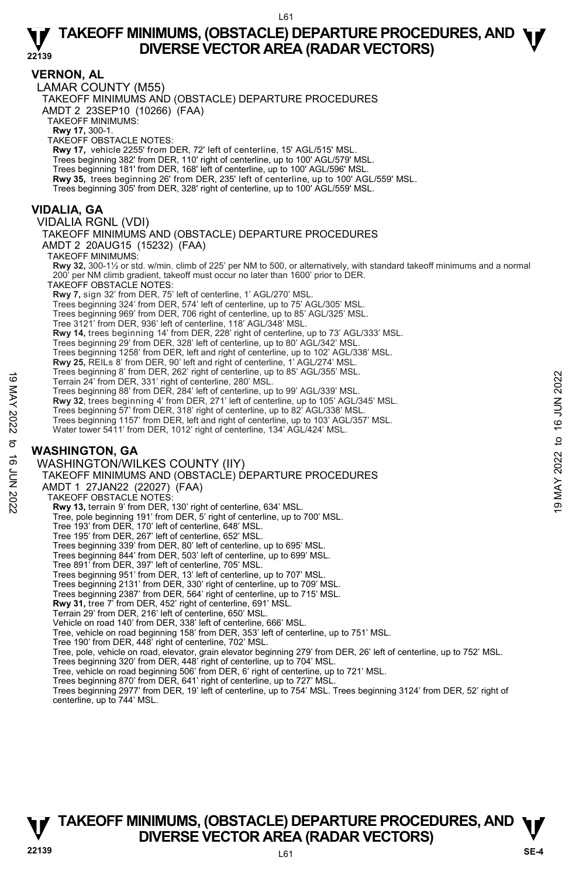### **VERNON, AL**

**22139**  LAMAR COUNTY (M55) TAKEOFF MINIMUMS AND (OBSTACLE) DEPARTURE PROCEDURES AMDT 2 23SEP10 (10266) (FAA) TAKEOFF MINIMUMS: **Rwy 17,** 300-1. TAKEOFF OBSTACLE NOTES: **Rwy 17,** vehicle 2255' from DER, 72' left of centerline, 15' AGL/515' MSL. Trees beginning 382' from DER, 110' right of centerline, up to 100' AGL/579' MSL. Trees beginning 181' from DER, 168' left of centerline, up to 100' AGL/596' MSL. **Rwy 35,** trees beginning 26' from DER, 235' left of centerline, up to 100' AGL/559' MSL. Trees beginning 305' from DER, 328' right of centerline, up to 100' AGL/559' MSL. **VIDALIA, GA**  VIDALIA RGNL (VDI) TAKEOFF MINIMUMS AND (OBSTACLE) DEPARTURE PROCEDURES AMDT 2 20AUG15 (15232) (FAA) TAKEOFF MINIMUMS: **Rwy 32,** 300-1½ or std. w/min. climb of 225' per NM to 500, or alternatively, with standard takeoff minimums and a normal per NM climb gradient, takeoff must occur no later than 1600' prior to DER. TAKEOFF OBSTACLE NOTES: **Rwy 7,** sign 32' from DER, 75' left of centerline, 1' AGL/270' MSL. Trees beginning 324' from DER, 574' left of centerline, up to 75' AGL/305' MSL. Trees beginning 969' from DER, 706 right of centerline, up to 85' AGL/325' MSL. Tree 3121' from DER, 936' left of centerline, 118' AGL/348' MSL. **Rwy 14,** trees beginning 14' from DER, 228' right of centerline, up to 73' AGL/333' MSL.<br>Trees beginning 29' from DER, 328' left of centerline, up to 80' AGL/342' MSL. Trees beginning 1258' from DER, left and right of centerline, up to 102' AGL/338' MSL. **Rwy 25,** REILs 8' from DER, 90' left and right of centerline, 1' AGL/274' MSL. Trees beginning 8' from DER, 262' right of centerline, up to 85' AGL/355' MSL. Terrain 24' from DER, 331' right of centerline, 280' MSL. Trees beginning 88' from DER, 284' left of centerline, up to 99' AGL/339' MSL. **Rwy 32**, trees beginning 4' from DER, 271' left of centerline, up to 105' AGL/345' MSL. Trees beginning 57' from DER, 318' right of centerline, up to 82' AGL/338' MSL. Trees beginning 1157' from DER, left and right of centerline, up to 103' AGL/357' MSL. Water tower 5411' from DER, 1012' right of centerline, 134' AGL/424' MSL. **WASHINGTON, GA**  WASHINGTON/WILKES COUNTY (IIY) TAKEOFF MINIMUMS AND (OBSTACLE) DEPARTURE PROCEDURES AMDT 1 27JAN22 (22027) (FAA) TAKEOFF OBSTACLE NOTES: **Rwy 13,** terrain 9' from DER, 130' right of centerline, 634' MSL. Tree, pole beginning 191' from DER, 5' right of centerline, up to 700' MSL. Tree 193' from DER, 170' left of centerline, 648' MSL. Tree 195' from DER, 267' left of centerline, 652' MSL. Trees beginning 339' from DER, 80' left of centerline, up to 695' MSL. Trees beginning 844' from DER, 503' left of centerline, up to 699' MSL. Tree 891' from DER, 397' left of centerline, 705' MSL. Trees beginning 951' from DER, 13' left of centerline, up to 707' MSL. Trees beginning 2131' from DER, 330' right of centerline, up to 709' MSL. Trees beginning 2387' from DER, 564' right of centerline, up to 715' MSL.<br>**Rwy 31,** tree 7' from DER, 452' right of centerline, 691' MSL. Terrain 29' from DER, 216' left of centerline, 650' MSL. Vehicle on road 140' from DER, 338' left of centerline, 666' MSL. Tree, vehicle on road beginning 158' from DER, 353' left of centerline, up to 751' MSL. Tree 190' from DER, 448' right of centerline, 702' MSL. Terrain 24' from DER, 331' right of centerline, app to 39' AGL/339' MSL.<br>
Terrain 24' from DER, 284' left of centerline, up to 99' AGL/339' MSL.<br>
Trees beginning 88' from DER, 284' left of centerline, up to 193' AGL/339' M

Tree, pole, vehicle on road, elevator, grain elevator beginning 279' from DER, 26' left of centerline, up to 752' MSL.

Trees beginning 320' from DER, 448' right of centerline, up to 704' MSL.

Tree, vehicle on road beginning 506' from DER, 6' right of centerline, up to 721' MSL.

Trees beginning 870' from DER, 641' right of centerline, up to 727' MSL.

Trees beginning 2977' from DER, 19' left of centerline, up to 754' MSL. Trees beginning 3124' from DER, 52' right of centerline, up to 744' MSL.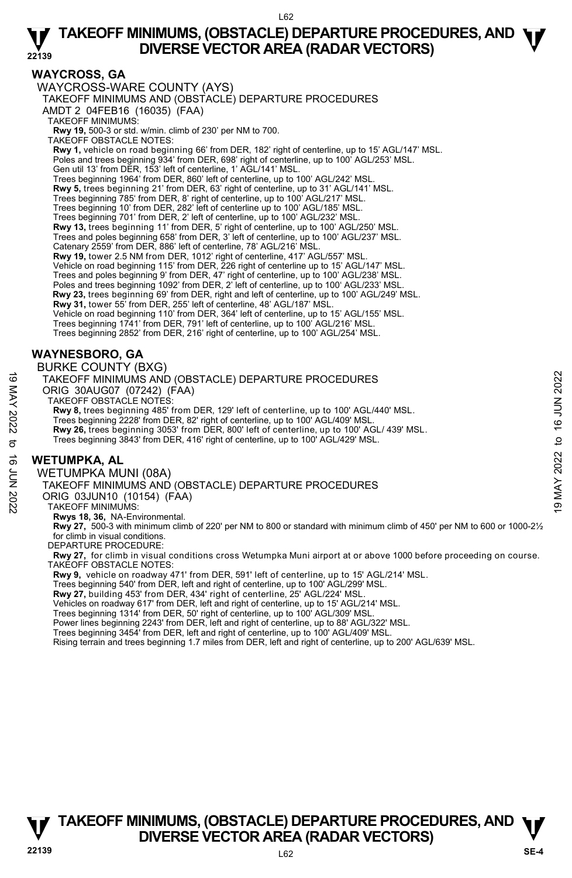# **WAYCROSS, GA**

WAYCROSS-WARE COUNTY (AYS) TAKEOFF MINIMUMS AND (OBSTACLE) DEPARTURE PROCEDURES AMDT 2 04FEB16 (16035) (FAA) TAKEOFF MINIMUMS: **Rwy 19,** 500-3 or std. w/min. climb of 230' per NM to 700. TAKEOFF OBSTACLE NOTES: **Rwy 1,** vehicle on road beginning 66' from DER, 182' right of centerline, up to 15' AGL/147' MSL. Poles and trees beginning 934' from DER, 698' right of centerline, up to 100' AGL/253' MSL. Gen util 13' from DER, 153' left of centerline, 1' AGL/141' MSL. Trees beginning 1964' from DER, 860' left of centerline, up to 100' AGL/242' MSL. **Rwy 5,** trees beginning 21' from DER, 63' right of centerline, up to 31' AGL/141' MSL. Trees beginning 785' from DER, 8' right of centerline, up to 100' AGL/217' MSL. Trees beginning 10' from DER, 282' left of centerline up to 100' AGL/185' MSL. Trees beginning 701' from DER, 2' left of centerline, up to 100' AGL/232' MSL. **Rwy 13,** trees beginning 11' from DER, 5' right of centerline, up to 100' AGL/250' MSL.<br>Trees and poles beginning 658' from DER, 3' left of centerline, up to 100' AGL/237' MSL. Catenary 2559' from DER, 886' left of centerline, 78' AGL/216' MSL. **Rwy 19,** tower 2.5 NM from DER, 1012' right of centerline, 417' AGL/557' MSL. Vehicle on road beginning 115' from DER, 226 right of centerline up to 15' AGL/147' MSL. Trees and poles beginning 9' from DER, 47' right of centerline, up to 100' AGL/238' MSL. Poles and trees beginning 1092' from DER, 2' left of centerline, up to 100' AGL/233' MSL. **Rwy 23,** trees beginning 69' from DER, right and left of centerline, up to 100' AGL/249' MSL. **Rwy 31,** tower 55' from DER, 255' left of centerline, 48' AGL/187' MSL. Vehicle on road beginning 110' from DER, 364' left of centerline, up to 15' AGL/155' MSL. Trees beginning 1741' from DER, 791' left of centerline, up to 100' AGL/216' MSL. Trees beginning 2852' from DER, 216' right of centerline, up to 100' AGL/254' MSL. **WAYNESBORO, GA**  BURKE COUNTY (BXG) TAKEOFF MINIMUMS AND (OBSTACLE) DEPARTURE PROCEDURES TAKEOFF MINIMUMS AND (OBSTACLE) DEPARTURE PROCEDURES<br>
ORIG 30AUG07 (07242) (FAA)<br>
TAKEOFF OBSTACLE NOTES:<br>
THE SAME TO THE SERVE AND TAGLIAN TO THE SERVE AND THE SERVE AND THE SERVE AND THE SUBMINING 2228' from DER, 82' r

ORIG 30AUG07 (07242) (FAA) TAKEOFF OBSTACLE NOTES:

**Rwy 8,** trees beginning 485' from DER, 129' left of centerline, up to 100' AGL/440' MSL.

Trees beginning 2228' from DER, 82' right of centerline, up to 100' AGL/409' MSL. **Rwy 26,** trees beginning 3053' from DER, 800' left of centerline, up to 100' AGL/ 439' MSL.

Trees beginning 3843' from DER, 416' right of centerline, up to 100' AGL/429' MSL.

# **WETUMPKA, AL**

WETUMPKA MUNI (08A)

TAKEOFF MINIMUMS AND (OBSTACLE) DEPARTURE PROCEDURES

ORIG 03JUN10 (10154) (FAA)

TAKEOFF MINIMUMS:

**Rwys 18, 36,** NA-Environmental.

**Rwy 27,** 500-3 with minimum climb of 220' per NM to 800 or standard with minimum climb of 450' per NM to 600 or 1000-2½ for climb in visual conditions.

DEPARTURE PROCEDURE:

**Rwy 27,** for climb in visual conditions cross Wetumpka Muni airport at or above 1000 before proceeding on course. TAKEOFF OBSTACLE NOTES:

**Rwy 9,** vehicle on roadway 471' from DER, 591' left of centerline, up to 15' AGL/214' MSL.

Trees beginning 540' from DER, left and right of centerline, up to 100' AGL/299' MSL.

**Rwy 27,** building 453' from DER, 434' right of centerline, 25' AGL/224' MSL.

Vehicles on roadway 617' from DER, left and right of centerline, up to 15' AGL/214' MSL.

Trees beginning 1314' from DER, 50' right of centerline, up to 100' AGL/309' MSL.

Power lines beginning 2243' from DER, left and right of centerline, up to 88' AGL/322' MSL. Trees beginning 3454' from DER, left and right of centerline, up to 100' AGL/409' MSL.

Rising terrain and trees beginning 1.7 miles from DER, left and right of centerline, up to 200' AGL/639' MSL.